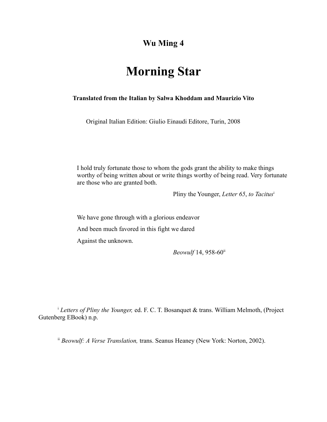## **Wu Ming 4**

# **Morning Star**

## **Translated from the Italian by Salwa Khoddam and Maurizio Vito**

Original Italian Edition: Giulio Einaudi Editore, Turin, 2008

I hold truly fortunate those to whom the gods grant the ability to make things worthy of being written about or write things worthy of being read. Very fortunate are those who are granted both.

Pliny the Younger, *Letter 65*, *to Tacitus*<sup>i</sup>

We have gone through with a glorious endeavor

And been much favored in this fight we dared

Against the unknown.

*Beowulf* 14, 958-60ii

<sup>i</sup> *Letters of Pliny the Younger,* ed. F. C. T. Bosanquet & trans. William Melmoth, (Project Gutenberg EBook) n.p.

ii *Beowulf: A Verse Translation,* trans. Seanus Heaney (New York: Norton, 2002).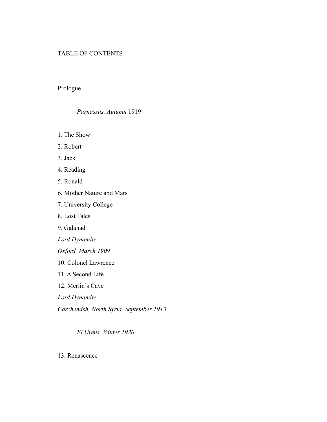## TABLE OF CONTENTS

## Prologue

#### *Parnassus. Autumn* 1919

- 1. The Show
- 2. Robert
- 3. Jack
- 4. Reading
- 5. Ronald
- 6. Mother Nature and Mars
- 7. University College
- 8. Lost Tales
- 9. Galahad
- *Lord Dynamite*
- *Oxford, March 1909*
- 10. Colonel Lawrence
- 11. A Second Life
- 12. Merlin's Cave
- *Lord Dynamite*
- *Carchemish, North Syria, September 1913*

*El Urens. Winter 1920*

13. Renascence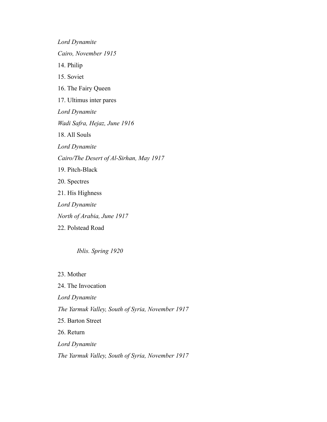*Lord Dynamite Cairo, November 1915* 14. Philip 15. Soviet 16. The Fairy Queen 17. Ultimus inter pares *Lord Dynamite Wadi Safra, Hejaz, June 1916* 18. All Souls *Lord Dynamite Cairo/The Desert of Al-Sirhan, May 1917* 19. Pitch-Black 20. Spectres 21. His Highness *Lord Dynamite North of Arabia, June 1917* 22. Polstead Road

*Iblis. Spring 1920*

23. Mother

24. The Invocation *Lord Dynamite The Yarmuk Valley, South of Syria, November 1917* 25. Barton Street 26. Return *Lord Dynamite The Yarmuk Valley, South of Syria, November 1917*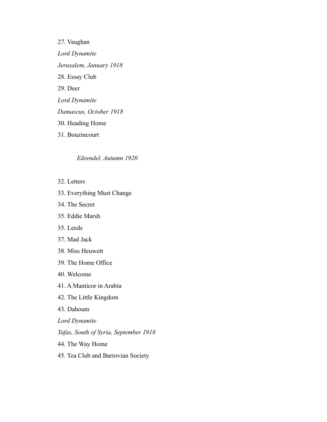27. Vaughan *Lord Dynamite Jerusalem, January 1918* 28. Essay Club 29. Deer *Lord Dynamite Damascus, October 1918* 30. Heading Home 31. Bouzincourt

#### *Eārendel. Autumn 1920*

- 32. Letters
- 33. Everything Must Change
- 34. The Secret
- 35. Eddie Marsh
- 35. Leeds
- 37. Mad Jack
- 38. Miss Heuwett
- 39. The Home Office
- 40. Welcome
- 41. A Manticor in Arabia
- 42. The Little Kingdom
- 43. Dahoum
- *Lord Dynamite*
- *Tafas, South of Syria, September 1918*
- 44. The Way Home
- 45. Tea Club and Barrovian Society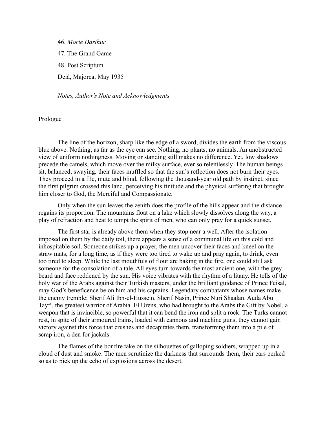46. *Morte Darthur* 47. The Grand Game 48. Post Scriptum Deià, Majorca, May 1935

*Notes, Author's Note and Acknowledgments*

#### Prologue

The line of the horizon, sharp like the edge of a sword, divides the earth from the viscous blue above. Nothing, as far as the eye can see. Nothing, no plants, no animals. An unobstructed view of uniform nothingness. Moving or standing still makes no difference. Yet, low shadows precede the camels, which move over the milky surface, ever so relentlessly. The human beings sit, balanced, swaying*,* their faces muffled so that the sun's reflection does not burn their eyes. They proceed in a file, mute and blind, following the thousand-year old path by instinct, since the first pilgrim crossed this land, perceiving his finitude and the physical suffering that brought him closer to God, the Merciful and Compassionate.

Only when the sun leaves the zenith does the profile of the hills appear and the distance regains its proportion. The mountains float on a lake which slowly dissolves along the way, a play of refraction and heat to tempt the spirit of men, who can only pray for a quick sunset.

The first star is already above them when they stop near a well. After the isolation imposed on them by the daily toil, there appears a sense of a communal life on this cold and inhospitable soil. Someone strikes up a prayer, the men uncover their faces and kneel on the straw mats, for a long time, as if they were too tired to wake up and pray again, to drink, even too tired to sleep. While the last mouthfuls of flour are baking in the fire, one could still ask someone for the consolation of a tale. All eyes turn towards the most ancient one, with the grey beard and face reddened by the sun. His voice vibrates with the rhythm of a litany. He tells of the holy war of the Arabs against their Turkish masters, under the brilliant guidance of Prince Feisal, may God's beneficence be on him and his captains. Legendary combatants whose names make the enemy tremble: Sherif Ali Ibn-el-Hussein. Sherif Nasin, Prince Nuri Shaalan. Auda Abu Tayfi, the greatest warrior of Arabia. El Urens, who had brought to the Arabs the Gift by Nobel, a weapon that is invincible, so powerful that it can bend the iron and split a rock. The Turks cannot rest, in spite of their armoured trains, loaded with cannons and machine guns, they cannot gain victory against this force that crushes and decapitates them, transforming them into a pile of scrap iron, a den for jackals.

The flames of the bonfire take on the silhouettes of galloping soldiers, wrapped up in a cloud of dust and smoke. The men scrutinize the darkness that surrounds them, their ears perked so as to pick up the echo of explosions across the desert.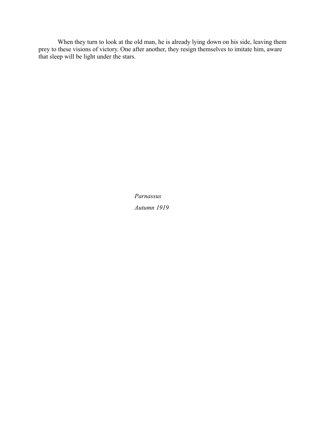When they turn to look at the old man, he is already lying down on his side, leaving them prey to these visions of victory. One after another, they resign themselves to imitate him, aware that sleep will be light under the stars.

> *Parnassus Autumn 1919*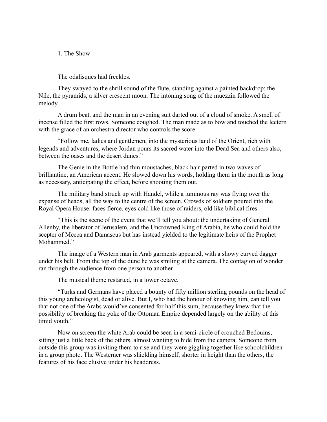1. The Show

The odalisques had freckles.

They swayed to the shrill sound of the flute, standing against a painted backdrop: the Nile, the pyramids, a silver crescent moon. The intoning song of the muezzin followed the melody.

A drum beat, and the man in an evening suit darted out of a cloud of smoke. A smell of incense filled the first rows. Someone coughed. The man made as to bow and touched the lectern with the grace of an orchestra director who controls the score.

"Follow me, ladies and gentlemen, into the mysterious land of the Orient, rich with legends and adventures, where Jordan pours its sacred water into the Dead Sea and others also, between the oases and the desert dunes."

The Genie in the Bottle had thin moustaches, black hair parted in two waves of brilliantine, an American accent. He slowed down his words, holding them in the mouth as long as necessary, anticipating the effect, before shooting them out.

The military band struck up with Handel, while a luminous ray was flying over the expanse of heads, all the way to the centre of the screen. Crowds of soldiers poured into the Royal Opera House: faces fierce, eyes cold like those of raiders, old like biblical fires.

"This is the scene of the event that we'll tell you about: the undertaking of General Allenby, the liberator of Jerusalem, and the Uncrowned King of Arabia, he who could hold the scepter of Mecca and Damascus but has instead yielded to the legitimate heirs of the Prophet Mohammed."

The image of a Western man in Arab garments appeared, with a showy curved dagger under his belt. From the top of the dune he was smiling at the camera. The contagion of wonder ran through the audience from one person to another.

The musical theme restarted, in a lower octave.

"Turks and Germans have placed a bounty of fifty million sterling pounds on the head of this young archeologist, dead or alive. But I, who had the honour of knowing him, can tell you that not one of the Arabs would've consented for half this sum, because they knew that the possibility of breaking the yoke of the Ottoman Empire depended largely on the ability of this timid youth."

Now on screen the white Arab could be seen in a semi-circle of crouched Bedouins, sitting just a little back of the others, almost wanting to hide from the camera. Someone from outside this group was inviting them to rise and they were giggling together like schoolchildren in a group photo. The Westerner was shielding himself, shorter in height than the others, the features of his face elusive under his headdress.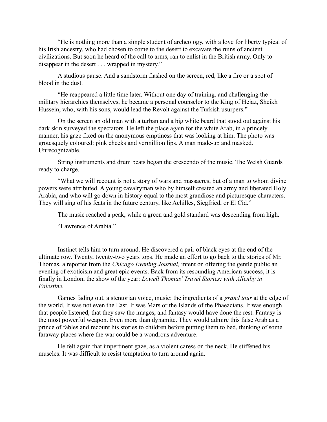"He is nothing more than a simple student of archeology, with a love for liberty typical of his Irish ancestry, who had chosen to come to the desert to excavate the ruins of ancient civilizations. But soon he heard of the call to arms, ran to enlist in the British army. Only to disappear in the desert . . . wrapped in mystery."

A studious pause. And a sandstorm flashed on the screen, red, like a fire or a spot of blood in the dust.

"He reappeared a little time later. Without one day of training, and challenging the military hierarchies themselves, he became a personal counselor to the King of Hejaz, Sheikh Hussein, who, with his sons, would lead the Revolt against the Turkish usurpers."

On the screen an old man with a turban and a big white beard that stood out against his dark skin surveyed the spectators. He left the place again for the white Arab, in a princely manner, his gaze fixed on the anonymous emptiness that was looking at him. The photo was grotesquely coloured: pink cheeks and vermillion lips. A man made-up and masked. Unrecognizable.

String instruments and drum beats began the crescendo of the music. The Welsh Guards ready to charge.

"What we will recount is not a story of wars and massacres, but of a man to whom divine powers were attributed. A young cavalryman who by himself created an army and liberated Holy Arabia, and who will go down in history equal to the most grandiose and picturesque characters. They will sing of his feats in the future century, like Achilles, Siegfried, or El Cid."

The music reached a peak, while a green and gold standard was descending from high.

"Lawrence of Arabia."

Instinct tells him to turn around. He discovered a pair of black eyes at the end of the ultimate row. Twenty, twenty-two years tops. He made an effort to go back to the stories of Mr. Thomas, a reporter from the *Chicago Evening Journal,* intent on offering the gentle public an evening of exoticism and great epic events. Back from its resounding American success, it is finally in London, the show of the year: *Lowell Thomas' Travel Stories: with Allenby in Palestine.* 

Games fading out, a stentorian voice, music: the ingredients of a *grand tour* at the edge of the world. It was not even the East. It was Mars or the Islands of the Phaeacians. It was enough that people listened, that they saw the images, and fantasy would have done the rest. Fantasy is the most powerful weapon. Even more than dynamite. They would admire this false Arab as a prince of fables and recount his stories to children before putting them to bed, thinking of some faraway places where the war could be a wondrous adventure.

He felt again that impertinent gaze, as a violent caress on the neck. He stiffened his muscles. It was difficult to resist temptation to turn around again.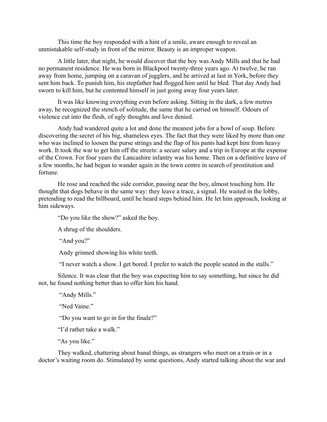This time the boy responded with a hint of a smile, aware enough to reveal an unmistakable self-study in front of the mirror. Beauty is an improper weapon.

A little later, that night, he would discover that the boy was Andy Mills and that he had no permanent residence. He was born in Blackpool twenty-three years ago. At twelve, he ran away from home, jumping on a caravan of jugglers, and he arrived at last in York, before they sent him back. To punish him, his stepfather had flogged him until he bled. That day Andy had sworn to kill him, but he contented himself in just going away four years later.

It was like knowing everything even before asking. Sitting in the dark, a few metres away, he recognized the stench of solitude, the same that he carried on himself. Odours of violence cut into the flesh, of ugly thoughts and love denied.

Andy had wandered quite a lot and done the meanest jobs for a bowl of soup. Before discovering the secret of his big, shameless eyes. The fact that they were liked by more than one who was inclined to loosen the purse strings and the flap of his pants had kept him from heavy work. It took the war to get him off the streets: a secure salary and a trip in Europe at the expense of the Crown. For four years the Lancashire infantry was his home. Then on a definitive leave of a few months, he had begun to wander again in the town centre in search of prostitution and fortune.

He rose and reached the side corridor, passing near the boy, almost touching him. He thought that dogs behave in the same way: they leave a trace, a signal. He waited in the lobby, pretending to read the billboard, until he heard steps behind him. He let him approach, looking at him sideways.

"Do you like the show?" asked the boy.

A shrug of the shoulders.

"And you?"

Andy grinned showing his white teeth.

"I never watch a show. I get bored. I prefer to watch the people seated in the stalls."

Silence. It was clear that the boy was expecting him to say something, but since he did not, he found nothing better than to offer him his hand.

"Andy Mills."

"Ned Vaine"

"Do you want to go in for the finale?"

"I'd rather take a walk."

"As you like."

They walked, chattering about banal things, as strangers who meet on a train or in a doctor's waiting room do. Stimulated by some questions, Andy started talking about the war and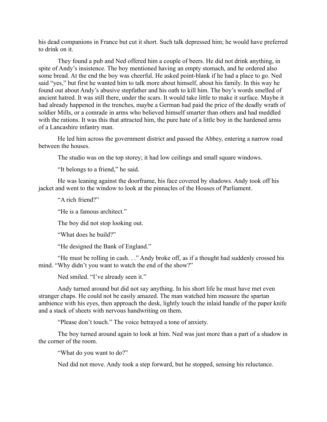his dead companions in France but cut it short. Such talk depressed him; he would have preferred to drink on it.

They found a pub and Ned offered him a couple of beers. He did not drink anything, in spite of Andy's insistence. The boy mentioned having an empty stomach, and he ordered also some bread. At the end the boy was cheerful. He asked point-blank if he had a place to go. Ned said "yes," but first he wanted him to talk more about himself, about his family. In this way he found out about Andy's abusive stepfather and his oath to kill him. The boy's words smelled of ancient hatred. It was still there, under the scars. It would take little to make it surface. Maybe it had already happened in the trenches, maybe a German had paid the price of the deadly wrath of soldier Mills, or a comrade in arms who believed himself smarter than others and had meddled with the rations. It was this that attracted him, the pure hate of a little boy in the hardened arms of a Lancashire infantry man.

He led him across the government district and passed the Abbey, entering a narrow road between the houses.

The studio was on the top storey; it had low ceilings and small square windows.

"It belongs to a friend," he said.

He was leaning against the doorframe, his face covered by shadows. Andy took off his jacket and went to the window to look at the pinnacles of the Houses of Parliament.

"A rich friend?"

"He is a famous architect."

The boy did not stop looking out.

"What does he build?"

"He designed the Bank of England."

"He must be rolling in cash. . ." Andy broke off, as if a thought had suddenly crossed his mind. "Why didn't you want to watch the end of the show?"

Ned smiled. "I've already seen it."

Andy turned around but did not say anything. In his short life he must have met even stranger chaps. He could not be easily amazed. The man watched him measure the spartan ambience with his eyes, then approach the desk, lightly touch the inlaid handle of the paper knife and a stack of sheets with nervous handwriting on them.

"Please don't touch." The voice betrayed a tone of anxiety.

The boy turned around again to look at him. Ned was just more than a part of a shadow in the corner of the room.

"What do you want to do?"

Ned did not move. Andy took a step forward, but he stopped, sensing his reluctance.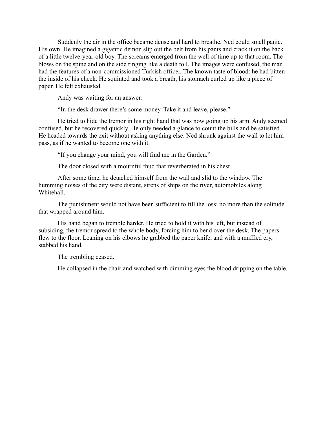Suddenly the air in the office became dense and hard to breathe. Ned could smell panic. His own. He imagined a gigantic demon slip out the belt from his pants and crack it on the back of a little twelve-year-old boy. The screams emerged from the well of time up to that room. The blows on the spine and on the side ringing like a death toll. The images were confused, the man had the features of a non-commissioned Turkish officer. The known taste of blood: he had bitten the inside of his cheek. He squinted and took a breath, his stomach curled up like a piece of paper. He felt exhausted.

Andy was waiting for an answer.

"In the desk drawer there's some money. Take it and leave, please."

He tried to hide the tremor in his right hand that was now going up his arm. Andy seemed confused, but he recovered quickly. He only needed a glance to count the bills and be satisfied. He headed towards the exit without asking anything else. Ned shrunk against the wall to let him pass, as if he wanted to become one with it.

"If you change your mind, you will find me in the Garden."

The door closed with a mournful thud that reverberated in his chest.

After some time, he detached himself from the wall and slid to the window. The humming noises of the city were distant, sirens of ships on the river, automobiles along Whitehall.

The punishment would not have been sufficient to fill the loss: no more than the solitude that wrapped around him.

His hand began to tremble harder. He tried to hold it with his left, but instead of subsiding, the tremor spread to the whole body, forcing him to bend over the desk. The papers flew to the floor. Leaning on his elbows he grabbed the paper knife, and with a muffled cry, stabbed his hand.

The trembling ceased.

He collapsed in the chair and watched with dimming eyes the blood dripping on the table.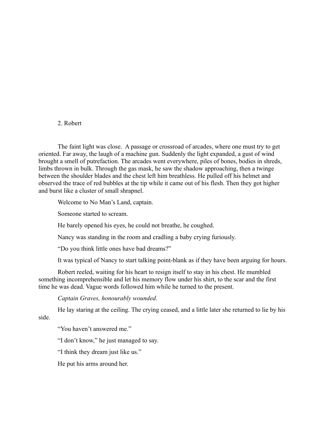#### 2. Robert

The faint light was close. A passage or crossroad of arcades, where one must try to get oriented. Far away, the laugh of a machine gun. Suddenly the light expanded, a gust of wind brought a smell of putrefaction. The arcades went everywhere, piles of bones, bodies in shreds, limbs thrown in bulk. Through the gas mask, he saw the shadow approaching, then a twinge between the shoulder blades and the chest left him breathless. He pulled off his helmet and observed the trace of red bubbles at the tip while it came out of his flesh. Then they got higher and burst like a cluster of small shrapnel.

Welcome to No Man's Land, captain.

Someone started to scream.

He barely opened his eyes, he could not breathe, he coughed.

Nancy was standing in the room and cradling a baby crying furiously.

"Do you think little ones have bad dreams?"

It was typical of Nancy to start talking point-blank as if they have been arguing for hours.

Robert reeled, waiting for his heart to resign itself to stay in his chest. He mumbled something incomprehensible and let his memory flow under his shirt, to the scar and the first time he was dead. Vague words followed him while he turned to the present.

*Captain Graves, honourably wounded.*

He lay staring at the ceiling. The crying ceased, and a little later she returned to lie by his side.

"You haven't answered me."

"I don't know," he just managed to say.

"I think they dream just like us."

He put his arms around her.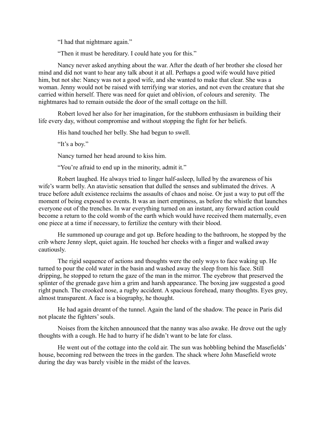"I had that nightmare again."

"Then it must be hereditary. I could hate you for this."

Nancy never asked anything about the war. After the death of her brother she closed her mind and did not want to hear any talk about it at all. Perhaps a good wife would have pitied him, but not she: Nancy was not a good wife, and she wanted to make that clear. She was a woman. Jenny would not be raised with terrifying war stories, and not even the creature that she carried within herself. There was need for quiet and oblivion, of colours and serenity. The nightmares had to remain outside the door of the small cottage on the hill.

Robert loved her also for her imagination, for the stubborn enthusiasm in building their life every day, without compromise and without stopping the fight for her beliefs.

His hand touched her belly. She had begun to swell.

"It's a boy."

Nancy turned her head around to kiss him.

"You're afraid to end up in the minority, admit it."

Robert laughed. He always tried to linger half-asleep, lulled by the awareness of his wife's warm belly. An atavistic sensation that dulled the senses and sublimated the drives. A truce before adult existence reclaims the assaults of chaos and noise. Or just a way to put off the moment of being exposed to events. It was an inert emptiness, as before the whistle that launches everyone out of the trenches. In war everything turned on an instant, any forward action could become a return to the cold womb of the earth which would have received them maternally, even one piece at a time if necessary, to fertilize the century with their blood.

He summoned up courage and got up. Before heading to the bathroom, he stopped by the crib where Jenny slept, quiet again. He touched her cheeks with a finger and walked away cautiously.

The rigid sequence of actions and thoughts were the only ways to face waking up. He turned to pour the cold water in the basin and washed away the sleep from his face. Still dripping, he stopped to return the gaze of the man in the mirror. The eyebrow that preserved the splinter of the grenade gave him a grim and harsh appearance. The boxing jaw suggested a good right punch. The crooked nose, a rugby accident. A spacious forehead, many thoughts. Eyes grey, almost transparent. A face is a biography, he thought.

He had again dreamt of the tunnel. Again the land of the shadow. The peace in Paris did not placate the fighters' souls.

Noises from the kitchen announced that the nanny was also awake. He drove out the ugly thoughts with a cough. He had to hurry if he didn't want to be late for class.

He went out of the cottage into the cold air. The sun was hobbling behind the Masefields' house, becoming red between the trees in the garden. The shack where John Masefield wrote during the day was barely visible in the midst of the leaves.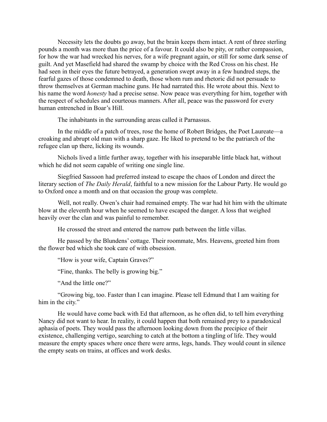Necessity lets the doubts go away, but the brain keeps them intact. A rent of three sterling pounds a month was more than the price of a favour. It could also be pity, or rather compassion, for how the war had wrecked his nerves, for a wife pregnant again, or still for some dark sense of guilt. And yet Masefield had shared the swamp by choice with the Red Cross on his chest. He had seen in their eyes the future betrayed, a generation swept away in a few hundred steps, the fearful gazes of those condemned to death, those whom rum and rhetoric did not persuade to throw themselves at German machine guns. He had narrated this. He wrote about this. Next to his name the word *honesty* had a precise sense. Now peace was everything for him, together with the respect of schedules and courteous manners. After all, peace was the password for every human entrenched in Boar's Hill.

The inhabitants in the surrounding areas called it Parnassus.

In the middle of a patch of trees, rose the home of Robert Bridges, the Poet Laureate—a croaking and abrupt old man with a sharp gaze. He liked to pretend to be the patriarch of the refugee clan up there, licking its wounds.

Nichols lived a little further away, together with his inseparable little black hat, without which he did not seem capable of writing one single line.

Siegfried Sassoon had preferred instead to escape the chaos of London and direct the literary section of *The Daily Herald*, faithful to a new mission for the Labour Party. He would go to Oxford once a month and on that occasion the group was complete.

Well, not really. Owen's chair had remained empty. The war had hit him with the ultimate blow at the eleventh hour when he seemed to have escaped the danger. A loss that weighed heavily over the clan and was painful to remember.

He crossed the street and entered the narrow path between the little villas.

He passed by the Blundens' cottage. Their roommate, Mrs. Heavens, greeted him from the flower bed which she took care of with obsession.

"How is your wife, Captain Graves?"

"Fine, thanks. The belly is growing big."

"And the little one?"

"Growing big, too. Faster than I can imagine. Please tell Edmund that I am waiting for him in the city."

He would have come back with Ed that afternoon, as he often did, to tell him everything Nancy did not want to hear. In reality, it could happen that both remained prey to a paradoxical aphasia of poets. They would pass the afternoon looking down from the precipice of their existence, challenging vertigo, searching to catch at the bottom a tingling of life. They would measure the empty spaces where once there were arms, legs, hands. They would count in silence the empty seats on trains, at offices and work desks.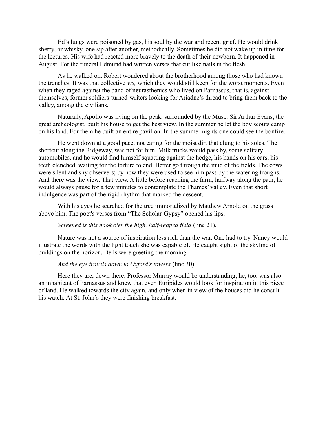Ed's lungs were poisoned by gas, his soul by the war and recent grief. He would drink sherry, or whisky, one sip after another, methodically. Sometimes he did not wake up in time for the lectures. His wife had reacted more bravely to the death of their newborn. It happened in August. For the funeral Edmund had written verses that cut like nails in the flesh.

As he walked on, Robert wondered about the brotherhood among those who had known the trenches. It was that collective *we,* which they would still keep for the worst moments. Even when they raged against the band of neurasthenics who lived on Parnassus, that is, against themselves, former soldiers-turned-writers looking for Ariadne's thread to bring them back to the valley, among the civilians.

Naturally, Apollo was living on the peak, surrounded by the Muse. Sir Arthur Evans, the great archeologist, built his house to get the best view. In the summer he let the boy scouts camp on his land. For them he built an entire pavilion. In the summer nights one could see the bonfire.

He went down at a good pace, not caring for the moist dirt that clung to his soles. The shortcut along the Ridgeway, was not for him. Milk trucks would pass by, some solitary automobiles, and he would find himself squatting against the hedge, his hands on his ears, his teeth clenched, waiting for the torture to end. Better go through the mud of the fields. The cows were silent and shy observers; by now they were used to see him pass by the watering troughs. And there was the view. That view. A little before reaching the farm, halfway along the path, he would always pause for a few minutes to contemplate the Thames' valley. Even that short indulgence was part of the rigid rhythm that marked the descent.

With his eyes he searched for the tree immortalized by Matthew Arnold on the grass above him. The poet's verses from "The Scholar-Gypsy" opened his lips.

#### *Screened is this nook o'er the high, half-reaped field* (line 21).<sup>*i*</sup>

Nature was not a source of inspiration less rich than the war. One had to try. Nancy would illustrate the words with the light touch she was capable of. He caught sight of the skyline of buildings on the horizon. Bells were greeting the morning.

#### *And the eye travels down to Oxford's towers* (line 30).

Here they are, down there. Professor Murray would be understanding; he, too, was also an inhabitant of Parnassus and knew that even Euripides would look for inspiration in this piece of land. He walked towards the city again, and only when in view of the houses did he consult his watch: At St. John's they were finishing breakfast.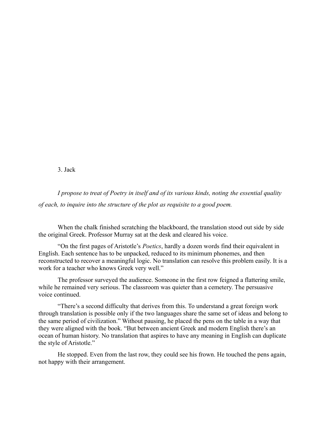3. Jack

*I propose to treat of Poetry in itself and of its various kinds, noting the essential quality of each, to inquire into the structure of the plot as requisite to a good poem.*

When the chalk finished scratching the blackboard, the translation stood out side by side the original Greek. Professor Murray sat at the desk and cleared his voice.

"On the first pages of Aristotle's *Poetics*, hardly a dozen words find their equivalent in English. Each sentence has to be unpacked, reduced to its minimum phonemes, and then reconstructed to recover a meaningful logic. No translation can resolve this problem easily. It is a work for a teacher who knows Greek very well."

The professor surveyed the audience. Someone in the first row feigned a flattering smile, while he remained very serious. The classroom was quieter than a cemetery. The persuasive voice continued.

"There's a second difficulty that derives from this. To understand a great foreign work through translation is possible only if the two languages share the same set of ideas and belong to the same period of civilization." Without pausing, he placed the pens on the table in a way that they were aligned with the book. "But between ancient Greek and modern English there's an ocean of human history. No translation that aspires to have any meaning in English can duplicate the style of Aristotle."

He stopped. Even from the last row, they could see his frown. He touched the pens again, not happy with their arrangement.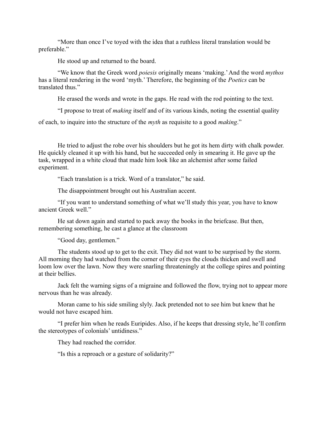"More than once I've toyed with the idea that a ruthless literal translation would be preferable."

He stood up and returned to the board.

"We know that the Greek word *poiesis* originally means 'making.' And the word *mythos* has a literal rendering in the word 'myth.' Therefore, the beginning of the *Poetics* can be translated thus."

He erased the words and wrote in the gaps. He read with the rod pointing to the text.

"I propose to treat of *making* itself and of its various kinds, noting the essential quality

of each, to inquire into the structure of the *myth* as requisite to a good *making*."

He tried to adjust the robe over his shoulders but he got its hem dirty with chalk powder. He quickly cleaned it up with his hand, but he succeeded only in smearing it. He gave up the task, wrapped in a white cloud that made him look like an alchemist after some failed experiment.

"Each translation is a trick. Word of a translator," he said.

The disappointment brought out his Australian accent.

"If you want to understand something of what we'll study this year, you have to know ancient Greek well."

He sat down again and started to pack away the books in the briefcase. But then, remembering something, he cast a glance at the classroom

"Good day, gentlemen."

The students stood up to get to the exit. They did not want to be surprised by the storm. All morning they had watched from the corner of their eyes the clouds thicken and swell and loom low over the lawn. Now they were snarling threateningly at the college spires and pointing at their bellies.

Jack felt the warning signs of a migraine and followed the flow, trying not to appear more nervous than he was already.

Moran came to his side smiling slyly. Jack pretended not to see him but knew that he would not have escaped him.

"I prefer him when he reads Euripides. Also, if he keeps that dressing style, he'll confirm the stereotypes of colonials' untidiness."

They had reached the corridor.

"Is this a reproach or a gesture of solidarity?"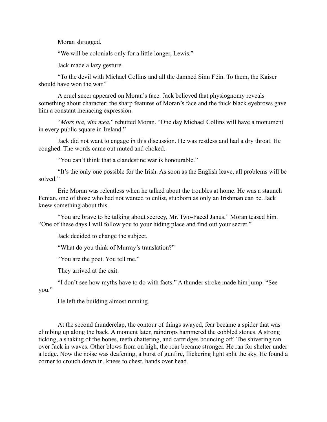Moran shrugged.

"We will be colonials only for a little longer, Lewis."

Jack made a lazy gesture.

"To the devil with Michael Collins and all the damned Sinn Féin. To them, the Kaiser should have won the war."

A cruel sneer appeared on Moran's face. Jack believed that physiognomy reveals something about character: the sharp features of Moran's face and the thick black eyebrows gave him a constant menacing expression.

"*Mors tua, vita mea*," rebutted Moran. "One day Michael Collins will have a monument in every public square in Ireland."

Jack did not want to engage in this discussion. He was restless and had a dry throat. He coughed. The words came out muted and choked.

"You can't think that a clandestine war is honourable."

"It's the only one possible for the Irish. As soon as the English leave, all problems will be solved<sup>"</sup>

Eric Moran was relentless when he talked about the troubles at home. He was a staunch Fenian, one of those who had not wanted to enlist, stubborn as only an Irishman can be. Jack knew something about this.

"You are brave to be talking about secrecy, Mr. Two-Faced Janus," Moran teased him. "One of these days I will follow you to your hiding place and find out your secret."

Jack decided to change the subject.

"What do you think of Murray's translation?"

"You are the poet. You tell me."

They arrived at the exit.

"I don't see how myths have to do with facts." A thunder stroke made him jump. "See you."

He left the building almost running.

At the second thunderclap, the contour of things swayed, fear became a spider that was climbing up along the back. A moment later, raindrops hammered the cobbled stones. A strong ticking, a shaking of the bones, teeth chattering, and cartridges bouncing off. The shivering ran over Jack in waves. Other blows from on high, the roar became stronger. He ran for shelter under a ledge. Now the noise was deafening, a burst of gunfire, flickering light split the sky. He found a corner to crouch down in, knees to chest, hands over head.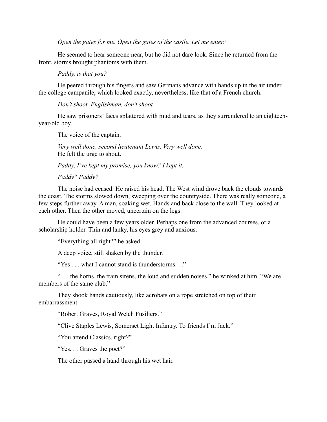*Open the gates for me. Open the gates of the castle. Let me enter.*<sup>ii</sup>

He seemed to hear someone near, but he did not dare look. Since he returned from the front, storms brought phantoms with them.

*Paddy, is that you?*

He peered through his fingers and saw Germans advance with hands up in the air under the college campanile, which looked exactly, nevertheless, like that of a French church.

*Don't shoot, Englishman, don't shoot.*

He saw prisoners' faces splattered with mud and tears, as they surrendered to an eighteenyear-old boy.

The voice of the captain.

*Very well done, second lieutenant Lewis. Very well done.* He felt the urge to shout.

*Paddy, I've kept my promise, you know? I kept it.*

*Paddy? Paddy?*

The noise had ceased. He raised his head. The West wind drove back the clouds towards the coast. The storms slowed down, sweeping over the countryside. There was really someone, a few steps further away. A man, soaking wet. Hands and back close to the wall. They looked at each other. Then the other moved, uncertain on the legs.

He could have been a few years older. Perhaps one from the advanced courses, or a scholarship holder. Thin and lanky, his eyes grey and anxious.

"Everything all right?" he asked.

A deep voice, still shaken by the thunder.

"Yes . . . what I cannot stand is thunderstorms. . ."

". . . the horns, the train sirens, the loud and sudden noises," he winked at him. "We are members of the same club."

They shook hands cautiously, like acrobats on a rope stretched on top of their embarrassment.

"Robert Graves, Royal Welch Fusiliers."

"Clive Staples Lewis, Somerset Light Infantry. To friends I'm Jack."

"You attend Classics, right?"

"Yes. . . Graves the poet?"

The other passed a hand through his wet hair.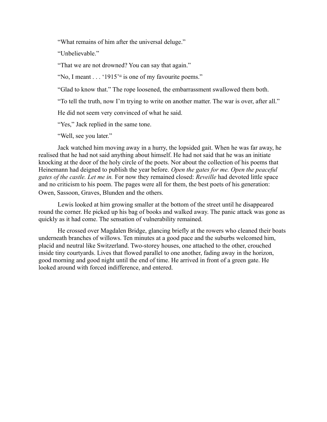"What remains of him after the universal deluge."

"Unbelievable."

"That we are not drowned? You can say that again."

"No, I meant . . . '1915'<sup>ii</sup> is one of my favourite poems."

"Glad to know that." The rope loosened, the embarrassment swallowed them both.

"To tell the truth, now I'm trying to write on another matter. The war is over, after all."

He did not seem very convinced of what he said.

"Yes," Jack replied in the same tone.

"Well, see you later."

Jack watched him moving away in a hurry, the lopsided gait. When he was far away, he realised that he had not said anything about himself. He had not said that he was an initiate knocking at the door of the holy circle of the poets. Nor about the collection of his poems that Heinemann had deigned to publish the year before. *Open the gates for me. Open the peaceful gates of the castle. Let me in.* For now they remained closed: *Reveille* had devoted little space and no criticism to his poem. The pages were all for them, the best poets of his generation: Owen, Sassoon, Graves, Blunden and the others.

Lewis looked at him growing smaller at the bottom of the street until he disappeared round the corner. He picked up his bag of books and walked away. The panic attack was gone as quickly as it had come. The sensation of vulnerability remained.

He crossed over Magdalen Bridge, glancing briefly at the rowers who cleaned their boats underneath branches of willows. Ten minutes at a good pace and the suburbs welcomed him, placid and neutral like Switzerland. Two-storey houses, one attached to the other, crouched inside tiny courtyards. Lives that flowed parallel to one another, fading away in the horizon, good morning and good night until the end of time. He arrived in front of a green gate. He looked around with forced indifference, and entered.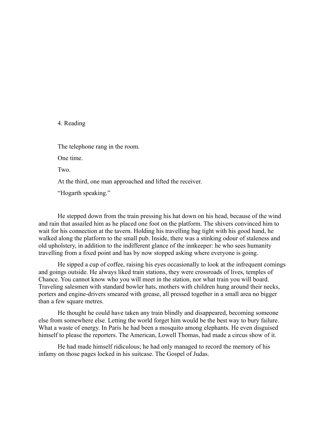#### 4. Reading

The telephone rang in the room.

One time.

Two.

At the third, one man approached and lifted the receiver.

"Hogarth speaking."

He stepped down from the train pressing his hat down on his head, because of the wind and rain that assailed him as he placed one foot on the platform. The shivers convinced him to wait for his connection at the tavern. Holding his travelling bag tight with his good hand, he walked along the platform to the small pub. Inside, there was a stinking odour of staleness and old upholstery, in addition to the indifferent glance of the innkeeper: he who sees humanity travelling from a fixed point and has by now stopped asking where everyone is going.

He sipped a cup of coffee, raising his eyes occasionally to look at the infrequent comings and goings outside. He always liked train stations, they were crossroads of lives, temples of Chance. You cannot know who you will meet in the station, nor what train you will board. Traveling salesmen with standard bowler hats, mothers with children hung around their necks, porters and engine-drivers smeared with grease, all pressed together in a small area no bigger than a few square metres.

He thought he could have taken any train blindly and disappeared, becoming someone else from somewhere else. Letting the world forget him would be the best way to bury failure. What a waste of energy. In Paris he had been a mosquito among elephants. He even disguised himself to please the reporters. The American, Lowell Thomas, had made a circus show of it.

He had made himself ridiculous; he had only managed to record the memory of his infamy on those pages locked in his suitcase. The Gospel of Judas.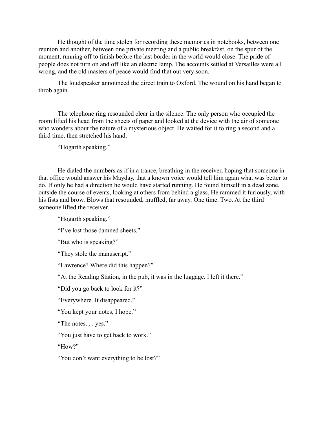He thought of the time stolen for recording these memories in notebooks, between one reunion and another, between one private meeting and a public breakfast, on the spur of the moment, running off to finish before the last border in the world would close. The pride of people does not turn on and off like an electric lamp. The accounts settled at Versailles were all wrong, and the old masters of peace would find that out very soon.

The loudspeaker announced the direct train to Oxford. The wound on his hand began to throb again.

The telephone ring resounded clear in the silence. The only person who occupied the room lifted his head from the sheets of paper and looked at the device with the air of someone who wonders about the nature of a mysterious object. He waited for it to ring a second and a third time, then stretched his hand.

"Hogarth speaking."

He dialed the numbers as if in a trance, breathing in the receiver, hoping that someone in that office would answer his Mayday, that a known voice would tell him again what was better to do. If only he had a direction he would have started running. He found himself in a dead zone, outside the course of events, looking at others from behind a glass. He rammed it furiously, with his fists and brow. Blows that resounded, muffled, far away. One time. Two. At the third someone lifted the receiver.

"Hogarth speaking."

"I've lost those damned sheets."

"But who is speaking?"

"They stole the manuscript."

"Lawrence? Where did this happen?"

"At the Reading Station, in the pub, it was in the luggage. I left it there."

"Did you go back to look for it?"

"Everywhere. It disappeared."

"You kept your notes, I hope."

"The notes. . . yes."

"You just have to get back to work."

"How?"

"You don't want everything to be lost?"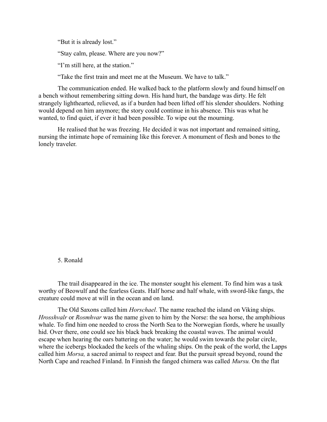"But it is already lost."

"Stay calm, please. Where are you now?"

"I'm still here, at the station."

"Take the first train and meet me at the Museum. We have to talk."

The communication ended. He walked back to the platform slowly and found himself on a bench without remembering sitting down. His hand hurt, the bandage was dirty. He felt strangely lighthearted, relieved, as if a burden had been lifted off his slender shoulders. Nothing would depend on him anymore; the story could continue in his absence. This was what he wanted, to find quiet, if ever it had been possible. To wipe out the mourning.

He realised that he was freezing. He decided it was not important and remained sitting, nursing the intimate hope of remaining like this forever. A monument of flesh and bones to the lonely traveler.

#### 5. Ronald

The trail disappeared in the ice. The monster sought his element. To find him was a task worthy of Beowulf and the fearless Geats. Half horse and half whale, with sword-like fangs, the creature could move at will in the ocean and on land.

The Old Saxons called him *Horschael*. The name reached the island on Viking ships. *Hrosshvalr* or *Rosmhvar* was the name given to him by the Norse: the sea horse, the amphibious whale. To find him one needed to cross the North Sea to the Norwegian fiords, where he usually hid. Over there, one could see his black back breaking the coastal waves. The animal would escape when hearing the oars battering on the water; he would swim towards the polar circle, where the icebergs blockaded the keels of the whaling ships. On the peak of the world, the Lapps called him *Morsa,* a sacred animal to respect and fear. But the pursuit spread beyond, round the North Cape and reached Finland. In Finnish the fanged chimera was called *Mursu.* On the flat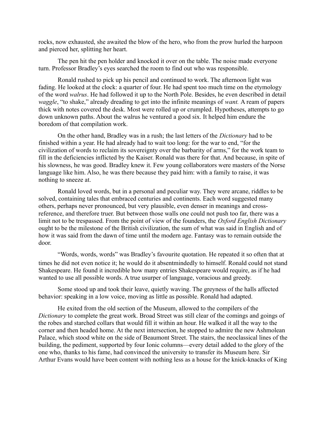rocks, now exhausted, she awaited the blow of the hero, who from the prow hurled the harpoon and pierced her, splitting her heart.

The pen hit the pen holder and knocked it over on the table. The noise made everyone turn. Professor Bradley's eyes searched the room to find out who was responsible.

Ronald rushed to pick up his pencil and continued to work. The afternoon light was fading. He looked at the clock: a quarter of four. He had spent too much time on the etymology of the word *walrus*. He had followed it up to the North Pole. Besides, he even described in detail *waggle*, "to shake," already dreading to get into the infinite meanings of *want.* A ream of papers thick with notes covered the desk. Most were rolled up or crumpled. Hypotheses, attempts to go down unknown paths. About the walrus he ventured a good six. It helped him endure the boredom of that compilation work.

On the other hand, Bradley was in a rush; the last letters of the *Dictionary* had to be finished within a year. He had already had to wait too long: for the war to end, "for the civilization of words to reclaim its sovereignty over the barbarity of arms," for the work team to fill in the deficiencies inflicted by the Kaiser. Ronald was there for that. And because, in spite of his slowness, he was good. Bradley knew it. Few young collaborators were masters of the Norse language like him. Also, he was there because they paid him: with a family to raise, it was nothing to sneeze at.

Ronald loved words, but in a personal and peculiar way. They were arcane, riddles to be solved, containing tales that embraced centuries and continents. Each word suggested many others, perhaps never pronounced, but very plausible, even denser in meanings and crossreference, and therefore truer. But between those walls one could not push too far, there was a limit not to be trespassed. From the point of view of the founders, the *Oxford English Dictionary* ought to be the milestone of the British civilization, the sum of what was said in English and of how it was said from the dawn of time until the modern age. Fantasy was to remain outside the door.

"Words, words, words" was Bradley's favourite quotation. He repeated it so often that at times he did not even notice it; he would do it absentmindedly to himself. Ronald could not stand Shakespeare. He found it incredible how many entries Shakespeare would require, as if he had wanted to use all possible words. A true usurper of language, voracious and greedy.

Some stood up and took their leave, quietly waving. The greyness of the halls affected behavior: speaking in a low voice, moving as little as possible. Ronald had adapted.

He exited from the old section of the Museum, allowed to the compilers of the *Dictionary* to complete the great work. Broad Street was still clear of the comings and goings of the robes and starched collars that would fill it within an hour. He walked it all the way to the corner and then headed home. At the next intersection, he stopped to admire the new Ashmolean Palace, which stood white on the side of Beaumont Street. The stairs, the neoclassical lines of the building, the pediment, supported by four Ionic columns—every detail added to the glory of the one who, thanks to his fame, had convinced the university to transfer its Museum here. Sir Arthur Evans would have been content with nothing less as a house for the knick-knacks of King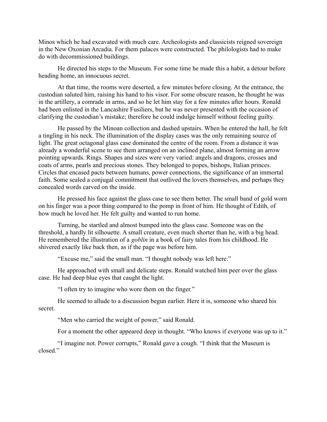Minos which he had excavated with much care. Archeologists and classicists reigned sovereign in the New Oxonian Arcadia. For them palaces were constructed. The philologists had to make do with decommissioned buildings.

He directed his steps to the Museum. For some time he made this a habit, a detour before heading home, an innocuous secret.

At that time, the rooms were deserted, a few minutes before closing. At the entrance, the custodian saluted him, raising his hand to his visor. For some obscure reason, he thought he was in the artillery, a comrade in arms, and so he let him stay for a few minutes after hours. Ronald had been enlisted in the Lancashire Fusiliers, but he was never presented with the occasion of clarifying the custodian's mistake; therefore he could indulge himself without feeling guilty.

He passed by the Minoan collection and dashed upstairs. When he entered the hall, he felt a tingling in his neck. The illumination of the display cases was the only remaining source of light. The great octagonal glass case dominated the centre of the room. From a distance it was already a wonderful scene to see them arranged on an inclined plane, almost forming an arrow pointing upwards. Rings. Shapes and sizes were very varied: angels and dragons, crosses and coats of arms, pearls and precious stones. They belonged to popes, bishops, Italian princes. Circles that encased pacts between humans, power connections, the significance of an immortal faith. Some sealed a conjugal commitment that outlived the lovers themselves, and perhaps they concealed words carved on the inside.

He pressed his face against the glass case to see them better. The small band of gold worn on his finger was a poor thing compared to the pomp in front of him. He thought of Edith, of how much he loved her. He felt guilty and wanted to run home.

Turning, he startled and almost bumped into the glass case. Someone was on the threshold, a hardly lit silhouette. A small creature, even much shorter than he, with a big head. He remembered the illustration of a *goblin* in a book of fairy tales from his childhood. He shivered exactly like back then, as if the page was before him.

"Excuse me," said the small man. "I thought nobody was left here."

He approached with small and delicate steps. Ronald watched him peer over the glass case. He had deep blue eyes that caught the light.

"I often try to imagine who wore them on the finger."

He seemed to allude to a discussion begun earlier. Here it is, someone who shared his secret.

"Men who carried the weight of power," said Ronald.

For a moment the other appeared deep in thought. "Who knows if everyone was up to it."

"I imagine not. Power corrupts," Ronald gave a cough. "I think that the Museum is closed."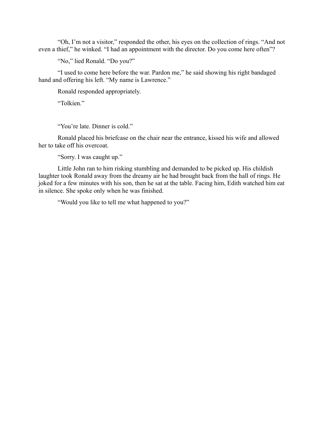"Oh, I'm not a visitor," responded the other, his eyes on the collection of rings. "And not even a thief," he winked. "I had an appointment with the director. Do you come here often"?

"No," lied Ronald. "Do you?"

"I used to come here before the war. Pardon me," he said showing his right bandaged hand and offering his left. "My name is Lawrence."

Ronald responded appropriately.

"Tolkien."

"You're late. Dinner is cold."

Ronald placed his briefcase on the chair near the entrance, kissed his wife and allowed her to take off his overcoat.

"Sorry. I was caught up."

Little John ran to him risking stumbling and demanded to be picked up. His childish laughter took Ronald away from the dreamy air he had brought back from the hall of rings. He joked for a few minutes with his son, then he sat at the table. Facing him, Edith watched him eat in silence. She spoke only when he was finished.

"Would you like to tell me what happened to you?"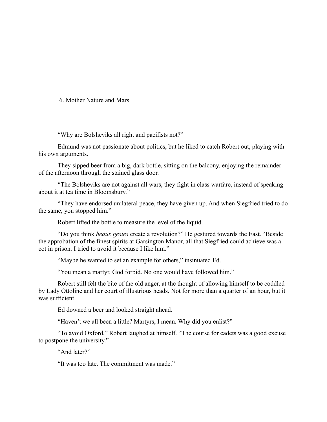#### 6. Mother Nature and Mars

"Why are Bolsheviks all right and pacifists not?"

Edmund was not passionate about politics, but he liked to catch Robert out, playing with his own arguments.

They sipped beer from a big, dark bottle, sitting on the balcony, enjoying the remainder of the afternoon through the stained glass door.

"The Bolsheviks are not against all wars, they fight in class warfare, instead of speaking about it at tea time in Bloomsbury."

"They have endorsed unilateral peace, they have given up. And when Siegfried tried to do the same, you stopped him."

Robert lifted the bottle to measure the level of the liquid.

"Do you think *beaux gestes* create a revolution?" He gestured towards the East. "Beside the approbation of the finest spirits at Garsington Manor, all that Siegfried could achieve was a cot in prison. I tried to avoid it because I like him."

"Maybe he wanted to set an example for others," insinuated Ed.

"You mean a martyr. God forbid. No one would have followed him."

Robert still felt the bite of the old anger, at the thought of allowing himself to be coddled by Lady Ottoline and her court of illustrious heads. Not for more than a quarter of an hour, but it was sufficient.

Ed downed a beer and looked straight ahead.

"Haven't we all been a little? Martyrs, I mean. Why did you enlist?"

"To avoid Oxford," Robert laughed at himself. "The course for cadets was a good excuse to postpone the university."

"And later?"

"It was too late. The commitment was made."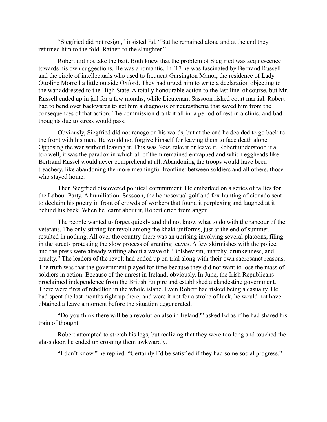"Siegfried did not resign," insisted Ed. "But he remained alone and at the end they returned him to the fold. Rather, to the slaughter."

Robert did not take the bait. Both knew that the problem of Siegfried was acquiescence towards his own suggestions. He was a romantic. In '17 he was fascinated by Bertrand Russell and the circle of intellectuals who used to frequent Garsington Manor, the residence of Lady Ottoline Morrell a little outside Oxford. They had urged him to write a declaration objecting to the war addressed to the High State. A totally honourable action to the last line, of course, but Mr. Russell ended up in jail for a few months, while Lieutenant Sassoon risked court martial. Robert had to bend over backwards to get him a diagnosis of neurasthenia that saved him from the consequences of that action. The commission drank it all in: a period of rest in a clinic, and bad thoughts due to stress would pass.

Obviously, Siegfried did not renege on his words, but at the end he decided to go back to the front with his men. He would not forgive himself for leaving them to face death alone. Opposing the war without leaving it. This was *Sass*, take it or leave it. Robert understood it all too well, it was the paradox in which all of them remained entrapped and which eggheads like Bertrand Russel would never comprehend at all. Abandoning the troops would have been treachery, like abandoning the more meaningful frontline: between soldiers and all others, those who stayed home.

Then Siegfried discovered political commitment. He embarked on a series of rallies for the Labour Party. A humiliation. Sassoon, the homosexual golf and fox-hunting aficionado sent to declaim his poetry in front of crowds of workers that found it perplexing and laughed at it behind his back. When he learnt about it, Robert cried from anger.

The people wanted to forget quickly and did not know what to do with the rancour of the veterans. The only stirring for revolt among the khaki uniforms, just at the end of summer, resulted in nothing. All over the country there was an uprising involving several platoons, filing in the streets protesting the slow process of granting leaves. A few skirmishes with the police, and the press were already writing about a wave of "Bolshevism, anarchy, drunkenness, and cruelty." The leaders of the revolt had ended up on trial along with their own sacrosanct reasons. The truth was that the government played for time because they did not want to lose the mass of soldiers in action. Because of the unrest in Ireland, obviously. In June, the Irish Republicans proclaimed independence from the British Empire and established a clandestine government. There were fires of rebellion in the whole island. Even Robert had risked being a casualty. He had spent the last months right up there, and were it not for a stroke of luck, he would not have obtained a leave a moment before the situation degenerated.

"Do you think there will be a revolution also in Ireland?" asked Ed as if he had shared his train of thought.

Robert attempted to stretch his legs, but realizing that they were too long and touched the glass door, he ended up crossing them awkwardly.

"I don't know," he replied. "Certainly I'd be satisfied if they had some social progress."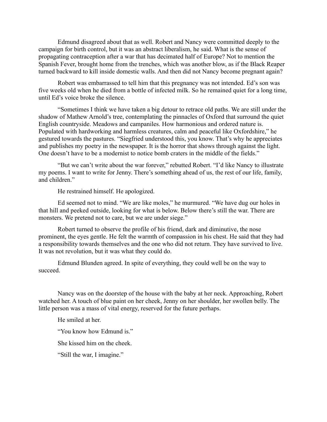Edmund disagreed about that as well. Robert and Nancy were committed deeply to the campaign for birth control, but it was an abstract liberalism, he said. What is the sense of propagating contraception after a war that has decimated half of Europe? Not to mention the Spanish Fever, brought home from the trenches, which was another blow, as if the Black Reaper turned backward to kill inside domestic walls. And then did not Nancy become pregnant again?

Robert was embarrassed to tell him that this pregnancy was not intended. Ed's son was five weeks old when he died from a bottle of infected milk. So he remained quiet for a long time, until Ed's voice broke the silence.

"Sometimes I think we have taken a big detour to retrace old paths. We are still under the shadow of Mathew Arnold's tree, contemplating the pinnacles of Oxford that surround the quiet English countryside. Meadows and campaniles. How harmonious and ordered nature is. Populated with hardworking and harmless creatures, calm and peaceful like Oxfordshire," he gestured towards the pastures. "Siegfried understood this, you know. That's why he appreciates and publishes my poetry in the newspaper. It is the horror that shows through against the light. One doesn't have to be a modernist to notice bomb craters in the middle of the fields."

"But we can't write about the war forever," rebutted Robert. "I'd like Nancy to illustrate my poems. I want to write for Jenny. There's something ahead of us, the rest of our life, family, and children."

He restrained himself. He apologized.

Ed seemed not to mind. "We are like moles," he murmured. "We have dug our holes in that hill and peeked outside, looking for what is below. Below there's still the war. There are monsters. We pretend not to care, but we are under siege."

Robert turned to observe the profile of his friend, dark and diminutive, the nose prominent, the eyes gentle. He felt the warmth of compassion in his chest. He said that they had a responsibility towards themselves and the one who did not return. They have survived to live. It was not revolution, but it was what they could do.

Edmund Blunden agreed. In spite of everything, they could well be on the way to succeed.

Nancy was on the doorstep of the house with the baby at her neck. Approaching, Robert watched her. A touch of blue paint on her cheek, Jenny on her shoulder, her swollen belly. The little person was a mass of vital energy, reserved for the future perhaps.

He smiled at her.

"You know how Edmund is."

She kissed him on the cheek.

"Still the war, I imagine."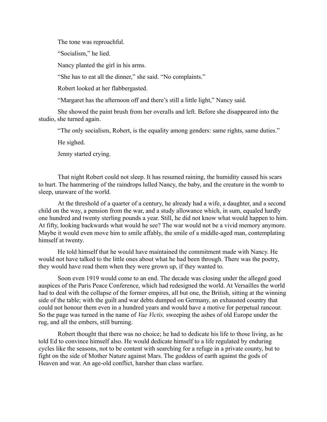The tone was reproachful.

"Socialism," he lied.

Nancy planted the girl in his arms.

"She has to eat all the dinner," she said. "No complaints."

Robert looked at her flabbergasted.

"Margaret has the afternoon off and there's still a little light," Nancy said.

She showed the paint brush from her overalls and left. Before she disappeared into the studio, she turned again.

"The only socialism, Robert, is the equality among genders: same rights, same duties."

He sighed.

Jenny started crying.

That night Robert could not sleep. It has resumed raining, the humidity caused his scars to hurt. The hammering of the raindrops lulled Nancy, the baby, and the creature in the womb to sleep, unaware of the world.

At the threshold of a quarter of a century, he already had a wife, a daughter, and a second child on the way, a pension from the war, and a study allowance which, in sum, equaled hardly one hundred and twenty sterling pounds a year. Still, he did not know what would happen to him. At fifty, looking backwards what would he see? The war would not be a vivid memory anymore. Maybe it would even move him to smile affably, the smile of a middle-aged man, contemplating himself at twenty.

He told himself that he would have maintained the commitment made with Nancy. He would not have talked to the little ones about what he had been through. There was the poetry, they would have read them when they were grown up, if they wanted to.

Soon even 1919 would come to an end. The decade was closing under the alleged good auspices of the Paris Peace Conference, which had redesigned the world. At Versailles the world had to deal with the collapse of the former empires, all but one, the British, sitting at the winning side of the table; with the guilt and war debts dumped on Germany, an exhausted country that could not honour them even in a hundred years and would have a motive for perpetual rancour. So the page was turned in the name of *Vae Victis,* sweeping the ashes of old Europe under the rug, and all the embers, still burning.

Robert thought that there was no choice; he had to dedicate his life to those living, as he told Ed to convince himself also. He would dedicate himself to a life regulated by enduring cycles like the seasons, not to be content with searching for a refuge in a private county, but to fight on the side of Mother Nature against Mars. The goddess of earth against the gods of Heaven and war. An age-old conflict, harsher than class warfare.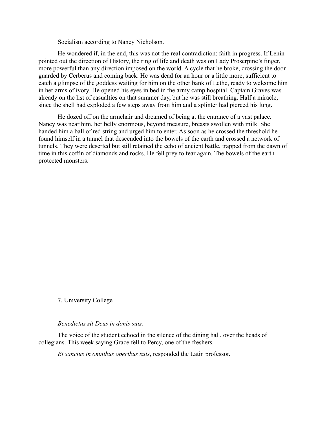Socialism according to Nancy Nicholson.

He wondered if, in the end, this was not the real contradiction: faith in progress. If Lenin pointed out the direction of History, the ring of life and death was on Lady Proserpine's finger, more powerful than any direction imposed on the world. A cycle that he broke, crossing the door guarded by Cerberus and coming back. He was dead for an hour or a little more, sufficient to catch a glimpse of the goddess waiting for him on the other bank of Lethe, ready to welcome him in her arms of ivory. He opened his eyes in bed in the army camp hospital. Captain Graves was already on the list of casualties on that summer day, but he was still breathing. Half a miracle, since the shell had exploded a few steps away from him and a splinter had pierced his lung.

He dozed off on the armchair and dreamed of being at the entrance of a vast palace. Nancy was near him, her belly enormous, beyond measure, breasts swollen with milk. She handed him a ball of red string and urged him to enter. As soon as he crossed the threshold he found himself in a tunnel that descended into the bowels of the earth and crossed a network of tunnels. They were deserted but still retained the echo of ancient battle, trapped from the dawn of time in this coffin of diamonds and rocks. He fell prey to fear again. The bowels of the earth protected monsters.

#### 7. University College

#### *Benedictus sit Deus in donis suis.*

The voice of the student echoed in the silence of the dining hall, over the heads of collegians. This week saying Grace fell to Percy, one of the freshers.

*Et sanctus in omnibus operibus suis*, responded the Latin professor.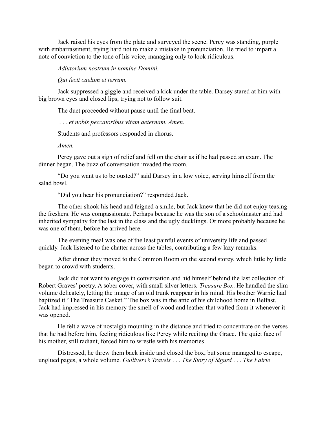Jack raised his eyes from the plate and surveyed the scene. Percy was standing, purple with embarrassment, trying hard not to make a mistake in pronunciation. He tried to impart a note of conviction to the tone of his voice, managing only to look ridiculous.

*Adiutorium nostrum in nomine Domini.*

*Qui fecit caelum et terram.*

Jack suppressed a giggle and received a kick under the table. Darsey stared at him with big brown eyes and closed lips, trying not to follow suit.

The duet proceeded without pause until the final beat.

. . *. et nobis peccatoribus vitam aeternam. Amen.*

Students and professors responded in chorus.

*Amen.*

Percy gave out a sigh of relief and fell on the chair as if he had passed an exam. The dinner began. The buzz of conversation invaded the room.

"Do you want us to be ousted?" said Darsey in a low voice, serving himself from the salad bowl.

"Did you hear his pronunciation?" responded Jack.

The other shook his head and feigned a smile, but Jack knew that he did not enjoy teasing the freshers. He was compassionate. Perhaps because he was the son of a schoolmaster and had inherited sympathy for the last in the class and the ugly ducklings. Or more probably because he was one of them, before he arrived here.

The evening meal was one of the least painful events of university life and passed quickly. Jack listened to the chatter across the tables, contributing a few lazy remarks.

After dinner they moved to the Common Room on the second storey, which little by little began to crowd with students.

Jack did not want to engage in conversation and hid himself behind the last collection of Robert Graves' poetry. A sober cover, with small silver letters. *Treasure Box*. He handled the slim volume delicately, letting the image of an old trunk reappear in his mind. His brother Warnie had baptized it "The Treasure Casket." The box was in the attic of his childhood home in Belfast. Jack had impressed in his memory the smell of wood and leather that wafted from it whenever it was opened.

He felt a wave of nostalgia mounting in the distance and tried to concentrate on the verses that he had before him, feeling ridiculous like Percy while reciting the Grace. The quiet face of his mother, still radiant, forced him to wrestle with his memories.

Distressed, he threw them back inside and closed the box, but some managed to escape, unglued pages, a whole volume. *Gullivers's Travels* . . . *The Story of Sigurd* . . . *The Fairie*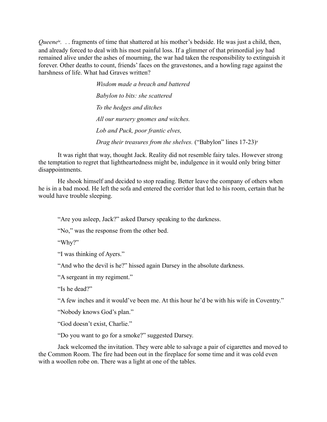Queene<sup>iv</sup>. . . fragments of time that shattered at his mother's bedside. He was just a child, then, and already forced to deal with his most painful loss. If a glimmer of that primordial joy had remained alive under the ashes of mourning, the war had taken the responsibility to extinguish it forever. Other deaths to count, friends' faces on the gravestones, and a howling rage against the harshness of life. What had Graves written?

> *Wisdom made a breach and battered Babylon to bits: she scattered To the hedges and ditches All our nursery gnomes and witches. Lob and Puck, poor frantic elves, Drag their treasures from the shelves.* ("Babylon" lines 17-23)<sup>v</sup>

It was right that way, thought Jack. Reality did not resemble fairy tales. However strong the temptation to regret that lightheartedness might be, indulgence in it would only bring bitter disappointments.

He shook himself and decided to stop reading. Better leave the company of others when he is in a bad mood. He left the sofa and entered the corridor that led to his room, certain that he would have trouble sleeping.

"Are you asleep, Jack?" asked Darsey speaking to the darkness.

"No," was the response from the other bed.

"Why?"

"I was thinking of Ayers."

"And who the devil is he?" hissed again Darsey in the absolute darkness.

"A sergeant in my regiment."

"Is he dead?"

"A few inches and it would've been me. At this hour he'd be with his wife in Coventry."

"Nobody knows God's plan."

"God doesn't exist, Charlie."

"Do you want to go for a smoke?" suggested Darsey.

Jack welcomed the invitation. They were able to salvage a pair of cigarettes and moved to the Common Room. The fire had been out in the fireplace for some time and it was cold even with a woollen robe on. There was a light at one of the tables.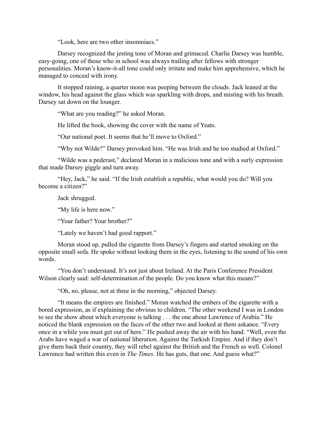"Look, here are two other insomniacs."

Darsey recognized the jesting tone of Moran and grimaced. Charlie Darsey was humble, easy-going, one of those who in school was always trailing after fellows with stronger personalities. Moran's know-it-all tone could only irritate and make him apprehensive, which he managed to conceal with irony.

It stopped raining, a quarter moon was peeping between the clouds. Jack leaned at the window, his head against the glass which was sparkling with drops, and misting with his breath. Darsey sat down on the lounger.

"What are you reading?" he asked Moran.

He lifted the book, showing the cover with the name of Yeats.

"Our national poet. It seems that he'll move to Oxford."

"Why not Wilde?" Darsey provoked him. "He was Irish and he too studied at Oxford."

"Wilde was a pederast," declared Moran in a malicious tone and with a surly expression that made Darsey giggle and turn away.

"Hey, Jack," he said. "If the Irish establish a republic, what would you do? Will you become a citizen?"

Jack shrugged.

"My life is here now."

"Your father? Your brother?"

"Lately we haven't had good rapport."

Moran stood up, pulled the cigarette from Darsey's fingers and started smoking on the opposite small sofa. He spoke without looking them in the eyes, listening to the sound of his own words.

"You don't understand. It's not just about Ireland. At the Paris Conference President Wilson clearly said: self-determination of the people. Do you know what this means?"

"Oh, no, please, not at three in the morning," objected Darsey.

"It means the empires are finished." Moran watched the embers of the cigarette with a bored expression, as if explaining the obvious to children. "The other weekend I was in London to see the show about which everyone is talking . . . the one about Lawrence of Arabia." He noticed the blank expression on the faces of the other two and looked at them askance. "Every once in a while you must get out of here." He pushed away the air with his hand. "Well, even the Arabs have waged a war of national liberation. Against the Turkish Empire. And if they don't give them back their country, they will rebel against the British and the French as well. Colonel Lawrence had written this even in *The Times*. He has guts, that one. And guess what?"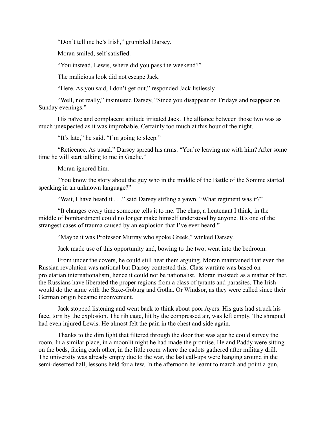"Don't tell me he's Irish," grumbled Darsey.

Moran smiled, self-satisfied.

"You instead, Lewis, where did you pass the weekend?"

The malicious look did not escape Jack.

"Here. As you said, I don't get out," responded Jack listlessly.

"Well, not really," insinuated Darsey, "Since you disappear on Fridays and reappear on Sunday evenings."

His naïve and complacent attitude irritated Jack. The alliance between those two was as much unexpected as it was improbable. Certainly too much at this hour of the night.

"It's late," he said. "I'm going to sleep."

"Reticence. As usual." Darsey spread his arms. "You're leaving me with him? After some time he will start talking to me in Gaelic."

Moran ignored him.

"You know the story about the guy who in the middle of the Battle of the Somme started speaking in an unknown language?"

"Wait, I have heard it . . ." said Darsey stifling a yawn. "What regiment was it?"

"It changes every time someone tells it to me. The chap, a lieutenant I think, in the middle of bombardment could no longer make himself understood by anyone. It's one of the strangest cases of trauma caused by an explosion that I've ever heard."

"Maybe it was Professor Murray who spoke Greek," winked Darsey.

Jack made use of this opportunity and, bowing to the two, went into the bedroom.

From under the covers, he could still hear them arguing. Moran maintained that even the Russian revolution was national but Darsey contested this. Class warfare was based on proletarian internationalism, hence it could not be nationalist. Moran insisted: as a matter of fact, the Russians have liberated the proper regions from a class of tyrants and parasites. The Irish would do the same with the Saxe-Goburg and Gotha. Or Windsor, as they were called since their German origin became inconvenient.

Jack stopped listening and went back to think about poor Ayers. His guts had struck his face, torn by the explosion. The rib cage, hit by the compressed air, was left empty. The shrapnel had even injured Lewis. He almost felt the pain in the chest and side again.

Thanks to the dim light that filtered through the door that was ajar he could survey the room. In a similar place, in a moonlit night he had made the promise. He and Paddy were sitting on the beds, facing each other, in the little room where the cadets gathered after military drill. The university was already empty due to the war, the last call-ups were hanging around in the semi-deserted hall, lessons held for a few. In the afternoon he learnt to march and point a gun,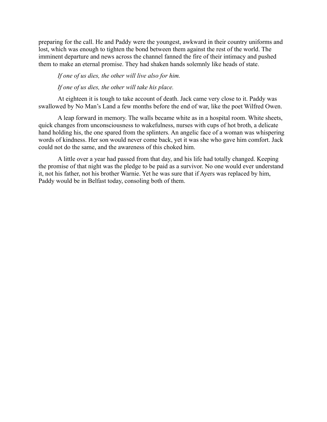preparing for the call. He and Paddy were the youngest, awkward in their country uniforms and lost, which was enough to tighten the bond between them against the rest of the world. The imminent departure and news across the channel fanned the fire of their intimacy and pushed them to make an eternal promise. They had shaken hands solemnly like heads of state.

#### *If one of us dies, the other will live also for him.*

*If one of us dies, the other will take his place.*

At eighteen it is tough to take account of death. Jack came very close to it. Paddy was swallowed by No Man's Land a few months before the end of war, like the poet Wilfred Owen.

A leap forward in memory. The walls became white as in a hospital room. White sheets, quick changes from unconsciousness to wakefulness, nurses with cups of hot broth, a delicate hand holding his, the one spared from the splinters. An angelic face of a woman was whispering words of kindness. Her son would never come back, yet it was she who gave him comfort. Jack could not do the same, and the awareness of this choked him.

A little over a year had passed from that day, and his life had totally changed. Keeping the promise of that night was the pledge to be paid as a survivor. No one would ever understand it, not his father, not his brother Warnie. Yet he was sure that if Ayers was replaced by him, Paddy would be in Belfast today, consoling both of them.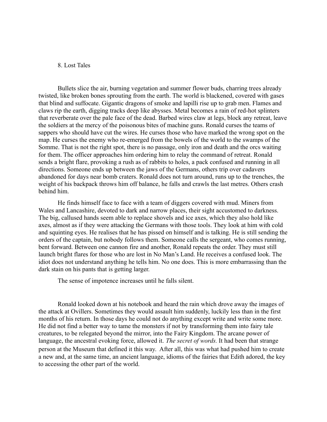#### 8. Lost Tales

Bullets slice the air, burning vegetation and summer flower buds, charring trees already twisted, like broken bones sprouting from the earth. The world is blackened, covered with gases that blind and suffocate. Gigantic dragons of smoke and lapilli rise up to grab men. Flames and claws rip the earth, digging tracks deep like abysses. Metal becomes a rain of red-hot splinters that reverberate over the pale face of the dead. Barbed wires claw at legs, block any retreat, leave the soldiers at the mercy of the poisonous bites of machine guns. Ronald curses the teams of sappers who should have cut the wires. He curses those who have marked the wrong spot on the map. He curses the enemy who re-emerged from the bowels of the world to the swamps of the Somme. That is not the right spot, there is no passage, only iron and death and the orcs waiting for them. The officer approaches him ordering him to relay the command of retreat. Ronald sends a bright flare, provoking a rush as of rabbits to holes, a pack confused and running in all directions. Someone ends up between the jaws of the Germans, others trip over cadavers abandoned for days near bomb craters. Ronald does not turn around, runs up to the trenches, the weight of his backpack throws him off balance, he falls and crawls the last metres. Others crash behind him.

He finds himself face to face with a team of diggers covered with mud. Miners from Wales and Lancashire, devoted to dark and narrow places, their sight accustomed to darkness. The big, callused hands seem able to replace shovels and ice axes, which they also hold like axes, almost as if they were attacking the Germans with those tools. They look at him with cold and squinting eyes. He realises that he has pissed on himself and is talking. He is still sending the orders of the captain, but nobody follows them. Someone calls the sergeant, who comes running, bent forward. Between one cannon fire and another, Ronald repeats the order. They must still launch bright flares for those who are lost in No Man's Land. He receives a confused look. The idiot does not understand anything he tells him. No one does. This is more embarrassing than the dark stain on his pants that is getting larger.

The sense of impotence increases until he falls silent.

Ronald looked down at his notebook and heard the rain which drove away the images of the attack at Ovillers. Sometimes they would assault him suddenly, luckily less than in the first months of his return. In those days he could not do anything except write and write some more. He did not find a better way to tame the monsters if not by transforming them into fairy tale creatures, to be relegated beyond the mirror, into the Fairy Kingdom. The arcane power of language, the ancestral evoking force, allowed it. *The secret of words.* It had been that strange person at the Museum that defined it this way. After all, this was what had pushed him to create a new and, at the same time, an ancient language, idioms of the fairies that Edith adored, the key to accessing the other part of the world.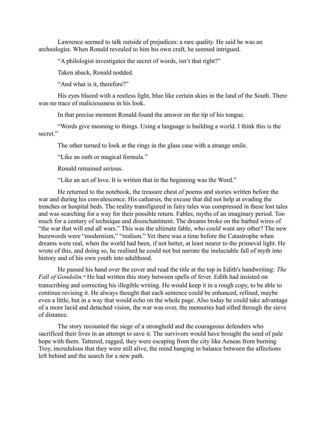Lawrence seemed to talk outside of prejudices: a rare quality. He said he was an archeologist. When Ronald revealed to him his own craft, he seemed intrigued.

"A philologist investigates the secret of words, isn't that right?"

Taken aback, Ronald nodded.

"And what is it, therefore?"

His eyes blazed with a restless light, blue like certain skies in the land of the South. There was no trace of maliciousness in his look.

In that precise moment Ronald found the answer on the tip of his tongue.

"Words give meaning to things. Using a language is building a world. I think this is the secret."

The other turned to look at the rings in the glass case with a strange smile.

"Like an oath or magical formula."

Ronald remained serious.

"Like an act of love. It is written that in the beginning was the Word."

He returned to the notebook, the treasure chest of poems and stories written before the war and during his convalescence. His catharsis, the excuse that did not help at evading the trenches or hospital beds. The reality transfigured in fairy tales was compressed in these lost tales and was searching for a way for their possible return. Fables, myths of an imaginary period. Too much for a century of technique and disenchantment. The dreams broke on the barbed wires of "the war that will end all wars." This was the ultimate fable, who could want any other? The new buzzwords were "modernism," "realism." Yet there was a time before the Catastrophe when dreams were real, when the world had been, if not better, at least nearer to the primeval light. He wrote of this, and doing so, he realised he could not but narrate the ineluctable fall of myth into history and of his own youth into adulthood.

He passed his hand over the cover and read the title at the top in Edith's handwriting: *The Fall of Gondolin*.<sup>vi</sup> He had written this story between spells of fever. Edith had insisted on transcribing and correcting his illegible writing. He would keep it in a rough copy, to be able to continue revising it. He always thought that each sentence could be enhanced, refined, maybe even a little, but in a way that would echo on the whole page. Also today he could take advantage of a more lucid and detached vision, the war was over, the memories had sifted through the sieve of distance.

The story recounted the siege of a stronghold and the courageous defenders who sacrificed their lives in an attempt to save it. The survivors would have brought the seed of pale hope with them. Tattered, ragged, they were escaping from the city like Aeneas from burning Troy, incredulous that they were still alive, the mind hanging in balance between the affections left behind and the search for a new path.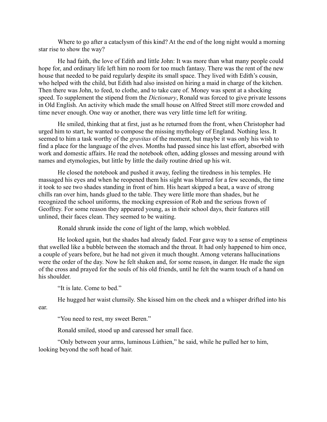Where to go after a cataclysm of this kind? At the end of the long night would a morning star rise to show the way?

He had faith, the love of Edith and little John: It was more than what many people could hope for, and ordinary life left him no room for too much fantasy. There was the rent of the new house that needed to be paid regularly despite its small space. They lived with Edith's cousin, who helped with the child, but Edith had also insisted on hiring a maid in charge of the kitchen. Then there was John, to feed, to clothe, and to take care of. Money was spent at a shocking speed. To supplement the stipend from the *Dictionary*, Ronald was forced to give private lessons in Old English. An activity which made the small house on Alfred Street still more crowded and time never enough. One way or another, there was very little time left for writing.

He smiled, thinking that at first, just as he returned from the front, when Christopher had urged him to start, he wanted to compose the missing mythology of England. Nothing less. It seemed to him a task worthy of the *gravitas* of the moment, but maybe it was only his wish to find a place for the language of the elves. Months had passed since his last effort, absorbed with work and domestic affairs. He read the notebook often, adding glosses and messing around with names and etymologies, but little by little the daily routine dried up his wit.

He closed the notebook and pushed it away, feeling the tiredness in his temples. He massaged his eyes and when he reopened them his sight was blurred for a few seconds, the time it took to see two shades standing in front of him. His heart skipped a beat, a wave of strong chills ran over him, hands glued to the table. They were little more than shades, but he recognized the school uniforms, the mocking expression of Rob and the serious frown of Geoffrey. For some reason they appeared young, as in their school days, their features still unlined, their faces clean. They seemed to be waiting.

Ronald shrunk inside the cone of light of the lamp, which wobbled.

He looked again, but the shades had already faded. Fear gave way to a sense of emptiness that swelled like a bubble between the stomach and the throat. It had only happened to him once, a couple of years before, but he had not given it much thought. Among veterans hallucinations were the order of the day. Now he felt shaken and, for some reason, in danger. He made the sign of the cross and prayed for the souls of his old friends, until he felt the warm touch of a hand on his shoulder.

"It is late. Come to bed."

He hugged her waist clumsily. She kissed him on the cheek and a whisper drifted into his ear.

"You need to rest, my sweet Beren."

Ronald smiled, stood up and caressed her small face.

"Only between your arms, luminous Lùthien," he said, while he pulled her to him, looking beyond the soft head of hair.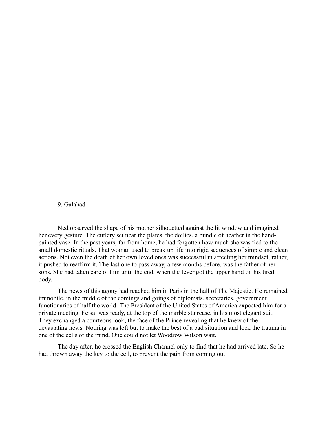#### 9. Galahad

Ned observed the shape of his mother silhouetted against the lit window and imagined her every gesture. The cutlery set near the plates, the doilies, a bundle of heather in the handpainted vase. In the past years, far from home, he had forgotten how much she was tied to the small domestic rituals. That woman used to break up life into rigid sequences of simple and clean actions. Not even the death of her own loved ones was successful in affecting her mindset; rather, it pushed to reaffirm it. The last one to pass away, a few months before, was the father of her sons. She had taken care of him until the end, when the fever got the upper hand on his tired body.

The news of this agony had reached him in Paris in the hall of The Majestic. He remained immobile, in the middle of the comings and goings of diplomats, secretaries, government functionaries of half the world. The President of the United States of America expected him for a private meeting. Feisal was ready, at the top of the marble staircase, in his most elegant suit. They exchanged a courteous look, the face of the Prince revealing that he knew of the devastating news. Nothing was left but to make the best of a bad situation and lock the trauma in one of the cells of the mind. One could not let Woodrow Wilson wait.

The day after, he crossed the English Channel only to find that he had arrived late. So he had thrown away the key to the cell, to prevent the pain from coming out.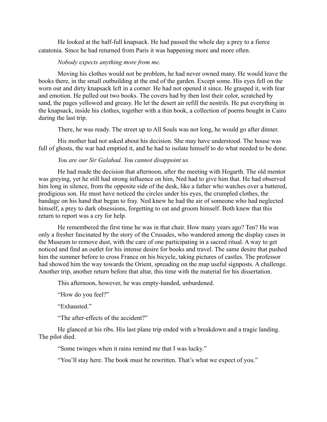He looked at the half-full knapsack. He had passed the whole day a prey to a fierce catatonia. Since he had returned from Paris it was happening more and more often.

#### *Nobody expects anything more from me.*

Moving his clothes would not be problem, he had never owned many. He would leave the books there, in the small outbuilding at the end of the garden. Except some. His eyes fell on the worn out and dirty knapsack left in a corner. He had not opened it since. He grasped it, with fear and emotion. He pulled out two books. The covers had by then lost their color, scratched by sand, the pages yellowed and greasy. He let the desert air refill the nostrils. He put everything in the knapsack, inside his clothes, together with a thin book, a collection of poems bought in Cairo during the last trip.

There, he was ready. The street up to All Souls was not long, he would go after dinner.

His mother had not asked about his decision. She may have understood. The house was full of ghosts, the war had emptied it, and he had to isolate himself to do what needed to be done.

## *You are our Sir Galahad. You cannot disappoint us.*

He had made the decision that afternoon, after the meeting with Hogarth. The old mentor was greying, yet he still had strong influence on him, Ned had to give him that. He had observed him long in silence, from the opposite side of the desk, like a father who watches over a battered, prodigious son. He must have noticed the circles under his eyes, the crumpled clothes, the bandage on his hand that began to fray. Ned knew he had the air of someone who had neglected himself, a prey to dark obsessions, forgetting to eat and groom himself. Both knew that this return to report was a cry for help.

He remembered the first time he was in that chair. How many years ago? Ten? He was only a fresher fascinated by the story of the Crusades, who wandered among the display cases in the Museum to remove dust, with the care of one participating in a sacred ritual. A way to get noticed and find an outlet for his intense desire for books and travel. The same desire that pushed him the summer before to cross France on his bicycle, taking pictures of castles. The professor had showed him the way towards the Orient, spreading on the map useful signposts. A challenge. Another trip, another return before that altar, this time with the material for his dissertation.

This afternoon, however, he was empty-handed, unburdened.

"How do you feel?"

"Exhausted."

"The after-effects of the accident?"

He glanced at his ribs. His last plane trip ended with a breakdown and a tragic landing. The pilot died.

"Some twinges when it rains remind me that I was lucky."

"You'll stay here. The book must be rewritten. That's what we expect of you."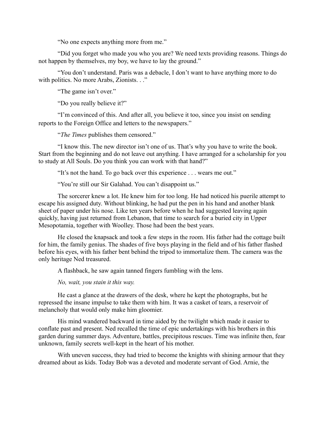"No one expects anything more from me."

"Did you forget who made you who you are? We need texts providing reasons. Things do not happen by themselves, my boy, we have to lay the ground."

"You don't understand. Paris was a debacle, I don't want to have anything more to do with politics. No more Arabs, Zionists. . ."

"The game isn't over."

"Do you really believe it?"

"I'm convinced of this. And after all, you believe it too, since you insist on sending reports to the Foreign Office and letters to the newspapers."

"*The Times* publishes them censored."

"I know this. The new director isn't one of us. That's why you have to write the book. Start from the beginning and do not leave out anything. I have arranged for a scholarship for you to study at All Souls. Do you think you can work with that hand?"

"It's not the hand. To go back over this experience . . . wears me out."

"You're still our Sir Galahad. You can't disappoint us."

The sorcerer knew a lot. He knew him for too long. He had noticed his puerile attempt to escape his assigned duty. Without blinking, he had put the pen in his hand and another blank sheet of paper under his nose. Like ten years before when he had suggested leaving again quickly, having just returned from Lebanon, that time to search for a buried city in Upper Mesopotamia, together with Woolley. Those had been the best years.

He closed the knapsack and took a few steps in the room. His father had the cottage built for him, the family genius. The shades of five boys playing in the field and of his father flashed before his eyes, with his father bent behind the tripod to immortalize them. The camera was the only heritage Ned treasured.

A flashback, he saw again tanned fingers fumbling with the lens.

*No, wait, you stain it this way.*

He cast a glance at the drawers of the desk, where he kept the photographs, but he repressed the insane impulse to take them with him. It was a casket of tears, a reservoir of melancholy that would only make him gloomier.

His mind wandered backward in time aided by the twilight which made it easier to conflate past and present. Ned recalled the time of epic undertakings with his brothers in this garden during summer days. Adventure, battles, precipitous rescues. Time was infinite then, fear unknown, family secrets well-kept in the heart of his mother.

With uneven success, they had tried to become the knights with shining armour that they dreamed about as kids. Today Bob was a devoted and moderate servant of God. Arnie, the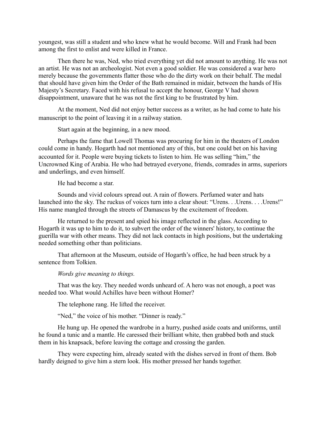youngest, was still a student and who knew what he would become. Will and Frank had been among the first to enlist and were killed in France.

Then there he was, Ned, who tried everything yet did not amount to anything. He was not an artist. He was not an archeologist. Not even a good soldier. He was considered a war hero merely because the governments flatter those who do the dirty work on their behalf. The medal that should have given him the Order of the Bath remained in midair, between the hands of His Majesty's Secretary. Faced with his refusal to accept the honour, George V had shown disappointment, unaware that he was not the first king to be frustrated by him.

At the moment, Ned did not enjoy better success as a writer, as he had come to hate his manuscript to the point of leaving it in a railway station.

Start again at the beginning, in a new mood.

Perhaps the fame that Lowell Thomas was procuring for him in the theaters of London could come in handy. Hogarth had not mentioned any of this, but one could bet on his having accounted for it. People were buying tickets to listen to him. He was selling "him," the Uncrowned King of Arabia. He who had betrayed everyone, friends, comrades in arms, superiors and underlings, and even himself.

He had become a star.

Sounds and vivid colours spread out. A rain of flowers. Perfumed water and hats launched into the sky. The ruckus of voices turn into a clear shout: "Urens. . . Urens. . . . Urens!" His name mangled through the streets of Damascus by the excitement of freedom.

He returned to the present and spied his image reflected in the glass. According to Hogarth it was up to him to do it, to subvert the order of the winners' history, to continue the guerilla war with other means. They did not lack contacts in high positions, but the undertaking needed something other than politicians.

That afternoon at the Museum, outside of Hogarth's office, he had been struck by a sentence from Tolkien.

# *Words give meaning to things.*

That was the key. They needed words unheard of. A hero was not enough, a poet was needed too. What would Achilles have been without Homer?

The telephone rang. He lifted the receiver.

"Ned," the voice of his mother. "Dinner is ready."

He hung up. He opened the wardrobe in a hurry, pushed aside coats and uniforms, until he found a tunic and a mantle. He caressed their brilliant white, then grabbed both and stuck them in his knapsack, before leaving the cottage and crossing the garden.

They were expecting him, already seated with the dishes served in front of them. Bob hardly deigned to give him a stern look. His mother pressed her hands together.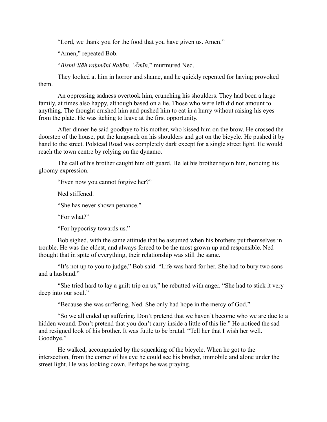"Lord, we thank you for the food that you have given us. Amen."

"Amen," repeated Bob.

"*Bismi'llāh rahmāni Rahīm. 'Āmīn*," murmured Ned.

They looked at him in horror and shame, and he quickly repented for having provoked them.

An oppressing sadness overtook him, crunching his shoulders. They had been a large family, at times also happy, although based on a lie. Those who were left did not amount to anything. The thought crushed him and pushed him to eat in a hurry without raising his eyes from the plate. He was itching to leave at the first opportunity.

After dinner he said goodbye to his mother, who kissed him on the brow. He crossed the doorstep of the house, put the knapsack on his shoulders and got on the bicycle. He pushed it by hand to the street. Polstead Road was completely dark except for a single street light. He would reach the town centre by relying on the dynamo.

The call of his brother caught him off guard. He let his brother rejoin him, noticing his gloomy expression.

"Even now you cannot forgive her?"

Ned stiffened.

"She has never shown penance."

"For what?"

"For hypocrisy towards us."

Bob sighed, with the same attitude that he assumed when his brothers put themselves in trouble. He was the eldest, and always forced to be the most grown up and responsible. Ned thought that in spite of everything, their relationship was still the same.

"It's not up to you to judge," Bob said. "Life was hard for her. She had to bury two sons and a husband."

"She tried hard to lay a guilt trip on us," he rebutted with anger. "She had to stick it very deep into our soul."

"Because she was suffering, Ned. She only had hope in the mercy of God."

"So we all ended up suffering. Don't pretend that we haven't become who we are due to a hidden wound. Don't pretend that you don't carry inside a little of this lie." He noticed the sad and resigned look of his brother. It was futile to be brutal. "Tell her that I wish her well. Goodbye."

He walked, accompanied by the squeaking of the bicycle. When he got to the intersection, from the corner of his eye he could see his brother, immobile and alone under the street light. He was looking down. Perhaps he was praying.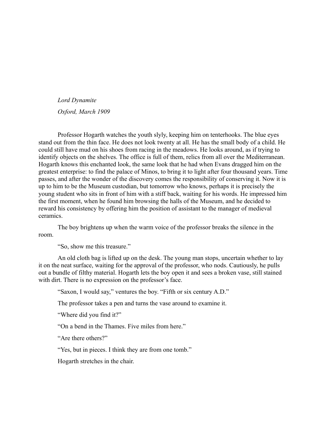#### *Lord Dynamite*

*Oxford, March 1909*

Professor Hogarth watches the youth slyly, keeping him on tenterhooks. The blue eyes stand out from the thin face. He does not look twenty at all. He has the small body of a child. He could still have mud on his shoes from racing in the meadows. He looks around, as if trying to identify objects on the shelves. The office is full of them, relics from all over the Mediterranean. Hogarth knows this enchanted look, the same look that he had when Evans dragged him on the greatest enterprise: to find the palace of Minos, to bring it to light after four thousand years. Time passes, and after the wonder of the discovery comes the responsibility of conserving it. Now it is up to him to be the Museum custodian, but tomorrow who knows, perhaps it is precisely the young student who sits in front of him with a stiff back, waiting for his words. He impressed him the first moment, when he found him browsing the halls of the Museum, and he decided to reward his consistency by offering him the position of assistant to the manager of medieval ceramics.

The boy brightens up when the warm voice of the professor breaks the silence in the room.

"So, show me this treasure."

An old cloth bag is lifted up on the desk. The young man stops, uncertain whether to lay it on the neat surface, waiting for the approval of the professor, who nods. Cautiously, he pulls out a bundle of filthy material. Hogarth lets the boy open it and sees a broken vase, still stained with dirt. There is no expression on the professor's face.

"Saxon, I would say," ventures the boy. "Fifth or six century A.D."

The professor takes a pen and turns the vase around to examine it.

"Where did you find it?"

"On a bend in the Thames. Five miles from here."

"Are there others?"

"Yes, but in pieces. I think they are from one tomb."

Hogarth stretches in the chair.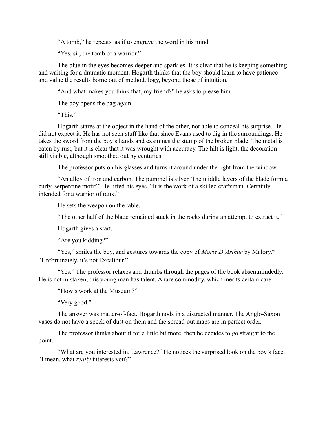"A tomb," he repeats, as if to engrave the word in his mind.

"Yes, sir, the tomb of a warrior."

The blue in the eyes becomes deeper and sparkles. It is clear that he is keeping something and waiting for a dramatic moment. Hogarth thinks that the boy should learn to have patience and value the results borne out of methodology, beyond those of intuition.

"And what makes you think that, my friend?" he asks to please him.

The boy opens the bag again.

"This."

Hogarth stares at the object in the hand of the other, not able to conceal his surprise. He did not expect it. He has not seen stuff like that since Evans used to dig in the surroundings. He takes the sword from the boy's hands and examines the stump of the broken blade. The metal is eaten by rust, but it is clear that it was wrought with accuracy. The hilt is light, the decoration still visible, although smoothed out by centuries.

The professor puts on his glasses and turns it around under the light from the window.

"An alloy of iron and carbon. The pummel is silver. The middle layers of the blade form a curly, serpentine motif." He lifted his eyes. "It is the work of a skilled craftsman. Certainly intended for a warrior of rank."

He sets the weapon on the table.

"The other half of the blade remained stuck in the rocks during an attempt to extract it."

Hogarth gives a start.

"Are you kidding?"

"Yes," smiles the boy, and gestures towards the copy of *Morte D'Arthur* by Malory.<sup>vii</sup> "Unfortunately, it's not Excalibur."

"Yes." The professor relaxes and thumbs through the pages of the book absentmindedly. He is not mistaken, this young man has talent. A rare commodity, which merits certain care.

"How's work at the Museum?"

"Very good."

The answer was matter-of-fact. Hogarth nods in a distracted manner. The Anglo-Saxon vases do not have a speck of dust on them and the spread-out maps are in perfect order.

The professor thinks about it for a little bit more, then he decides to go straight to the point.

"What are you interested in, Lawrence?" He notices the surprised look on the boy's face. "I mean, what *really* interests you?"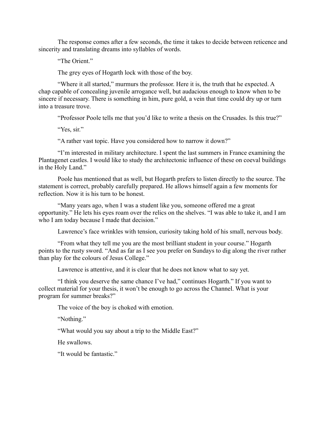The response comes after a few seconds, the time it takes to decide between reticence and sincerity and translating dreams into syllables of words.

"The Orient."

The grey eyes of Hogarth lock with those of the boy.

"Where it all started," murmurs the professor. Here it is, the truth that he expected. A chap capable of concealing juvenile arrogance well, but audacious enough to know when to be sincere if necessary. There is something in him, pure gold, a vein that time could dry up or turn into a treasure trove.

"Professor Poole tells me that you'd like to write a thesis on the Crusades. Is this true?"

"Yes, sir."

"A rather vast topic. Have you considered how to narrow it down?"

"I'm interested in military architecture. I spent the last summers in France examining the Plantagenet castles. I would like to study the architectonic influence of these on coeval buildings in the Holy Land."

Poole has mentioned that as well, but Hogarth prefers to listen directly to the source. The statement is correct, probably carefully prepared. He allows himself again a few moments for reflection. Now it is his turn to be honest.

"Many years ago, when I was a student like you, someone offered me a great opportunity." He lets his eyes roam over the relics on the shelves. "I was able to take it, and I am who I am today because I made that decision."

Lawrence's face wrinkles with tension, curiosity taking hold of his small, nervous body.

"From what they tell me you are the most brilliant student in your course." Hogarth points to the rusty sword. "And as far as I see you prefer on Sundays to dig along the river rather than play for the colours of Jesus College."

Lawrence is attentive, and it is clear that he does not know what to say yet.

"I think you deserve the same chance I've had," continues Hogarth." If you want to collect material for your thesis, it won't be enough to go across the Channel. What is your program for summer breaks?"

The voice of the boy is choked with emotion.

"Nothing."

"What would you say about a trip to the Middle East?"

He swallows.

"It would be fantastic."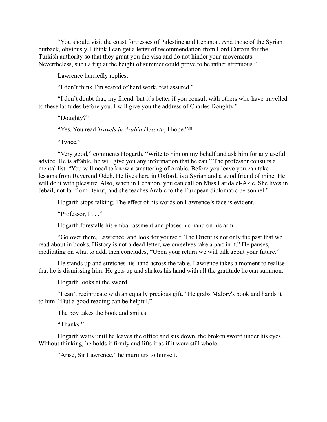"You should visit the coast fortresses of Palestine and Lebanon. And those of the Syrian outback, obviously. I think I can get a letter of recommendation from Lord Curzon for the Turkish authority so that they grant you the visa and do not hinder your movements. Nevertheless, such a trip at the height of summer could prove to be rather strenuous."

Lawrence hurriedly replies.

"I don't think I'm scared of hard work, rest assured."

"I don't doubt that, my friend, but it's better if you consult with others who have travelled to these latitudes before you. I will give you the address of Charles Doughty."

"Doughty?"

"Yes. You read *Travels in Arabia Deserta*, I hope."viii

"Twice"

"Very good," comments Hogarth. "Write to him on my behalf and ask him for any useful advice. He is affable, he will give you any information that he can." The professor consults a mental list. "You will need to know a smattering of Arabic. Before you leave you can take lessons from Reverend Odeh. He lives here in Oxford, is a Syrian and a good friend of mine. He will do it with pleasure. Also, when in Lebanon, you can call on Miss Farida el-Akle. She lives in Jebail, not far from Beirut, and she teaches Arabic to the European diplomatic personnel."

Hogarth stops talking. The effect of his words on Lawrence's face is evident.

"Professor, I..."

Hogarth forestalls his embarrassment and places his hand on his arm.

"Go over there, Lawrence, and look for yourself. The Orient is not only the past that we read about in books. History is not a dead letter, we ourselves take a part in it." He pauses, meditating on what to add, then concludes, "Upon your return we will talk about your future."

He stands up and stretches his hand across the table. Lawrence takes a moment to realise that he is dismissing him. He gets up and shakes his hand with all the gratitude he can summon.

Hogarth looks at the sword.

"I can't reciprocate with an equally precious gift." He grabs Malory's book and hands it to him. "But a good reading can be helpful."

The boy takes the book and smiles.

"Thanks."

Hogarth waits until he leaves the office and sits down, the broken sword under his eyes. Without thinking, he holds it firmly and lifts it as if it were still whole.

"Arise, Sir Lawrence," he murmurs to himself.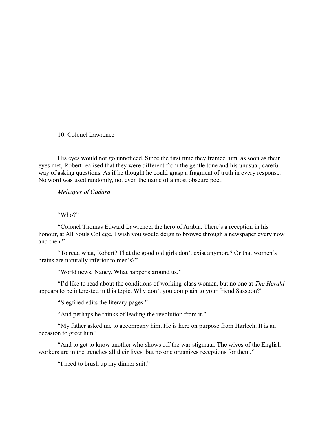10. Colonel Lawrence

His eyes would not go unnoticed. Since the first time they framed him, as soon as their eyes met, Robert realised that they were different from the gentle tone and his unusual, careful way of asking questions. As if he thought he could grasp a fragment of truth in every response. No word was used randomly, not even the name of a most obscure poet.

*Meleager of Gadara.*

"Who?"

"Colonel Thomas Edward Lawrence, the hero of Arabia. There's a reception in his honour, at All Souls College. I wish you would deign to browse through a newspaper every now and then"

"To read what, Robert? That the good old girls don't exist anymore? Or that women's brains are naturally inferior to men's?"

"World news, Nancy. What happens around us."

"I'd like to read about the conditions of working-class women, but no one at *The Herald*  appears to be interested in this topic. Why don't you complain to your friend Sassoon?"

"Siegfried edits the literary pages."

"And perhaps he thinks of leading the revolution from it."

"My father asked me to accompany him. He is here on purpose from Harlech. It is an occasion to greet him"

"And to get to know another who shows off the war stigmata. The wives of the English workers are in the trenches all their lives, but no one organizes receptions for them."

"I need to brush up my dinner suit."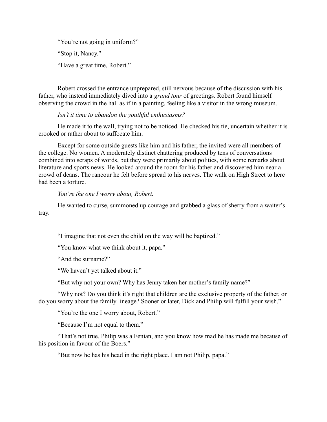"You're not going in uniform?" "Stop it, Nancy." "Have a great time, Robert."

Robert crossed the entrance unprepared, still nervous because of the discussion with his father, who instead immediately dived into a *grand tour* of greetings. Robert found himself observing the crowd in the hall as if in a painting, feeling like a visitor in the wrong museum.

## *Isn't it time to abandon the youthful enthusiasms?*

He made it to the wall, trying not to be noticed. He checked his tie, uncertain whether it is crooked or rather about to suffocate him.

Except for some outside guests like him and his father, the invited were all members of the college. No women. A moderately distinct chattering produced by tens of conversations combined into scraps of words, but they were primarily about politics, with some remarks about literature and sports news. He looked around the room for his father and discovered him near a crowd of deans. The rancour he felt before spread to his nerves. The walk on High Street to here had been a torture.

## *You're the one I worry about, Robert.*

He wanted to curse, summoned up courage and grabbed a glass of sherry from a waiter's tray.

"I imagine that not even the child on the way will be baptized."

"You know what we think about it, papa."

"And the surname?"

"We haven't yet talked about it."

"But why not your own? Why has Jenny taken her mother's family name?"

"Why not? Do you think it's right that children are the exclusive property of the father, or do you worry about the family lineage? Sooner or later, Dick and Philip will fulfill your wish."

"You're the one I worry about, Robert."

"Because I'm not equal to them."

"That's not true. Philip was a Fenian, and you know how mad he has made me because of his position in favour of the Boers."

"But now he has his head in the right place. I am not Philip, papa."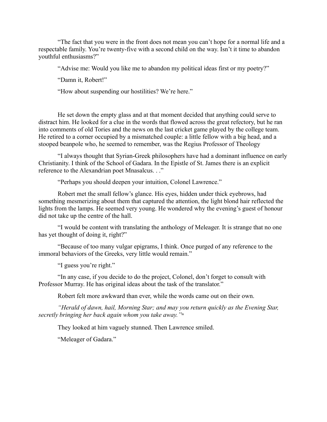"The fact that you were in the front does not mean you can't hope for a normal life and a respectable family. You're twenty-five with a second child on the way. Isn't it time to abandon youthful enthusiasms?"

"Advise me: Would you like me to abandon my political ideas first or my poetry?"

"Damn it, Robert!"

"How about suspending our hostilities? We're here."

He set down the empty glass and at that moment decided that anything could serve to distract him. He looked for a clue in the words that flowed across the great refectory, but he ran into comments of old Tories and the news on the last cricket game played by the college team. He retired to a corner occupied by a mismatched couple: a little fellow with a big head, and a stooped beanpole who, he seemed to remember, was the Regius Professor of Theology

"I always thought that Syrian-Greek philosophers have had a dominant influence on early Christianity. I think of the School of Gadara. In the Epistle of St. James there is an explicit reference to the Alexandrian poet Mnasalcus. . ."

"Perhaps you should deepen your intuition, Colonel Lawrence."

Robert met the small fellow's glance. His eyes, hidden under thick eyebrows, had something mesmerizing about them that captured the attention, the light blond hair reflected the lights from the lamps. He seemed very young. He wondered why the evening's guest of honour did not take up the centre of the hall.

"I would be content with translating the anthology of Meleager. It is strange that no one has yet thought of doing it, right?"

"Because of too many vulgar epigrams, I think. Once purged of any reference to the immoral behaviors of the Greeks, very little would remain."

"I guess you're right."

"In any case, if you decide to do the project, Colonel, don't forget to consult with Professor Murray. He has original ideas about the task of the translator."

Robert felt more awkward than ever, while the words came out on their own.

*"Herald of dawn, hail, Morning Star; and may you return quickly as the Evening Star, secretly bringing her back again whom you take away."*ix

They looked at him vaguely stunned. Then Lawrence smiled.

"Meleager of Gadara."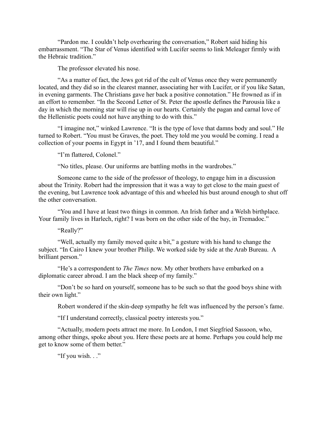"Pardon me. I couldn't help overhearing the conversation," Robert said hiding his embarrassment. "The Star of Venus identified with Lucifer seems to link Meleager firmly with the Hebraic tradition"

The professor elevated his nose.

"As a matter of fact, the Jews got rid of the cult of Venus once they were permanently located, and they did so in the clearest manner, associating her with Lucifer, or if you like Satan, in evening garments. The Christians gave her back a positive connotation." He frowned as if in an effort to remember. "In the Second Letter of St. Peter the apostle defines the Parousia like a day in which the morning star will rise up in our hearts. Certainly the pagan and carnal love of the Hellenistic poets could not have anything to do with this."

"I imagine not," winked Lawrence. "It is the type of love that damns body and soul." He turned to Robert. "You must be Graves, the poet. They told me you would be coming. I read a collection of your poems in Egypt in '17, and I found them beautiful."

"I'm flattered, Colonel."

"No titles, please. Our uniforms are battling moths in the wardrobes."

Someone came to the side of the professor of theology, to engage him in a discussion about the Trinity. Robert had the impression that it was a way to get close to the main guest of the evening, but Lawrence took advantage of this and wheeled his bust around enough to shut off the other conversation.

"You and I have at least two things in common. An Irish father and a Welsh birthplace. Your family lives in Harlech, right? I was born on the other side of the bay, in Tremadoc."

"Really?"

"Well, actually my family moved quite a bit," a gesture with his hand to change the subject. "In Cairo I knew your brother Philip. We worked side by side at the Arab Bureau. A brilliant person."

"He's a correspondent to *The Times* now. My other brothers have embarked on a diplomatic career abroad. I am the black sheep of my family."

"Don't be so hard on yourself, someone has to be such so that the good boys shine with their own light."

Robert wondered if the skin-deep sympathy he felt was influenced by the person's fame.

"If I understand correctly, classical poetry interests you."

"Actually, modern poets attract me more. In London, I met Siegfried Sassoon, who, among other things, spoke about you. Here these poets are at home. Perhaps you could help me get to know some of them better."

"If you wish. . ."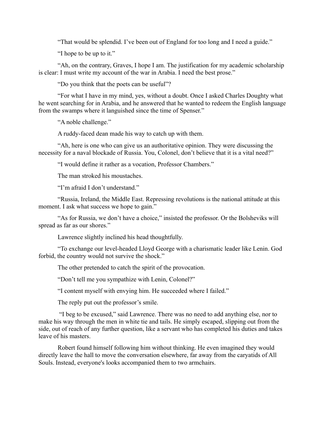"That would be splendid. I've been out of England for too long and I need a guide."

"I hope to be up to it."

"Ah, on the contrary, Graves, I hope I am. The justification for my academic scholarship is clear: I must write my account of the war in Arabia. I need the best prose."

"Do you think that the poets can be useful"?

"For what I have in my mind, yes, without a doubt. Once I asked Charles Doughty what he went searching for in Arabia, and he answered that he wanted to redeem the English language from the swamps where it languished since the time of Spenser."

"A noble challenge."

A ruddy-faced dean made his way to catch up with them.

"Ah, here is one who can give us an authoritative opinion. They were discussing the necessity for a naval blockade of Russia. You, Colonel, don't believe that it is a vital need?"

"I would define it rather as a vocation, Professor Chambers."

The man stroked his moustaches.

"I'm afraid I don't understand."

"Russia, Ireland, the Middle East. Repressing revolutions is the national attitude at this moment. I ask what success we hope to gain."

"As for Russia, we don't have a choice," insisted the professor. Or the Bolsheviks will spread as far as our shores."

Lawrence slightly inclined his head thoughtfully.

"To exchange our level-headed Lloyd George with a charismatic leader like Lenin. God forbid, the country would not survive the shock."

The other pretended to catch the spirit of the provocation.

"Don't tell me you sympathize with Lenin, Colonel?"

"I content myself with envying him. He succeeded where I failed."

The reply put out the professor's smile.

 "I beg to be excused," said Lawrence. There was no need to add anything else, nor to make his way through the men in white tie and tails. He simply escaped, slipping out from the side, out of reach of any further question, like a servant who has completed his duties and takes leave of his masters.

Robert found himself following him without thinking. He even imagined they would directly leave the hall to move the conversation elsewhere, far away from the caryatids of All Souls. Instead, everyone's looks accompanied them to two armchairs.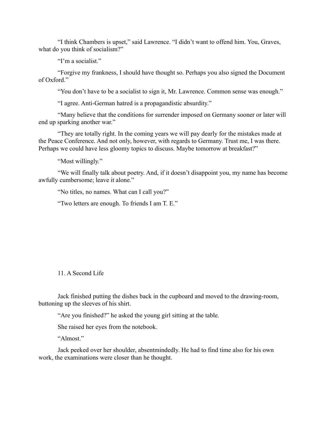"I think Chambers is upset," said Lawrence. "I didn't want to offend him. You, Graves, what do you think of socialism?"

"I'm a socialist."

"Forgive my frankness, I should have thought so. Perhaps you also signed the Document of Oxford."

"You don't have to be a socialist to sign it, Mr. Lawrence. Common sense was enough."

"I agree. Anti-German hatred is a propagandistic absurdity."

"Many believe that the conditions for surrender imposed on Germany sooner or later will end up sparking another war."

"They are totally right. In the coming years we will pay dearly for the mistakes made at the Peace Conference. And not only, however, with regards to Germany. Trust me, I was there. Perhaps we could have less gloomy topics to discuss. Maybe tomorrow at breakfast?"

"Most willingly."

"We will finally talk about poetry. And, if it doesn't disappoint you, my name has become awfully cumbersome; leave it alone."

"No titles, no names. What can I call you?"

"Two letters are enough. To friends I am T. E."

11. A Second Life

Jack finished putting the dishes back in the cupboard and moved to the drawing-room, buttoning up the sleeves of his shirt.

"Are you finished?" he asked the young girl sitting at the table.

She raised her eyes from the notebook.

"Almost"

Jack peeked over her shoulder, absentmindedly. He had to find time also for his own work, the examinations were closer than he thought.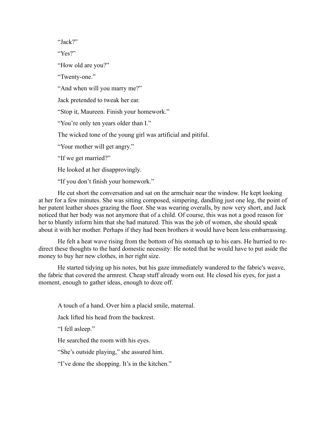"Jack?"

"Yes?"

"How old are you?"

"Twenty-one."

"And when will you marry me?"

Jack pretended to tweak her ear.

"Stop it, Maureen. Finish your homework."

"You're only ten years older than I."

The wicked tone of the young girl was artificial and pitiful.

"Your mother will get angry."

"If we get married?"

He looked at her disapprovingly.

"If you don't finish your homework."

He cut short the conversation and sat on the armchair near the window. He kept looking at her for a few minutes. She was sitting composed, simpering, dandling just one leg, the point of her patent leather shoes grazing the floor. She was wearing overalls, by now very short, and Jack noticed that her body was not anymore that of a child. Of course, this was not a good reason for her to bluntly inform him that she had matured. This was the job of women, she should speak about it with her mother. Perhaps if they had been brothers it would have been less embarrassing.

He felt a heat wave rising from the bottom of his stomach up to his ears. He hurried to redirect these thoughts to the hard domestic necessity: He noted that he would have to put aside the money to buy her new clothes, in her right size.

He started tidying up his notes, but his gaze immediately wandered to the fabric's weave, the fabric that covered the armrest. Cheap stuff already worn out. He closed his eyes, for just a moment, enough to gather ideas, enough to doze off.

A touch of a hand. Over him a placid smile, maternal.

Jack lifted his head from the backrest.

"I fell asleep."

He searched the room with his eyes.

"She's outside playing," she assured him.

"I've done the shopping. It's in the kitchen."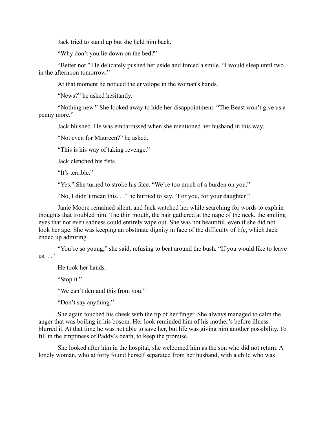Jack tried to stand up but she held him back.

"Why don't you lie down on the bed?"

"Better not." He delicately pushed her aside and forced a smile. "I would sleep until two in the afternoon tomorrow."

At that moment he noticed the envelope in the woman's hands.

"News?" he asked hesitantly.

"Nothing new." She looked away to hide her disappointment. "The Beast won't give us a penny more."

Jack blushed. He was embarrassed when she mentioned her husband in this way.

"Not even for Maureen?" he asked.

"This is his way of taking revenge."

Jack clenched his fists.

"It's terrible."

"Yes." She turned to stroke his face. "We're too much of a burden on you."

"No, I didn't mean this. . ." he hurried to say. "For you, for your daughter."

Janie Moore remained silent, and Jack watched her while searching for words to explain thoughts that troubled him. The thin mouth, the hair gathered at the nape of the neck, the smiling eyes that not even sadness could entirely wipe out. She was not beautiful, even if she did not look her age. She was keeping an obstinate dignity in face of the difficulty of life, which Jack ended up admiring.

"You're so young," she said, refusing to beat around the bush. "If you would like to leave us.  $\cdot$  ."

He took her hands.

"Stop it."

"We can't demand this from you."

"Don't say anything."

She again touched his cheek with the tip of her finger. She always managed to calm the anger that was boiling in his bosom. Her look reminded him of his mother's before illness blurred it. At that time he was not able to save her, but life was giving him another possibility. To fill in the emptiness of Paddy's death, to keep the promise.

She looked after him in the hospital, she welcomed him as the son who did not return. A lonely woman, who at forty found herself separated from her husband, with a child who was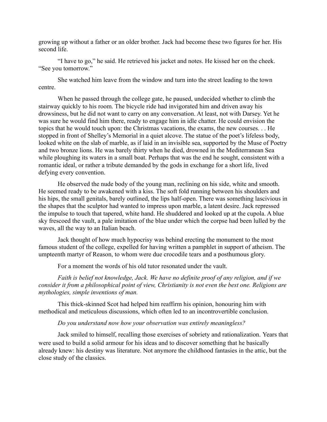growing up without a father or an older brother. Jack had become these two figures for her. His second life.

"I have to go," he said. He retrieved his jacket and notes. He kissed her on the cheek. "See you tomorrow."

She watched him leave from the window and turn into the street leading to the town centre.

When he passed through the college gate, he paused, undecided whether to climb the stairway quickly to his room. The bicycle ride had invigorated him and driven away his drowsiness, but he did not want to carry on any conversation. At least, not with Darsey. Yet he was sure he would find him there, ready to engage him in idle chatter. He could envision the topics that he would touch upon: the Christmas vacations, the exams, the new courses. . . He stopped in front of Shelley's Memorial in a quiet alcove. The statue of the poet's lifeless body, looked white on the slab of marble, as if laid in an invisible sea, supported by the Muse of Poetry and two bronze lions. He was barely thirty when he died, drowned in the Mediterranean Sea while ploughing its waters in a small boat. Perhaps that was the end he sought, consistent with a romantic ideal, or rather a tribute demanded by the gods in exchange for a short life, lived defying every convention.

He observed the nude body of the young man, reclining on his side, white and smooth. He seemed ready to be awakened with a kiss. The soft fold running between his shoulders and his hips, the small genitals, barely outlined, the lips half-open. There was something lascivious in the shapes that the sculptor had wanted to impress upon marble, a latent desire. Jack repressed the impulse to touch that tapered, white hand. He shuddered and looked up at the cupola. A blue sky frescoed the vault, a pale imitation of the blue under which the corpse had been lulled by the waves, all the way to an Italian beach.

Jack thought of how much hypocrisy was behind erecting the monument to the most famous student of the college, expelled for having written a pamphlet in support of atheism. The umpteenth martyr of Reason, to whom were due crocodile tears and a posthumous glory.

For a moment the words of his old tutor resonated under the vault.

*Faith is belief not knowledge, Jack. We have no definite proof of any religion, and if we consider it from a philosophical point of view, Christianity is not even the best one. Religions are mythologies, simple inventions of man.*

This thick-skinned Scot had helped him reaffirm his opinion, honouring him with methodical and meticulous discussions, which often led to an incontrovertible conclusion.

*Do you understand now how your observation was entirely meaningless?*

Jack smiled to himself, recalling those exercises of sobriety and rationalization. Years that were used to build a solid armour for his ideas and to discover something that he basically already knew: his destiny was literature. Not anymore the childhood fantasies in the attic, but the close study of the classics.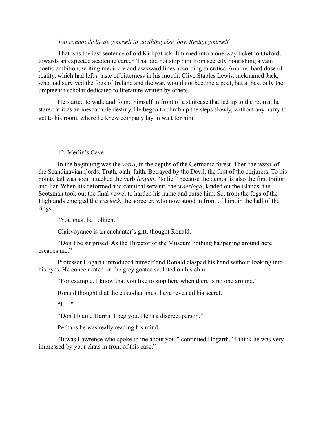# *You cannot dedicate yourself to anything else, boy. Resign yourself.*

That was the last sentence of old Kirkpatrick. It turned into a one-way ticket to Oxford, towards an expected academic career. That did not stop him from secretly nourishing a vain poetic ambition, writing mediocre and awkward lines according to critics. Another hard dose of reality, which had left a taste of bitterness in his mouth. Clive Staples Lewis, nicknamed Jack, who had survived the fogs of Ireland and the war, would not become a poet, but at best only the umpteenth scholar dedicated to literature written by others.

He started to walk and found himself in front of a staircase that led up to the rooms; he stared at it as an inescapable destiny. He began to climb up the steps slowly, without any hurry to get to his room, where he knew company lay in wait for him.

#### 12. Merlin's Cave

In the beginning was the *wara*, in the depths of the Germanic forest. Then the *varar* of the Scandinavian fjords. Truth, oath, faith. Betrayed by the Devil, the first of the perjurers. To his pointy tail was soon attached the verb *leogan*, "to lie," because the demon is also the first traitor and liar. When his deformed and cannibal servant, the *waerloga*, landed on the islands, the Scotsman took out the final vowel to harden his name and curse him. So, from the fogs of the Highlands emerged the *warlock*, the sorcerer, who now stood in front of him, in the hall of the rings.

"You must be Tolkien."

Clairvoyance is an enchanter's gift, thought Ronald.

"Don't be surprised. As the Director of the Museum nothing happening around here escapes me."

Professor Hogarth introduced himself and Ronald clasped his hand without looking into his eyes. He concentrated on the grey goatee sculpted on his chin.

"For example, I know that you like to stop here when there is no one around."

Ronald thought that the custodian must have revealed his secret.

"I. . ."

"Don't blame Harris, I beg you. He is a discreet person."

Perhaps he was really reading his mind.

"It was Lawrence who spoke to me about you," continued Hogarth. "I think he was very impressed by your chats in front of this case."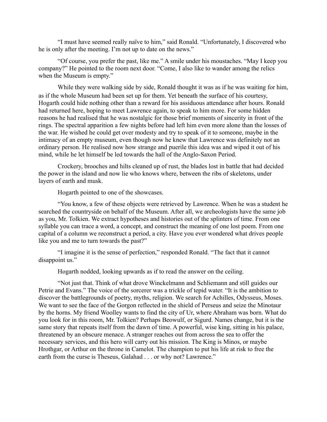"I must have seemed really naïve to him," said Ronald. "Unfortunately, I discovered who he is only after the meeting. I'm not up to date on the news."

"Of course, you prefer the past, like me." A smile under his moustaches. "May I keep you company?" He pointed to the room next door. "Come, I also like to wander among the relics when the Museum is empty."

While they were walking side by side, Ronald thought it was as if he was waiting for him, as if the whole Museum had been set up for them. Yet beneath the surface of his courtesy, Hogarth could hide nothing other than a reward for his assiduous attendance after hours. Ronald had returned here, hoping to meet Lawrence again, to speak to him more. For some hidden reasons he had realised that he was nostalgic for those brief moments of sincerity in front of the rings. The spectral apparition a few nights before had left him even more alone than the losses of the war. He wished he could get over modesty and try to speak of it to someone, maybe in the intimacy of an empty museum, even though now he knew that Lawrence was definitely not an ordinary person. He realised now how strange and puerile this idea was and wiped it out of his mind, while he let himself be led towards the hall of the Anglo-Saxon Period.

Crockery, brooches and hilts cleaned up of rust, the blades lost in battle that had decided the power in the island and now lie who knows where, between the ribs of skeletons, under layers of earth and musk.

Hogarth pointed to one of the showcases.

"You know, a few of these objects were retrieved by Lawrence. When he was a student he searched the countryside on behalf of the Museum. After all, we archeologists have the same job as you, Mr. Tolkien. We extract hypotheses and histories out of the splinters of time. From one syllable you can trace a word, a concept, and construct the meaning of one lost poem. From one capital of a column we reconstruct a period, a city. Have you ever wondered what drives people like you and me to turn towards the past?"

"I imagine it is the sense of perfection," responded Ronald. "The fact that it cannot disappoint us."

Hogarth nodded, looking upwards as if to read the answer on the ceiling.

"Not just that. Think of what drove Winckelmann and Schliemann and still guides our Petrie and Evans." The voice of the sorcerer was a trickle of tepid water. "It is the ambition to discover the battlegrounds of poetry, myths, religion. We search for Achilles, Odysseus, Moses. We want to see the face of the Gorgon reflected in the shield of Perseus and seize the Minotaur by the horns. My friend Woolley wants to find the city of Ur, where Abraham was born. What do you look for in this room, Mr. Tolkien? Perhaps Beowulf, or Sigurd. Names change, but it is the same story that repeats itself from the dawn of time. A powerful, wise king, sitting in his palace, threatened by an obscure menace. A stranger reaches out from across the sea to offer the necessary services, and this hero will carry out his mission. The King is Minos, or maybe Hrothgar, or Arthur on the throne in Camelot. The champion to put his life at risk to free the earth from the curse is Theseus, Galahad . . . or why not? Lawrence."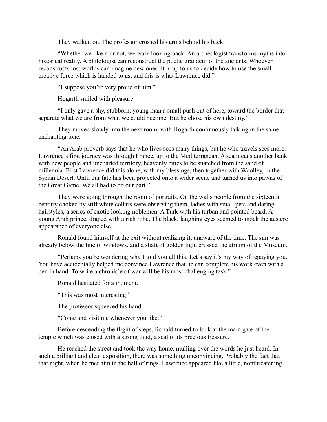They walked on. The professor crossed his arms behind his back.

"Whether we like it or not, we walk looking back. An archeologist transforms myths into historical reality. A philologist can reconstruct the poetic grandeur of the ancients. Whoever reconstructs lost worlds can imagine new ones. It is up to us to decide how to use the small creative force which is handed to us, and this is what Lawrence did."

"I suppose you're very proud of him."

Hogarth smiled with pleasure.

"I only gave a shy, stubborn, young man a small push out of here, toward the border that separate what we are from what we could become. But he chose his own destiny."

They moved slowly into the next room, with Hogarth continuously talking in the same enchanting tone.

"An Arab proverb says that he who lives sees many things, but he who travels sees more. Lawrence's first journey was through France, up to the Mediterranean. A sea means another bank with new people and uncharted territory, heavenly cities to be snatched from the sand of millennia. First Lawrence did this alone, with my blessings, then together with Woolley, in the Syrian Desert. Until our fate has been projected onto a wider scene and turned us into pawns of the Great Game. We all had to do our part."

They were going through the room of portraits. On the walls people from the sixteenth century choked by stiff white collars were observing them, ladies with small pets and daring hairstyles, a series of exotic looking noblemen. A Turk with his turban and pointed beard. A young Arab prince, draped with a rich robe. The black, laughing eyes seemed to mock the austere appearance of everyone else.

Ronald found himself at the exit without realizing it, unaware of the time. The sun was already below the line of windows, and a shaft of golden light crossed the atrium of the Museum.

"Perhaps you're wondering why I told you all this. Let's say it's my way of repaying you. You have accidentally helped me convince Lawrence that he can complete his work even with a pen in hand. To write a chronicle of war will be his most challenging task."

Ronald hesitated for a moment.

"This was most interesting."

The professor squeezed his hand.

"Come and visit me whenever you like."

Before descending the flight of steps, Ronald turned to look at the main gate of the temple which was closed with a strong thud, a seal of its precious treasure.

He reached the street and took the way home, mulling over the words he just heard. In such a brilliant and clear exposition, there was something unconvincing. Probably the fact that that night, when he met him in the hall of rings, Lawrence appeared like a little, nonthreatening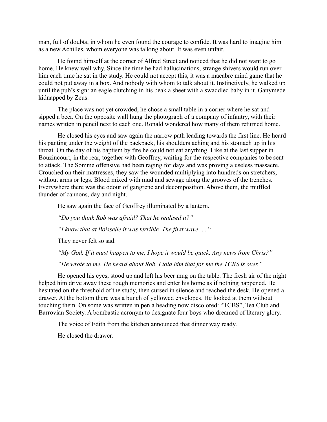man, full of doubts, in whom he even found the courage to confide. It was hard to imagine him as a new Achilles, whom everyone was talking about. It was even unfair.

He found himself at the corner of Alfred Street and noticed that he did not want to go home. He knew well why. Since the time he had hallucinations, strange shivers would run over him each time he sat in the study. He could not accept this, it was a macabre mind game that he could not put away in a box. And nobody with whom to talk about it. Instinctively, he walked up until the pub's sign: an eagle clutching in his beak a sheet with a swaddled baby in it. Ganymede kidnapped by Zeus.

The place was not yet crowded, he chose a small table in a corner where he sat and sipped a beer. On the opposite wall hung the photograph of a company of infantry, with their names written in pencil next to each one. Ronald wondered how many of them returned home.

He closed his eyes and saw again the narrow path leading towards the first line. He heard his panting under the weight of the backpack, his shoulders aching and his stomach up in his throat. On the day of his baptism by fire he could not eat anything. Like at the last supper in Bouzincourt, in the rear, together with Geoffrey, waiting for the respective companies to be sent to attack. The Somme offensive had been raging for days and was proving a useless massacre. Crouched on their mattresses, they saw the wounded multiplying into hundreds on stretchers, without arms or legs. Blood mixed with mud and sewage along the grooves of the trenches. Everywhere there was the odour of gangrene and decomposition. Above them, the muffled thunder of cannons, day and night.

He saw again the face of Geoffrey illuminated by a lantern.

*"Do you think Rob was afraid? That he realised it?"*

*"I know that at Boisselle it was terrible. The first wave*. . . "

They never felt so sad.

*"My God. If it must happen to me, I hope it would be quick. Any news from Chris?"*

*"He wrote to me. He heard about Rob. I told him that for me the TCBS is over."*

He opened his eyes, stood up and left his beer mug on the table. The fresh air of the night helped him drive away these rough memories and enter his home as if nothing happened. He hesitated on the threshold of the study, then cursed in silence and reached the desk. He opened a drawer. At the bottom there was a bunch of yellowed envelopes. He looked at them without touching them. On some was written in pen a heading now discolored: "TCBS", Tea Club and Barrovian Society. A bombastic acronym to designate four boys who dreamed of literary glory.

The voice of Edith from the kitchen announced that dinner way ready.

He closed the drawer.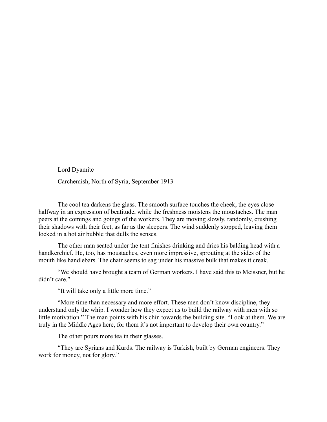Lord Dyamite Carchemish, North of Syria, September 1913

The cool tea darkens the glass. The smooth surface touches the cheek, the eyes close halfway in an expression of beatitude, while the freshness moistens the moustaches. The man peers at the comings and goings of the workers. They are moving slowly, randomly, crushing their shadows with their feet, as far as the sleepers. The wind suddenly stopped, leaving them locked in a hot air bubble that dulls the senses.

The other man seated under the tent finishes drinking and dries his balding head with a handkerchief. He, too, has moustaches, even more impressive, sprouting at the sides of the mouth like handlebars. The chair seems to sag under his massive bulk that makes it creak.

"We should have brought a team of German workers. I have said this to Meissner, but he didn't care."

"It will take only a little more time."

"More time than necessary and more effort. These men don't know discipline, they understand only the whip. I wonder how they expect us to build the railway with men with so little motivation." The man points with his chin towards the building site. "Look at them. We are truly in the Middle Ages here, for them it's not important to develop their own country."

The other pours more tea in their glasses.

"They are Syrians and Kurds. The railway is Turkish, built by German engineers. They work for money, not for glory."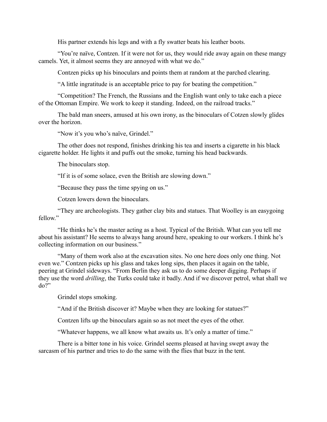His partner extends his legs and with a fly swatter beats his leather boots.

"You're naïve, Contzen. If it were not for us, they would ride away again on these mangy camels. Yet, it almost seems they are annoyed with what we do."

Contzen picks up his binoculars and points them at random at the parched clearing.

"A little ingratitude is an acceptable price to pay for beating the competition."

"Competition? The French, the Russians and the English want only to take each a piece of the Ottoman Empire. We work to keep it standing. Indeed, on the railroad tracks."

The bald man sneers, amused at his own irony, as the binoculars of Cotzen slowly glides over the horizon.

"Now it's you who's naïve, Grindel."

The other does not respond, finishes drinking his tea and inserts a cigarette in his black cigarette holder. He lights it and puffs out the smoke, turning his head backwards.

The binoculars stop.

"If it is of some solace, even the British are slowing down."

"Because they pass the time spying on us."

Cotzen lowers down the binoculars.

"They are archeologists. They gather clay bits and statues. That Woolley is an easygoing fellow"

"He thinks he's the master acting as a host. Typical of the British. What can you tell me about his assistant? He seems to always hang around here, speaking to our workers. I think he's collecting information on our business."

"Many of them work also at the excavation sites. No one here does only one thing. Not even we." Contzen picks up his glass and takes long sips, then places it again on the table, peering at Grindel sideways. "From Berlin they ask us to do some deeper digging. Perhaps if they use the word *drilling*, the Turks could take it badly. And if we discover petrol, what shall we do?"

Grindel stops smoking.

"And if the British discover it? Maybe when they are looking for statues?"

Contzen lifts up the binoculars again so as not meet the eyes of the other.

"Whatever happens, we all know what awaits us. It's only a matter of time."

There is a bitter tone in his voice. Grindel seems pleased at having swept away the sarcasm of his partner and tries to do the same with the flies that buzz in the tent.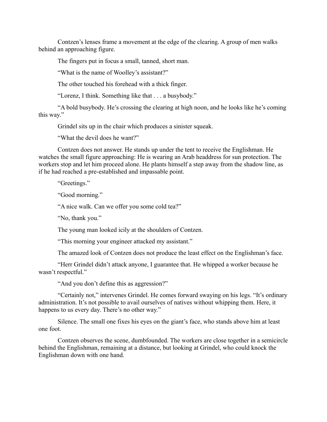Contzen's lenses frame a movement at the edge of the clearing. A group of men walks behind an approaching figure.

The fingers put in focus a small, tanned, short man.

"What is the name of Woolley's assistant?"

The other touched his forehead with a thick finger.

"Lorenz, I think. Something like that . . . a busybody."

"A bold busybody. He's crossing the clearing at high noon, and he looks like he's coming this way."

Grindel sits up in the chair which produces a sinister squeak.

"What the devil does he want?"

Contzen does not answer. He stands up under the tent to receive the Englishman. He watches the small figure approaching: He is wearing an Arab headdress for sun protection. The workers stop and let him proceed alone. He plants himself a step away from the shadow line, as if he had reached a pre-established and impassable point.

"Greetings."

"Good morning."

"A nice walk. Can we offer you some cold tea?"

"No, thank you."

The young man looked icily at the shoulders of Contzen.

"This morning your engineer attacked my assistant."

The amazed look of Contzen does not produce the least effect on the Englishman's face.

"Herr Grindel didn't attack anyone, I guarantee that. He whipped a worker because he wasn't respectful."

"And you don't define this as aggression?"

"Certainly not," intervenes Grindel. He comes forward swaying on his legs. "It's ordinary administration. It's not possible to avail ourselves of natives without whipping them. Here, it happens to us every day. There's no other way."

Silence. The small one fixes his eyes on the giant's face, who stands above him at least one foot.

Contzen observes the scene, dumbfounded. The workers are close together in a semicircle behind the Englishman, remaining at a distance, but looking at Grindel, who could knock the Englishman down with one hand.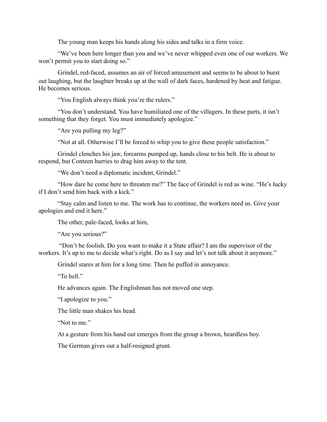The young man keeps his hands along his sides and talks in a firm voice.

"We've been here longer than you and we've never whipped even one of our workers. We won't permit you to start doing so."

Grindel, red-faced, assumes an air of forced amusement and seems to be about to burst out laughing, but the laughter breaks up at the wall of dark faces, hardened by heat and fatigue. He becomes serious.

"You English always think you're the rulers."

"You don't understand. You have humiliated one of the villagers. In these parts, it isn't something that they forget. You must immediately apologize."

"Are you pulling my leg?"

"Not at all. Otherwise I'll be forced to whip you to give these people satisfaction."

Grindel clenches his jaw, forearms pumped up, hands close to his belt. He is about to respond, but Contzen hurries to drag him away to the tent.

"We don't need a diplomatic incident, Grindel."

"How dare he come here to threaten me?" The face of Grindel is red as wine. "He's lucky if I don't send him back with a kick."

"Stay calm and listen to me. The work has to continue, the workers need us. Give your apologies and end it here."

The other, pale-faced, looks at him,

"Are you serious?"

 "Don't be foolish. Do you want to make it a State affair? I am the supervisor of the workers. It's up to me to decide what's right. Do as I say and let's not talk about it anymore."

Grindel stares at him for a long time. Then he puffed in annoyance.

"To hell"

He advances again. The Englishman has not moved one step.

"I apologize to you."

The little man shakes his head.

"Not to me."

At a gesture from his hand out emerges from the group a brown, beardless boy.

The German gives out a half-resigned grunt.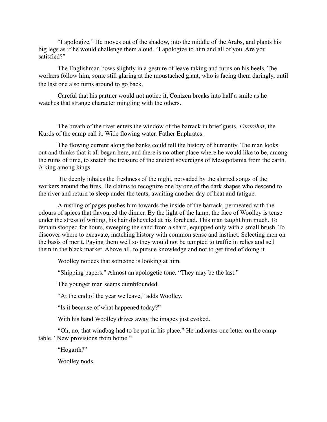"I apologize." He moves out of the shadow, into the middle of the Arabs, and plants his big legs as if he would challenge them aloud. "I apologize to him and all of you. Are you satisfied?"

The Englishman bows slightly in a gesture of leave-taking and turns on his heels. The workers follow him, some still glaring at the moustached giant, who is facing them daringly, until the last one also turns around to go back.

Careful that his partner would not notice it, Contzen breaks into half a smile as he watches that strange character mingling with the others.

The breath of the river enters the window of the barrack in brief gusts. *Fererehat*, the Kurds of the camp call it. Wide flowing water. Father Euphrates.

The flowing current along the banks could tell the history of humanity. The man looks out and thinks that it all began here, and there is no other place where he would like to be, among the ruins of time, to snatch the treasure of the ancient sovereigns of Mesopotamia from the earth. A king among kings.

 He deeply inhales the freshness of the night, pervaded by the slurred songs of the workers around the fires. He claims to recognize one by one of the dark shapes who descend to the river and return to sleep under the tents, awaiting another day of heat and fatigue.

A rustling of pages pushes him towards the inside of the barrack, permeated with the odours of spices that flavoured the dinner. By the light of the lamp, the face of Woolley is tense under the stress of writing, his hair disheveled at his forehead. This man taught him much. To remain stooped for hours, sweeping the sand from a shard, equipped only with a small brush. To discover where to excavate, matching history with common sense and instinct. Selecting men on the basis of merit. Paying them well so they would not be tempted to traffic in relics and sell them in the black market. Above all, to pursue knowledge and not to get tired of doing it.

Woolley notices that someone is looking at him.

"Shipping papers." Almost an apologetic tone. "They may be the last."

The younger man seems dumbfounded.

"At the end of the year we leave," adds Woolley.

"Is it because of what happened today?"

With his hand Woolley drives away the images just evoked.

"Oh, no, that windbag had to be put in his place." He indicates one letter on the camp table. "New provisions from home."

"Hogarth?"

Woolley nods.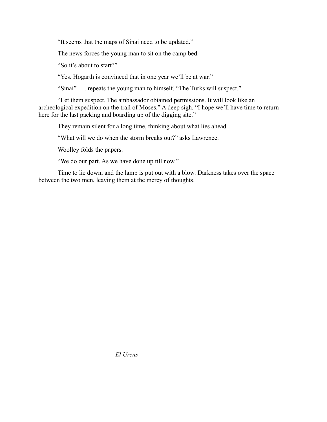"It seems that the maps of Sinai need to be updated."

The news forces the young man to sit on the camp bed.

"So it's about to start?"

"Yes. Hogarth is convinced that in one year we'll be at war."

"Sinai" . . . repeats the young man to himself. "The Turks will suspect."

"Let them suspect. The ambassador obtained permissions. It will look like an archeological expedition on the trail of Moses." A deep sigh. "I hope we'll have time to return here for the last packing and boarding up of the digging site."

They remain silent for a long time, thinking about what lies ahead.

"What will we do when the storm breaks out?" asks Lawrence.

Woolley folds the papers.

"We do our part. As we have done up till now."

Time to lie down, and the lamp is put out with a blow. Darkness takes over the space between the two men, leaving them at the mercy of thoughts.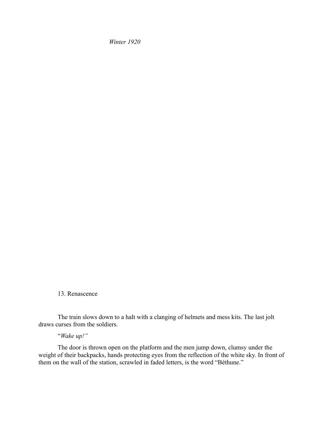*Winter 1920* 

13. Renascence

The train slows down to a halt with a clanging of helmets and mess kits. The last jolt draws curses from the soldiers.

# "*Wake up!"*

The door is thrown open on the platform and the men jump down, clumsy under the weight of their backpacks, hands protecting eyes from the reflection of the white sky. In front of them on the wall of the station, scrawled in faded letters, is the word "Béthune."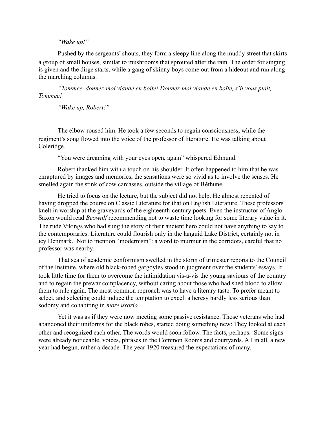## *"Wake up!"*

Pushed by the sergeants' shouts, they form a sleepy line along the muddy street that skirts a group of small houses, similar to mushrooms that sprouted after the rain. The order for singing is given and the dirge starts, while a gang of skinny boys come out from a hideout and run along the marching columns.

*"Tommee, donnez-moi viande en boîte! Donnez-moi viande en boîte, s'il vous plait, Tommee!*

*"Wake up, Robert!"*

The elbow roused him. He took a few seconds to regain consciousness, while the regiment's song flowed into the voice of the professor of literature. He was talking about Coleridge.

"You were dreaming with your eyes open, again" whispered Edmund.

Robert thanked him with a touch on his shoulder. It often happened to him that he was enraptured by images and memories, the sensations were so vivid as to involve the senses. He smelled again the stink of cow carcasses, outside the village of Béthune.

He tried to focus on the lecture, but the subject did not help. He almost repented of having dropped the course on Classic Literature for that on English Literature. These professors knelt in worship at the graveyards of the eighteenth-century poets. Even the instructor of Anglo-Saxon would read *Beowulf* recommending not to waste time looking for some literary value in it. The rude Vikings who had sung the story of their ancient hero could not have anything to say to the contemporaries. Literature could flourish only in the languid Lake District, certainly not in icy Denmark. Not to mention "modernism": a word to murmur in the corridors, careful that no professor was nearby.

That sea of academic conformism swelled in the storm of trimester reports to the Council of the Institute, where old black-robed gargoyles stood in judgment over the students' essays. It took little time for them to overcome the intimidation vis-a-vis the young saviours of the country and to regain the prewar complacency, without caring about those who had shed blood to allow them to rule again. The most common reproach was to have a literary taste. To prefer meant to select, and selecting could induce the temptation to excel: a heresy hardly less serious than sodomy and cohabiting in *more uxorio.*

Yet it was as if they were now meeting some passive resistance. Those veterans who had abandoned their uniforms for the black robes, started doing something new: They looked at each other and recognized each other. The words would soon follow. The facts, perhaps. Some signs were already noticeable, voices, phrases in the Common Rooms and courtyards. All in all, a new year had begun, rather a decade. The year 1920 treasured the expectations of many.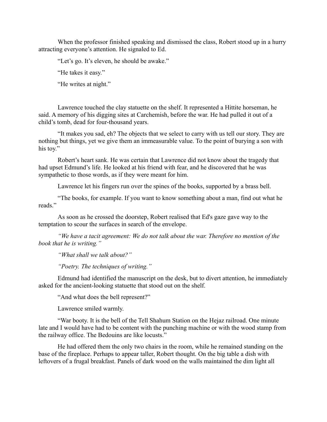When the professor finished speaking and dismissed the class, Robert stood up in a hurry attracting everyone's attention. He signaled to Ed.

"Let's go. It's eleven, he should be awake."

"He takes it easy."

"He writes at night."

Lawrence touched the clay statuette on the shelf. It represented a Hittite horseman, he said. A memory of his digging sites at Carchemish, before the war. He had pulled it out of a child's tomb, dead for four-thousand years.

"It makes you sad, eh? The objects that we select to carry with us tell our story. They are nothing but things, yet we give them an immeasurable value. To the point of burying a son with his toy."

Robert's heart sank. He was certain that Lawrence did not know about the tragedy that had upset Edmund's life. He looked at his friend with fear, and he discovered that he was sympathetic to those words, as if they were meant for him.

Lawrence let his fingers run over the spines of the books, supported by a brass bell.

"The books, for example. If you want to know something about a man, find out what he reads."

As soon as he crossed the doorstep, Robert realised that Ed's gaze gave way to the temptation to scour the surfaces in search of the envelope.

*"We have a tacit agreement: We do not talk about the war. Therefore no mention of the book that he is writing."*

*"What shall we talk about?"*

*"Poetry. The techniques of writing."*

Edmund had identified the manuscript on the desk, but to divert attention, he immediately asked for the ancient-looking statuette that stood out on the shelf.

"And what does the bell represent?"

Lawrence smiled warmly.

"War booty. It is the bell of the Tell Shahum Station on the Hejaz railroad. One minute late and I would have had to be content with the punching machine or with the wood stamp from the railway office. The Bedouins are like locusts."

He had offered them the only two chairs in the room, while he remained standing on the base of the fireplace. Perhaps to appear taller, Robert thought. On the big table a dish with leftovers of a frugal breakfast. Panels of dark wood on the walls maintained the dim light all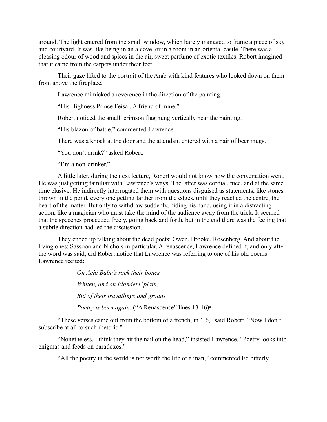around. The light entered from the small window, which barely managed to frame a piece of sky and courtyard. It was like being in an alcove, or in a room in an oriental castle. There was a pleasing odour of wood and spices in the air, sweet perfume of exotic textiles. Robert imagined that it came from the carpets under their feet.

Their gaze lifted to the portrait of the Arab with kind features who looked down on them from above the fireplace.

Lawrence mimicked a reverence in the direction of the painting.

"His Highness Prince Feisal. A friend of mine."

Robert noticed the small, crimson flag hung vertically near the painting.

"His blazon of battle," commented Lawrence.

There was a knock at the door and the attendant entered with a pair of beer mugs.

"You don't drink?" asked Robert.

"I'm a non-drinker."

A little later, during the next lecture, Robert would not know how the conversation went. He was just getting familiar with Lawrence's ways. The latter was cordial, nice, and at the same time elusive. He indirectly interrogated them with questions disguised as statements, like stones thrown in the pond, every one getting farther from the edges, until they reached the centre, the heart of the matter. But only to withdraw suddenly, hiding his hand, using it in a distracting action, like a magician who must take the mind of the audience away from the trick. It seemed that the speeches proceeded freely, going back and forth, but in the end there was the feeling that a subtle direction had led the discussion.

They ended up talking about the dead poets: Owen, Brooke, Rosenberg. And about the living ones: Sassoon and Nichols in particular. A renascence, Lawrence defined it, and only after the word was said, did Robert notice that Lawrence was referring to one of his old poems. Lawrence recited:

> *On Achi Baba's rock their bones Whiten, and on Flanders' plain, But of their travailings and groans*

*Poetry is born again.* ("A Renascence" lines 13-16)<sup>x</sup>

"These verses came out from the bottom of a trench, in '16," said Robert. "Now I don't subscribe at all to such rhetoric."

"Nonetheless, I think they hit the nail on the head," insisted Lawrence. "Poetry looks into enigmas and feeds on paradoxes."

"All the poetry in the world is not worth the life of a man," commented Ed bitterly.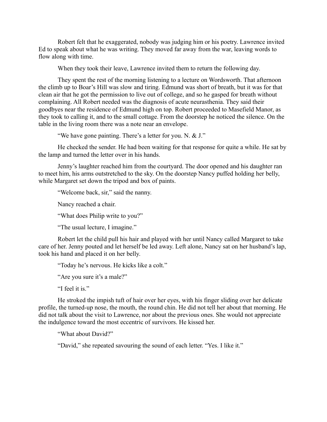Robert felt that he exaggerated, nobody was judging him or his poetry. Lawrence invited Ed to speak about what he was writing. They moved far away from the war, leaving words to flow along with time.

When they took their leave, Lawrence invited them to return the following day.

They spent the rest of the morning listening to a lecture on Wordsworth. That afternoon the climb up to Boar's Hill was slow and tiring. Edmund was short of breath, but it was for that clean air that he got the permission to live out of college, and so he gasped for breath without complaining. All Robert needed was the diagnosis of acute neurasthenia. They said their goodbyes near the residence of Edmund high on top. Robert proceeded to Masefield Manor, as they took to calling it, and to the small cottage. From the doorstep he noticed the silence. On the table in the living room there was a note near an envelope.

"We have gone painting. There's a letter for you. N. & J."

He checked the sender. He had been waiting for that response for quite a while. He sat by the lamp and turned the letter over in his hands.

Jenny's laughter reached him from the courtyard. The door opened and his daughter ran to meet him, his arms outstretched to the sky. On the doorstep Nancy puffed holding her belly, while Margaret set down the tripod and box of paints.

"Welcome back, sir," said the nanny.

Nancy reached a chair.

"What does Philip write to you?"

"The usual lecture, I imagine."

Robert let the child pull his hair and played with her until Nancy called Margaret to take care of her. Jenny pouted and let herself be led away. Left alone, Nancy sat on her husband's lap, took his hand and placed it on her belly.

"Today he's nervous. He kicks like a colt."

"Are you sure it's a male?"

"I feel it is."

He stroked the impish tuft of hair over her eyes, with his finger sliding over her delicate profile, the turned-up nose, the mouth, the round chin. He did not tell her about that morning. He did not talk about the visit to Lawrence, nor about the previous ones. She would not appreciate the indulgence toward the most eccentric of survivors. He kissed her.

"What about David?"

"David," she repeated savouring the sound of each letter. "Yes. I like it."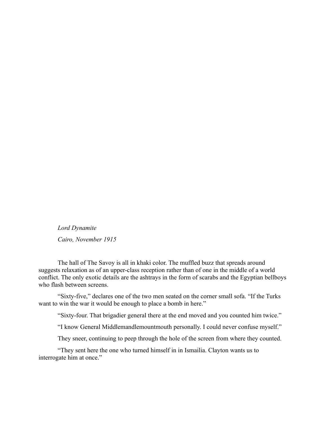*Lord Dynamite Cairo, November 1915*

The hall of The Savoy is all in khaki color. The muffled buzz that spreads around suggests relaxation as of an upper-class reception rather than of one in the middle of a world conflict. The only exotic details are the ashtrays in the form of scarabs and the Egyptian bellboys who flash between screens.

"Sixty-five," declares one of the two men seated on the corner small sofa. "If the Turks want to win the war it would be enough to place a bomb in here."

"Sixty-four. That brigadier general there at the end moved and you counted him twice."

"I know General Middlemandlemountmouth personally. I could never confuse myself."

They sneer, continuing to peep through the hole of the screen from where they counted.

"They sent here the one who turned himself in in Ismailia. Clayton wants us to interrogate him at once."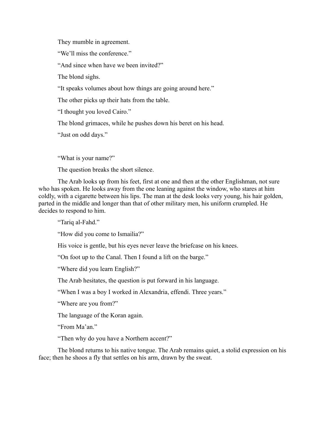They mumble in agreement.

"We'll miss the conference."

"And since when have we been invited?"

The blond sighs.

"It speaks volumes about how things are going around here."

The other picks up their hats from the table.

"I thought you loved Cairo."

The blond grimaces, while he pushes down his beret on his head.

"Just on odd days."

"What is your name?"

The question breaks the short silence.

The Arab looks up from his feet, first at one and then at the other Englishman, not sure who has spoken. He looks away from the one leaning against the window, who stares at him coldly, with a cigarette between his lips. The man at the desk looks very young, his hair golden, parted in the middle and longer than that of other military men, his uniform crumpled. He decides to respond to him.

"Tariq al-Fahd."

"How did you come to Ismailia?"

His voice is gentle, but his eyes never leave the briefcase on his knees.

"On foot up to the Canal. Then I found a lift on the barge."

"Where did you learn English?"

The Arab hesitates, the question is put forward in his language.

"When I was a boy I worked in Alexandria, effendi. Three years."

"Where are you from?"

The language of the Koran again.

"From Ma'an"

"Then why do you have a Northern accent?"

The blond returns to his native tongue. The Arab remains quiet, a stolid expression on his face; then he shoos a fly that settles on his arm, drawn by the sweat.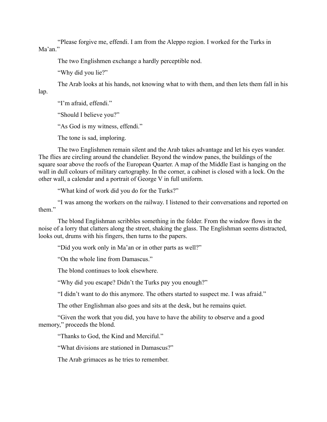"Please forgive me, effendi. I am from the Aleppo region. I worked for the Turks in Ma'an."

The two Englishmen exchange a hardly perceptible nod.

"Why did you lie?"

The Arab looks at his hands, not knowing what to with them, and then lets them fall in his

lap.

"I'm afraid, effendi."

"Should I believe you?"

"As God is my witness, effendi."

The tone is sad, imploring.

The two Englishmen remain silent and the Arab takes advantage and let his eyes wander. The flies are circling around the chandelier. Beyond the window panes, the buildings of the square soar above the roofs of the European Quarter. A map of the Middle East is hanging on the wall in dull colours of military cartography. In the corner, a cabinet is closed with a lock. On the other wall, a calendar and a portrait of George V in full uniform.

"What kind of work did you do for the Turks?"

"I was among the workers on the railway. I listened to their conversations and reported on them."

The blond Englishman scribbles something in the folder. From the window flows in the noise of a lorry that clatters along the street, shaking the glass. The Englishman seems distracted, looks out, drums with his fingers, then turns to the papers.

"Did you work only in Ma'an or in other parts as well?"

"On the whole line from Damascus."

The blond continues to look elsewhere.

"Why did you escape? Didn't the Turks pay you enough?"

"I didn't want to do this anymore. The others started to suspect me. I was afraid."

The other Englishman also goes and sits at the desk, but he remains quiet.

"Given the work that you did, you have to have the ability to observe and a good memory," proceeds the blond.

"Thanks to God, the Kind and Merciful."

"What divisions are stationed in Damascus?"

The Arab grimaces as he tries to remember.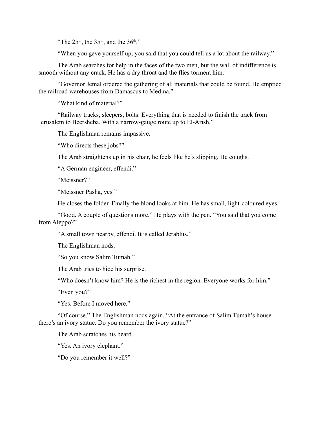"The  $25<sup>th</sup>$ , the  $35<sup>th</sup>$ , and the  $36<sup>th</sup>$ ."

"When you gave yourself up, you said that you could tell us a lot about the railway."

The Arab searches for help in the faces of the two men, but the wall of indifference is smooth without any crack. He has a dry throat and the flies torment him.

"Governor Jemal ordered the gathering of all materials that could be found. He emptied the railroad warehouses from Damascus to Medina."

"What kind of material?"

"Railway tracks, sleepers, bolts. Everything that is needed to finish the track from Jerusalem to Beersheba. With a narrow-gauge route up to El-Arish."

The Englishman remains impassive.

"Who directs these jobs?"

The Arab straightens up in his chair, he feels like he's slipping. He coughs.

"A German engineer, effendi."

"Meissner?"

"Meissner Pasha, yes."

He closes the folder. Finally the blond looks at him. He has small, light-coloured eyes.

"Good. A couple of questions more." He plays with the pen. "You said that you come from Aleppo?"

"A small town nearby, effendi. It is called Jerablus."

The Englishman nods.

"So you know Salim Tumah."

The Arab tries to hide his surprise.

"Who doesn't know him? He is the richest in the region. Everyone works for him."

"Even you?"

"Yes. Before I moved here."

"Of course." The Englishman nods again. "At the entrance of Salim Tumah's house there's an ivory statue. Do you remember the ivory statue?"

The Arab scratches his beard.

"Yes. An ivory elephant."

"Do you remember it well?"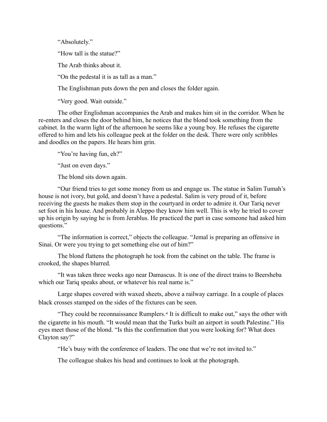"Absolutely."

"How tall is the statue?"

The Arab thinks about it.

"On the pedestal it is as tall as a man."

The Englishman puts down the pen and closes the folder again.

"Very good. Wait outside."

The other Englishman accompanies the Arab and makes him sit in the corridor. When he re-enters and closes the door behind him, he notices that the blond took something from the cabinet. In the warm light of the afternoon he seems like a young boy. He refuses the cigarette offered to him and lets his colleague peek at the folder on the desk. There were only scribbles and doodles on the papers. He hears him grin.

"You're having fun, eh?"

"Just on even days."

The blond sits down again.

"Our friend tries to get some money from us and engage us. The statue in Salim Tumah's house is not ivory, but gold, and doesn't have a pedestal. Salim is very proud of it, before receiving the guests he makes them stop in the courtyard in order to admire it. Our Tariq never set foot in his house. And probably in Aleppo they know him well. This is why he tried to cover up his origin by saying he is from Jerablus. He practiced the part in case someone had asked him questions."

"The information is correct," objects the colleague. "Jemal is preparing an offensive in Sinai. Or were you trying to get something else out of him?"

The blond flattens the photograph he took from the cabinet on the table. The frame is crooked, the shapes blurred.

"It was taken three weeks ago near Damascus. It is one of the direct trains to Beersheba which our Tariq speaks about, or whatever his real name is."

Large shapes covered with waxed sheets, above a railway carriage. In a couple of places black crosses stamped on the sides of the fixtures can be seen.

"They could be reconnaissance Rumplers. $x$ <sup>i</sup> It is difficult to make out," says the other with the cigarette in his mouth. "It would mean that the Turks built an airport in south Palestine." His eyes meet those of the blond. "Is this the confirmation that you were looking for? What does Clayton say?"

"He's busy with the conference of leaders. The one that we're not invited to."

The colleague shakes his head and continues to look at the photograph.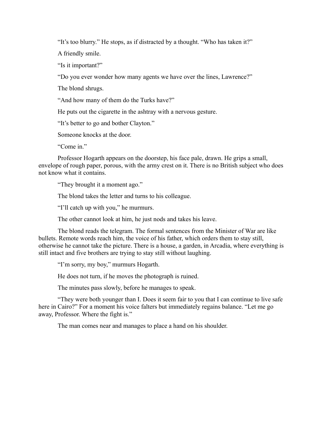"It's too blurry." He stops, as if distracted by a thought. "Who has taken it?"

A friendly smile.

"Is it important?"

"Do you ever wonder how many agents we have over the lines, Lawrence?"

The blond shrugs.

"And how many of them do the Turks have?"

He puts out the cigarette in the ashtray with a nervous gesture.

"It's better to go and bother Clayton."

Someone knocks at the door.

"Come in"

Professor Hogarth appears on the doorstep, his face pale, drawn. He grips a small, envelope of rough paper, porous, with the army crest on it. There is no British subject who does not know what it contains.

"They brought it a moment ago."

The blond takes the letter and turns to his colleague.

"I'll catch up with you," he murmurs.

The other cannot look at him, he just nods and takes his leave.

The blond reads the telegram. The formal sentences from the Minister of War are like bullets. Remote words reach him, the voice of his father, which orders them to stay still, otherwise he cannot take the picture. There is a house, a garden, in Arcadia, where everything is still intact and five brothers are trying to stay still without laughing.

"I'm sorry, my boy," murmurs Hogarth.

He does not turn, if he moves the photograph is ruined.

The minutes pass slowly, before he manages to speak.

"They were both younger than I. Does it seem fair to you that I can continue to live safe here in Cairo?" For a moment his voice falters but immediately regains balance. "Let me go away, Professor. Where the fight is."

The man comes near and manages to place a hand on his shoulder.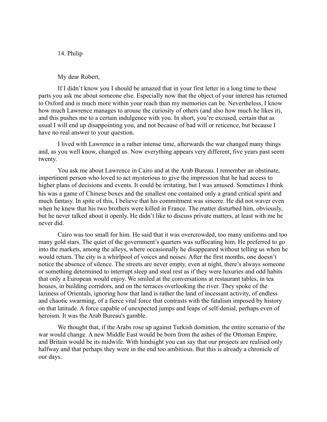### 14. Philip

My dear Robert,

If I didn't know you I should be amazed that in your first letter in a long time to these parts you ask me about someone else. Especially now that the object of your interest has returned to Oxford and is much more within your reach than my memories can be. Nevertheless, I know how much Lawrence manages to arouse the curiosity of others (and also how much he likes it), and this pushes me to a certain indulgence with you. In short, you're excused, certain that as usual I will end up disappointing you, and not because of bad will or reticence, but because I have no real answer to your question.

I lived with Lawrence in a rather intense time, afterwards the war changed many things and, as you well know, changed us. Now everything appears very different, five years past seem twenty.

You ask me about Lawrence in Cairo and at the Arab Bureau. I remember an obstinate, impertinent person who loved to act mysterious to give the impression that he had access to higher plans of decisions and events. It could be irritating, but I was amused. Sometimes I think his was a game of Chinese boxes and the smallest one contained only a grand critical spirit and much fantasy. In spite of this, I believe that his commitment was sincere. He did not waver even when he knew that his two brothers were killed in France. The matter disturbed him, obviously, but he never talked about it openly. He didn't like to discuss private matters, at least with me he never did.

Cairo was too small for him. He said that it was overcrowded, too many uniforms and too many gold stars. The quiet of the government's quarters was suffocating him. He preferred to go into the markets, among the alleys, where occasionally he disappeared without telling us when he would return. The city is a whirlpool of voices and noises. After the first months, one doesn't notice the absence of silence. The streets are never empty, even at night, there's always someone or something determined to interrupt sleep and steal rest as if they were luxuries and odd habits that only a European would enjoy. We smiled at the conversations at restaurant tables, in tea houses, in building corridors, and on the terraces overlooking the river. They spoke of the laziness of Orientals, ignoring how that land is rather the land of incessant activity, of endless and chaotic swarming, of a fierce vital force that contrasts with the fatalism imposed by history on that latitude. A force capable of unexpected jumps and leaps of self-denial, perhaps even of heroism. It was the Arab Bureau's gamble.

We thought that, if the Arabs rose up against Turkish dominion, the entire scenario of the war would change. A new Middle East would be born from the ashes of the Ottoman Empire, and Britain would be its midwife. With hindsight you can say that our projects are realised only halfway and that perhaps they were in the end too ambitious. But this is already a chronicle of our days.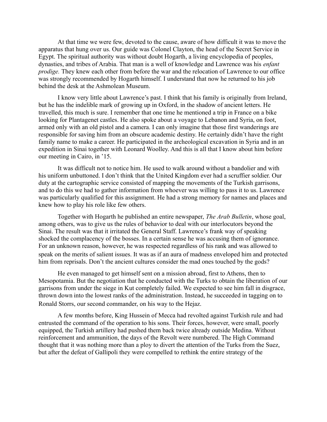At that time we were few, devoted to the cause, aware of how difficult it was to move the apparatus that hung over us. Our guide was Colonel Clayton, the head of the Secret Service in Egypt. The spiritual authority was without doubt Hogarth, a living encyclopedia of peoples, dynasties, and tribes of Arabia. That man is a well of knowledge and Lawrence was his *enfant prodige.* They knew each other from before the war and the relocation of Lawrence to our office was strongly recommended by Hogarth himself. I understand that now he returned to his job behind the desk at the Ashmolean Museum.

I know very little about Lawrence's past. I think that his family is originally from Ireland, but he has the indelible mark of growing up in Oxford, in the shadow of ancient letters. He travelled, this much is sure. I remember that one time he mentioned a trip in France on a bike looking for Plantagenet castles. He also spoke about a voyage to Lebanon and Syria, on foot, armed only with an old pistol and a camera. I can only imagine that those first wanderings are responsible for saving him from an obscure academic destiny. He certainly didn't have the right family name to make a career. He participated in the archeological excavation in Syria and in an expedition in Sinai together with Leonard Woolley. And this is all that I know about him before our meeting in Cairo, in '15.

It was difficult not to notice him. He used to walk around without a bandolier and with his uniform unbuttoned. I don't think that the United Kingdom ever had a scruffier soldier. Our duty at the cartographic service consisted of mapping the movements of the Turkish garrisons, and to do this we had to gather information from whoever was willing to pass it to us. Lawrence was particularly qualified for this assignment. He had a strong memory for names and places and knew how to play his role like few others.

Together with Hogarth he published an entire newspaper, *The Arab Bulletin*, whose goal, among others, was to give us the rules of behavior to deal with our interlocutors beyond the Sinai. The result was that it irritated the General Staff. Lawrence's frank way of speaking shocked the complacency of the bosses. In a certain sense he was accusing them of ignorance. For an unknown reason, however, he was respected regardless of his rank and was allowed to speak on the merits of salient issues. It was as if an aura of madness enveloped him and protected him from reprisals. Don't the ancient cultures consider the mad ones touched by the gods?

He even managed to get himself sent on a mission abroad, first to Athens, then to Mesopotamia. But the negotiation that he conducted with the Turks to obtain the liberation of our garrisons from under the siege in Kut completely failed. We expected to see him fall in disgrace, thrown down into the lowest ranks of the administration. Instead, he succeeded in tagging on to Ronald Storrs, our second commander, on his way to the Hejaz.

A few months before, King Hussein of Mecca had revolted against Turkish rule and had entrusted the command of the operation to his sons. Their forces, however, were small, poorly equipped, the Turkish artillery had pushed them back twice already outside Medina. Without reinforcement and ammunition, the days of the Revolt were numbered. The High Command thought that it was nothing more than a ploy to divert the attention of the Turks from the Suez, but after the defeat of Gallipoli they were compelled to rethink the entire strategy of the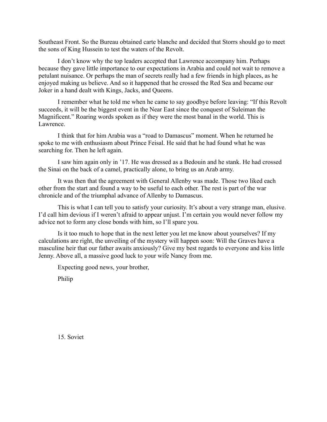Southeast Front. So the Bureau obtained carte blanche and decided that Storrs should go to meet the sons of King Hussein to test the waters of the Revolt.

I don't know why the top leaders accepted that Lawrence accompany him. Perhaps because they gave little importance to our expectations in Arabia and could not wait to remove a petulant nuisance. Or perhaps the man of secrets really had a few friends in high places, as he enjoyed making us believe. And so it happened that he crossed the Red Sea and became our Joker in a hand dealt with Kings, Jacks, and Queens.

I remember what he told me when he came to say goodbye before leaving: "If this Revolt succeeds, it will be the biggest event in the Near East since the conquest of Suleiman the Magnificent." Roaring words spoken as if they were the most banal in the world. This is Lawrence.

I think that for him Arabia was a "road to Damascus" moment. When he returned he spoke to me with enthusiasm about Prince Feisal. He said that he had found what he was searching for. Then he left again.

I saw him again only in '17. He was dressed as a Bedouin and he stank. He had crossed the Sinai on the back of a camel, practically alone, to bring us an Arab army.

It was then that the agreement with General Allenby was made. Those two liked each other from the start and found a way to be useful to each other. The rest is part of the war chronicle and of the triumphal advance of Allenby to Damascus.

This is what I can tell you to satisfy your curiosity. It's about a very strange man, elusive. I'd call him devious if I weren't afraid to appear unjust. I'm certain you would never follow my advice not to form any close bonds with him, so I'll spare you.

Is it too much to hope that in the next letter you let me know about yourselves? If my calculations are right, the unveiling of the mystery will happen soon: Will the Graves have a masculine heir that our father awaits anxiously? Give my best regards to everyone and kiss little Jenny. Above all, a massive good luck to your wife Nancy from me.

Expecting good news, your brother,

Philip

15. Soviet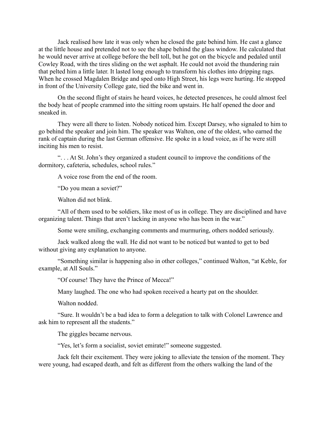Jack realised how late it was only when he closed the gate behind him. He cast a glance at the little house and pretended not to see the shape behind the glass window. He calculated that he would never arrive at college before the bell toll, but he got on the bicycle and pedaled until Cowley Road, with the tires sliding on the wet asphalt. He could not avoid the thundering rain that pelted him a little later. It lasted long enough to transform his clothes into dripping rags. When he crossed Magdalen Bridge and sped onto High Street, his legs were hurting. He stopped in front of the University College gate, tied the bike and went in.

On the second flight of stairs he heard voices, he detected presences, he could almost feel the body heat of people crammed into the sitting room upstairs. He half opened the door and sneaked in.

They were all there to listen. Nobody noticed him. Except Darsey, who signaled to him to go behind the speaker and join him. The speaker was Walton, one of the oldest, who earned the rank of captain during the last German offensive. He spoke in a loud voice, as if he were still inciting his men to resist.

". . . At St. John's they organized a student council to improve the conditions of the dormitory, cafeteria, schedules, school rules."

A voice rose from the end of the room.

"Do you mean a soviet?"

Walton did not blink.

"All of them used to be soldiers, like most of us in college. They are disciplined and have organizing talent. Things that aren't lacking in anyone who has been in the war."

Some were smiling, exchanging comments and murmuring, others nodded seriously.

Jack walked along the wall. He did not want to be noticed but wanted to get to bed without giving any explanation to anyone.

"Something similar is happening also in other colleges," continued Walton, "at Keble, for example, at All Souls."

"Of course! They have the Prince of Mecca!"

Many laughed. The one who had spoken received a hearty pat on the shoulder.

Walton nodded.

"Sure. It wouldn't be a bad idea to form a delegation to talk with Colonel Lawrence and ask him to represent all the students."

The giggles became nervous.

"Yes, let's form a socialist, soviet emirate!" someone suggested.

Jack felt their excitement. They were joking to alleviate the tension of the moment. They were young, had escaped death, and felt as different from the others walking the land of the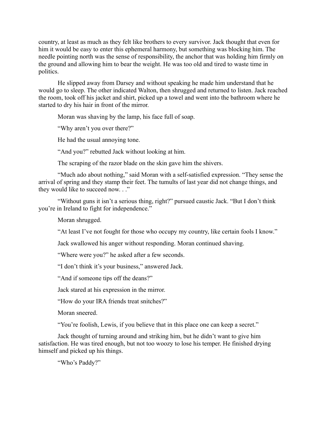country, at least as much as they felt like brothers to every survivor. Jack thought that even for him it would be easy to enter this ephemeral harmony, but something was blocking him. The needle pointing north was the sense of responsibility, the anchor that was holding him firmly on the ground and allowing him to bear the weight. He was too old and tired to waste time in politics.

He slipped away from Darsey and without speaking he made him understand that he would go to sleep. The other indicated Walton, then shrugged and returned to listen. Jack reached the room, took off his jacket and shirt, picked up a towel and went into the bathroom where he started to dry his hair in front of the mirror.

Moran was shaving by the lamp, his face full of soap.

"Why aren't you over there?"

He had the usual annoying tone.

"And you?" rebutted Jack without looking at him.

The scraping of the razor blade on the skin gave him the shivers.

"Much ado about nothing," said Moran with a self-satisfied expression. "They sense the arrival of spring and they stamp their feet. The tumults of last year did not change things, and they would like to succeed now. . ."

"Without guns it isn't a serious thing, right?" pursued caustic Jack. "But I don't think you're in Ireland to fight for independence."

Moran shrugged.

"At least I've not fought for those who occupy my country, like certain fools I know."

Jack swallowed his anger without responding. Moran continued shaving.

"Where were you?" he asked after a few seconds.

"I don't think it's your business," answered Jack.

"And if someone tips off the deans?"

Jack stared at his expression in the mirror.

"How do your IRA friends treat snitches?"

Moran sneered.

"You're foolish, Lewis, if you believe that in this place one can keep a secret."

Jack thought of turning around and striking him, but he didn't want to give him satisfaction. He was tired enough, but not too woozy to lose his temper. He finished drying himself and picked up his things.

"Who's Paddy?"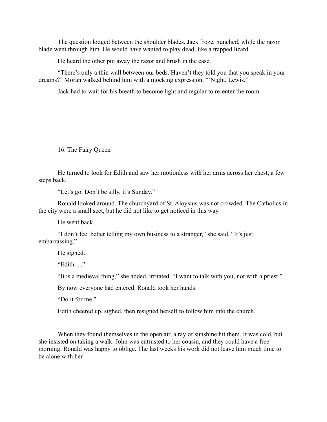The question lodged between the shoulder blades. Jack froze, hunched, while the razor blade went through him. He would have wanted to play dead, like a trapped lizard.

He heard the other put away the razor and brush in the case.

"There's only a thin wall between our beds. Haven't they told you that you speak in your dreams?" Moran walked behind him with a mocking expression. "'Night, Lewis."

Jack had to wait for his breath to become light and regular to re-enter the room.

16. The Fairy Queen

He turned to look for Edith and saw her motionless with her arms across her chest, a few steps back.

"Let's go. Don't be silly, it's Sunday."

Ronald looked around. The churchyard of St. Aloysius was not crowded. The Catholics in the city were a small sect, but he did not like to get noticed in this way.

He went back.

"I don't feel better telling my own business to a stranger," she said. "It's just embarrassing."

He sighed.

"Edith. . ."

"It is a medieval thing," she added, irritated. "I want to talk with you, not with a priest."

By now everyone had entered. Ronald took her hands.

"Do it for me."

Edith cheered up, sighed, then resigned herself to follow him into the church.

When they found themselves in the open air, a ray of sunshine hit them. It was cold, but she insisted on taking a walk. John was entrusted to her cousin, and they could have a free morning. Ronald was happy to oblige. The last weeks his work did not leave him much time to be alone with her.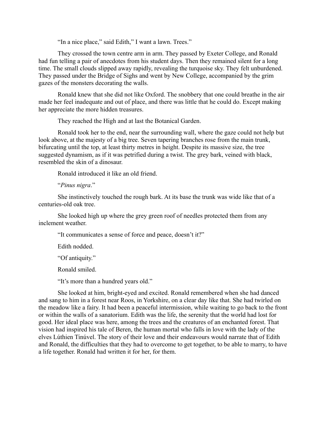"In a nice place," said Edith," I want a lawn. Trees."

They crossed the town centre arm in arm. They passed by Exeter College, and Ronald had fun telling a pair of anecdotes from his student days. Then they remained silent for a long time. The small clouds slipped away rapidly, revealing the turquoise sky. They felt unburdened. They passed under the Bridge of Sighs and went by New College, accompanied by the grim gazes of the monsters decorating the walls.

Ronald knew that she did not like Oxford. The snobbery that one could breathe in the air made her feel inadequate and out of place, and there was little that he could do. Except making her appreciate the more hidden treasures.

They reached the High and at last the Botanical Garden.

Ronald took her to the end, near the surrounding wall, where the gaze could not help but look above, at the majesty of a big tree. Seven tapering branches rose from the main trunk, bifurcating until the top, at least thirty metres in height. Despite its massive size, the tree suggested dynamism, as if it was petrified during a twist. The grey bark, veined with black, resembled the skin of a dinosaur.

Ronald introduced it like an old friend.

"*Pinus nigra*."

She instinctively touched the rough bark. At its base the trunk was wide like that of a centuries-old oak tree.

She looked high up where the grey green roof of needles protected them from any inclement weather.

"It communicates a sense of force and peace, doesn't it?"

Edith nodded.

"Of antiquity."

Ronald smiled.

"It's more than a hundred years old."

She looked at him, bright-eyed and excited. Ronald remembered when she had danced and sang to him in a forest near Roos, in Yorkshire, on a clear day like that. She had twirled on the meadow like a fairy. It had been a peaceful intermission, while waiting to go back to the front or within the walls of a sanatorium. Edith was the life, the serenity that the world had lost for good. Her ideal place was here, among the trees and the creatures of an enchanted forest. That vision had inspired his tale of Beren, the human mortal who falls in love with the lady of the elves Lúthien Tinúvel. The story of their love and their endeavours would narrate that of Edith and Ronald, the difficulties that they had to overcome to get together, to be able to marry, to have a life together. Ronald had written it for her, for them.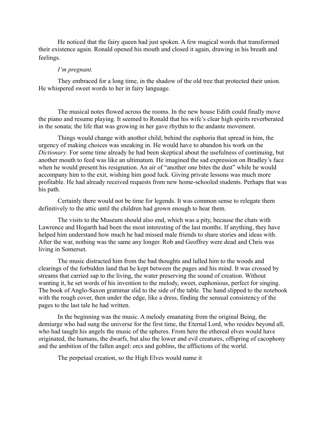He noticed that the fairy queen had just spoken. A few magical words that transformed their existence again. Ronald opened his mouth and closed it again, drawing in his breath and feelings.

#### *I'm pregnant.*

They embraced for a long time, in the shadow of the old tree that protected their union. He whispered sweet words to her in fairy language.

The musical notes flowed across the rooms. In the new house Edith could finally move the piano and resume playing. It seemed to Ronald that his wife's clear high spirits reverberated in the sonata; the life that was growing in her gave rhythm to the andante movement.

Things would change with another child; behind the euphoria that spread in him, the urgency of making choices was sneaking in. He would have to abandon his work on the *Dictionary*. For some time already he had been skeptical about the usefulness of continuing, but another mouth to feed was like an ultimatum. He imagined the sad expression on Bradley's face when he would present his resignation. An air of "another one bites the dust" while he would accompany him to the exit, wishing him good luck. Giving private lessons was much more profitable. He had already received requests from new home-schooled students. Perhaps that was his path.

Certainly there would not be time for legends. It was common sense to relegate them definitively to the attic until the children had grown enough to hear them.

The visits to the Museum should also end, which was a pity, because the chats with Lawrence and Hogarth had been the most interesting of the last months. If anything, they have helped him understand how much he had missed male friends to share stories and ideas with. After the war, nothing was the same any longer. Rob and Geoffrey were dead and Chris was living in Somerset.

The music distracted him from the bad thoughts and lulled him to the woods and clearings of the forbidden land that he kept between the pages and his mind. It was crossed by streams that carried sap to the living, the water preserving the sound of creation. Without wanting it, he set words of his invention to the melody, sweet, euphonious, perfect for singing. The book of Anglo-Saxon grammar slid to the side of the table. The hand slipped to the notebook with the rough cover, then under the edge, like a dress, finding the sensual consistency of the pages to the last tale he had written.

In the beginning was the music. A melody emanating from the original Being, the demiurge who had sung the universe for the first time, the Eternal Lord, who resides beyond all, who had taught his angels the music of the spheres. From here the ethereal elves would have originated, the humans, the dwarfs, but also the lower and evil creatures, offspring of cacophony and the ambition of the fallen angel: orcs and goblins, the afflictions of the world.

The perpetual creation, so the High Elves would name it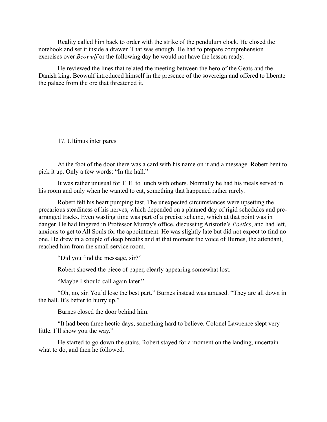Reality called him back to order with the strike of the pendulum clock. He closed the notebook and set it inside a drawer. That was enough. He had to prepare comprehension exercises over *Beowulf* or the following day he would not have the lesson ready.

He reviewed the lines that related the meeting between the hero of the Geats and the Danish king. Beowulf introduced himself in the presence of the sovereign and offered to liberate the palace from the orc that threatened it.

17. Ultimus inter pares

At the foot of the door there was a card with his name on it and a message. Robert bent to pick it up. Only a few words: "In the hall."

It was rather unusual for T. E. to lunch with others. Normally he had his meals served in his room and only when he wanted to eat, something that happened rather rarely.

Robert felt his heart pumping fast. The unexpected circumstances were upsetting the precarious steadiness of his nerves, which depended on a planned day of rigid schedules and prearranged tracks. Even wasting time was part of a precise scheme, which at that point was in danger. He had lingered in Professor Murray's office, discussing Aristotle's *Poetics*, and had left, anxious to get to All Souls for the appointment. He was slightly late but did not expect to find no one. He drew in a couple of deep breaths and at that moment the voice of Burnes, the attendant, reached him from the small service room.

"Did you find the message, sir?"

Robert showed the piece of paper, clearly appearing somewhat lost.

"Maybe I should call again later."

"Oh, no, sir. You'd lose the best part." Burnes instead was amused. "They are all down in the hall. It's better to hurry up."

Burnes closed the door behind him.

"It had been three hectic days, something hard to believe. Colonel Lawrence slept very little. I'll show you the way."

He started to go down the stairs. Robert stayed for a moment on the landing, uncertain what to do, and then he followed.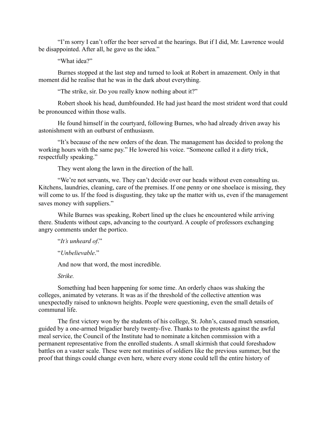"I'm sorry I can't offer the beer served at the hearings. But if I did, Mr. Lawrence would be disappointed. After all, he gave us the idea."

"What idea?"

Burnes stopped at the last step and turned to look at Robert in amazement. Only in that moment did he realise that he was in the dark about everything.

"The strike, sir. Do you really know nothing about it?"

Robert shook his head, dumbfounded. He had just heard the most strident word that could be pronounced within those walls.

He found himself in the courtyard, following Burnes, who had already driven away his astonishment with an outburst of enthusiasm.

"It's because of the new orders of the dean. The management has decided to prolong the working hours with the same pay." He lowered his voice. "Someone called it a dirty trick, respectfully speaking."

They went along the lawn in the direction of the hall.

"We're not servants, we. They can't decide over our heads without even consulting us. Kitchens, laundries, cleaning, care of the premises. If one penny or one shoelace is missing, they will come to us. If the food is disgusting, they take up the matter with us, even if the management saves money with suppliers."

While Burnes was speaking, Robert lined up the clues he encountered while arriving there. Students without caps, advancing to the courtyard. A couple of professors exchanging angry comments under the portico.

"*It's unheard of*."

"*Unbelievable*."

And now that word, the most incredible.

*Strike.*

Something had been happening for some time. An orderly chaos was shaking the colleges, animated by veterans. It was as if the threshold of the collective attention was unexpectedly raised to unknown heights. People were questioning, even the small details of communal life.

The first victory won by the students of his college, St. John's, caused much sensation, guided by a one-armed brigadier barely twenty-five. Thanks to the protests against the awful meal service, the Council of the Institute had to nominate a kitchen commission with a permanent representative from the enrolled students. A small skirmish that could foreshadow battles on a vaster scale. These were not mutinies of soldiers like the previous summer, but the proof that things could change even here, where every stone could tell the entire history of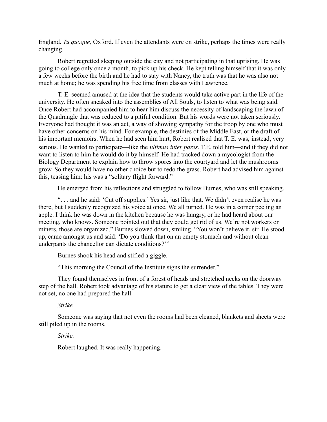England. *Tu quoque,* Oxford. If even the attendants were on strike, perhaps the times were really changing.

Robert regretted sleeping outside the city and not participating in that uprising. He was going to college only once a month, to pick up his check. He kept telling himself that it was only a few weeks before the birth and he had to stay with Nancy, the truth was that he was also not much at home; he was spending his free time from classes with Lawrence.

T. E. seemed amused at the idea that the students would take active part in the life of the university. He often sneaked into the assemblies of All Souls, to listen to what was being said. Once Robert had accompanied him to hear him discuss the necessity of landscaping the lawn of the Quadrangle that was reduced to a pitiful condition. But his words were not taken seriously. Everyone had thought it was an act, a way of showing sympathy for the troop by one who must have other concerns on his mind. For example, the destinies of the Middle East, or the draft of his important memoirs. When he had seen him hurt, Robert realised that T. E. was, instead, very serious. He wanted to participate—like the *ultimus inter pares*, T.E. told him—and if they did not want to listen to him he would do it by himself. He had tracked down a mycologist from the Biology Department to explain how to throw spores into the courtyard and let the mushrooms grow. So they would have no other choice but to redo the grass. Robert had advised him against this, teasing him: his was a "solitary flight forward."

He emerged from his reflections and struggled to follow Burnes, who was still speaking.

". . . and he said: 'Cut off supplies.' Yes sir, just like that. We didn't even realise he was there, but I suddenly recognized his voice at once. We all turned. He was in a corner peeling an apple. I think he was down in the kitchen because he was hungry, or he had heard about our meeting, who knows. Someone pointed out that they could get rid of us. We're not workers or miners, those are organized." Burnes slowed down, smiling. "You won't believe it, sir. He stood up, came amongst us and said: 'Do you think that on an empty stomach and without clean underpants the chancellor can dictate conditions?'"

Burnes shook his head and stifled a giggle.

"This morning the Council of the Institute signs the surrender."

They found themselves in front of a forest of heads and stretched necks on the doorway step of the hall. Robert took advantage of his stature to get a clear view of the tables. They were not set, no one had prepared the hall.

*Strike.*

Someone was saying that not even the rooms had been cleaned, blankets and sheets were still piled up in the rooms.

*Strike.*

Robert laughed. It was really happening.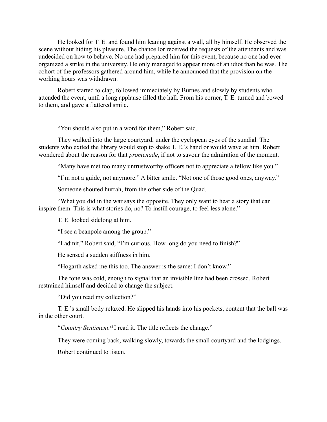He looked for T. E. and found him leaning against a wall, all by himself. He observed the scene without hiding his pleasure. The chancellor received the requests of the attendants and was undecided on how to behave. No one had prepared him for this event, because no one had ever organized a strike in the university. He only managed to appear more of an idiot than he was. The cohort of the professors gathered around him, while he announced that the provision on the working hours was withdrawn.

Robert started to clap, followed immediately by Burnes and slowly by students who attended the event, until a long applause filled the hall. From his corner, T. E. turned and bowed to them, and gave a flattered smile.

"You should also put in a word for them," Robert said.

They walked into the large courtyard, under the cyclopean eyes of the sundial. The students who exited the library would stop to shake T. E.'s hand or would wave at him. Robert wondered about the reason for that *promenade*, if not to savour the admiration of the moment.

"Many have met too many untrustworthy officers not to appreciate a fellow like you."

"I'm not a guide, not anymore." A bitter smile. "Not one of those good ones, anyway."

Someone shouted hurrah, from the other side of the Quad.

"What you did in the war says the opposite. They only want to hear a story that can inspire them. This is what stories do, no? To instill courage, to feel less alone."

T. E. looked sidelong at him.

"I see a beanpole among the group."

"I admit," Robert said, "I'm curious. How long do you need to finish?"

He sensed a sudden stiffness in him.

"Hogarth asked me this too. The answer is the same: I don't know."

The tone was cold, enough to signal that an invisible line had been crossed. Robert restrained himself and decided to change the subject.

"Did you read my collection?"

T. E.'s small body relaxed. He slipped his hands into his pockets, content that the ball was in the other court.

"*Country Sentiment.*xiiI read it. The title reflects the change."

They were coming back, walking slowly, towards the small courtyard and the lodgings.

Robert continued to listen.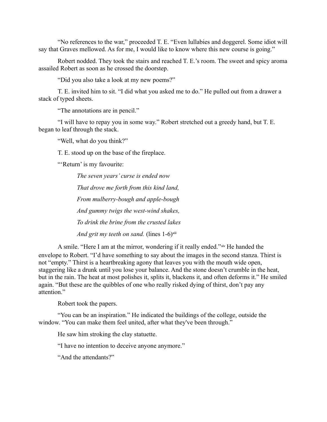"No references to the war," proceeded T. E. "Even lullabies and doggerel. Some idiot will say that Graves mellowed. As for me, I would like to know where this new course is going."

Robert nodded. They took the stairs and reached T. E.'s room. The sweet and spicy aroma assailed Robert as soon as he crossed the doorstep.

"Did you also take a look at my new poems?"

T. E. invited him to sit. "I did what you asked me to do." He pulled out from a drawer a stack of typed sheets.

"The annotations are in pencil."

"I will have to repay you in some way." Robert stretched out a greedy hand, but T. E. began to leaf through the stack.

"Well, what do you think?"

T. E. stood up on the base of the fireplace.

"'Return' is my favourite:

*The seven years' curse is ended now That drove me forth from this kind land, From mulberry-bough and apple-bough And gummy twigs the west-wind shakes, To drink the brine from the crusted lakes And grit my teeth on sand.* (lines 1-6)<sup>xiii</sup>

A smile. "Here I am at the mirror, wondering if it really ended."xiv He handed the envelope to Robert. "I'd have something to say about the images in the second stanza. Thirst is not "empty." Thirst is a heartbreaking agony that leaves you with the mouth wide open, staggering like a drunk until you lose your balance. And the stone doesn't crumble in the heat, but in the rain. The heat at most polishes it, splits it, blackens it, and often deforms it." He smiled again. "But these are the quibbles of one who really risked dying of thirst, don't pay any attention."

Robert took the papers.

"You can be an inspiration." He indicated the buildings of the college, outside the window. "You can make them feel united, after what they've been through."

He saw him stroking the clay statuette.

"I have no intention to deceive anyone anymore."

"And the attendants?"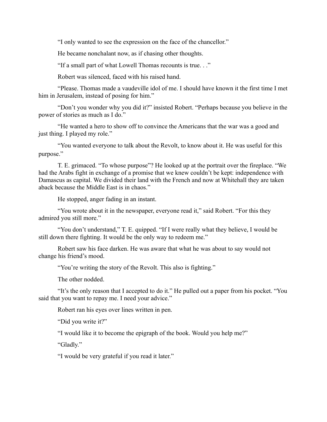"I only wanted to see the expression on the face of the chancellor."

He became nonchalant now, as if chasing other thoughts.

"If a small part of what Lowell Thomas recounts is true. . ."

Robert was silenced, faced with his raised hand.

"Please. Thomas made a vaudeville idol of me. I should have known it the first time I met him in Jerusalem, instead of posing for him."

"Don't you wonder why you did it?" insisted Robert. "Perhaps because you believe in the power of stories as much as I do."

"He wanted a hero to show off to convince the Americans that the war was a good and just thing. I played my role."

"You wanted everyone to talk about the Revolt, to know about it. He was useful for this purpose."

T. E. grimaced. "To whose purpose"? He looked up at the portrait over the fireplace. "We had the Arabs fight in exchange of a promise that we knew couldn't be kept: independence with Damascus as capital. We divided their land with the French and now at Whitehall they are taken aback because the Middle East is in chaos."

He stopped, anger fading in an instant.

"You wrote about it in the newspaper, everyone read it," said Robert. "For this they admired you still more."

"You don't understand," T. E. quipped. "If I were really what they believe, I would be still down there fighting. It would be the only way to redeem me."

Robert saw his face darken. He was aware that what he was about to say would not change his friend's mood.

"You're writing the story of the Revolt. This also is fighting."

The other nodded.

"It's the only reason that I accepted to do it." He pulled out a paper from his pocket. "You said that you want to repay me. I need your advice."

Robert ran his eyes over lines written in pen.

"Did you write it?"

"I would like it to become the epigraph of the book. Would you help me?"

"Gladly."

"I would be very grateful if you read it later."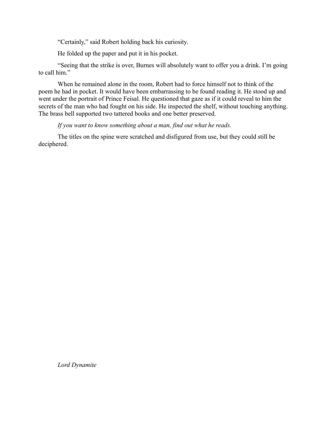"Certainly," said Robert holding back his curiosity.

He folded up the paper and put it in his pocket.

"Seeing that the strike is over, Burnes will absolutely want to offer you a drink. I'm going to call him."

When he remained alone in the room, Robert had to force himself not to think of the poem he had in pocket. It would have been embarrassing to be found reading it. He stood up and went under the portrait of Prince Feisal. He questioned that gaze as if it could reveal to him the secrets of the man who had fought on his side. He inspected the shelf, without touching anything. The brass bell supported two tattered books and one better preserved.

# *If you want to know something about a man, find out what he reads.*

The titles on the spine were scratched and disfigured from use, but they could still be deciphered.

*Lord Dynamite*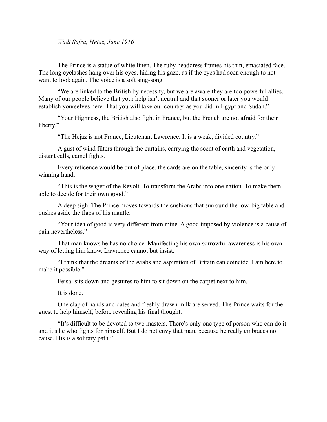*Wadi Safra, Hejaz, June 1916*

The Prince is a statue of white linen. The ruby headdress frames his thin, emaciated face. The long eyelashes hang over his eyes, hiding his gaze, as if the eyes had seen enough to not want to look again. The voice is a soft sing-song.

"We are linked to the British by necessity, but we are aware they are too powerful allies. Many of our people believe that your help isn't neutral and that sooner or later you would establish yourselves here. That you will take our country, as you did in Egypt and Sudan."

"Your Highness, the British also fight in France, but the French are not afraid for their liberty."

"The Hejaz is not France, Lieutenant Lawrence. It is a weak, divided country."

A gust of wind filters through the curtains, carrying the scent of earth and vegetation, distant calls, camel fights.

Every reticence would be out of place, the cards are on the table, sincerity is the only winning hand.

"This is the wager of the Revolt. To transform the Arabs into one nation. To make them able to decide for their own good."

A deep sigh. The Prince moves towards the cushions that surround the low, big table and pushes aside the flaps of his mantle.

"Your idea of good is very different from mine. A good imposed by violence is a cause of pain nevertheless."

That man knows he has no choice. Manifesting his own sorrowful awareness is his own way of letting him know. Lawrence cannot but insist.

"I think that the dreams of the Arabs and aspiration of Britain can coincide. I am here to make it possible."

Feisal sits down and gestures to him to sit down on the carpet next to him.

It is done.

One clap of hands and dates and freshly drawn milk are served. The Prince waits for the guest to help himself, before revealing his final thought.

"It's difficult to be devoted to two masters. There's only one type of person who can do it and it's he who fights for himself. But I do not envy that man, because he really embraces no cause. His is a solitary path."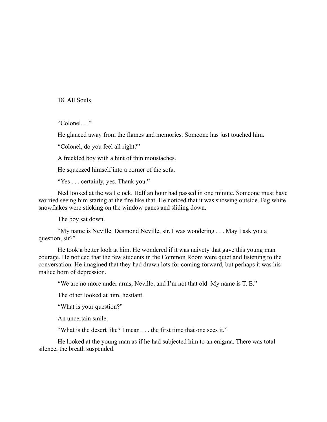18. All Souls

"Colonel. . ."

He glanced away from the flames and memories. Someone has just touched him.

"Colonel, do you feel all right?"

A freckled boy with a hint of thin moustaches.

He squeezed himself into a corner of the sofa.

"Yes . . . certainly, yes. Thank you."

Ned looked at the wall clock. Half an hour had passed in one minute. Someone must have worried seeing him staring at the fire like that. He noticed that it was snowing outside. Big white snowflakes were sticking on the window panes and sliding down.

The boy sat down.

"My name is Neville. Desmond Neville, sir. I was wondering . . . May I ask you a question, sir?"

He took a better look at him. He wondered if it was naivety that gave this young man courage. He noticed that the few students in the Common Room were quiet and listening to the conversation. He imagined that they had drawn lots for coming forward, but perhaps it was his malice born of depression.

"We are no more under arms, Neville, and I'm not that old. My name is T. E."

The other looked at him, hesitant.

"What is your question?"

An uncertain smile.

"What is the desert like? I mean . . . the first time that one sees it."

He looked at the young man as if he had subjected him to an enigma. There was total silence, the breath suspended.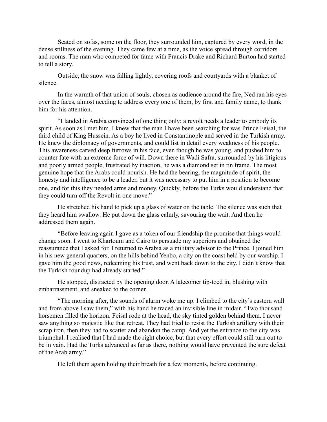Seated on sofas, some on the floor, they surrounded him, captured by every word, in the dense stillness of the evening. They came few at a time, as the voice spread through corridors and rooms. The man who competed for fame with Francis Drake and Richard Burton had started to tell a story.

Outside, the snow was falling lightly, covering roofs and courtyards with a blanket of silence.

In the warmth of that union of souls, chosen as audience around the fire, Ned ran his eyes over the faces, almost needing to address every one of them, by first and family name, to thank him for his attention.

"I landed in Arabia convinced of one thing only: a revolt needs a leader to embody its spirit. As soon as I met him, I knew that the man I have been searching for was Prince Feisal, the third child of King Hussein. As a boy he lived in Constantinople and served in the Turkish army. He knew the diplomacy of governments, and could list in detail every weakness of his people. This awareness carved deep furrows in his face, even though he was young, and pushed him to counter fate with an extreme force of will. Down there in Wadi Safra, surrounded by his litigious and poorly armed people, frustrated by inaction, he was a diamond set in tin frame. The most genuine hope that the Arabs could nourish. He had the bearing, the magnitude of spirit, the honesty and intelligence to be a leader, but it was necessary to put him in a position to become one, and for this they needed arms and money. Quickly, before the Turks would understand that they could turn off the Revolt in one move."

He stretched his hand to pick up a glass of water on the table. The silence was such that they heard him swallow. He put down the glass calmly, savouring the wait. And then he addressed them again.

"Before leaving again I gave as a token of our friendship the promise that things would change soon. I went to Khartoum and Cairo to persuade my superiors and obtained the reassurance that I asked for. I returned to Arabia as a military advisor to the Prince. I joined him in his new general quarters, on the hills behind Yenbo, a city on the coast held by our warship. I gave him the good news, redeeming his trust, and went back down to the city. I didn't know that the Turkish roundup had already started."

He stopped, distracted by the opening door. A latecomer tip-toed in, blushing with embarrassment, and sneaked to the corner.

"The morning after, the sounds of alarm woke me up. I climbed to the city's eastern wall and from above I saw them," with his hand he traced an invisible line in midair. "Two thousand horsemen filled the horizon. Feisal rode at the head, the sky tinted golden behind them. I never saw anything so majestic like that retreat. They had tried to resist the Turkish artillery with their scrap iron, then they had to scatter and abandon the camp. And yet the entrance to the city was triumphal. I realised that I had made the right choice, but that every effort could still turn out to be in vain. Had the Turks advanced as far as there, nothing would have prevented the sure defeat of the Arab army."

He left them again holding their breath for a few moments, before continuing.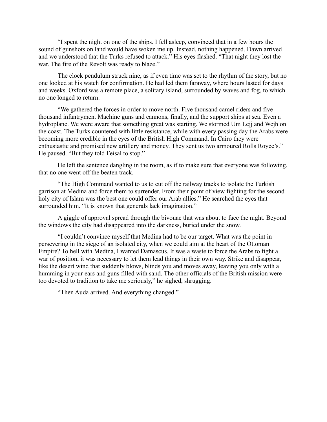"I spent the night on one of the ships. I fell asleep, convinced that in a few hours the sound of gunshots on land would have woken me up. Instead, nothing happened. Dawn arrived and we understood that the Turks refused to attack." His eyes flashed. "That night they lost the war. The fire of the Revolt was ready to blaze."

The clock pendulum struck nine, as if even time was set to the rhythm of the story, but no one looked at his watch for confirmation. He had led them faraway, where hours lasted for days and weeks. Oxford was a remote place, a solitary island, surrounded by waves and fog, to which no one longed to return.

"We gathered the forces in order to move north. Five thousand camel riders and five thousand infantrymen. Machine guns and cannons, finally, and the support ships at sea. Even a hydroplane. We were aware that something great was starting. We stormed Um Lejj and Wejh on the coast. The Turks countered with little resistance, while with every passing day the Arabs were becoming more credible in the eyes of the British High Command. In Cairo they were enthusiastic and promised new artillery and money. They sent us two armoured Rolls Royce's." He paused. "But they told Feisal to stop."

He left the sentence dangling in the room, as if to make sure that everyone was following, that no one went off the beaten track.

"The High Command wanted to us to cut off the railway tracks to isolate the Turkish garrison at Medina and force them to surrender. From their point of view fighting for the second holy city of Islam was the best one could offer our Arab allies." He searched the eyes that surrounded him. "It is known that generals lack imagination."

A giggle of approval spread through the bivouac that was about to face the night. Beyond the windows the city had disappeared into the darkness, buried under the snow.

"I couldn't convince myself that Medina had to be our target. What was the point in persevering in the siege of an isolated city, when we could aim at the heart of the Ottoman Empire? To hell with Medina, I wanted Damascus. It was a waste to force the Arabs to fight a war of position, it was necessary to let them lead things in their own way. Strike and disappear, like the desert wind that suddenly blows, blinds you and moves away, leaving you only with a humming in your ears and guns filled with sand. The other officials of the British mission were too devoted to tradition to take me seriously," he sighed, shrugging.

"Then Auda arrived. And everything changed."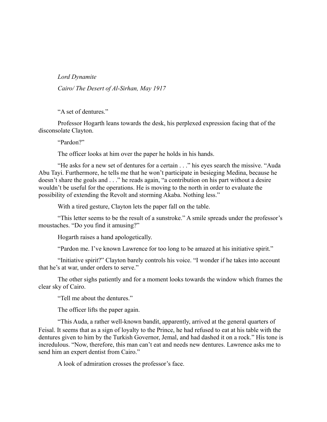*Lord Dynamite*

*Cairo/ The Desert of Al-Sirhan, May 1917*

"A set of dentures."

Professor Hogarth leans towards the desk, his perplexed expression facing that of the disconsolate Clayton.

"Pardon?"

The officer looks at him over the paper he holds in his hands.

"He asks for a new set of dentures for a certain . . ." his eyes search the missive. "Auda Abu Tayi. Furthermore, he tells me that he won't participate in besieging Medina, because he doesn't share the goals and . . ." he reads again, "a contribution on his part without a desire wouldn't be useful for the operations. He is moving to the north in order to evaluate the possibility of extending the Revolt and storming Akaba. Nothing less."

With a tired gesture, Clayton lets the paper fall on the table.

"This letter seems to be the result of a sunstroke." A smile spreads under the professor's moustaches. "Do you find it amusing?"

Hogarth raises a hand apologetically.

"Pardon me. I've known Lawrence for too long to be amazed at his initiative spirit."

"Initiative spirit?" Clayton barely controls his voice. "I wonder if he takes into account that he's at war, under orders to serve."

The other sighs patiently and for a moment looks towards the window which frames the clear sky of Cairo.

"Tell me about the dentures."

The officer lifts the paper again.

"This Auda, a rather well-known bandit, apparently, arrived at the general quarters of Feisal. It seems that as a sign of loyalty to the Prince, he had refused to eat at his table with the dentures given to him by the Turkish Governor, Jemal, and had dashed it on a rock." His tone is incredulous. "Now, therefore, this man can't eat and needs new dentures. Lawrence asks me to send him an expert dentist from Cairo."

A look of admiration crosses the professor's face.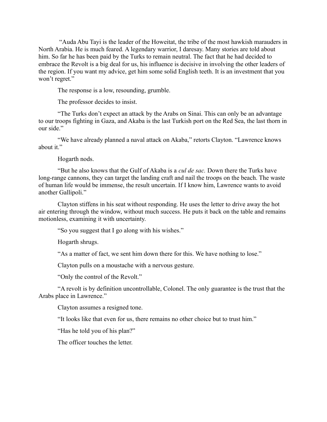"Auda Abu Tayi is the leader of the Howeitat, the tribe of the most hawkish marauders in North Arabia. He is much feared. A legendary warrior, I daresay. Many stories are told about him. So far he has been paid by the Turks to remain neutral. The fact that he had decided to embrace the Revolt is a big deal for us, his influence is decisive in involving the other leaders of the region. If you want my advice, get him some solid English teeth. It is an investment that you won't regret."

The response is a low, resounding, grumble.

The professor decides to insist.

"The Turks don't expect an attack by the Arabs on Sinai. This can only be an advantage to our troops fighting in Gaza, and Akaba is the last Turkish port on the Red Sea, the last thorn in our side."

"We have already planned a naval attack on Akaba," retorts Clayton. "Lawrence knows about it."

Hogarth nods.

"But he also knows that the Gulf of Akaba is a *cul de sac.* Down there the Turks have long-range cannons, they can target the landing craft and nail the troops on the beach. The waste of human life would be immense, the result uncertain. If I know him, Lawrence wants to avoid another Gallipoli."

Clayton stiffens in his seat without responding. He uses the letter to drive away the hot air entering through the window, without much success. He puts it back on the table and remains motionless, examining it with uncertainty.

"So you suggest that I go along with his wishes."

Hogarth shrugs.

"As a matter of fact, we sent him down there for this. We have nothing to lose."

Clayton pulls on a moustache with a nervous gesture.

"Only the control of the Revolt."

"A revolt is by definition uncontrollable, Colonel. The only guarantee is the trust that the Arabs place in Lawrence."

Clayton assumes a resigned tone.

"It looks like that even for us, there remains no other choice but to trust him."

"Has he told you of his plan?"

The officer touches the letter.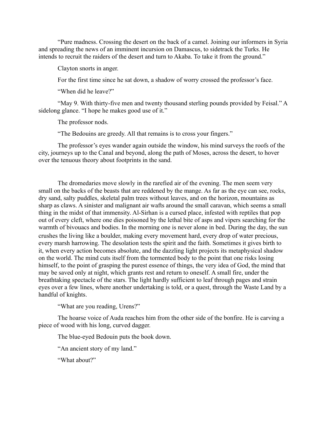"Pure madness. Crossing the desert on the back of a camel. Joining our informers in Syria and spreading the news of an imminent incursion on Damascus, to sidetrack the Turks. He intends to recruit the raiders of the desert and turn to Akaba. To take it from the ground."

Clayton snorts in anger.

For the first time since he sat down, a shadow of worry crossed the professor's face.

"When did he leave?"

"May 9. With thirty-five men and twenty thousand sterling pounds provided by Feisal." A sidelong glance. "I hope he makes good use of it."

The professor nods.

"The Bedouins are greedy. All that remains is to cross your fingers."

The professor's eyes wander again outside the window, his mind surveys the roofs of the city, journeys up to the Canal and beyond, along the path of Moses, across the desert, to hover over the tenuous theory about footprints in the sand.

The dromedaries move slowly in the rarefied air of the evening. The men seem very small on the backs of the beasts that are reddened by the mange. As far as the eye can see, rocks, dry sand, salty puddles, skeletal palm trees without leaves, and on the horizon, mountains as sharp as claws. A sinister and malignant air wafts around the small caravan, which seems a small thing in the midst of that immensity. Al-Sirhan is a cursed place, infested with reptiles that pop out of every cleft, where one dies poisoned by the lethal bite of asps and vipers searching for the warmth of bivouacs and bodies. In the morning one is never alone in bed. During the day, the sun crushes the living like a boulder, making every movement hard, every drop of water precious, every marsh harrowing. The desolation tests the spirit and the faith. Sometimes it gives birth to it, when every action becomes absolute, and the dazzling light projects its metaphysical shadow on the world. The mind cuts itself from the tormented body to the point that one risks losing himself, to the point of grasping the purest essence of things, the very idea of God, the mind that may be saved only at night, which grants rest and return to oneself. A small fire, under the breathtaking spectacle of the stars. The light hardly sufficient to leaf through pages and strain eyes over a few lines, where another undertaking is told, or a quest, through the Waste Land by a handful of knights.

"What are you reading, Urens?"

The hoarse voice of Auda reaches him from the other side of the bonfire. He is carving a piece of wood with his long, curved dagger.

The blue-eyed Bedouin puts the book down.

"An ancient story of my land."

"What about?"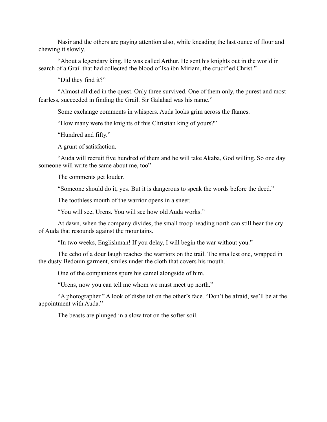Nasir and the others are paying attention also, while kneading the last ounce of flour and chewing it slowly.

"About a legendary king. He was called Arthur. He sent his knights out in the world in search of a Grail that had collected the blood of Isa ibn Miriam, the crucified Christ."

"Did they find it?"

"Almost all died in the quest. Only three survived. One of them only, the purest and most fearless, succeeded in finding the Grail. Sir Galahad was his name."

Some exchange comments in whispers. Auda looks grim across the flames.

"How many were the knights of this Christian king of yours?"

"Hundred and fifty."

A grunt of satisfaction.

"Auda will recruit five hundred of them and he will take Akaba, God willing. So one day someone will write the same about me, too"

The comments get louder.

"Someone should do it, yes. But it is dangerous to speak the words before the deed."

The toothless mouth of the warrior opens in a sneer.

"You will see, Urens. You will see how old Auda works."

At dawn, when the company divides, the small troop heading north can still hear the cry of Auda that resounds against the mountains.

"In two weeks, Englishman! If you delay, I will begin the war without you."

The echo of a dour laugh reaches the warriors on the trail. The smallest one, wrapped in the dusty Bedouin garment, smiles under the cloth that covers his mouth.

One of the companions spurs his camel alongside of him.

"Urens, now you can tell me whom we must meet up north."

"A photographer." A look of disbelief on the other's face. "Don't be afraid, we'll be at the appointment with Auda."

The beasts are plunged in a slow trot on the softer soil.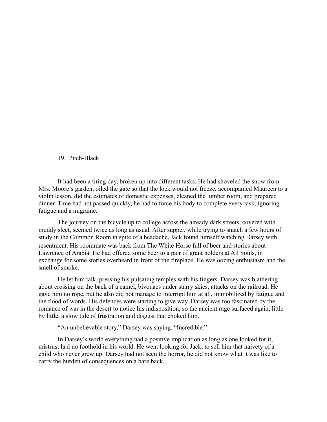## 19. Pitch-Black

It had been a tiring day, broken up into different tasks. He had shoveled the snow from Mrs. Moore's garden, oiled the gate so that the lock would not freeze, accompanied Maureen to a violin lesson, did the estimates of domestic expenses, cleaned the lumber room, and prepared dinner. Time had not passed quickly, he had to force his body to complete every task, ignoring fatigue and a migraine.

The journey on the bicycle up to college across the already dark streets, covered with muddy sleet, seemed twice as long as usual. After supper, while trying to snatch a few hours of study in the Common Room in spite of a headache, Jack found himself watching Darsey with resentment. His roommate was back from The White Horse full of beer and stories about Lawrence of Arabia. He had offered some beer to a pair of grant holders at All Souls, in exchange for some stories overheard in front of the fireplace. He was oozing enthusiasm and the smell of smoke.

He let him talk, pressing his pulsating temples with his fingers. Darsey was blathering about crossing on the back of a camel, bivouacs under starry skies, attacks on the railroad. He gave him no rope, but he also did not manage to interrupt him at all, immobilized by fatigue and the flood of words. His defences were starting to give way. Darsey was too fascinated by the romance of war in the desert to notice his indisposition, so the ancient rage surfaced again, little by little, a slow tide of frustration and disgust that choked him.

"An unbelievable story," Darsey was saying. "Incredible."

In Darsey's world everything had a positive implication as long as one looked for it, mistrust had no foothold in his world. He went looking for Jack, to sell him that naivety of a child who never grew up. Darsey had not seen the horror, he did not know what it was like to carry the burden of consequences on a bare back.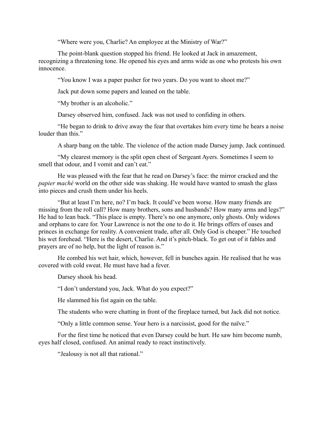"Where were you, Charlie? An employee at the Ministry of War?"

The point-blank question stopped his friend. He looked at Jack in amazement, recognizing a threatening tone. He opened his eyes and arms wide as one who protests his own innocence.

"You know I was a paper pusher for two years. Do you want to shoot me?"

Jack put down some papers and leaned on the table.

"My brother is an alcoholic."

Darsey observed him, confused. Jack was not used to confiding in others.

"He began to drink to drive away the fear that overtakes him every time he hears a noise louder than this."

A sharp bang on the table. The violence of the action made Darsey jump. Jack continued.

"My clearest memory is the split open chest of Sergeant Ayers. Sometimes I seem to smell that odour, and I vomit and can't eat."

He was pleased with the fear that he read on Darsey's face: the mirror cracked and the *papier maché* world on the other side was shaking. He would have wanted to smash the glass into pieces and crush them under his heels.

"But at least I'm here, no? I'm back. It could've been worse. How many friends are missing from the roll call? How many brothers, sons and husbands? How many arms and legs?" He had to lean back. "This place is empty. There's no one anymore, only ghosts. Only widows and orphans to care for. Your Lawrence is not the one to do it. He brings offers of oases and princes in exchange for reality. A convenient trade, after all. Only God is cheaper." He touched his wet forehead. "Here is the desert, Charlie. And it's pitch-black. To get out of it fables and prayers are of no help, but the light of reason is."

He combed his wet hair, which, however, fell in bunches again. He realised that he was covered with cold sweat. He must have had a fever.

Darsey shook his head.

"I don't understand you, Jack. What do you expect?"

He slammed his fist again on the table.

The students who were chatting in front of the fireplace turned, but Jack did not notice.

"Only a little common sense. Your hero is a narcissist, good for the naïve."

For the first time he noticed that even Darsey could be hurt. He saw him become numb, eyes half closed, confused. An animal ready to react instinctively.

"Jealousy is not all that rational."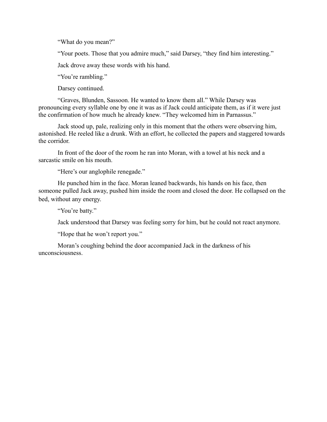"What do you mean?"

"Your poets. Those that you admire much," said Darsey, "they find him interesting."

Jack drove away these words with his hand.

"You're rambling."

Darsey continued.

"Graves, Blunden, Sassoon. He wanted to know them all." While Darsey was pronouncing every syllable one by one it was as if Jack could anticipate them, as if it were just the confirmation of how much he already knew. "They welcomed him in Parnassus."

Jack stood up, pale, realizing only in this moment that the others were observing him, astonished. He reeled like a drunk. With an effort, he collected the papers and staggered towards the corridor.

In front of the door of the room he ran into Moran, with a towel at his neck and a sarcastic smile on his mouth.

"Here's our anglophile renegade."

He punched him in the face. Moran leaned backwards, his hands on his face, then someone pulled Jack away, pushed him inside the room and closed the door. He collapsed on the bed, without any energy.

"You're batty."

Jack understood that Darsey was feeling sorry for him, but he could not react anymore.

"Hope that he won't report you."

Moran's coughing behind the door accompanied Jack in the darkness of his unconsciousness.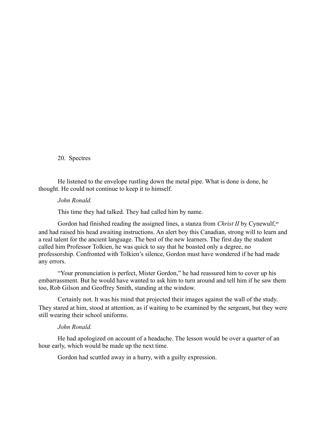20. Spectres

He listened to the envelope rustling down the metal pipe. What is done is done, he thought. He could not continue to keep it to himself.

## *John Ronald.*

This time they had talked. They had called him by name.

Gordon had finished reading the assigned lines, a stanza from *Christ II* by Cynewulf,<sup>xv</sup> and had raised his head awaiting instructions. An alert boy this Canadian, strong will to learn and a real talent for the ancient language. The best of the new learners. The first day the student called him Professor Tolkien, he was quick to say that he boasted only a degree, no professorship. Confronted with Tolkien's silence, Gordon must have wondered if he had made any errors.

"Your pronunciation is perfect, Mister Gordon," he had reassured him to cover up his embarrassment. But he would have wanted to ask him to turn around and tell him if he saw them too, Rob Gilson and Geoffrey Smith, standing at the window.

Certainly not. It was his mind that projected their images against the wall of the study. They stared at him, stood at attention, as if waiting to be examined by the sergeant, but they were still wearing their school uniforms.

### *John Ronald.*

He had apologized on account of a headache. The lesson would be over a quarter of an hour early, which would be made up the next time.

Gordon had scuttled away in a hurry, with a guilty expression.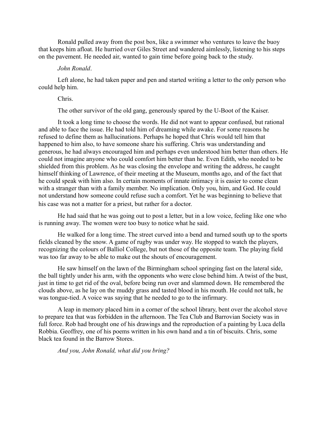Ronald pulled away from the post box, like a swimmer who ventures to leave the buoy that keeps him afloat. He hurried over Giles Street and wandered aimlessly, listening to his steps on the pavement. He needed air, wanted to gain time before going back to the study.

### *John Ronald*.

Left alone, he had taken paper and pen and started writing a letter to the only person who could help him.

### Chris.

The other survivor of the old gang, generously spared by the U-Boot of the Kaiser.

It took a long time to choose the words. He did not want to appear confused, but rational and able to face the issue. He had told him of dreaming while awake. For some reasons he refused to define them as hallucinations. Perhaps he hoped that Chris would tell him that happened to him also, to have someone share his suffering. Chris was understanding and generous, he had always encouraged him and perhaps even understood him better than others. He could not imagine anyone who could comfort him better than he. Even Edith, who needed to be shielded from this problem. As he was closing the envelope and writing the address, he caught himself thinking of Lawrence, of their meeting at the Museum, months ago, and of the fact that he could speak with him also. In certain moments of innate intimacy it is easier to come clean with a stranger than with a family member. No implication. Only you, him, and God. He could not understand how someone could refuse such a comfort. Yet he was beginning to believe that his case was not a matter for a priest, but rather for a doctor.

He had said that he was going out to post a letter, but in a low voice, feeling like one who is running away. The women were too busy to notice what he said.

He walked for a long time. The street curved into a bend and turned south up to the sports fields cleaned by the snow. A game of rugby was under way. He stopped to watch the players, recognizing the colours of Balliol College, but not those of the opposite team. The playing field was too far away to be able to make out the shouts of encouragement.

He saw himself on the lawn of the Birmingham school springing fast on the lateral side, the ball tightly under his arm, with the opponents who were close behind him. A twist of the bust, just in time to get rid of the oval, before being run over and slammed down. He remembered the clouds above, as he lay on the muddy grass and tasted blood in his mouth. He could not talk, he was tongue-tied. A voice was saying that he needed to go to the infirmary.

A leap in memory placed him in a corner of the school library, bent over the alcohol stove to prepare tea that was forbidden in the afternoon. The Tea Club and Barrovian Society was in full force. Rob had brought one of his drawings and the reproduction of a painting by Luca della Robbia. Geoffrey, one of his poems written in his own hand and a tin of biscuits. Chris, some black tea found in the Barrow Stores.

*And you, John Ronald, what did you bring?*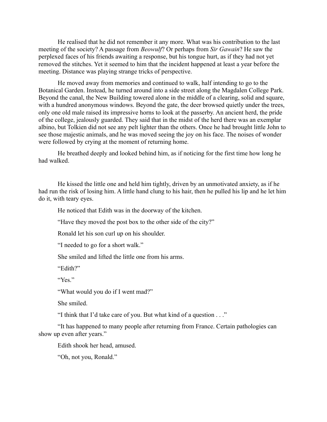He realised that he did not remember it any more. What was his contribution to the last meeting of the society? A passage from *Beowulf*? Or perhaps from *Sir Gawain*? He saw the perplexed faces of his friends awaiting a response, but his tongue hurt, as if they had not yet removed the stitches. Yet it seemed to him that the incident happened at least a year before the meeting. Distance was playing strange tricks of perspective.

He moved away from memories and continued to walk, half intending to go to the Botanical Garden. Instead, he turned around into a side street along the Magdalen College Park. Beyond the canal, the New Building towered alone in the middle of a clearing, solid and square, with a hundred anonymous windows. Beyond the gate, the deer browsed quietly under the trees, only one old male raised its impressive horns to look at the passerby. An ancient herd, the pride of the college, jealously guarded. They said that in the midst of the herd there was an exemplar albino, but Tolkien did not see any pelt lighter than the others. Once he had brought little John to see those majestic animals, and he was moved seeing the joy on his face. The noises of wonder were followed by crying at the moment of returning home.

He breathed deeply and looked behind him, as if noticing for the first time how long he had walked.

He kissed the little one and held him tightly, driven by an unmotivated anxiety, as if he had run the risk of losing him. A little hand clung to his hair, then he pulled his lip and he let him do it, with teary eyes.

He noticed that Edith was in the doorway of the kitchen.

"Have they moved the post box to the other side of the city?"

Ronald let his son curl up on his shoulder.

"I needed to go for a short walk."

She smiled and lifted the little one from his arms.

"Edith?"

"Yes"

"What would you do if I went mad?"

She smiled.

"I think that I'd take care of you. But what kind of a question . . ."

"It has happened to many people after returning from France. Certain pathologies can show up even after years."

Edith shook her head, amused.

"Oh, not you, Ronald."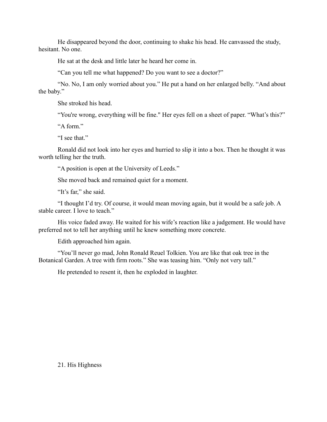He disappeared beyond the door, continuing to shake his head. He canvassed the study, hesitant. No one.

He sat at the desk and little later he heard her come in.

"Can you tell me what happened? Do you want to see a doctor?"

"No. No, I am only worried about you." He put a hand on her enlarged belly. "And about the baby."

She stroked his head.

"You're wrong, everything will be fine." Her eyes fell on a sheet of paper. "What's this?"

"A form."

"I see that."

Ronald did not look into her eyes and hurried to slip it into a box. Then he thought it was worth telling her the truth.

"A position is open at the University of Leeds."

She moved back and remained quiet for a moment.

"It's far," she said.

"I thought I'd try. Of course, it would mean moving again, but it would be a safe job. A stable career. I love to teach."

His voice faded away. He waited for his wife's reaction like a judgement. He would have preferred not to tell her anything until he knew something more concrete.

Edith approached him again.

"You'll never go mad, John Ronald Reuel Tolkien. You are like that oak tree in the Botanical Garden. A tree with firm roots." She was teasing him. "Only not very tall."

He pretended to resent it, then he exploded in laughter.

21. His Highness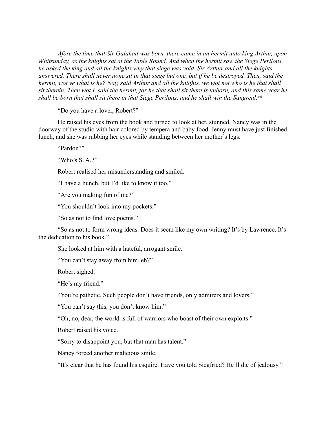*Afore the time that Sir Galahad was born, there came in an hermit unto king Arthur, upon Whitsunday, as the knights sat at the Table Round. And when the hermit saw the Siege Perilous, he asked the king and all the knights why that siege was void. Sir Arthur and all the knights answered, There shall never none sit in that siege but one, but if he be destroyed. Then, said the hermit, wot ye what is he? Nay, said Arthur and all the knights, we wot not who is he that shall sit therein. Then wot I, said the hermit, for he that shall sit there is unborn, and this same year he* shall be born that shall sit there in that Siege Perilous, and he shall win the Sangreal.<sup>xvi</sup>

"Do you have a lover, Robert?"

He raised his eyes from the book and turned to look at her, stunned. Nancy was in the doorway of the studio with hair colored by tempera and baby food. Jenny must have just finished lunch, and she was rubbing her eyes while standing between her mother's legs.

"Pardon?"

"Who's S. A.?"

Robert realised her misunderstanding and smiled.

"I have a hunch, but I'd like to know it too."

"Are you making fun of me?"

"You shouldn't look into my pockets."

"So as not to find love poems."

"So as not to form wrong ideas. Does it seem like my own writing? It's by Lawrence. It's the dedication to his book."

She looked at him with a hateful, arrogant smile.

"You can't stay away from him, eh?"

Robert sighed.

"He's my friend."

"You're pathetic. Such people don't have friends, only admirers and lovers."

"You can't say this, you don't know him."

"Oh, no, dear, the world is full of warriors who boast of their own exploits."

Robert raised his voice.

"Sorry to disappoint you, but that man has talent."

Nancy forced another malicious smile.

"It's clear that he has found his esquire. Have you told Siegfried? He'll die of jealousy."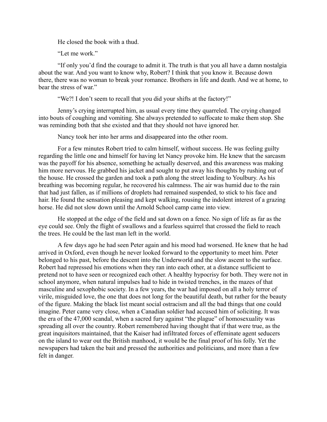He closed the book with a thud.

"Let me work."

"If only you'd find the courage to admit it. The truth is that you all have a damn nostalgia about the war. And you want to know why, Robert? I think that you know it. Because down there, there was no woman to break your romance. Brothers in life and death. And we at home, to bear the stress of war."

"We?! I don't seem to recall that you did your shifts at the factory!"

Jenny's crying interrupted him, as usual every time they quarreled. The crying changed into bouts of coughing and vomiting. She always pretended to suffocate to make them stop. She was reminding both that she existed and that they should not have ignored her.

Nancy took her into her arms and disappeared into the other room.

For a few minutes Robert tried to calm himself, without success. He was feeling guilty regarding the little one and himself for having let Nancy provoke him. He knew that the sarcasm was the payoff for his absence, something he actually deserved, and this awareness was making him more nervous. He grabbed his jacket and sought to put away his thoughts by rushing out of the house. He crossed the garden and took a path along the street leading to Youlbury. As his breathing was becoming regular, he recovered his calmness. The air was humid due to the rain that had just fallen, as if millions of droplets had remained suspended, to stick to his face and hair. He found the sensation pleasing and kept walking, rousing the indolent interest of a grazing horse. He did not slow down until the Arnold School camp came into view.

He stopped at the edge of the field and sat down on a fence. No sign of life as far as the eye could see. Only the flight of swallows and a fearless squirrel that crossed the field to reach the trees. He could be the last man left in the world.

A few days ago he had seen Peter again and his mood had worsened. He knew that he had arrived in Oxford, even though he never looked forward to the opportunity to meet him. Peter belonged to his past, before the descent into the Underworld and the slow ascent to the surface. Robert had repressed his emotions when they ran into each other, at a distance sufficient to pretend not to have seen or recognized each other. A healthy hypocrisy for both. They were not in school anymore, when natural impulses had to hide in twisted trenches, in the mazes of that masculine and sexophobic society. In a few years, the war had imposed on all a holy terror of virile, misguided love, the one that does not long for the beautiful death, but rather for the beauty of the figure. Making the black list meant social ostracism and all the bad things that one could imagine. Peter came very close, when a Canadian soldier had accused him of soliciting. It was the era of the 47,000 scandal, when a sacred fury against "the plague" of homosexuality was spreading all over the country. Robert remembered having thought that if that were true, as the great inquisitors maintained, that the Kaiser had infiltrated forces of effeminate agent seducers on the island to wear out the British manhood, it would be the final proof of his folly. Yet the newspapers had taken the bait and pressed the authorities and politicians, and more than a few felt in danger.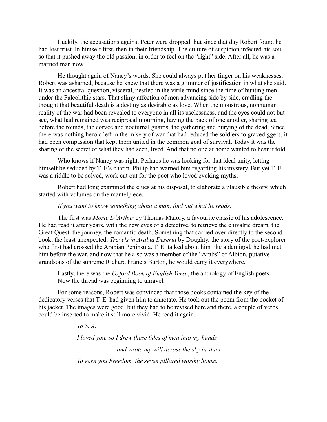Luckily, the accusations against Peter were dropped, but since that day Robert found he had lost trust. In himself first, then in their friendship. The culture of suspicion infected his soul so that it pushed away the old passion, in order to feel on the "right" side. After all, he was a married man now.

He thought again of Nancy's words. She could always put her finger on his weaknesses. Robert was ashamed, because he knew that there was a glimmer of justification in what she said. It was an ancestral question, visceral, nestled in the virile mind since the time of hunting men under the Paleolithic stars. That slimy affection of men advancing side by side, cradling the thought that beautiful death is a destiny as desirable as love. When the monstrous, nonhuman reality of the war had been revealed to everyone in all its uselessness, and the eyes could not but see, what had remained was reciprocal mourning, having the back of one another, sharing tea before the rounds, the corvée and nocturnal guards, the gathering and burying of the dead. Since there was nothing heroic left in the misery of war that had reduced the soldiers to gravediggers, it had been compassion that kept them united in the common goal of survival. Today it was the sharing of the secret of what they had seen, lived. And that no one at home wanted to hear it told.

Who knows if Nancy was right. Perhaps he was looking for that ideal unity, letting himself be seduced by T. E's charm. Philip had warned him regarding his mystery. But yet T. E. was a riddle to be solved, work cut out for the poet who loved evoking myths.

Robert had long examined the clues at his disposal, to elaborate a plausible theory, which started with volumes on the mantelpiece.

### *If you want to know something about a man, find out what he reads.*

The first was *Morte D'Arthur* by Thomas Malory, a favourite classic of his adolescence. He had read it after years, with the new eyes of a detective, to retrieve the chivalric dream, the Great Quest, the journey, the romantic death. Something that carried over directly to the second book, the least unexpected: *Travels in Arabia Deserta* by Doughty, the story of the poet-explorer who first had crossed the Arabian Peninsula. T. E. talked about him like a demigod, he had met him before the war, and now that he also was a member of the "Arabs" of Albion, putative grandsons of the supreme Richard Francis Burton, he would carry it everywhere.

Lastly, there was the *Oxford Book of English Verse*, the anthology of English poets. Now the thread was beginning to unravel.

For some reasons, Robert was convinced that those books contained the key of the dedicatory verses that T. E. had given him to annotate. He took out the poem from the pocket of his jacket. The images were good, but they had to be revised here and there, a couple of verbs could be inserted to make it still more vivid. He read it again.

*To S. A.*

*I loved you, so I drew these tides of men into my hands and wrote my will across the sky in stars To earn you Freedom, the seven pillared worthy house,*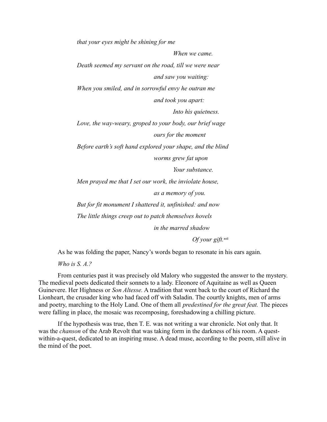*that your eyes might be shining for me When we came. Death seemed my servant on the road, till we were near and saw you waiting: When you smiled, and in sorrowful envy he outran me and took you apart: Into his quietness. Love, the way-weary, groped to your body, our brief wage ours for the moment Before earth's soft hand explored your shape, and the blind worms grew fat upon Your substance. Men prayed me that I set our work, the inviolate house, as a memory of you. But for fit monument I shattered it, unfinished: and now The little things creep out to patch themselves hovels in the marred shadow*

*Of your gift.*xvii

As he was folding the paper, Nancy's words began to resonate in his ears again.

*Who is S. A.?*

From centuries past it was precisely old Malory who suggested the answer to the mystery. The medieval poets dedicated their sonnets to a lady. Eleonore of Aquitaine as well as Queen Guinevere. Her Highness or *Son Altesse.* A tradition that went back to the court of Richard the Lionheart, the crusader king who had faced off with Saladin. The courtly knights, men of arms and poetry, marching to the Holy Land. One of them all *predestined for the great feat.* The pieces were falling in place, the mosaic was recomposing, foreshadowing a chilling picture.

If the hypothesis was true, then T. E. was not writing a war chronicle. Not only that. It was the *chanson* of the Arab Revolt that was taking form in the darkness of his room. A questwithin-a-quest, dedicated to an inspiring muse. A dead muse, according to the poem, still alive in the mind of the poet.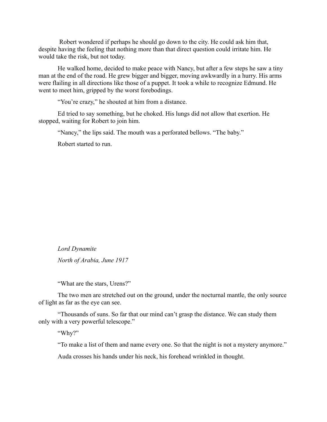Robert wondered if perhaps he should go down to the city. He could ask him that, despite having the feeling that nothing more than that direct question could irritate him. He would take the risk, but not today.

He walked home, decided to make peace with Nancy, but after a few steps he saw a tiny man at the end of the road. He grew bigger and bigger, moving awkwardly in a hurry. His arms were flailing in all directions like those of a puppet. It took a while to recognize Edmund. He went to meet him, gripped by the worst forebodings.

"You're crazy," he shouted at him from a distance.

Ed tried to say something, but he choked. His lungs did not allow that exertion. He stopped, waiting for Robert to join him.

"Nancy," the lips said. The mouth was a perforated bellows. "The baby."

Robert started to run.

*Lord Dynamite*

*North of Arabia, June 1917*

"What are the stars, Urens?"

The two men are stretched out on the ground, under the nocturnal mantle, the only source of light as far as the eye can see.

"Thousands of suns. So far that our mind can't grasp the distance. We can study them only with a very powerful telescope."

"Why?"

"To make a list of them and name every one. So that the night is not a mystery anymore."

Auda crosses his hands under his neck, his forehead wrinkled in thought.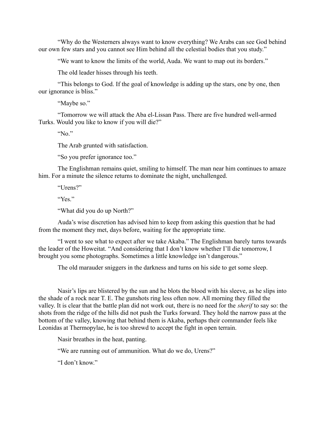"Why do the Westerners always want to know everything? We Arabs can see God behind our own few stars and you cannot see Him behind all the celestial bodies that you study."

"We want to know the limits of the world, Auda. We want to map out its borders."

The old leader hisses through his teeth.

"This belongs to God. If the goal of knowledge is adding up the stars, one by one, then our ignorance is bliss."

"Maybe so."

"Tomorrow we will attack the Aba el-Lissan Pass. There are five hundred well-armed Turks. Would you like to know if you will die?"

"No."

The Arab grunted with satisfaction.

"So you prefer ignorance too."

The Englishman remains quiet, smiling to himself. The man near him continues to amaze him. For a minute the silence returns to dominate the night, unchallenged.

"Urens?"

"Yes."

"What did you do up North?"

Auda's wise discretion has advised him to keep from asking this question that he had from the moment they met, days before, waiting for the appropriate time.

"I went to see what to expect after we take Akaba." The Englishman barely turns towards the leader of the Howeitat. "And considering that I don't know whether I'll die tomorrow, I brought you some photographs. Sometimes a little knowledge isn't dangerous."

The old marauder sniggers in the darkness and turns on his side to get some sleep.

Nasir's lips are blistered by the sun and he blots the blood with his sleeve, as he slips into the shade of a rock near T. E. The gunshots ring less often now. All morning they filled the valley. It is clear that the battle plan did not work out, there is no need for the *sherif* to say so: the shots from the ridge of the hills did not push the Turks forward. They hold the narrow pass at the bottom of the valley, knowing that behind them is Akaba, perhaps their commander feels like Leonidas at Thermopylae, he is too shrewd to accept the fight in open terrain.

Nasir breathes in the heat, panting.

"We are running out of ammunition. What do we do, Urens?"

"I don't know."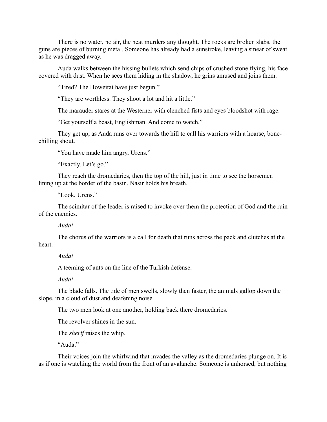There is no water, no air, the heat murders any thought. The rocks are broken slabs, the guns are pieces of burning metal. Someone has already had a sunstroke, leaving a smear of sweat as he was dragged away.

Auda walks between the hissing bullets which send chips of crushed stone flying, his face covered with dust. When he sees them hiding in the shadow, he grins amused and joins them.

"Tired? The Howeitat have just begun."

"They are worthless. They shoot a lot and hit a little."

The marauder stares at the Westerner with clenched fists and eyes bloodshot with rage.

"Get yourself a beast, Englishman. And come to watch."

They get up, as Auda runs over towards the hill to call his warriors with a hoarse, bonechilling shout.

"You have made him angry, Urens."

"Exactly. Let's go."

They reach the dromedaries, then the top of the hill, just in time to see the horsemen lining up at the border of the basin. Nasir holds his breath.

"Look, Urens."

The scimitar of the leader is raised to invoke over them the protection of God and the ruin of the enemies.

*Auda!*

The chorus of the warriors is a call for death that runs across the pack and clutches at the heart.

*Auda!*

A teeming of ants on the line of the Turkish defense.

*Auda!*

The blade falls. The tide of men swells, slowly then faster, the animals gallop down the slope, in a cloud of dust and deafening noise.

The two men look at one another, holding back there dromedaries.

The revolver shines in the sun.

The *sherif* raises the whip.

"Auda"

Their voices join the whirlwind that invades the valley as the dromedaries plunge on. It is as if one is watching the world from the front of an avalanche. Someone is unhorsed, but nothing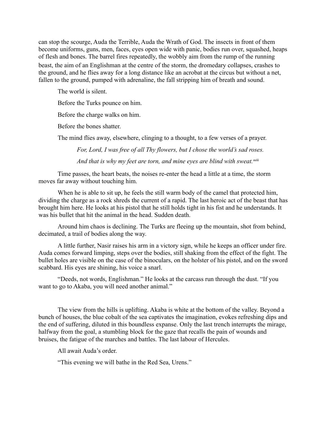can stop the scourge, Auda the Terrible, Auda the Wrath of God. The insects in front of them become uniforms, guns, men, faces, eyes open wide with panic, bodies run over, squashed, heaps of flesh and bones. The barrel fires repeatedly, the wobbly aim from the rump of the running beast, the aim of an Englishman at the centre of the storm, the dromedary collapses, crashes to the ground, and he flies away for a long distance like an acrobat at the circus but without a net, fallen to the ground, pumped with adrenaline, the fall stripping him of breath and sound.

The world is silent.

Before the Turks pounce on him.

Before the charge walks on him.

Before the bones shatter.

The mind flies away, elsewhere, clinging to a thought, to a few verses of a prayer.

*For, Lord, I was free of all Thy flowers, but I chose the world's sad roses.*

And that is why my feet are torn, and mine eyes are blind with sweat.<sup>xviii</sup>

Time passes, the heart beats, the noises re-enter the head a little at a time, the storm moves far away without touching him.

When he is able to sit up, he feels the still warm body of the camel that protected him, dividing the charge as a rock shreds the current of a rapid. The last heroic act of the beast that has brought him here. He looks at his pistol that he still holds tight in his fist and he understands. It was his bullet that hit the animal in the head. Sudden death.

Around him chaos is declining. The Turks are fleeing up the mountain, shot from behind, decimated, a trail of bodies along the way.

A little further, Nasir raises his arm in a victory sign, while he keeps an officer under fire. Auda comes forward limping, steps over the bodies, still shaking from the effect of the fight. The bullet holes are visible on the case of the binoculars, on the holster of his pistol, and on the sword scabbard. His eyes are shining, his voice a snarl.

"Deeds, not words, Englishman." He looks at the carcass run through the dust. "If you want to go to Akaba, you will need another animal."

The view from the hills is uplifting. Akaba is white at the bottom of the valley. Beyond a bunch of houses, the blue cobalt of the sea captivates the imagination, evokes refreshing dips and the end of suffering, diluted in this boundless expanse. Only the last trench interrupts the mirage, halfway from the goal, a stumbling block for the gaze that recalls the pain of wounds and bruises, the fatigue of the marches and battles. The last labour of Hercules.

All await Auda's order.

"This evening we will bathe in the Red Sea, Urens."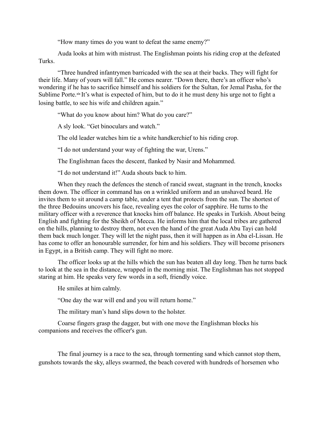"How many times do you want to defeat the same enemy?"

Auda looks at him with mistrust. The Englishman points his riding crop at the defeated Turks.

"Three hundred infantrymen barricaded with the sea at their backs. They will fight for their life. Many of yours will fall." He comes nearer. "Down there, there's an officer who's wondering if he has to sacrifice himself and his soldiers for the Sultan, for Jemal Pasha, for the Sublime Porte.<sup>xix</sup> It's what is expected of him, but to do it he must deny his urge not to fight a losing battle, to see his wife and children again."

"What do you know about him? What do you care?"

A sly look. "Get binoculars and watch."

The old leader watches him tie a white handkerchief to his riding crop.

"I do not understand your way of fighting the war, Urens."

The Englishman faces the descent, flanked by Nasir and Mohammed.

"I do not understand it!" Auda shouts back to him.

When they reach the defences the stench of rancid sweat, stagnant in the trench, knocks them down. The officer in command has on a wrinkled uniform and an unshaved beard. He invites them to sit around a camp table, under a tent that protects from the sun. The shortest of the three Bedouins uncovers his face, revealing eyes the color of sapphire. He turns to the military officer with a reverence that knocks him off balance. He speaks in Turkish. About being English and fighting for the Sheikh of Mecca. He informs him that the local tribes are gathered on the hills, planning to destroy them, not even the hand of the great Auda Abu Tayi can hold them back much longer. They will let the night pass, then it will happen as in Aba el-Lissan. He has come to offer an honourable surrender, for him and his soldiers. They will become prisoners in Egypt, in a British camp. They will fight no more.

The officer looks up at the hills which the sun has beaten all day long. Then he turns back to look at the sea in the distance, wrapped in the morning mist. The Englishman has not stopped staring at him. He speaks very few words in a soft, friendly voice.

He smiles at him calmly.

"One day the war will end and you will return home."

The military man's hand slips down to the holster.

Coarse fingers grasp the dagger, but with one move the Englishman blocks his companions and receives the officer's gun.

The final journey is a race to the sea, through tormenting sand which cannot stop them, gunshots towards the sky, alleys swarmed, the beach covered with hundreds of horsemen who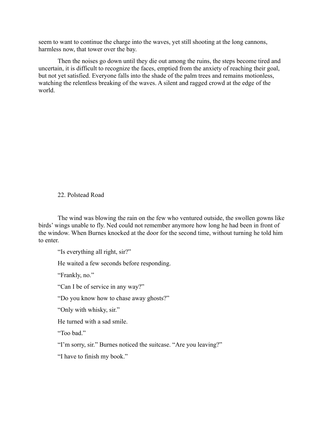seem to want to continue the charge into the waves, yet still shooting at the long cannons, harmless now, that tower over the bay.

Then the noises go down until they die out among the ruins, the steps become tired and uncertain, it is difficult to recognize the faces, emptied from the anxiety of reaching their goal, but not yet satisfied. Everyone falls into the shade of the palm trees and remains motionless, watching the relentless breaking of the waves. A silent and ragged crowd at the edge of the world.

# 22. Polstead Road

The wind was blowing the rain on the few who ventured outside, the swollen gowns like birds' wings unable to fly. Ned could not remember anymore how long he had been in front of the window. When Burnes knocked at the door for the second time, without turning he told him to enter.

"Is everything all right, sir?"

He waited a few seconds before responding.

"Frankly, no."

"Can I be of service in any way?"

"Do you know how to chase away ghosts?"

"Only with whisky, sir."

He turned with a sad smile.

"Too bad"

"I'm sorry, sir." Burnes noticed the suitcase. "Are you leaving?"

"I have to finish my book."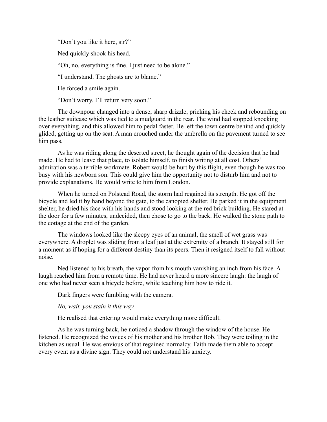"Don't you like it here, sir?"

Ned quickly shook his head.

"Oh, no, everything is fine. I just need to be alone."

"I understand. The ghosts are to blame."

He forced a smile again.

"Don't worry. I'll return very soon."

The downpour changed into a dense, sharp drizzle, pricking his cheek and rebounding on the leather suitcase which was tied to a mudguard in the rear. The wind had stopped knocking over everything, and this allowed him to pedal faster. He left the town centre behind and quickly glided, getting up on the seat. A man crouched under the umbrella on the pavement turned to see him pass.

As he was riding along the deserted street, he thought again of the decision that he had made. He had to leave that place, to isolate himself, to finish writing at all cost. Others' admiration was a terrible workmate. Robert would be hurt by this flight, even though he was too busy with his newborn son. This could give him the opportunity not to disturb him and not to provide explanations. He would write to him from London.

When he turned on Polstead Road, the storm had regained its strength. He got off the bicycle and led it by hand beyond the gate, to the canopied shelter. He parked it in the equipment shelter, he dried his face with his hands and stood looking at the red brick building. He stared at the door for a few minutes, undecided, then chose to go to the back. He walked the stone path to the cottage at the end of the garden.

The windows looked like the sleepy eyes of an animal, the smell of wet grass was everywhere. A droplet was sliding from a leaf just at the extremity of a branch. It stayed still for a moment as if hoping for a different destiny than its peers. Then it resigned itself to fall without noise.

Ned listened to his breath, the vapor from his mouth vanishing an inch from his face. A laugh reached him from a remote time. He had never heard a more sincere laugh: the laugh of one who had never seen a bicycle before, while teaching him how to ride it.

Dark fingers were fumbling with the camera.

*No, wait, you stain it this way.*

He realised that entering would make everything more difficult.

As he was turning back, he noticed a shadow through the window of the house. He listened. He recognized the voices of his mother and his brother Bob. They were toiling in the kitchen as usual. He was envious of that regained normalcy. Faith made them able to accept every event as a divine sign. They could not understand his anxiety.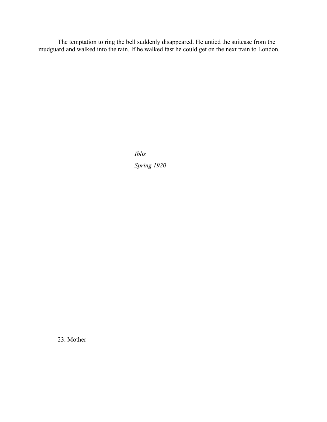The temptation to ring the bell suddenly disappeared. He untied the suitcase from the mudguard and walked into the rain. If he walked fast he could get on the next train to London.

> *Iblis Spring 1920*

23. Mother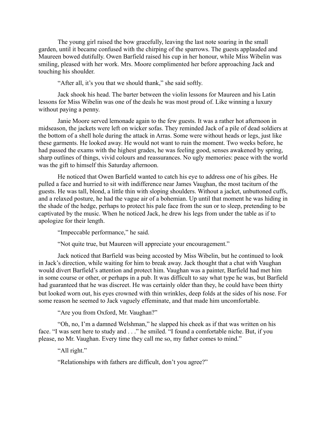The young girl raised the bow gracefully, leaving the last note soaring in the small garden, until it became confused with the chirping of the sparrows. The guests applauded and Maureen bowed dutifully. Owen Barfield raised his cup in her honour, while Miss Wibelin was smiling, pleased with her work. Mrs. Moore complimented her before approaching Jack and touching his shoulder.

"After all, it's you that we should thank," she said softly.

Jack shook his head. The barter between the violin lessons for Maureen and his Latin lessons for Miss Wibelin was one of the deals he was most proud of. Like winning a luxury without paying a penny.

Janie Moore served lemonade again to the few guests. It was a rather hot afternoon in midseason, the jackets were left on wicker sofas. They reminded Jack of a pile of dead soldiers at the bottom of a shell hole during the attack in Arras. Some were without heads or legs, just like these garments. He looked away. He would not want to ruin the moment. Two weeks before, he had passed the exams with the highest grades, he was feeling good, senses awakened by spring, sharp outlines of things, vivid colours and reassurances. No ugly memories: peace with the world was the gift to himself this Saturday afternoon.

He noticed that Owen Barfield wanted to catch his eye to address one of his gibes. He pulled a face and hurried to sit with indifference near James Vaughan, the most taciturn of the guests. He was tall, blond, a little thin with sloping shoulders. Without a jacket, unbuttoned cuffs, and a relaxed posture, he had the vague air of a bohemian. Up until that moment he was hiding in the shade of the hedge, perhaps to protect his pale face from the sun or to sleep, pretending to be captivated by the music. When he noticed Jack, he drew his legs from under the table as if to apologize for their length.

"Impeccable performance," he said.

"Not quite true, but Maureen will appreciate your encouragement."

Jack noticed that Barfield was being accosted by Miss Wibelin, but he continued to look in Jack's direction, while waiting for him to break away. Jack thought that a chat with Vaughan would divert Barfield's attention and protect him. Vaughan was a painter, Barfield had met him in some course or other, or perhaps in a pub. It was difficult to say what type he was, but Barfield had guaranteed that he was discreet. He was certainly older than they, he could have been thirty but looked worn out, his eyes crowned with thin wrinkles, deep folds at the sides of his nose. For some reason he seemed to Jack vaguely effeminate, and that made him uncomfortable.

"Are you from Oxford, Mr. Vaughan?"

"Oh, no, I'm a damned Welshman," he slapped his cheek as if that was written on his face. "I was sent here to study and . . ." he smiled. "I found a comfortable niche. But, if you please, no Mr. Vaughan. Every time they call me so, my father comes to mind."

"All right."

"Relationships with fathers are difficult, don't you agree?"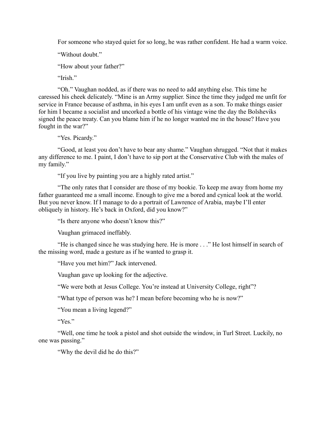For someone who stayed quiet for so long, he was rather confident. He had a warm voice.

"Without doubt."

"How about your father?"

"Irish"

"Oh." Vaughan nodded, as if there was no need to add anything else. This time he caressed his cheek delicately. "Mine is an Army supplier. Since the time they judged me unfit for service in France because of asthma, in his eyes I am unfit even as a son. To make things easier for him I became a socialist and uncorked a bottle of his vintage wine the day the Bolsheviks signed the peace treaty. Can you blame him if he no longer wanted me in the house? Have you fought in the war?"

"Yes. Picardy."

"Good, at least you don't have to bear any shame." Vaughan shrugged. "Not that it makes any difference to me. I paint, I don't have to sip port at the Conservative Club with the males of my family."

"If you live by painting you are a highly rated artist."

"The only rates that I consider are those of my bookie. To keep me away from home my father guaranteed me a small income. Enough to give me a bored and cynical look at the world. But you never know. If I manage to do a portrait of Lawrence of Arabia, maybe I'll enter obliquely in history. He's back in Oxford, did you know?"

"Is there anyone who doesn't know this?"

Vaughan grimaced ineffably.

"He is changed since he was studying here. He is more . . ." He lost himself in search of the missing word, made a gesture as if he wanted to grasp it.

"Have you met him?" Jack intervened.

Vaughan gave up looking for the adjective.

"We were both at Jesus College. You're instead at University College, right"?

"What type of person was he? I mean before becoming who he is now?"

"You mean a living legend?"

"Yes."

"Well, one time he took a pistol and shot outside the window, in Turl Street. Luckily, no one was passing."

"Why the devil did he do this?"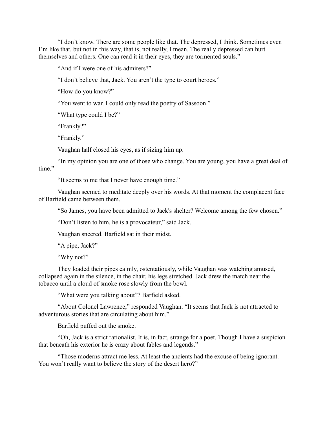"I don't know. There are some people like that. The depressed, I think. Sometimes even I'm like that, but not in this way, that is, not really, I mean. The really depressed can hurt themselves and others. One can read it in their eyes, they are tormented souls."

"And if I were one of his admirers?"

"I don't believe that, Jack. You aren't the type to court heroes."

"How do you know?"

"You went to war. I could only read the poetry of Sassoon."

"What type could I be?"

"Frankly?"

"Frankly."

Vaughan half closed his eyes, as if sizing him up.

"In my opinion you are one of those who change. You are young, you have a great deal of time."

"It seems to me that I never have enough time."

Vaughan seemed to meditate deeply over his words. At that moment the complacent face of Barfield came between them.

"So James, you have been admitted to Jack's shelter? Welcome among the few chosen."

"Don't listen to him, he is a provocateur," said Jack.

Vaughan sneered. Barfield sat in their midst.

"A pipe, Jack?"

"Why not?"

They loaded their pipes calmly, ostentatiously, while Vaughan was watching amused, collapsed again in the silence, in the chair, his legs stretched. Jack drew the match near the tobacco until a cloud of smoke rose slowly from the bowl.

"What were you talking about"? Barfield asked.

"About Colonel Lawrence," responded Vaughan. "It seems that Jack is not attracted to adventurous stories that are circulating about him."

Barfield puffed out the smoke.

"Oh, Jack is a strict rationalist. It is, in fact, strange for a poet. Though I have a suspicion that beneath his exterior he is crazy about fables and legends."

"Those moderns attract me less. At least the ancients had the excuse of being ignorant. You won't really want to believe the story of the desert hero?"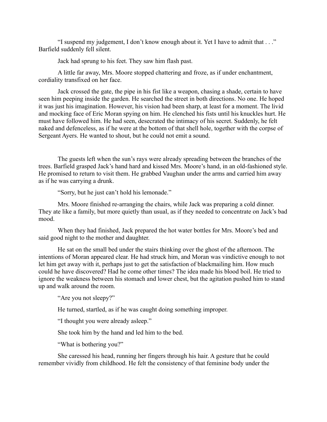"I suspend my judgement, I don't know enough about it. Yet I have to admit that . . ." Barfield suddenly fell silent.

Jack had sprung to his feet. They saw him flash past.

A little far away, Mrs. Moore stopped chattering and froze, as if under enchantment, cordiality transfixed on her face.

Jack crossed the gate, the pipe in his fist like a weapon, chasing a shade, certain to have seen him peeping inside the garden. He searched the street in both directions. No one. He hoped it was just his imagination. However, his vision had been sharp, at least for a moment. The livid and mocking face of Eric Moran spying on him. He clenched his fists until his knuckles hurt. He must have followed him. He had seen, desecrated the intimacy of his secret. Suddenly, he felt naked and defenceless, as if he were at the bottom of that shell hole, together with the corpse of Sergeant Ayers. He wanted to shout, but he could not emit a sound.

The guests left when the sun's rays were already spreading between the branches of the trees. Barfield grasped Jack's hand hard and kissed Mrs. Moore's hand, in an old-fashioned style. He promised to return to visit them. He grabbed Vaughan under the arms and carried him away as if he was carrying a drunk.

"Sorry, but he just can't hold his lemonade."

Mrs. Moore finished re-arranging the chairs, while Jack was preparing a cold dinner. They ate like a family, but more quietly than usual, as if they needed to concentrate on Jack's bad mood.

When they had finished, Jack prepared the hot water bottles for Mrs. Moore's bed and said good night to the mother and daughter.

He sat on the small bed under the stairs thinking over the ghost of the afternoon. The intentions of Moran appeared clear. He had struck him, and Moran was vindictive enough to not let him get away with it, perhaps just to get the satisfaction of blackmailing him. How much could he have discovered? Had he come other times? The idea made his blood boil. He tried to ignore the weakness between his stomach and lower chest, but the agitation pushed him to stand up and walk around the room.

"Are you not sleepy?"

He turned, startled, as if he was caught doing something improper.

"I thought you were already asleep."

She took him by the hand and led him to the bed.

"What is bothering you?"

She caressed his head, running her fingers through his hair. A gesture that he could remember vividly from childhood. He felt the consistency of that feminine body under the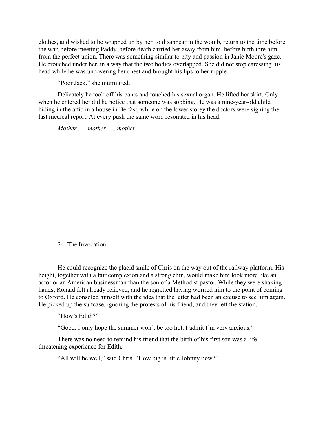clothes, and wished to be wrapped up by her, to disappear in the womb, return to the time before the war, before meeting Paddy, before death carried her away from him, before birth tore him from the perfect union. There was something similar to pity and passion in Janie Moore's gaze. He crouched under her, in a way that the two bodies overlapped. She did not stop caressing his head while he was uncovering her chest and brought his lips to her nipple.

"Poor Jack," she murmured.

Delicately he took off his pants and touched his sexual organ. He lifted her skirt. Only when he entered her did he notice that someone was sobbing. He was a nine-year-old child hiding in the attic in a house in Belfast, while on the lower storey the doctors were signing the last medical report. At every push the same word resonated in his head.

*Mother . . . mother . . . mother.* 

24. The Invocation

He could recognize the placid smile of Chris on the way out of the railway platform. His height, together with a fair complexion and a strong chin, would make him look more like an actor or an American businessman than the son of a Methodist pastor. While they were shaking hands, Ronald felt already relieved, and he regretted having worried him to the point of coming to Oxford. He consoled himself with the idea that the letter had been an excuse to see him again. He picked up the suitcase, ignoring the protests of his friend, and they left the station.

"How's Edith?"

"Good. I only hope the summer won't be too hot. I admit I'm very anxious."

There was no need to remind his friend that the birth of his first son was a lifethreatening experience for Edith.

"All will be well," said Chris. "How big is little Johnny now?"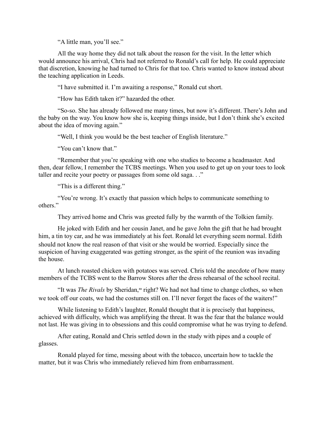"A little man, you'll see."

All the way home they did not talk about the reason for the visit. In the letter which would announce his arrival, Chris had not referred to Ronald's call for help. He could appreciate that discretion, knowing he had turned to Chris for that too. Chris wanted to know instead about the teaching application in Leeds.

"I have submitted it. I'm awaiting a response," Ronald cut short.

"How has Edith taken it?" hazarded the other.

"So-so. She has already followed me many times, but now it's different. There's John and the baby on the way. You know how she is, keeping things inside, but I don't think she's excited about the idea of moving again."

"Well, I think you would be the best teacher of English literature."

"You can't know that."

"Remember that you're speaking with one who studies to become a headmaster. And then, dear fellow, I remember the TCBS meetings. When you used to get up on your toes to look taller and recite your poetry or passages from some old saga. . ."

"This is a different thing."

"You're wrong. It's exactly that passion which helps to communicate something to others."

They arrived home and Chris was greeted fully by the warmth of the Tolkien family.

He joked with Edith and her cousin Janet, and he gave John the gift that he had brought him, a tin toy car, and he was immediately at his feet. Ronald let everything seem normal. Edith should not know the real reason of that visit or she would be worried. Especially since the suspicion of having exaggerated was getting stronger, as the spirit of the reunion was invading the house.

At lunch roasted chicken with potatoes was served. Chris told the anecdote of how many members of the TCBS went to the Barrow Stores after the dress rehearsal of the school recital.

"It was *The Rivals* by Sheridan,<sup>xx</sup> right? We had not had time to change clothes, so when we took off our coats, we had the costumes still on. I'll never forget the faces of the waiters!"

While listening to Edith's laughter, Ronald thought that it is precisely that happiness, achieved with difficulty, which was amplifying the threat. It was the fear that the balance would not last. He was giving in to obsessions and this could compromise what he was trying to defend.

After eating, Ronald and Chris settled down in the study with pipes and a couple of glasses.

Ronald played for time, messing about with the tobacco, uncertain how to tackle the matter, but it was Chris who immediately relieved him from embarrassment.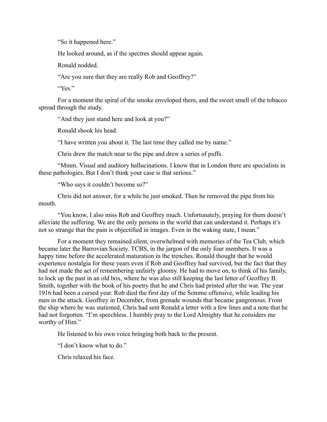"So it happened here."

He looked around, as if the spectres should appear again.

Ronald nodded.

"Are you sure that they are really Rob and Geoffrey?"

"Yes."

For a moment the spiral of the smoke enveloped them, and the sweet smell of the tobacco spread through the study.

"And they just stand here and look at you?"

Ronald shook his head.

"I have written you about it. The last time they called me by name."

Chris drew the match near to the pipe and drew a series of puffs.

"Mmm. Visual and auditory hallucinations. I know that in London there are specialists in these pathologies. But I don't think your case is that serious."

"Who says it couldn't become so?"

Chris did not answer, for a while he just smoked. Then he removed the pipe from his mouth.

"You know, I also miss Rob and Geoffrey much. Unfortunately, praying for them doesn't alleviate the suffering. We are the only persons in the world that can understand it. Perhaps it's not so strange that the pain is objectified in images. Even in the waking state, I mean."

For a moment they remained silent, overwhelmed with memories of the Tea Club, which became later the Barrovian Society. TCBS, in the jargon of the only four members. It was a happy time before the accelerated maturation in the trenches. Ronald thought that he would experience nostalgia for these years even if Rob and Geoffrey had survived, but the fact that they had not made the act of remembering unfairly gloomy. He had to move on, to think of his family, to lock up the past in an old box, where he was also still keeping the last letter of Geoffrey B. Smith, together with the book of his poetry that he and Chris had printed after the war. The year 1916 had been a cursed year. Rob died the first day of the Somme offensive, while leading his men in the attack. Geoffrey in December, from grenade wounds that became gangrenous. From the ship where he was stationed, Chris had sent Ronald a letter with a few lines and a note that he had not forgotten. "I'm speechless. I humbly pray to the Lord Almighty that he considers me worthy of Him."

He listened to his own voice bringing both back to the present.

"I don't know what to do."

Chris relaxed his face.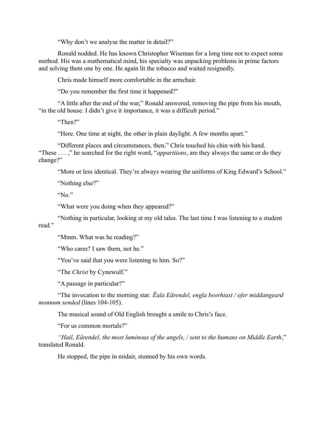"Why don't we analyse the matter in detail?"

Ronald nodded. He has known Christopher Wiseman for a long time not to expect some method. His was a mathematical mind, his specialty was unpacking problems in prime factors and solving them one by one. He again lit the tobacco and waited resignedly.

Chris made himself more comfortable in the armchair.

"Do you remember the first time it happened?"

"A little after the end of the war," Ronald answered, removing the pipe from his mouth, "in the old house. I didn't give it importance, it was a difficult period."

"Then?"

"Here. One time at night, the other in plain daylight. A few months apart."

"Different places and circumstances, then." Chris touched his chin with his hand. "These . . . ," he searched for the right word, "*apparitions*, are they always the same or do they change?"

"More or less identical. They're always wearing the uniforms of King Edward's School."

"Nothing else?"

"No."

"What were you doing when they appeared?"

"Nothing in particular, looking at my old tales. The last time I was listening to a student read"

"Mmm. What was he reading?"

"Who cares? I saw them, not he."

"You've said that you were listening to him. So?"

"The *Christ* by Cynewulf."

"A passage in particular?"

"The invocation to the morning star*. Ëala Eӓrendel, engla beorhtast / ofer middangeard monnum sended* (lines 104-105).

The musical sound of Old English brought a smile to Chris's face.

"For us common mortals?"

*"Hail, Eӓrendel, the most luminous of the angels, / sent to the humans on Middle Earth*," translated Ronald.

He stopped, the pipe in midair, stunned by his own words.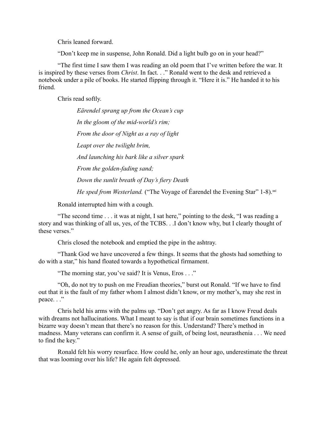Chris leaned forward.

"Don't keep me in suspense, John Ronald. Did a light bulb go on in your head?"

"The first time I saw them I was reading an old poem that I've written before the war. It is inspired by these verses from *Christ*. In fact. . ." Ronald went to the desk and retrieved a notebook under a pile of books. He started flipping through it. "Here it is." He handed it to his friend.

Chris read softly.

*Eӓrendel sprang up from the Ocean's cup In the gloom of the mid-world's rim; From the door of Night as a ray of light Leapt over the twilight brim, And launching his bark like a silver spark From the golden-fading sand; Down the sunlit breath of Day's fiery Death He sped from Westerland.* ("The Voyage of Éarendel the Evening Star" 1-8).<sup>xxi</sup>

Ronald interrupted him with a cough.

"The second time . . . it was at night, I sat here," pointing to the desk, "I was reading a story and was thinking of all us, yes, of the TCBS. . .I don't know why, but I clearly thought of these verses."

Chris closed the notebook and emptied the pipe in the ashtray.

"Thank God we have uncovered a few things. It seems that the ghosts had something to do with a star," his hand floated towards a hypothetical firmament.

"The morning star, you've said? It is Venus, Eros . . ."

"Oh, do not try to push on me Freudian theories," burst out Ronald. "If we have to find out that it is the fault of my father whom I almost didn't know, or my mother's, may she rest in peace. . ."

Chris held his arms with the palms up. "Don't get angry. As far as I know Freud deals with dreams not hallucinations. What I meant to say is that if our brain sometimes functions in a bizarre way doesn't mean that there's no reason for this. Understand? There's method in madness. Many veterans can confirm it. A sense of guilt, of being lost, neurasthenia . . . We need to find the key."

Ronald felt his worry resurface. How could he, only an hour ago, underestimate the threat that was looming over his life? He again felt depressed.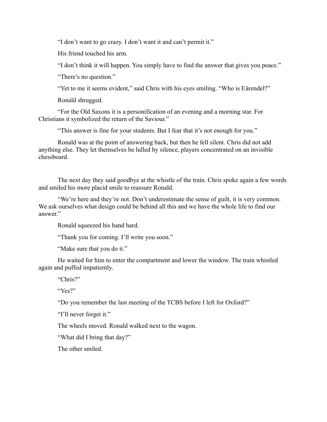"I don't want to go crazy. I don't want it and can't permit it."

His friend touched his arm.

"I don't think it will happen. You simply have to find the answer that gives you peace."

"There's no question."

"Yet to me it seems evident," said Chris with his eyes smiling. "Who is Eärendel?"

Ronald shrugged.

"For the Old Saxons it is a personification of an evening and a morning star. For Christians it symbolized the return of the Saviour."

"This answer is fine for your students. But I fear that it's not enough for you."

Ronald was at the point of answering back, but then he fell silent. Chris did not add anything else. They let themselves be lulled by silence, players concentrated on an invisible chessboard.

The next day they said goodbye at the whistle of the train. Chris spoke again a few words and smiled his more placid smile to reassure Ronald.

"We're here and they're not. Don't underestimate the sense of guilt, it is very common. We ask ourselves what design could be behind all this and we have the whole life to find our answer."

Ronald squeezed his hand hard.

"Thank you for coming. I'll write you soon."

"Make sure that you do it."

He waited for him to enter the compartment and lower the window. The train whistled again and puffed impatiently.

"Chris?"

"Yes?"

"Do you remember the last meeting of the TCBS before I left for Oxford?"

"I'll never forget it."

The wheels moved. Ronald walked next to the wagon.

"What did I bring that day?"

The other smiled.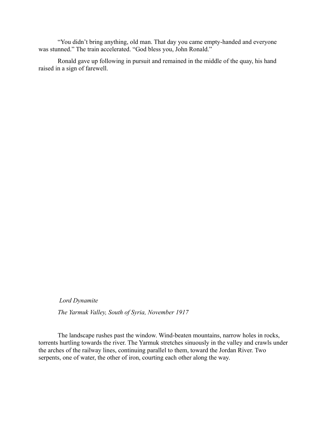"You didn't bring anything, old man. That day you came empty-handed and everyone was stunned." The train accelerated. "God bless you, John Ronald."

Ronald gave up following in pursuit and remained in the middle of the quay, his hand raised in a sign of farewell.

*Lord Dynamite*

*The Yarmuk Valley, South of Syria, November 1917*

The landscape rushes past the window. Wind-beaten mountains, narrow holes in rocks, torrents hurtling towards the river. The Yarmuk stretches sinuously in the valley and crawls under the arches of the railway lines, continuing parallel to them, toward the Jordan River. Two serpents, one of water, the other of iron, courting each other along the way.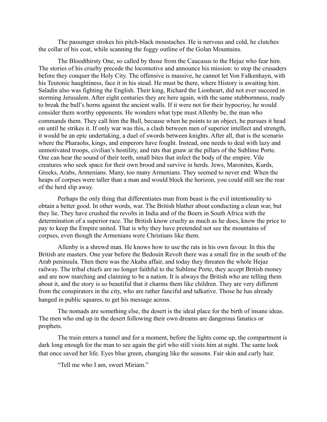The passenger strokes his pitch-black moustaches. He is nervous and cold, he clutches the collar of his coat, while scanning the foggy outline of the Golan Mountains.

The Bloodthirsty One, so called by those from the Caucasus to the Hejaz who fear him. The stories of his cruelty precede the locomotive and announce his mission: to stop the crusaders before they conquer the Holy City. The offensive is massive, he cannot let Von Falkenhayn, with his Teutonic haughtiness, face it in his stead. He must be there, where History is awaiting him. Saladin also was fighting the English. Their king, Richard the Lionheart, did not ever succeed in storming Jerusalem. After eight centuries they are here again, with the same stubbornness, ready to break the bull's horns against the ancient walls. If it were not for their hypocrisy, he would consider them worthy opponents. He wonders what type must Allenby be, the man who commands them. They call him the Bull, because when he points to an object, he pursues it head on until he strikes it. If only war was this, a clash between men of superior intellect and strength, it would be an epic undertaking, a duel of swords between knights. After all, that is the scenario where the Pharaohs, kings, and emperors have fought. Instead, one needs to deal with lazy and unmotivated troops, civilian's hostility, and rats that gnaw at the pillars of the Sublime Porte. One can hear the sound of their teeth, small bites that infect the body of the empire. Vile creatures who seek space for their own brood and survive in herds. Jews, Maronites, Kurds, Greeks, Arabs, Armenians. Many, too many Armenians. They seemed to never end: When the heaps of corpses were taller than a man and would block the horizon, you could still see the rear of the herd slip away.

Perhaps the only thing that differentiates man from beast is the evil intentionality to obtain a better good. In other words, war. The British blather about conducting a clean war, but they lie. They have crushed the revolts in India and of the Boers in South Africa with the determination of a superior race. The British know cruelty as much as he does, know the price to pay to keep the Empire united. That is why they have pretended not see the mountains of corpses, even though the Armenians were Christians like them.

Allenby is a shrewd man. He knows how to use the rats in his own favour. In this the British are masters. One year before the Bedouin Revolt there was a small fire in the south of the Arab peninsula. Then there was the Akaba affair, and today they threaten the whole Hejaz railway. The tribal chiefs are no longer faithful to the Sublime Porte, they accept British money and are now marching and claiming to be a nation. It is always the British who are telling them about it, and the story is so beautiful that it charms them like children. They are very different from the conspirators in the city, who are rather fanciful and talkative. Those he has already hanged in public squares, to get his message across.

The nomads are something else, the desert is the ideal place for the birth of insane ideas. The men who end up in the desert following their own dreams are dangerous fanatics or prophets.

The train enters a tunnel and for a moment, before the lights come up, the compartment is dark long enough for the man to see again the girl who still visits him at night. The same look that once saved her life. Eyes blue green, changing like the seasons. Fair skin and curly hair.

"Tell me who I am, sweet Miriam."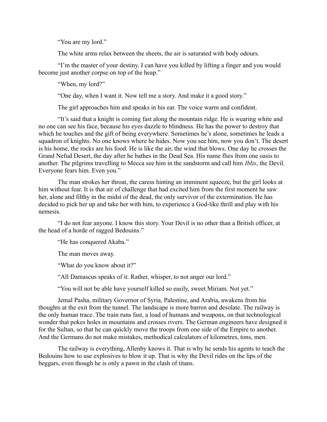"You are my lord."

The white arms relax between the sheets, the air is saturated with body odours.

"I'm the master of your destiny. I can have you killed by lifting a finger and you would become just another corpse on top of the heap."

"When, my lord?"

"One day, when I want it. Now tell me a story. And make it a good story."

The girl approaches him and speaks in his ear. The voice warm and confident.

"It's said that a knight is coming fast along the mountain ridge. He is wearing white and no one can see his face, because his eyes dazzle to blindness. He has the power to destroy that which he touches and the gift of being everywhere. Sometimes he's alone, sometimes he leads a squadron of knights. No one knows where he hides. Now you see him, now you don't. The desert is his home, the rocks are his food. He is like the air, the wind that blows. One day he crosses the Grand Nefud Desert, the day after he bathes in the Dead Sea. His name flies from one oasis to another. The pilgrims travelling to Mecca see him in the sandstorm and call him *Iblis*, the Devil. Everyone fears him. Even you."

The man strokes her throat, the caress hinting an imminent squeeze, but the girl looks at him without fear. It is that air of challenge that had excited him from the first moment he saw her, alone and filthy in the midst of the dead, the only survivor of the extermination. He has decided to pick her up and take her with him, to experience a God-like thrill and play with his nemesis.

"I do not fear anyone. I know this story. Your Devil is no other than a British officer, at the head of a horde of ragged Bedouins."

"He has conquered Akaba."

The man moves away.

"What do you know about it?"

"All Damascus speaks of it. Rather, whisper, to not anger our lord."

"You will not be able have yourself killed so easily, sweet Miriam. Not yet."

Jemal Pasha, military Governor of Syria, Palestine, and Arabia, awakens from his thoughts at the exit from the tunnel. The landscape is more barren and desolate. The railway is the only human trace. The train runs fast, a load of humans and weapons, on that technological wonder that pokes holes in mountains and crosses rivers. The German engineers have designed it for the Sultan, so that he can quickly move the troops from one side of the Empire to another. And the Germans do not make mistakes, methodical calculators of kilometres, tons, men.

The railway is everything, Allenby knows it. That is why he sends his agents to teach the Bedouins how to use explosives to blow it up. That is why the Devil rides on the lips of the beggars, even though he is only a pawn in the clash of titans.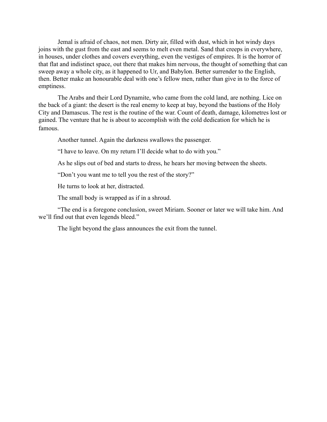Jemal is afraid of chaos, not men. Dirty air, filled with dust, which in hot windy days joins with the gust from the east and seems to melt even metal. Sand that creeps in everywhere, in houses, under clothes and covers everything, even the vestiges of empires. It is the horror of that flat and indistinct space, out there that makes him nervous, the thought of something that can sweep away a whole city, as it happened to Ur, and Babylon. Better surrender to the English, then. Better make an honourable deal with one's fellow men, rather than give in to the force of emptiness.

The Arabs and their Lord Dynamite, who came from the cold land, are nothing. Lice on the back of a giant: the desert is the real enemy to keep at bay, beyond the bastions of the Holy City and Damascus. The rest is the routine of the war. Count of death, damage, kilometres lost or gained. The venture that he is about to accomplish with the cold dedication for which he is famous.

Another tunnel. Again the darkness swallows the passenger.

"I have to leave. On my return I'll decide what to do with you."

As he slips out of bed and starts to dress, he hears her moving between the sheets.

"Don't you want me to tell you the rest of the story?"

He turns to look at her, distracted.

The small body is wrapped as if in a shroud.

"The end is a foregone conclusion, sweet Miriam. Sooner or later we will take him. And we'll find out that even legends bleed."

The light beyond the glass announces the exit from the tunnel.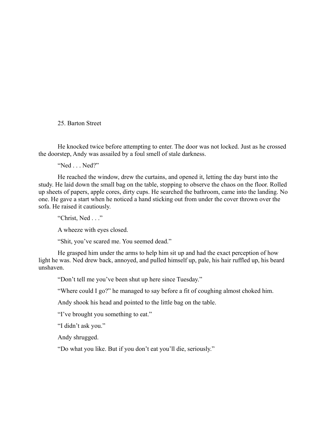25. Barton Street

He knocked twice before attempting to enter. The door was not locked. Just as he crossed the doorstep, Andy was assailed by a foul smell of stale darkness.

"Ned . . . Ned?"

He reached the window, drew the curtains, and opened it, letting the day burst into the study. He laid down the small bag on the table, stopping to observe the chaos on the floor. Rolled up sheets of papers, apple cores, dirty cups. He searched the bathroom, came into the landing. No one. He gave a start when he noticed a hand sticking out from under the cover thrown over the sofa. He raised it cautiously.

"Christ, Ned . . ."

A wheeze with eyes closed.

"Shit, you've scared me. You seemed dead."

He grasped him under the arms to help him sit up and had the exact perception of how light he was. Ned drew back, annoyed, and pulled himself up, pale, his hair ruffled up, his beard unshaven.

"Don't tell me you've been shut up here since Tuesday."

"Where could I go?" he managed to say before a fit of coughing almost choked him.

Andy shook his head and pointed to the little bag on the table.

"I've brought you something to eat."

"I didn't ask you."

Andy shrugged.

"Do what you like. But if you don't eat you'll die, seriously."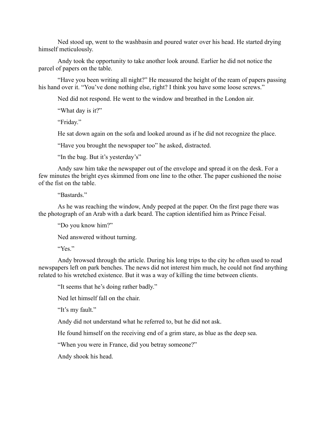Ned stood up, went to the washbasin and poured water over his head. He started drying himself meticulously.

Andy took the opportunity to take another look around. Earlier he did not notice the parcel of papers on the table.

"Have you been writing all night?" He measured the height of the ream of papers passing his hand over it. "You've done nothing else, right? I think you have some loose screws."

Ned did not respond. He went to the window and breathed in the London air.

"What day is it?"

"Friday."

He sat down again on the sofa and looked around as if he did not recognize the place.

"Have you brought the newspaper too" he asked, distracted.

"In the bag. But it's yesterday's"

Andy saw him take the newspaper out of the envelope and spread it on the desk. For a few minutes the bright eyes skimmed from one line to the other. The paper cushioned the noise of the fist on the table.

"Bastards."

As he was reaching the window, Andy peeped at the paper. On the first page there was the photograph of an Arab with a dark beard. The caption identified him as Prince Feisal.

"Do you know him?"

Ned answered without turning.

"Yes."

Andy browsed through the article. During his long trips to the city he often used to read newspapers left on park benches. The news did not interest him much, he could not find anything related to his wretched existence. But it was a way of killing the time between clients.

"It seems that he's doing rather badly."

Ned let himself fall on the chair.

"It's my fault."

Andy did not understand what he referred to, but he did not ask.

He found himself on the receiving end of a grim stare, as blue as the deep sea.

"When you were in France, did you betray someone?"

Andy shook his head.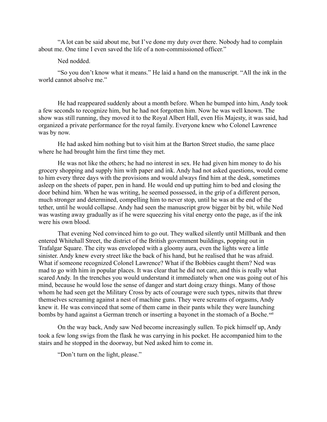"A lot can be said about me, but I've done my duty over there. Nobody had to complain about me. One time I even saved the life of a non-commissioned officer."

## Ned nodded.

"So you don't know what it means." He laid a hand on the manuscript. "All the ink in the world cannot absolve me."

He had reappeared suddenly about a month before. When he bumped into him, Andy took a few seconds to recognize him, but he had not forgotten him. Now he was well known. The show was still running, they moved it to the Royal Albert Hall, even His Majesty, it was said, had organized a private performance for the royal family. Everyone knew who Colonel Lawrence was by now.

He had asked him nothing but to visit him at the Barton Street studio, the same place where he had brought him the first time they met.

He was not like the others; he had no interest in sex. He had given him money to do his grocery shopping and supply him with paper and ink. Andy had not asked questions, would come to him every three days with the provisions and would always find him at the desk, sometimes asleep on the sheets of paper, pen in hand. He would end up putting him to bed and closing the door behind him. When he was writing, he seemed possessed, in the grip of a different person, much stronger and determined, compelling him to never stop, until he was at the end of the tether, until he would collapse. Andy had seen the manuscript grow bigger bit by bit, while Ned was wasting away gradually as if he were squeezing his vital energy onto the page, as if the ink were his own blood.

That evening Ned convinced him to go out. They walked silently until Millbank and then entered Whitehall Street, the district of the British government buildings, popping out in Trafalgar Square. The city was enveloped with a gloomy aura, even the lights were a little sinister. Andy knew every street like the back of his hand, but he realised that he was afraid. What if someone recognized Colonel Lawrence? What if the Bobbies caught them? Ned was mad to go with him in popular places. It was clear that he did not care, and this is really what scared Andy. In the trenches you would understand it immediately when one was going out of his mind, because he would lose the sense of danger and start doing crazy things. Many of those whom he had seen get the Military Cross by acts of courage were such types, nitwits that threw themselves screaming against a nest of machine guns. They were screams of orgasms, Andy knew it. He was convinced that some of them came in their pants while they were launching bombs by hand against a German trench or inserting a bayonet in the stomach of a Boche.<sup>xxii</sup>

On the way back, Andy saw Ned become increasingly sullen. To pick himself up, Andy took a few long swigs from the flask he was carrying in his pocket. He accompanied him to the stairs and he stopped in the doorway, but Ned asked him to come in.

"Don't turn on the light, please."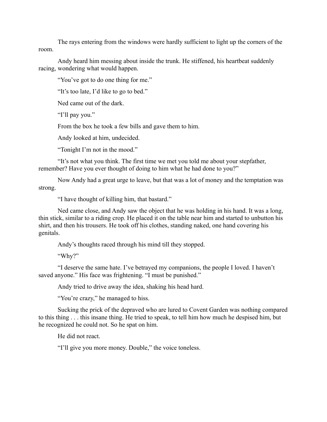The rays entering from the windows were hardly sufficient to light up the corners of the room.

Andy heard him messing about inside the trunk. He stiffened, his heartbeat suddenly racing, wondering what would happen.

"You've got to do one thing for me."

"It's too late, I'd like to go to bed."

Ned came out of the dark.

"I'll pay you."

From the box he took a few bills and gave them to him.

Andy looked at him, undecided.

"Tonight I'm not in the mood."

"It's not what you think. The first time we met you told me about your stepfather, remember? Have you ever thought of doing to him what he had done to you?"

Now Andy had a great urge to leave, but that was a lot of money and the temptation was strong.

"I have thought of killing him, that bastard."

Ned came close, and Andy saw the object that he was holding in his hand. It was a long, thin stick, similar to a riding crop. He placed it on the table near him and started to unbutton his shirt, and then his trousers. He took off his clothes, standing naked, one hand covering his genitals.

Andy's thoughts raced through his mind till they stopped.

"Why?"

"I deserve the same hate. I've betrayed my companions, the people I loved. I haven't saved anyone." His face was frightening. "I must be punished."

Andy tried to drive away the idea, shaking his head hard.

"You're crazy," he managed to hiss.

Sucking the prick of the depraved who are lured to Covent Garden was nothing compared to this thing . . . this insane thing. He tried to speak, to tell him how much he despised him, but he recognized he could not. So he spat on him.

He did not react.

"I'll give you more money. Double," the voice toneless.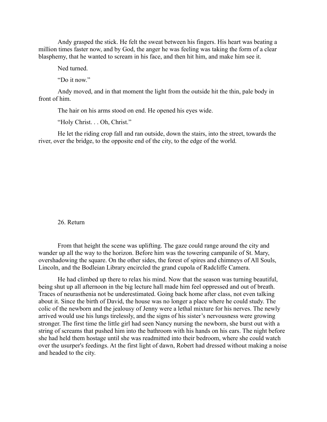Andy grasped the stick. He felt the sweat between his fingers. His heart was beating a million times faster now, and by God, the anger he was feeling was taking the form of a clear blasphemy, that he wanted to scream in his face, and then hit him, and make him see it.

Ned turned.

"Do it now."

Andy moved, and in that moment the light from the outside hit the thin, pale body in front of him.

The hair on his arms stood on end. He opened his eyes wide.

"Holy Christ. . . Oh, Christ."

He let the riding crop fall and ran outside, down the stairs, into the street, towards the river, over the bridge, to the opposite end of the city, to the edge of the world.

### 26. Return

From that height the scene was uplifting. The gaze could range around the city and wander up all the way to the horizon. Before him was the towering campanile of St. Mary, overshadowing the square. On the other sides, the forest of spires and chimneys of All Souls, Lincoln, and the Bodleian Library encircled the grand cupola of Radcliffe Camera.

He had climbed up there to relax his mind. Now that the season was turning beautiful, being shut up all afternoon in the big lecture hall made him feel oppressed and out of breath. Traces of neurasthenia not be underestimated. Going back home after class, not even talking about it. Since the birth of David, the house was no longer a place where he could study. The colic of the newborn and the jealousy of Jenny were a lethal mixture for his nerves. The newly arrived would use his lungs tirelessly, and the signs of his sister's nervousness were growing stronger. The first time the little girl had seen Nancy nursing the newborn, she burst out with a string of screams that pushed him into the bathroom with his hands on his ears. The night before she had held them hostage until she was readmitted into their bedroom, where she could watch over the usurper's feedings. At the first light of dawn, Robert had dressed without making a noise and headed to the city.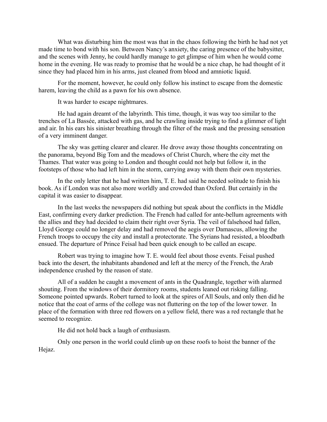What was disturbing him the most was that in the chaos following the birth he had not yet made time to bond with his son. Between Nancy's anxiety, the caring presence of the babysitter, and the scenes with Jenny, he could hardly manage to get glimpse of him when he would come home in the evening. He was ready to promise that he would be a nice chap, he had thought of it since they had placed him in his arms, just cleaned from blood and amniotic liquid.

For the moment, however, he could only follow his instinct to escape from the domestic harem, leaving the child as a pawn for his own absence.

It was harder to escape nightmares.

He had again dreamt of the labyrinth. This time, though, it was way too similar to the trenches of La Bassée, attacked with gas, and he crawling inside trying to find a glimmer of light and air. In his ears his sinister breathing through the filter of the mask and the pressing sensation of a very imminent danger.

The sky was getting clearer and clearer. He drove away those thoughts concentrating on the panorama, beyond Big Tom and the meadows of Christ Church, where the city met the Thames. That water was going to London and thought could not help but follow it, in the footsteps of those who had left him in the storm, carrying away with them their own mysteries.

In the only letter that he had written him, T. E. had said he needed solitude to finish his book. As if London was not also more worldly and crowded than Oxford. But certainly in the capital it was easier to disappear.

In the last weeks the newspapers did nothing but speak about the conflicts in the Middle East, confirming every darker prediction. The French had called for ante-bellum agreements with the allies and they had decided to claim their right over Syria. The veil of falsehood had fallen, Lloyd George could no longer delay and had removed the aegis over Damascus, allowing the French troops to occupy the city and install a protectorate. The Syrians had resisted, a bloodbath ensued. The departure of Prince Feisal had been quick enough to be called an escape.

Robert was trying to imagine how T. E. would feel about those events. Feisal pushed back into the desert, the inhabitants abandoned and left at the mercy of the French, the Arab independence crushed by the reason of state.

All of a sudden he caught a movement of ants in the Quadrangle, together with alarmed shouting. From the windows of their dormitory rooms, students leaned out risking falling. Someone pointed upwards. Robert turned to look at the spires of All Souls, and only then did he notice that the coat of arms of the college was not fluttering on the top of the lower tower. In place of the formation with three red flowers on a yellow field, there was a red rectangle that he seemed to recognize.

He did not hold back a laugh of enthusiasm.

Only one person in the world could climb up on these roofs to hoist the banner of the Hejaz.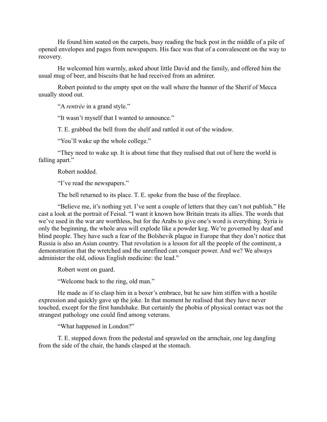He found him seated on the carpets, busy reading the back post in the middle of a pile of opened envelopes and pages from newspapers. His face was that of a convalescent on the way to recovery.

He welcomed him warmly, asked about little David and the family, and offered him the usual mug of beer, and biscuits that he had received from an admirer.

Robert pointed to the empty spot on the wall where the banner of the Sherif of Mecca usually stood out.

"A *rentrée* in a grand style."

"It wasn't myself that I wanted to announce."

T. E. grabbed the bell from the shelf and rattled it out of the window.

"You'll wake up the whole college."

"They need to wake up. It is about time that they realised that out of here the world is falling apart."

Robert nodded.

"I've read the newspapers."

The bell returned to its place. T. E. spoke from the base of the fireplace.

"Believe me, it's nothing yet. I've sent a couple of letters that they can't not publish." He cast a look at the portrait of Feisal. "I want it known how Britain treats its allies. The words that we've used in the war are worthless, but for the Arabs to give one's word is everything. Syria is only the beginning, the whole area will explode like a powder keg. We're governed by deaf and blind people. They have such a fear of the Bolshevik plague in Europe that they don't notice that Russia is also an Asian country. That revolution is a lesson for all the people of the continent, a demonstration that the wretched and the unrefined can conquer power. And we? We always administer the old, odious English medicine: the lead."

Robert went on guard.

"Welcome back to the ring, old man."

He made as if to clasp him in a boxer's embrace, but he saw him stiffen with a hostile expression and quickly gave up the joke. In that moment he realised that they have never touched, except for the first handshake. But certainly the phobia of physical contact was not the strangest pathology one could find among veterans.

"What happened in London?"

T. E. stepped down from the pedestal and sprawled on the armchair, one leg dangling from the side of the chair, the hands clasped at the stomach.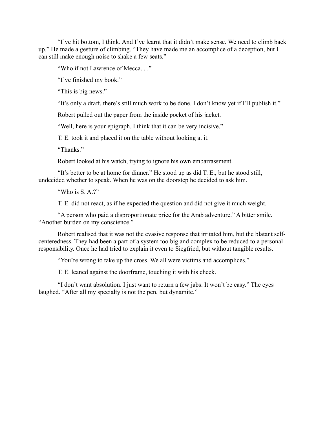"I've hit bottom, I think. And I've learnt that it didn't make sense. We need to climb back up." He made a gesture of climbing. "They have made me an accomplice of a deception, but I can still make enough noise to shake a few seats."

"Who if not Lawrence of Mecca. . ."

"I've finished my book."

"This is big news."

"It's only a draft, there's still much work to be done. I don't know yet if I'll publish it."

Robert pulled out the paper from the inside pocket of his jacket.

"Well, here is your epigraph. I think that it can be very incisive."

T. E. took it and placed it on the table without looking at it.

"Thanks."

Robert looked at his watch, trying to ignore his own embarrassment.

"It's better to be at home for dinner." He stood up as did T. E., but he stood still, undecided whether to speak. When he was on the doorstep he decided to ask him.

"Who is  $S$  A.?"

T. E. did not react, as if he expected the question and did not give it much weight.

"A person who paid a disproportionate price for the Arab adventure." A bitter smile. "Another burden on my conscience."

Robert realised that it was not the evasive response that irritated him, but the blatant selfcenteredness. They had been a part of a system too big and complex to be reduced to a personal responsibility. Once he had tried to explain it even to Siegfried, but without tangible results.

"You're wrong to take up the cross. We all were victims and accomplices."

T. E. leaned against the doorframe, touching it with his cheek.

"I don't want absolution. I just want to return a few jabs. It won't be easy." The eyes laughed. "After all my specialty is not the pen, but dynamite."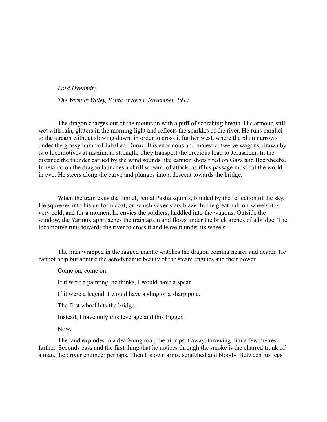### *Lord Dynamite*

*The Yarmuk Valley, South of Syria, November, 1917*

The dragon charges out of the mountain with a puff of scorching breath. His armour, still wet with rain, glitters in the morning light and reflects the sparkles of the river. He runs parallel to the stream without slowing down, in order to cross it further west, where the plain narrows under the grassy hump of Jabal ad-Duruz. It is enormous and majestic: twelve wagons, drawn by two locomotives at maximum strength. They transport the precious load to Jerusalem. In the distance the thunder carried by the wind sounds like cannon shots fired on Gaza and Beersheeba. In retaliation the dragon launches a shrill scream, of attack, as if his passage must cut the world in two. He steers along the curve and plunges into a descent towards the bridge.

When the train exits the tunnel, Jemal Pasha squints, blinded by the reflection of the sky. He squeezes into his uniform coat, on which silver stars blaze. In the great hall-on-wheels it is very cold, and for a moment he envies the soldiers, huddled into the wagons. Outside the window, the Yarmuk approaches the train again and flows under the brick arches of a bridge. The locomotive runs towards the river to cross it and leave it under its wheels.

The man wrapped in the ragged mantle watches the dragon coming nearer and nearer. He cannot help but admire the aerodynamic beauty of the steam engines and their power.

Come on, come on.

If it were a painting, he thinks, I would have a spear.

If it were a legend, I would have a sling or a sharp pole.

The first wheel hits the bridge.

Instead, I have only this leverage and this trigger.

Now.

The land explodes in a deafening roar, the air rips it away, throwing him a few metres farther. Seconds pass and the first thing that he notices through the smoke is the charred trunk of a man, the driver engineer perhaps. Then his own arms, scratched and bloody. Between his legs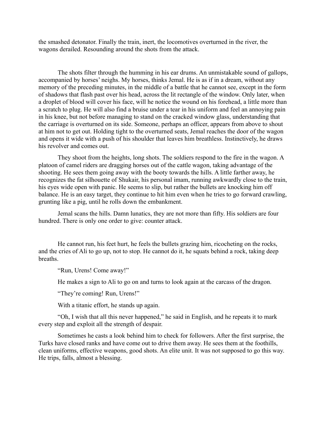the smashed detonator. Finally the train, inert, the locomotives overturned in the river, the wagons derailed. Resounding around the shots from the attack.

The shots filter through the humming in his ear drums. An unmistakable sound of gallops, accompanied by horses' neighs. My horses, thinks Jemal. He is as if in a dream, without any memory of the preceding minutes, in the middle of a battle that he cannot see, except in the form of shadows that flash past over his head, across the lit rectangle of the window. Only later, when a droplet of blood will cover his face, will he notice the wound on his forehead, a little more than a scratch to plug. He will also find a bruise under a tear in his uniform and feel an annoying pain in his knee, but not before managing to stand on the cracked window glass, understanding that the carriage is overturned on its side. Someone, perhaps an officer, appears from above to shout at him not to get out. Holding tight to the overturned seats, Jemal reaches the door of the wagon and opens it wide with a push of his shoulder that leaves him breathless. Instinctively, he draws his revolver and comes out.

They shoot from the heights, long shots. The soldiers respond to the fire in the wagon. A platoon of camel riders are dragging horses out of the cattle wagon, taking advantage of the shooting. He sees them going away with the booty towards the hills. A little farther away, he recognizes the fat silhouette of Shukair, his personal imam, running awkwardly close to the train, his eyes wide open with panic. He seems to slip, but rather the bullets are knocking him off balance. He is an easy target, they continue to hit him even when he tries to go forward crawling, grunting like a pig, until he rolls down the embankment.

Jemal scans the hills. Damn lunatics, they are not more than fifty. His soldiers are four hundred. There is only one order to give: counter attack.

He cannot run, his feet hurt, he feels the bullets grazing him, ricocheting on the rocks, and the cries of Ali to go up, not to stop. He cannot do it, he squats behind a rock, taking deep breaths.

"Run, Urens! Come away!"

He makes a sign to Ali to go on and turns to look again at the carcass of the dragon.

"They're coming! Run, Urens!"

With a titanic effort, he stands up again.

"Oh, I wish that all this never happened," he said in English, and he repeats it to mark every step and exploit all the strength of despair.

Sometimes he casts a look behind him to check for followers. After the first surprise, the Turks have closed ranks and have come out to drive them away. He sees them at the foothills, clean uniforms, effective weapons, good shots. An elite unit. It was not supposed to go this way. He trips, falls, almost a blessing.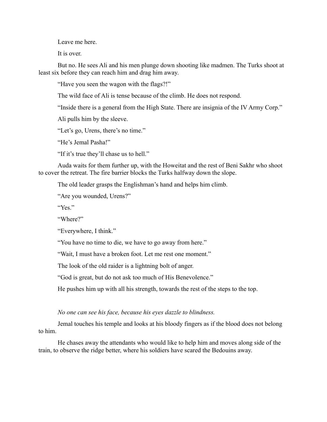Leave me here.

It is over.

But no. He sees Ali and his men plunge down shooting like madmen. The Turks shoot at least six before they can reach him and drag him away.

"Have you seen the wagon with the flags?!"

The wild face of Ali is tense because of the climb. He does not respond.

"Inside there is a general from the High State. There are insignia of the IV Army Corp."

Ali pulls him by the sleeve.

"Let's go, Urens, there's no time."

"He's Jemal Pasha!"

"If it's true they'll chase us to hell."

Auda waits for them further up, with the Howeitat and the rest of Beni Sakhr who shoot to cover the retreat. The fire barrier blocks the Turks halfway down the slope.

The old leader grasps the Englishman's hand and helps him climb.

"Are you wounded, Urens?"

"Yes."

"Where?"

"Everywhere, I think."

"You have no time to die, we have to go away from here."

"Wait, I must have a broken foot. Let me rest one moment."

The look of the old raider is a lightning bolt of anger.

"God is great, but do not ask too much of His Benevolence."

He pushes him up with all his strength, towards the rest of the steps to the top.

#### *No one can see his face, because his eyes dazzle to blindness.*

Jemal touches his temple and looks at his bloody fingers as if the blood does not belong to him.

He chases away the attendants who would like to help him and moves along side of the train, to observe the ridge better, where his soldiers have scared the Bedouins away.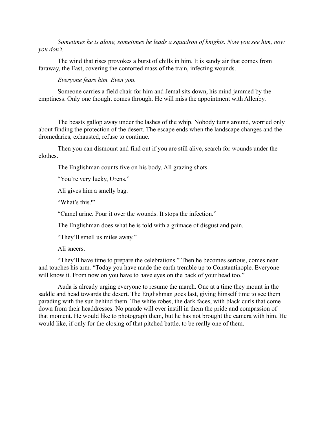*Sometimes he is alone, sometimes he leads a squadron of knights. Now you see him, now you don't.*

The wind that rises provokes a burst of chills in him. It is sandy air that comes from faraway, the East, covering the contorted mass of the train, infecting wounds.

*Everyone fears him. Even you.*

Someone carries a field chair for him and Jemal sits down, his mind jammed by the emptiness. Only one thought comes through. He will miss the appointment with Allenby.

The beasts gallop away under the lashes of the whip. Nobody turns around, worried only about finding the protection of the desert. The escape ends when the landscape changes and the dromedaries, exhausted, refuse to continue.

Then you can dismount and find out if you are still alive, search for wounds under the clothes.

The Englishman counts five on his body. All grazing shots.

"You're very lucky, Urens."

Ali gives him a smelly bag.

"What's this?"

"Camel urine. Pour it over the wounds. It stops the infection."

The Englishman does what he is told with a grimace of disgust and pain.

"They'll smell us miles away."

Ali sneers.

"They'll have time to prepare the celebrations." Then he becomes serious, comes near and touches his arm. "Today you have made the earth tremble up to Constantinople. Everyone will know it. From now on you have to have eyes on the back of your head too."

Auda is already urging everyone to resume the march. One at a time they mount in the saddle and head towards the desert. The Englishman goes last, giving himself time to see them parading with the sun behind them. The white robes, the dark faces, with black curls that come down from their headdresses. No parade will ever instill in them the pride and compassion of that moment. He would like to photograph them, but he has not brought the camera with him. He would like, if only for the closing of that pitched battle, to be really one of them.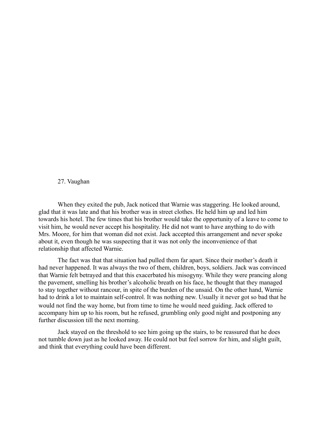#### 27. Vaughan

When they exited the pub, Jack noticed that Warnie was staggering. He looked around, glad that it was late and that his brother was in street clothes. He held him up and led him towards his hotel. The few times that his brother would take the opportunity of a leave to come to visit him, he would never accept his hospitality. He did not want to have anything to do with Mrs. Moore, for him that woman did not exist. Jack accepted this arrangement and never spoke about it, even though he was suspecting that it was not only the inconvenience of that relationship that affected Warnie.

The fact was that that situation had pulled them far apart. Since their mother's death it had never happened. It was always the two of them, children, boys, soldiers. Jack was convinced that Warnie felt betrayed and that this exacerbated his misogyny. While they were prancing along the pavement, smelling his brother's alcoholic breath on his face, he thought that they managed to stay together without rancour, in spite of the burden of the unsaid. On the other hand, Warnie had to drink a lot to maintain self-control. It was nothing new. Usually it never got so bad that he would not find the way home, but from time to time he would need guiding. Jack offered to accompany him up to his room, but he refused, grumbling only good night and postponing any further discussion till the next morning.

Jack stayed on the threshold to see him going up the stairs, to be reassured that he does not tumble down just as he looked away. He could not but feel sorrow for him, and slight guilt, and think that everything could have been different.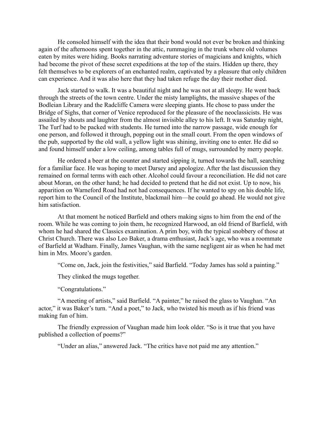He consoled himself with the idea that their bond would not ever be broken and thinking again of the afternoons spent together in the attic, rummaging in the trunk where old volumes eaten by mites were hiding. Books narrating adventure stories of magicians and knights, which had become the pivot of these secret expeditions at the top of the stairs. Hidden up there, they felt themselves to be explorers of an enchanted realm, captivated by a pleasure that only children can experience. And it was also here that they had taken refuge the day their mother died.

Jack started to walk. It was a beautiful night and he was not at all sleepy. He went back through the streets of the town centre. Under the misty lamplights, the massive shapes of the Bodleian Library and the Radcliffe Camera were sleeping giants. He chose to pass under the Bridge of Sighs, that corner of Venice reproduced for the pleasure of the neoclassicists. He was assailed by shouts and laughter from the almost invisible alley to his left. It was Saturday night, The Turf had to be packed with students. He turned into the narrow passage, wide enough for one person, and followed it through, popping out in the small court. From the open windows of the pub, supported by the old wall, a yellow light was shining, inviting one to enter. He did so and found himself under a low ceiling, among tables full of mugs, surrounded by merry people.

He ordered a beer at the counter and started sipping it, turned towards the hall, searching for a familiar face. He was hoping to meet Darsey and apologize. After the last discussion they remained on formal terms with each other. Alcohol could favour a reconciliation. He did not care about Moran, on the other hand; he had decided to pretend that he did not exist. Up to now, his apparition on Warneford Road had not had consequences. If he wanted to spy on his double life, report him to the Council of the Institute, blackmail him—he could go ahead. He would not give him satisfaction.

At that moment he noticed Barfield and others making signs to him from the end of the room. While he was coming to join them, he recognized Harwood, an old friend of Barfield, with whom he had shared the Classics examination. A prim boy, with the typical snobbery of those at Christ Church. There was also Leo Baker, a drama enthusiast, Jack's age, who was a roommate of Barfield at Wadham. Finally, James Vaughan, with the same negligent air as when he had met him in Mrs. Moore's garden.

"Come on, Jack, join the festivities," said Barfield. "Today James has sold a painting."

They clinked the mugs together.

"Congratulations."

"A meeting of artists," said Barfield. "A painter," he raised the glass to Vaughan. "An actor," it was Baker's turn. "And a poet," to Jack, who twisted his mouth as if his friend was making fun of him.

The friendly expression of Vaughan made him look older. "So is it true that you have published a collection of poems?"

"Under an alias," answered Jack. "The critics have not paid me any attention."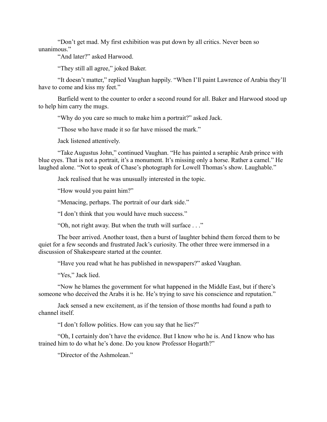"Don't get mad. My first exhibition was put down by all critics. Never been so unanimous."

"And later?" asked Harwood.

"They still all agree," joked Baker.

"It doesn't matter," replied Vaughan happily. "When I'll paint Lawrence of Arabia they'll have to come and kiss my feet."

Barfield went to the counter to order a second round for all. Baker and Harwood stood up to help him carry the mugs.

"Why do you care so much to make him a portrait?" asked Jack.

"Those who have made it so far have missed the mark."

Jack listened attentively.

"Take Augustus John," continued Vaughan. "He has painted a seraphic Arab prince with blue eyes. That is not a portrait, it's a monument. It's missing only a horse. Rather a camel." He laughed alone. "Not to speak of Chase's photograph for Lowell Thomas's show. Laughable."

Jack realised that he was unusually interested in the topic.

"How would you paint him?"

"Menacing, perhaps. The portrait of our dark side."

"I don't think that you would have much success."

"Oh, not right away. But when the truth will surface . . ."

The beer arrived. Another toast, then a burst of laughter behind them forced them to be quiet for a few seconds and frustrated Jack's curiosity. The other three were immersed in a discussion of Shakespeare started at the counter.

"Have you read what he has published in newspapers?" asked Vaughan.

"Yes," Jack lied.

"Now he blames the government for what happened in the Middle East, but if there's someone who deceived the Arabs it is he. He's trying to save his conscience and reputation."

Jack sensed a new excitement, as if the tension of those months had found a path to channel itself.

"I don't follow politics. How can you say that he lies?"

"Oh, I certainly don't have the evidence. But I know who he is. And I know who has trained him to do what he's done. Do you know Professor Hogarth?"

"Director of the Ashmolean"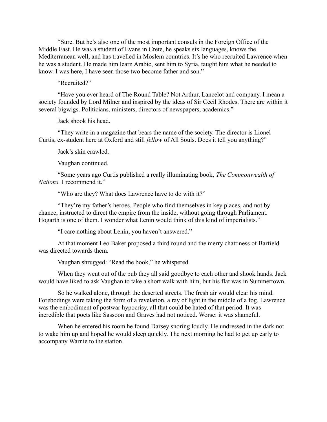"Sure. But he's also one of the most important consuls in the Foreign Office of the Middle East. He was a student of Evans in Crete, he speaks six languages, knows the Mediterranean well, and has travelled in Moslem countries. It's he who recruited Lawrence when he was a student. He made him learn Arabic, sent him to Syria, taught him what he needed to know. I was here, I have seen those two become father and son."

"Recruited?"

"Have you ever heard of The Round Table? Not Arthur, Lancelot and company. I mean a society founded by Lord Milner and inspired by the ideas of Sir Cecil Rhodes. There are within it several bigwigs. Politicians, ministers, directors of newspapers, academics."

Jack shook his head.

"They write in a magazine that bears the name of the society. The director is Lionel Curtis, ex-student here at Oxford and still *fellow* of All Souls. Does it tell you anything?"

Jack's skin crawled.

Vaughan continued.

"Some years ago Curtis published a really illuminating book, *The Commonwealth of Nations.* I recommend it."

"Who are they? What does Lawrence have to do with it?"

"They're my father's heroes. People who find themselves in key places, and not by chance, instructed to direct the empire from the inside, without going through Parliament. Hogarth is one of them. I wonder what Lenin would think of this kind of imperialists."

"I care nothing about Lenin, you haven't answered."

At that moment Leo Baker proposed a third round and the merry chattiness of Barfield was directed towards them.

Vaughan shrugged: "Read the book," he whispered.

When they went out of the pub they all said goodbye to each other and shook hands. Jack would have liked to ask Vaughan to take a short walk with him, but his flat was in Summertown.

So he walked alone, through the deserted streets. The fresh air would clear his mind. Forebodings were taking the form of a revelation, a ray of light in the middle of a fog. Lawrence was the embodiment of postwar hypocrisy, all that could be hated of that period. It was incredible that poets like Sassoon and Graves had not noticed. Worse: it was shameful.

When he entered his room he found Darsey snoring loudly. He undressed in the dark not to wake him up and hoped he would sleep quickly. The next morning he had to get up early to accompany Warnie to the station.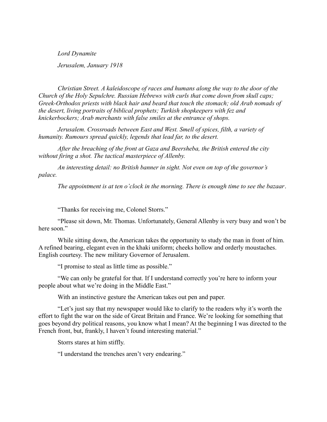*Lord Dynamite*

*Jerusalem, January 1918*

*Christian Street. A kaleidoscope of races and humans along the way to the door of the Church of the Holy Sepulchre. Russian Hebrews with curls that come down from skull caps; Greek-Orthodox priests with black hair and beard that touch the stomach; old Arab nomads of the desert, living portraits of biblical prophets; Turkish shopkeepers with fez and knickerbockers; Arab merchants with false smiles at the entrance of shops.*

*Jerusalem. Crossroads between East and West. Smell of spices, filth, a variety of humanity. Rumours spread quickly, legends that lead far, to the desert.* 

*After the breaching of the front at Gaza and Beersheba, the British entered the city without firing a shot. The tactical masterpiece of Allenby.*

*An interesting detail: no British banner in sight. Not even on top of the governor's palace.*

*The appointment is at ten o'clock in the morning. There is enough time to see the bazaar*.

"Thanks for receiving me, Colonel Storrs."

"Please sit down, Mr. Thomas. Unfortunately, General Allenby is very busy and won't be here soon."

While sitting down, the American takes the opportunity to study the man in front of him. A refined bearing, elegant even in the khaki uniform; cheeks hollow and orderly moustaches. English courtesy. The new military Governor of Jerusalem.

"I promise to steal as little time as possible."

"We can only be grateful for that. If I understand correctly you're here to inform your people about what we're doing in the Middle East."

With an instinctive gesture the American takes out pen and paper.

"Let's just say that my newspaper would like to clarify to the readers why it's worth the effort to fight the war on the side of Great Britain and France. We're looking for something that goes beyond dry political reasons, you know what I mean? At the beginning I was directed to the French front, but, frankly, I haven't found interesting material."

Storrs stares at him stiffly.

"I understand the trenches aren't very endearing."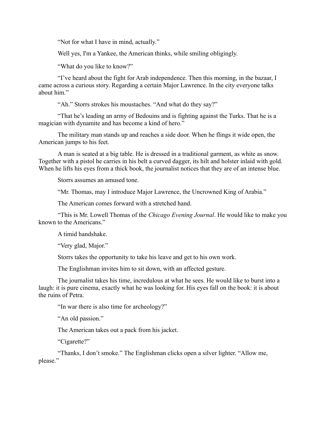"Not for what I have in mind, actually."

Well yes, I'm a Yankee, the American thinks, while smiling obligingly.

"What do you like to know?"

"I've heard about the fight for Arab independence. Then this morning, in the bazaar, I came across a curious story. Regarding a certain Major Lawrence. In the city everyone talks about him."

"Ah." Storrs strokes his moustaches. "And what do they say?"

"That he's leading an army of Bedouins and is fighting against the Turks. That he is a magician with dynamite and has become a kind of hero."

The military man stands up and reaches a side door. When he flings it wide open, the American jumps to his feet.

A man is seated at a big table. He is dressed in a traditional garment, as white as snow. Together with a pistol he carries in his belt a curved dagger, its hilt and holster inlaid with gold. When he lifts his eyes from a thick book, the journalist notices that they are of an intense blue.

Storrs assumes an amused tone.

"Mr. Thomas, may I introduce Major Lawrence, the Uncrowned King of Arabia."

The American comes forward with a stretched hand.

"This is Mr. Lowell Thomas of the *Chicago Evening Journal*. He would like to make you known to the Americans."

A timid handshake.

"Very glad, Major."

Storrs takes the opportunity to take his leave and get to his own work.

The Englishman invites him to sit down, with an affected gesture.

The journalist takes his time, incredulous at what he sees. He would like to burst into a laugh: it is pure cinema, exactly what he was looking for. His eyes fall on the book: it is about the ruins of Petra.

"In war there is also time for archeology?"

"An old passion."

The American takes out a pack from his jacket.

"Cigarette?"

"Thanks, I don't smoke." The Englishman clicks open a silver lighter. "Allow me, please."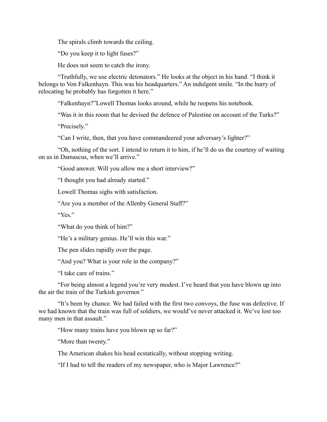The spirals climb towards the ceiling.

"Do you keep it to light fuses?"

He does not seem to catch the irony.

"Truthfully, we use electric detonators." He looks at the object in his hand. "I think it belongs to Von Falkenhayn. This was his headquarters." An indulgent smile. "In the hurry of relocating he probably has forgotten it here."

"Falkenhayn?"Lowell Thomas looks around, while he reopens his notebook.

"Was it in this room that he devised the defence of Palestine on account of the Turks?"

"Precisely."

"Can I write, then, that you have commandeered your adversary's lighter?"

"Oh, nothing of the sort. I intend to return it to him, if he'll do us the courtesy of waiting on us in Damascus, when we'll arrive."

"Good answer. Will you allow me a short interview?"

"I thought you had already started."

Lowell Thomas sighs with satisfaction.

"Are you a member of the Allenby General Staff?"

"Yes"

"What do you think of him?"

"He's a military genius. He'll win this war."

The pen slides rapidly over the page.

"And you? What is your role in the company?"

"I take care of trains."

"For being almost a legend you're very modest. I've heard that you have blown up into the air the train of the Turkish governor."

"It's been by chance. We had failed with the first two convoys, the fuse was defective. If we had known that the train was full of soldiers, we would've never attacked it. We've lost too many men in that assault."

"How many trains have you blown up so far?"

"More than twenty."

The American shakes his head ecstatically, without stopping writing.

"If I had to tell the readers of my newspaper, who is Major Lawrence?"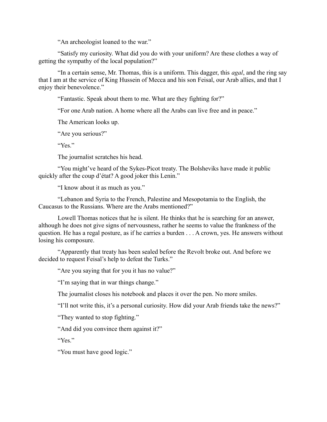"An archeologist loaned to the war."

"Satisfy my curiosity. What did you do with your uniform? Are these clothes a way of getting the sympathy of the local population?"

"In a certain sense, Mr. Thomas, this is a uniform. This dagger, this *agal*, and the ring say that I am at the service of King Hussein of Mecca and his son Feisal, our Arab allies, and that I enjoy their benevolence."

"Fantastic. Speak about them to me. What are they fighting for?"

"For one Arab nation. A home where all the Arabs can live free and in peace."

The American looks up.

"Are you serious?"

"Yes"

The journalist scratches his head.

"You might've heard of the Sykes-Picot treaty. The Bolsheviks have made it public quickly after the coup d'état? A good joker this Lenin."

"I know about it as much as you."

"Lebanon and Syria to the French, Palestine and Mesopotamia to the English, the Caucasus to the Russians. Where are the Arabs mentioned?"

Lowell Thomas notices that he is silent. He thinks that he is searching for an answer, although he does not give signs of nervousness, rather he seems to value the frankness of the question. He has a regal posture, as if he carries a burden . . . A crown, yes. He answers without losing his composure.

"Apparently that treaty has been sealed before the Revolt broke out. And before we decided to request Feisal's help to defeat the Turks."

"Are you saying that for you it has no value?"

"I'm saying that in war things change."

The journalist closes his notebook and places it over the pen. No more smiles.

"I'll not write this, it's a personal curiosity. How did your Arab friends take the news?"

"They wanted to stop fighting."

"And did you convince them against it?"

"Yes."

"You must have good logic."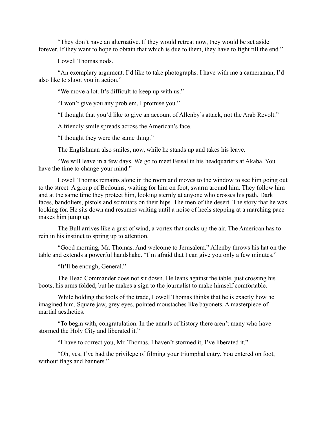"They don't have an alternative. If they would retreat now, they would be set aside forever. If they want to hope to obtain that which is due to them, they have to fight till the end."

Lowell Thomas nods.

"An exemplary argument. I'd like to take photographs. I have with me a cameraman, I'd also like to shoot you in action."

"We move a lot. It's difficult to keep up with us."

"I won't give you any problem, I promise you."

"I thought that you'd like to give an account of Allenby's attack, not the Arab Revolt."

A friendly smile spreads across the American's face.

"I thought they were the same thing."

The Englishman also smiles, now, while he stands up and takes his leave.

"We will leave in a few days. We go to meet Feisal in his headquarters at Akaba. You have the time to change your mind."

Lowell Thomas remains alone in the room and moves to the window to see him going out to the street. A group of Bedouins, waiting for him on foot, swarm around him. They follow him and at the same time they protect him, looking sternly at anyone who crosses his path. Dark faces, bandoliers, pistols and scimitars on their hips. The men of the desert. The story that he was looking for. He sits down and resumes writing until a noise of heels stepping at a marching pace makes him jump up.

The Bull arrives like a gust of wind, a vortex that sucks up the air. The American has to rein in his instinct to spring up to attention.

"Good morning, Mr. Thomas. And welcome to Jerusalem." Allenby throws his hat on the table and extends a powerful handshake. "I'm afraid that I can give you only a few minutes."

"It'll be enough, General."

The Head Commander does not sit down. He leans against the table, just crossing his boots, his arms folded, but he makes a sign to the journalist to make himself comfortable.

While holding the tools of the trade, Lowell Thomas thinks that he is exactly how he imagined him. Square jaw, grey eyes, pointed moustaches like bayonets. A masterpiece of martial aesthetics.

"To begin with, congratulation. In the annals of history there aren't many who have stormed the Holy City and liberated it."

"I have to correct you, Mr. Thomas. I haven't stormed it, I've liberated it."

"Oh, yes, I've had the privilege of filming your triumphal entry. You entered on foot, without flags and banners."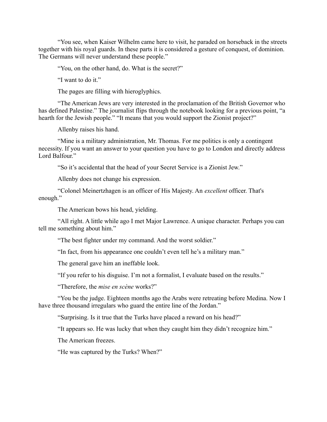"You see, when Kaiser Wilhelm came here to visit, he paraded on horseback in the streets together with his royal guards. In these parts it is considered a gesture of conquest, of dominion. The Germans will never understand these people."

"You, on the other hand, do. What is the secret?"

"I want to do it."

The pages are filling with hieroglyphics.

"The American Jews are very interested in the proclamation of the British Governor who has defined Palestine." The journalist flips through the notebook looking for a previous point, "a hearth for the Jewish people." "It means that you would support the Zionist project?"

Allenby raises his hand.

"Mine is a military administration, Mr. Thomas. For me politics is only a contingent necessity. If you want an answer to your question you have to go to London and directly address Lord Balfour."

"So it's accidental that the head of your Secret Service is a Zionist Jew."

Allenby does not change his expression.

"Colonel Meinertzhagen is an officer of His Majesty. An *excellent* officer. That's enough."

The American bows his head, yielding.

"All right. A little while ago I met Major Lawrence. A unique character. Perhaps you can tell me something about him."

"The best fighter under my command. And the worst soldier."

"In fact, from his appearance one couldn't even tell he's a military man."

The general gave him an ineffable look.

"If you refer to his disguise. I'm not a formalist, I evaluate based on the results."

"Therefore, the *mise en scène* works?"

"You be the judge. Eighteen months ago the Arabs were retreating before Medina. Now I have three thousand irregulars who guard the entire line of the Jordan."

"Surprising. Is it true that the Turks have placed a reward on his head?"

"It appears so. He was lucky that when they caught him they didn't recognize him."

The American freezes.

"He was captured by the Turks? When?"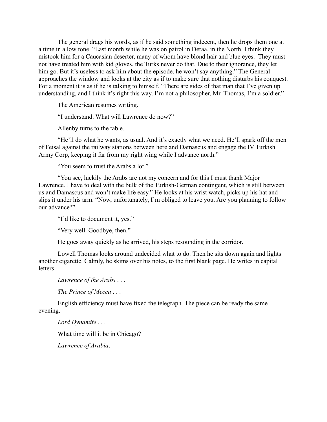The general drags his words, as if he said something indecent, then he drops them one at a time in a low tone. "Last month while he was on patrol in Deraa, in the North. I think they mistook him for a Caucasian deserter, many of whom have blond hair and blue eyes. They must not have treated him with kid gloves, the Turks never do that. Due to their ignorance, they let him go. But it's useless to ask him about the episode, he won't say anything." The General approaches the window and looks at the city as if to make sure that nothing disturbs his conquest. For a moment it is as if he is talking to himself. "There are sides of that man that I've given up understanding, and I think it's right this way. I'm not a philosopher, Mr. Thomas, I'm a soldier."

The American resumes writing.

"I understand. What will Lawrence do now?"

Allenby turns to the table.

"He'll do what he wants, as usual. And it's exactly what we need. He'll spark off the men of Feisal against the railway stations between here and Damascus and engage the IV Turkish Army Corp, keeping it far from my right wing while I advance north."

"You seem to trust the Arabs a lot."

"You see, luckily the Arabs are not my concern and for this I must thank Major Lawrence. I have to deal with the bulk of the Turkish-German contingent, which is still between us and Damascus and won't make life easy." He looks at his wrist watch, picks up his hat and slips it under his arm. "Now, unfortunately, I'm obliged to leave you. Are you planning to follow our advance?"

"I'd like to document it, yes."

"Very well. Goodbye, then."

He goes away quickly as he arrived, his steps resounding in the corridor.

Lowell Thomas looks around undecided what to do. Then he sits down again and lights another cigarette. Calmly, he skims over his notes, to the first blank page. He writes in capital letters.

*Lawrence of the Arabs* . . .

*The Prince of Mecca* . . .

English efficiency must have fixed the telegraph. The piece can be ready the same evening.

*Lord Dynamite . . .*

What time will it be in Chicago?

*Lawrence of Arabia*.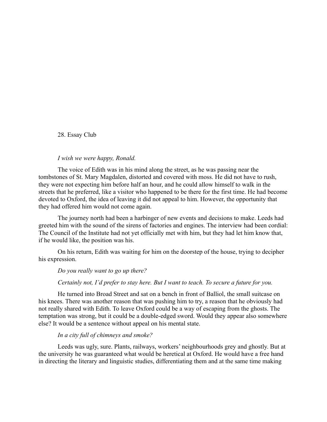## 28. Essay Club

#### *I wish we were happy, Ronald.*

The voice of Edith was in his mind along the street, as he was passing near the tombstones of St. Mary Magdalen, distorted and covered with moss. He did not have to rush, they were not expecting him before half an hour, and he could allow himself to walk in the streets that he preferred, like a visitor who happened to be there for the first time. He had become devoted to Oxford, the idea of leaving it did not appeal to him. However, the opportunity that they had offered him would not come again.

The journey north had been a harbinger of new events and decisions to make. Leeds had greeted him with the sound of the sirens of factories and engines. The interview had been cordial: The Council of the Institute had not yet officially met with him, but they had let him know that, if he would like, the position was his.

On his return, Edith was waiting for him on the doorstep of the house, trying to decipher his expression.

#### *Do you really want to go up there?*

#### *Certainly not, I'd prefer to stay here. But I want to teach. To secure a future for you.*

He turned into Broad Street and sat on a bench in front of Balliol, the small suitcase on his knees. There was another reason that was pushing him to try, a reason that he obviously had not really shared with Edith. To leave Oxford could be a way of escaping from the ghosts. The temptation was strong, but it could be a double-edged sword. Would they appear also somewhere else? It would be a sentence without appeal on his mental state.

#### *In a city full of chimneys and smoke?*

Leeds was ugly, sure. Plants, railways, workers' neighbourhoods grey and ghostly. But at the university he was guaranteed what would be heretical at Oxford. He would have a free hand in directing the literary and linguistic studies, differentiating them and at the same time making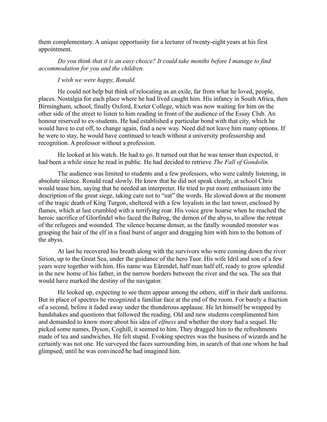them complementary. A unique opportunity for a lecturer of twenty-eight years at his first appointment.

*Do you think that it is an easy choice? It could take months before I manage to find accommodation for you and the children.*

## *I wish we were happy, Ronald.*

He could not help but think of relocating as an exile, far from what he loved, people, places. Nostalgia for each place where he had lived caught him. His infancy in South Africa, then Birmingham, school, finally Oxford, Exeter College, which was now waiting for him on the other side of the street to listen to him reading in front of the audience of the Essay Club*.* An honour reserved to ex-students. He had established a particular bond with that city, which he would have to cut off, to change again, find a new way. Need did not leave him many options. If he were to stay, he would have continued to teach without a university professorship and recognition. A professor without a profession.

He looked at his watch. He had to go. It turned out that he was tenser than expected, it had been a while since he read in public. He had decided to retrieve *The Fall of Gondolin.*

The audience was limited to students and a few professors, who were calmly listening, in absolute silence. Ronald read slowly. He knew that he did not speak clearly, at school Chris would tease him, saying that he needed an interpreter. He tried to put more enthusiasm into the description of the great siege, taking care not to "eat" the words. He slowed down at the moment of the tragic death of King Turgon, sheltered with a few loyalists in the last tower, enclosed by flames, which at last crumbled with a terrifying roar. His voice grew hoarse when he reached the heroic sacrifice of Glorfindel who faced the Balrog, the demon of the abyss, to allow the retreat of the refugees and wounded. The silence became denser, as the fatally wounded monster was grasping the hair of the elf in a final burst of anger and dragging him with him to the bottom of the abyss.

At last he recovered his breath along with the survivors who were coming down the river Sirion, up to the Great Sea, under the guidance of the hero Tuor. His wife Idril and son of a few years were together with him. His name was Eӓrendel, half man half elf, ready to grow splendid in the new home of his father, in the narrow borders between the river and the sea. The sea that would have marked the destiny of the navigator.

He looked up, expecting to see them appear among the others, stiff in their dark uniforms. But in place of spectres he recognized a familiar face at the end of the room. For barely a fraction of a second, before it faded away under the thunderous applause. He let himself be wrapped by handshakes and questions that followed the reading. Old and new students complimented him and demanded to know more about his idea of *elfness* and whether the story had a sequel. He picked some names, Dyson, Coghill, it seemed to him. They dragged him to the refreshments made of tea and sandwiches. He felt stupid. Evoking spectres was the business of wizards and he certainly was not one. He surveyed the faces surrounding him, in search of that one whom he had glimpsed, until he was convinced he had imagined him.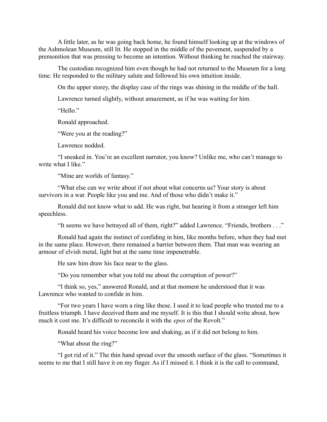A little later, as he was going back home, he found himself looking up at the windows of the Ashmolean Museum, still lit. He stopped in the middle of the pavement, suspended by a premonition that was pressing to become an intention. Without thinking he reached the stairway.

The custodian recognized him even though he had not returned to the Museum for a long time. He responded to the military salute and followed his own intuition inside.

On the upper storey, the display case of the rings was shining in the middle of the hall.

Lawrence turned slightly, without amazement, as if he was waiting for him.

"Hello."

Ronald approached.

"Were you at the reading?"

Lawrence nodded.

"I sneaked in. You're an excellent narrator, you know? Unlike me, who can't manage to write what I like."

"Mine are worlds of fantasy."

"What else can we write about if not about what concerns us? Your story is about survivors in a war. People like you and me. And of those who didn't make it."

Ronald did not know what to add. He was right, but hearing it from a stranger left him speechless.

"It seems we have betrayed all of them, right?" added Lawrence. "Friends, brothers . . ."

Ronald had again the instinct of confiding in him, like months before, when they had met in the same place. However, there remained a barrier between them. That man was wearing an armour of elvish metal, light but at the same time impenetrable.

He saw him draw his face near to the glass.

"Do you remember what you told me about the corruption of power?"

"I think so, yes," answered Ronald, and at that moment he understood that it was Lawrence who wanted to confide in him.

"For two years I have worn a ring like these. I used it to lead people who trusted me to a fruitless triumph. I have deceived them and me myself. It is this that I should write about, how much it cost me. It's difficult to reconcile it with the *epos* of the Revolt."

Ronald heard his voice become low and shaking, as if it did not belong to him.

"What about the ring?"

"I got rid of it." The thin hand spread over the smooth surface of the glass. "Sometimes it seems to me that I still have it on my finger. As if I missed it. I think it is the call to command,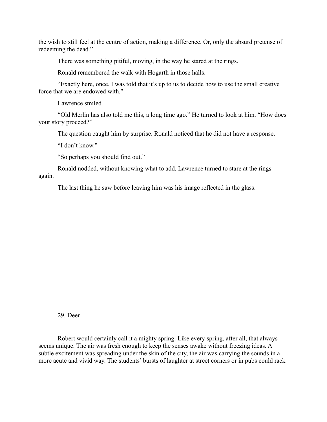the wish to still feel at the centre of action, making a difference. Or, only the absurd pretense of redeeming the dead."

There was something pitiful, moving, in the way he stared at the rings.

Ronald remembered the walk with Hogarth in those halls.

"Exactly here, once, I was told that it's up to us to decide how to use the small creative force that we are endowed with."

Lawrence smiled.

"Old Merlin has also told me this, a long time ago." He turned to look at him. "How does your story proceed?"

The question caught him by surprise. Ronald noticed that he did not have a response.

"I don't know"

"So perhaps you should find out."

Ronald nodded, without knowing what to add. Lawrence turned to stare at the rings again.

The last thing he saw before leaving him was his image reflected in the glass.

29. Deer

Robert would certainly call it a mighty spring. Like every spring, after all, that always seems unique. The air was fresh enough to keep the senses awake without freezing ideas. A subtle excitement was spreading under the skin of the city, the air was carrying the sounds in a more acute and vivid way. The students' bursts of laughter at street corners or in pubs could rack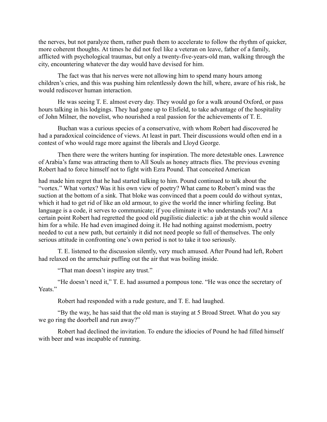the nerves, but not paralyze them, rather push them to accelerate to follow the rhythm of quicker, more coherent thoughts. At times he did not feel like a veteran on leave, father of a family, afflicted with psychological traumas, but only a twenty-five-years-old man, walking through the city, encountering whatever the day would have devised for him.

The fact was that his nerves were not allowing him to spend many hours among children's cries, and this was pushing him relentlessly down the hill, where, aware of his risk, he would rediscover human interaction.

He was seeing T. E. almost every day. They would go for a walk around Oxford, or pass hours talking in his lodgings. They had gone up to Elsfield, to take advantage of the hospitality of John Milner, the novelist, who nourished a real passion for the achievements of T. E.

Buchan was a curious species of a conservative, with whom Robert had discovered he had a paradoxical coincidence of views. At least in part. Their discussions would often end in a contest of who would rage more against the liberals and Lloyd George.

Then there were the writers hunting for inspiration. The more detestable ones. Lawrence of Arabia's fame was attracting them to All Souls as honey attracts flies. The previous evening Robert had to force himself not to fight with Ezra Pound. That conceited American

had made him regret that he had started talking to him. Pound continued to talk about the "vortex." What vortex? Was it his own view of poetry? What came to Robert's mind was the suction at the bottom of a sink. That bloke was convinced that a poem could do without syntax, which it had to get rid of like an old armour, to give the world the inner whirling feeling. But language is a code, it serves to communicate; if you eliminate it who understands you? At a certain point Robert had regretted the good old pugilistic dialectic: a jab at the chin would silence him for a while. He had even imagined doing it. He had nothing against modernism, poetry needed to cut a new path, but certainly it did not need people so full of themselves. The only serious attitude in confronting one's own period is not to take it too seriously.

T. E. listened to the discussion silently, very much amused. After Pound had left, Robert had relaxed on the armchair puffing out the air that was boiling inside.

"That man doesn't inspire any trust."

"He doesn't need it," T. E. had assumed a pompous tone. "He was once the secretary of Yeats."

Robert had responded with a rude gesture, and T. E. had laughed.

"By the way, he has said that the old man is staying at 5 Broad Street. What do you say we go ring the doorbell and run away?"

Robert had declined the invitation. To endure the idiocies of Pound he had filled himself with beer and was incapable of running.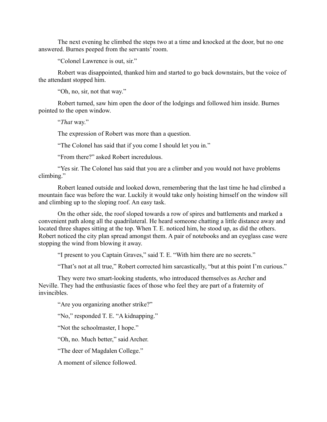The next evening he climbed the steps two at a time and knocked at the door, but no one answered. Burnes peeped from the servants' room.

"Colonel Lawrence is out, sir."

Robert was disappointed, thanked him and started to go back downstairs, but the voice of the attendant stopped him.

"Oh, no, sir, not that way."

Robert turned, saw him open the door of the lodgings and followed him inside. Burnes pointed to the open window.

"*That* way."

The expression of Robert was more than a question.

"The Colonel has said that if you come I should let you in."

"From there?" asked Robert incredulous.

"Yes sir. The Colonel has said that you are a climber and you would not have problems climbing."

Robert leaned outside and looked down, remembering that the last time he had climbed a mountain face was before the war. Luckily it would take only hoisting himself on the window sill and climbing up to the sloping roof. An easy task.

On the other side, the roof sloped towards a row of spires and battlements and marked a convenient path along all the quadrilateral. He heard someone chatting a little distance away and located three shapes sitting at the top. When T. E. noticed him, he stood up, as did the others. Robert noticed the city plan spread amongst them. A pair of notebooks and an eyeglass case were stopping the wind from blowing it away.

"I present to you Captain Graves," said T. E. "With him there are no secrets."

"That's not at all true," Robert corrected him sarcastically, "but at this point I'm curious."

They were two smart-looking students, who introduced themselves as Archer and Neville. They had the enthusiastic faces of those who feel they are part of a fraternity of invincibles.

"Are you organizing another strike?"

"No," responded T. E. "A kidnapping."

"Not the schoolmaster, I hope."

"Oh, no. Much better," said Archer.

"The deer of Magdalen College."

A moment of silence followed.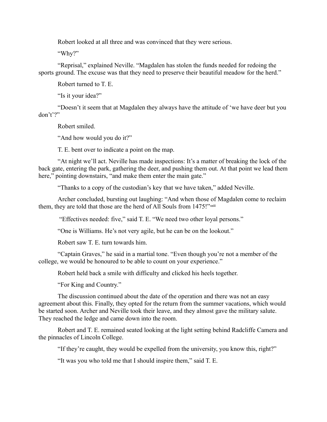Robert looked at all three and was convinced that they were serious.

"Why?"

"Reprisal," explained Neville. "Magdalen has stolen the funds needed for redoing the sports ground. The excuse was that they need to preserve their beautiful meadow for the herd."

Robert turned to T. E.

"Is it your idea?"

"Doesn't it seem that at Magdalen they always have the attitude of 'we have deer but you don't'?"

Robert smiled.

"And how would you do it?"

T. E. bent over to indicate a point on the map.

"At night we'll act. Neville has made inspections: It's a matter of breaking the lock of the back gate, entering the park, gathering the deer, and pushing them out. At that point we lead them here," pointing downstairs, "and make them enter the main gate."

"Thanks to a copy of the custodian's key that we have taken," added Neville.

Archer concluded, bursting out laughing: "And when those of Magdalen come to reclaim them, they are told that those are the herd of All Souls from 1475!"xxiii

"Effectives needed: five," said T. E. "We need two other loyal persons."

"One is Williams. He's not very agile, but he can be on the lookout."

Robert saw T. E. turn towards him.

"Captain Graves," he said in a martial tone. "Even though you're not a member of the college, we would be honoured to be able to count on your experience."

Robert held back a smile with difficulty and clicked his heels together.

"For King and Country."

The discussion continued about the date of the operation and there was not an easy agreement about this. Finally, they opted for the return from the summer vacations, which would be started soon. Archer and Neville took their leave, and they almost gave the military salute. They reached the ledge and came down into the room.

Robert and T. E. remained seated looking at the light setting behind Radcliffe Camera and the pinnacles of Lincoln College.

"If they're caught, they would be expelled from the university, you know this, right?"

"It was you who told me that I should inspire them," said T. E.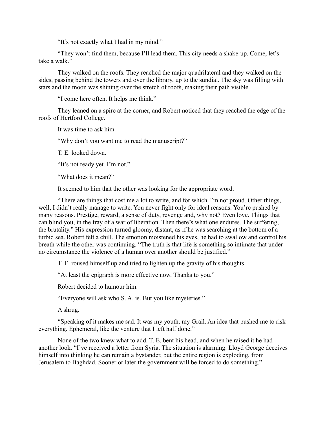"It's not exactly what I had in my mind."

"They won't find them, because I'll lead them. This city needs a shake-up. Come, let's take a walk."

They walked on the roofs. They reached the major quadrilateral and they walked on the sides, passing behind the towers and over the library, up to the sundial. The sky was filling with stars and the moon was shining over the stretch of roofs, making their path visible.

"I come here often. It helps me think."

They leaned on a spire at the corner, and Robert noticed that they reached the edge of the roofs of Hertford College.

It was time to ask him.

"Why don't you want me to read the manuscript?"

T. E. looked down.

"It's not ready yet. I'm not."

"What does it mean?"

It seemed to him that the other was looking for the appropriate word.

"There are things that cost me a lot to write, and for which I'm not proud. Other things, well, I didn't really manage to write. You never fight only for ideal reasons. You're pushed by many reasons. Prestige, reward, a sense of duty, revenge and, why not? Even love. Things that can blind you, in the fray of a war of liberation. Then there's what one endures. The suffering, the brutality." His expression turned gloomy, distant, as if he was searching at the bottom of a turbid sea. Robert felt a chill. The emotion moistened his eyes, he had to swallow and control his breath while the other was continuing. "The truth is that life is something so intimate that under no circumstance the violence of a human over another should be justified."

T. E. roused himself up and tried to lighten up the gravity of his thoughts.

"At least the epigraph is more effective now. Thanks to you."

Robert decided to humour him.

"Everyone will ask who S. A. is. But you like mysteries."

A shrug.

"Speaking of it makes me sad. It was my youth, my Grail. An idea that pushed me to risk everything. Ephemeral, like the venture that I left half done."

None of the two knew what to add. T. E. bent his head, and when he raised it he had another look. "I've received a letter from Syria. The situation is alarming. Lloyd George deceives himself into thinking he can remain a bystander, but the entire region is exploding, from Jerusalem to Baghdad. Sooner or later the government will be forced to do something."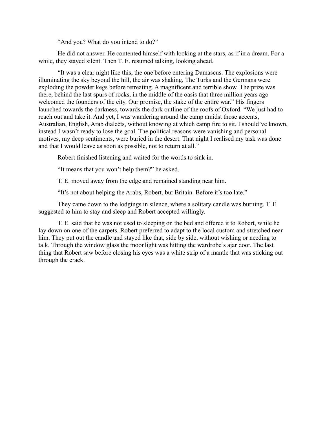"And you? What do you intend to do?"

He did not answer. He contented himself with looking at the stars, as if in a dream. For a while, they stayed silent. Then T. E. resumed talking, looking ahead.

"It was a clear night like this, the one before entering Damascus. The explosions were illuminating the sky beyond the hill, the air was shaking. The Turks and the Germans were exploding the powder kegs before retreating. A magnificent and terrible show. The prize was there, behind the last spurs of rocks, in the middle of the oasis that three million years ago welcomed the founders of the city. Our promise, the stake of the entire war." His fingers launched towards the darkness, towards the dark outline of the roofs of Oxford. "We just had to reach out and take it. And yet, I was wandering around the camp amidst those accents, Australian, English, Arab dialects, without knowing at which camp fire to sit. I should've known, instead I wasn't ready to lose the goal. The political reasons were vanishing and personal motives, my deep sentiments, were buried in the desert. That night I realised my task was done and that I would leave as soon as possible, not to return at all."

Robert finished listening and waited for the words to sink in.

"It means that you won't help them?" he asked.

T. E. moved away from the edge and remained standing near him.

"It's not about helping the Arabs, Robert, but Britain. Before it's too late."

They came down to the lodgings in silence, where a solitary candle was burning. T. E. suggested to him to stay and sleep and Robert accepted willingly.

T. E. said that he was not used to sleeping on the bed and offered it to Robert, while he lay down on one of the carpets. Robert preferred to adapt to the local custom and stretched near him. They put out the candle and stayed like that, side by side, without wishing or needing to talk. Through the window glass the moonlight was hitting the wardrobe's ajar door. The last thing that Robert saw before closing his eyes was a white strip of a mantle that was sticking out through the crack.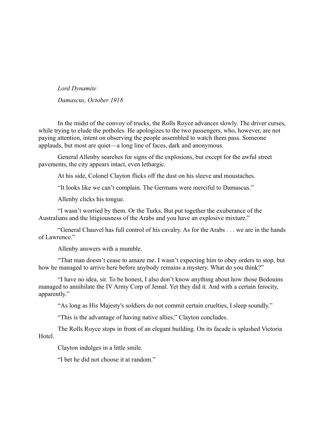*Lord Dynamite Damascus, October 1918*

In the midst of the convoy of trucks, the Rolls Royce advances slowly. The driver curses, while trying to elude the potholes. He apologizes to the two passengers, who, however, are not paying attention, intent on observing the people assembled to watch them pass. Someone applauds, but most are quiet—a long line of faces, dark and anonymous.

General Allenby searches for signs of the explosions, but except for the awful street pavements, the city appears intact, even lethargic.

At his side, Colonel Clayton flicks off the dust on his sleeve and moustaches.

"It looks like we can't complain. The Germans were merciful to Damascus."

Allenby clicks his tongue.

"I wasn't worried by them. Or the Turks. But put together the exuberance of the Australians and the litigiousness of the Arabs and you have an explosive mixture."

"General Chauvel has full control of his cavalry. As for the Arabs . . . we are in the hands of Lawrence."

Allenby answers with a mumble.

"That man doesn't cease to amaze me. I wasn't expecting him to obey orders to stop, but how he managed to arrive here before anybody remains a mystery. What do you think?"

"I have no idea, sir. To be honest, I also don't know anything about how those Bedouins managed to annihilate the IV Army Corp of Jemal. Yet they did it. And with a certain ferocity, apparently."

"As long as His Majesty's soldiers do not commit certain cruelties, I sleep soundly."

"This is the advantage of having native allies," Clayton concludes.

The Rolls Royce stops in front of an elegant building. On its facade is splashed Victoria Hotel.

Clayton indulges in a little smile.

"I bet he did not choose it at random."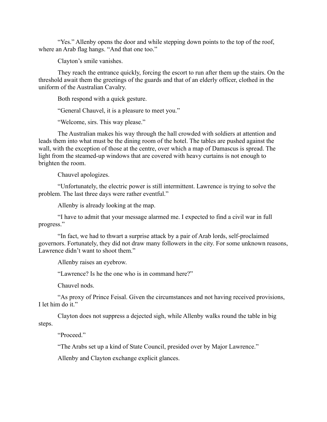"Yes." Allenby opens the door and while stepping down points to the top of the roof, where an Arab flag hangs. "And that one too."

Clayton's smile vanishes.

They reach the entrance quickly, forcing the escort to run after them up the stairs. On the threshold await them the greetings of the guards and that of an elderly officer, clothed in the uniform of the Australian Cavalry.

Both respond with a quick gesture.

"General Chauvel, it is a pleasure to meet you."

"Welcome, sirs. This way please."

The Australian makes his way through the hall crowded with soldiers at attention and leads them into what must be the dining room of the hotel. The tables are pushed against the wall, with the exception of those at the centre, over which a map of Damascus is spread. The light from the steamed-up windows that are covered with heavy curtains is not enough to brighten the room.

Chauvel apologizes.

"Unfortunately, the electric power is still intermittent. Lawrence is trying to solve the problem. The last three days were rather eventful."

Allenby is already looking at the map.

"I have to admit that your message alarmed me. I expected to find a civil war in full progress."

"In fact, we had to thwart a surprise attack by a pair of Arab lords, self-proclaimed governors. Fortunately, they did not draw many followers in the city. For some unknown reasons, Lawrence didn't want to shoot them."

Allenby raises an eyebrow.

"Lawrence? Is he the one who is in command here?"

Chauvel nods.

"As proxy of Prince Feisal. Given the circumstances and not having received provisions, I let him do it."

Clayton does not suppress a dejected sigh, while Allenby walks round the table in big steps.

"Proceed."

"The Arabs set up a kind of State Council, presided over by Major Lawrence."

Allenby and Clayton exchange explicit glances.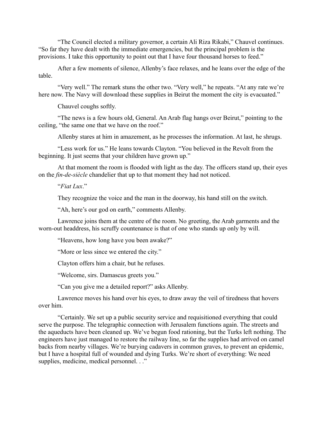"The Council elected a military governor, a certain Ali Riza Rikabi," Chauvel continues. "So far they have dealt with the immediate emergencies, but the principal problem is the provisions. I take this opportunity to point out that I have four thousand horses to feed."

After a few moments of silence, Allenby's face relaxes, and he leans over the edge of the table.

"Very well." The remark stuns the other two. "Very well," he repeats. "At any rate we're here now. The Navy will download these supplies in Beirut the moment the city is evacuated."

Chauvel coughs softly.

"The news is a few hours old, General. An Arab flag hangs over Beirut," pointing to the ceiling, "the same one that we have on the roof."

Allenby stares at him in amazement, as he processes the information. At last, he shrugs.

"Less work for us." He leans towards Clayton. "You believed in the Revolt from the beginning. It just seems that your children have grown up."

At that moment the room is flooded with light as the day. The officers stand up, their eyes on the *fin-de-siècle* chandelier that up to that moment they had not noticed.

"*Fiat Lux*."

They recognize the voice and the man in the doorway, his hand still on the switch.

"Ah, here's our god on earth," comments Allenby.

Lawrence joins them at the centre of the room. No greeting, the Arab garments and the worn-out headdress, his scruffy countenance is that of one who stands up only by will.

"Heavens, how long have you been awake?"

"More or less since we entered the city."

Clayton offers him a chair, but he refuses.

"Welcome, sirs. Damascus greets you."

"Can you give me a detailed report?" asks Allenby.

Lawrence moves his hand over his eyes, to draw away the veil of tiredness that hovers over him.

"Certainly. We set up a public security service and requisitioned everything that could serve the purpose. The telegraphic connection with Jerusalem functions again. The streets and the aqueducts have been cleaned up. We've begun food rationing, but the Turks left nothing. The engineers have just managed to restore the railway line, so far the supplies had arrived on camel backs from nearby villages. We're burying cadavers in common graves, to prevent an epidemic, but I have a hospital full of wounded and dying Turks. We're short of everything: We need supplies, medicine, medical personnel. . ."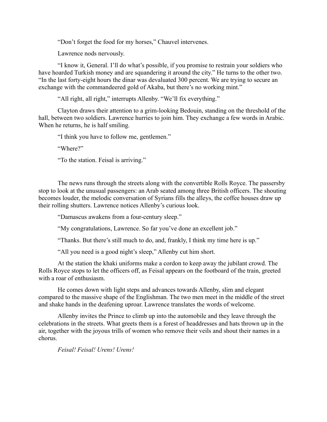"Don't forget the food for my horses," Chauvel intervenes.

Lawrence nods nervously.

"I know it, General. I'll do what's possible, if you promise to restrain your soldiers who have hoarded Turkish money and are squandering it around the city." He turns to the other two. "In the last forty-eight hours the dinar was devaluated 300 percent. We are trying to secure an exchange with the commandeered gold of Akaba, but there's no working mint."

"All right, all right," interrupts Allenby. "We'll fix everything."

Clayton draws their attention to a grim-looking Bedouin, standing on the threshold of the hall, between two soldiers. Lawrence hurries to join him. They exchange a few words in Arabic. When he returns, he is half smiling.

"I think you have to follow me, gentlemen."

"Where?"

"To the station. Feisal is arriving."

The news runs through the streets along with the convertible Rolls Royce. The passersby stop to look at the unusual passengers: an Arab seated among three British officers. The shouting becomes louder, the melodic conversation of Syrians fills the alleys, the coffee houses draw up their rolling shutters. Lawrence notices Allenby's curious look.

"Damascus awakens from a four-century sleep."

"My congratulations, Lawrence. So far you've done an excellent job."

"Thanks. But there's still much to do, and, frankly, I think my time here is up."

"All you need is a good night's sleep," Allenby cut him short.

At the station the khaki uniforms make a cordon to keep away the jubilant crowd. The Rolls Royce stops to let the officers off, as Feisal appears on the footboard of the train, greeted with a roar of enthusiasm.

He comes down with light steps and advances towards Allenby, slim and elegant compared to the massive shape of the Englishman. The two men meet in the middle of the street and shake hands in the deafening uproar. Lawrence translates the words of welcome.

Allenby invites the Prince to climb up into the automobile and they leave through the celebrations in the streets. What greets them is a forest of headdresses and hats thrown up in the air, together with the joyous trills of women who remove their veils and shout their names in a chorus.

*Feisal! Feisal! Urens! Urens!*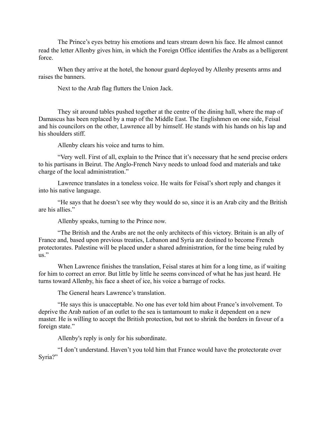The Prince's eyes betray his emotions and tears stream down his face. He almost cannot read the letter Allenby gives him, in which the Foreign Office identifies the Arabs as a belligerent force.

When they arrive at the hotel, the honour guard deployed by Allenby presents arms and raises the banners.

Next to the Arab flag flutters the Union Jack.

They sit around tables pushed together at the centre of the dining hall, where the map of Damascus has been replaced by a map of the Middle East. The Englishmen on one side, Feisal and his councilors on the other, Lawrence all by himself. He stands with his hands on his lap and his shoulders stiff.

Allenby clears his voice and turns to him.

"Very well. First of all, explain to the Prince that it's necessary that he send precise orders to his partisans in Beirut. The Anglo-French Navy needs to unload food and materials and take charge of the local administration."

Lawrence translates in a toneless voice. He waits for Feisal's short reply and changes it into his native language.

"He says that he doesn't see why they would do so, since it is an Arab city and the British are his allies."

Allenby speaks, turning to the Prince now.

"The British and the Arabs are not the only architects of this victory. Britain is an ally of France and, based upon previous treaties, Lebanon and Syria are destined to become French protectorates. Palestine will be placed under a shared administration, for the time being ruled by us."

When Lawrence finishes the translation, Feisal stares at him for a long time, as if waiting for him to correct an error. But little by little he seems convinced of what he has just heard. He turns toward Allenby, his face a sheet of ice, his voice a barrage of rocks.

The General hears Lawrence's translation.

"He says this is unacceptable. No one has ever told him about France's involvement. To deprive the Arab nation of an outlet to the sea is tantamount to make it dependent on a new master. He is willing to accept the British protection, but not to shrink the borders in favour of a foreign state."

Allenby's reply is only for his subordinate.

"I don't understand. Haven't you told him that France would have the protectorate over Syria?"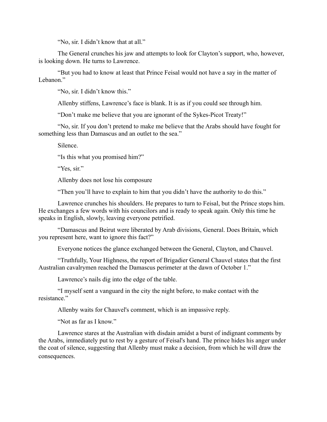"No, sir. I didn't know that at all."

The General crunches his jaw and attempts to look for Clayton's support, who, however, is looking down. He turns to Lawrence.

"But you had to know at least that Prince Feisal would not have a say in the matter of Lebanon."

"No, sir. I didn't know this."

Allenby stiffens, Lawrence's face is blank. It is as if you could see through him.

"Don't make me believe that you are ignorant of the Sykes-Picot Treaty!"

"No, sir. If you don't pretend to make me believe that the Arabs should have fought for something less than Damascus and an outlet to the sea."

Silence.

"Is this what you promised him?"

"Yes, sir."

Allenby does not lose his composure

"Then you'll have to explain to him that you didn't have the authority to do this."

Lawrence crunches his shoulders. He prepares to turn to Feisal, but the Prince stops him. He exchanges a few words with his councilors and is ready to speak again. Only this time he speaks in English, slowly, leaving everyone petrified.

"Damascus and Beirut were liberated by Arab divisions, General. Does Britain, which you represent here, want to ignore this fact?"

Everyone notices the glance exchanged between the General, Clayton, and Chauvel.

"Truthfully, Your Highness, the report of Brigadier General Chauvel states that the first Australian cavalrymen reached the Damascus perimeter at the dawn of October 1."

Lawrence's nails dig into the edge of the table.

"I myself sent a vanguard in the city the night before, to make contact with the resistance."

Allenby waits for Chauvel's comment, which is an impassive reply.

"Not as far as I know."

Lawrence stares at the Australian with disdain amidst a burst of indignant comments by the Arabs, immediately put to rest by a gesture of Feisal's hand. The prince hides his anger under the coat of silence, suggesting that Allenby must make a decision, from which he will draw the consequences.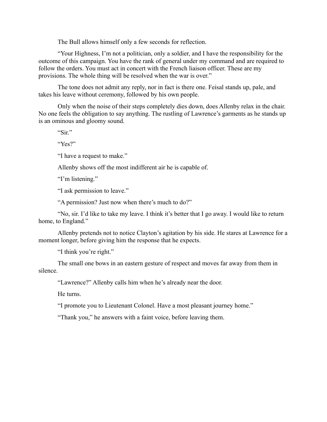The Bull allows himself only a few seconds for reflection.

"Your Highness, I'm not a politician, only a soldier, and I have the responsibility for the outcome of this campaign. You have the rank of general under my command and are required to follow the orders. You must act in concert with the French liaison officer. These are my provisions. The whole thing will be resolved when the war is over."

The tone does not admit any reply, nor in fact is there one. Feisal stands up, pale, and takes his leave without ceremony, followed by his own people.

Only when the noise of their steps completely dies down, does Allenby relax in the chair. No one feels the obligation to say anything. The rustling of Lawrence's garments as he stands up is an ominous and gloomy sound.

"Sir"

"Yes?"

"I have a request to make."

Allenby shows off the most indifferent air he is capable of.

"I'm listening."

"I ask permission to leave."

"A permission? Just now when there's much to do?"

"No, sir. I'd like to take my leave. I think it's better that I go away. I would like to return home, to England."

Allenby pretends not to notice Clayton's agitation by his side. He stares at Lawrence for a moment longer, before giving him the response that he expects.

"I think you're right."

The small one bows in an eastern gesture of respect and moves far away from them in silence.

"Lawrence?" Allenby calls him when he's already near the door.

He turns.

"I promote you to Lieutenant Colonel. Have a most pleasant journey home."

"Thank you," he answers with a faint voice, before leaving them.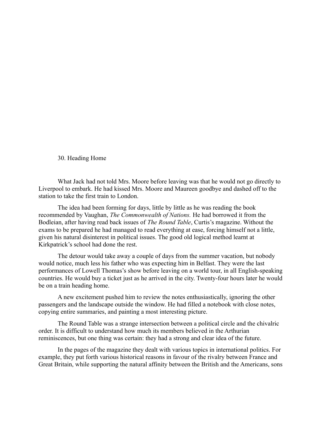30. Heading Home

What Jack had not told Mrs. Moore before leaving was that he would not go directly to Liverpool to embark. He had kissed Mrs. Moore and Maureen goodbye and dashed off to the station to take the first train to London.

The idea had been forming for days, little by little as he was reading the book recommended by Vaughan, *The Commonwealth of Nations.* He had borrowed it from the Bodleian, after having read back issues of *The Round Table*, Curtis's magazine. Without the exams to be prepared he had managed to read everything at ease, forcing himself not a little, given his natural disinterest in political issues. The good old logical method learnt at Kirkpatrick's school had done the rest.

The detour would take away a couple of days from the summer vacation, but nobody would notice, much less his father who was expecting him in Belfast. They were the last performances of Lowell Thomas's show before leaving on a world tour, in all English-speaking countries. He would buy a ticket just as he arrived in the city. Twenty-four hours later he would be on a train heading home.

A new excitement pushed him to review the notes enthusiastically, ignoring the other passengers and the landscape outside the window. He had filled a notebook with close notes, copying entire summaries, and painting a most interesting picture.

The Round Table was a strange intersection between a political circle and the chivalric order. It is difficult to understand how much its members believed in the Arthurian reminiscences, but one thing was certain: they had a strong and clear idea of the future.

In the pages of the magazine they dealt with various topics in international politics. For example, they put forth various historical reasons in favour of the rivalry between France and Great Britain, while supporting the natural affinity between the British and the Americans, sons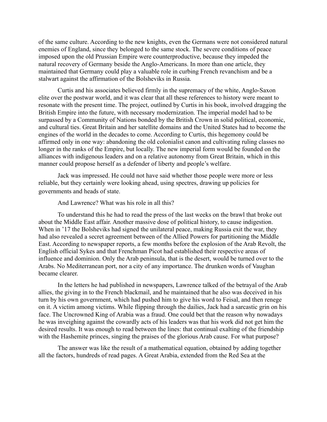of the same culture. According to the new knights, even the Germans were not considered natural enemies of England, since they belonged to the same stock. The severe conditions of peace imposed upon the old Prussian Empire were counterproductive, because they impeded the natural recovery of Germany beside the Anglo-Americans. In more than one article, they maintained that Germany could play a valuable role in curbing French revanchism and be a stalwart against the affirmation of the Bolsheviks in Russia.

Curtis and his associates believed firmly in the supremacy of the white, Anglo-Saxon elite over the postwar world, and it was clear that all these references to history were meant to resonate with the present time. The project, outlined by Curtis in his book, involved dragging the British Empire into the future, with necessary modernization. The imperial model had to be surpassed by a Community of Nations bonded by the British Crown in solid political, economic, and cultural ties. Great Britain and her satellite domains and the United States had to become the engines of the world in the decades to come. According to Curtis, this hegemony could be affirmed only in one way: abandoning the old colonialist canon and cultivating ruling classes no longer in the ranks of the Empire, but locally. The new imperial form would be founded on the alliances with indigenous leaders and on a relative autonomy from Great Britain, which in this manner could propose herself as a defender of liberty and people's welfare.

Jack was impressed. He could not have said whether those people were more or less reliable, but they certainly were looking ahead, using spectres, drawing up policies for governments and heads of state.

And Lawrence? What was his role in all this?

To understand this he had to read the press of the last weeks on the brawl that broke out about the Middle East affair. Another massive dose of political history, to cause indigestion. When in '17 the Bolsheviks had signed the unilateral peace, making Russia exit the war, they had also revealed a secret agreement between of the Allied Powers for partitioning the Middle East. According to newspaper reports, a few months before the explosion of the Arab Revolt, the English official Sykes and that Frenchman Picot had established their respective areas of influence and dominion. Only the Arab peninsula, that is the desert, would be turned over to the Arabs. No Mediterranean port, nor a city of any importance. The drunken words of Vaughan became clearer.

In the letters he had published in newspapers, Lawrence talked of the betrayal of the Arab allies, the giving in to the French blackmail, and he maintained that he also was deceived in his turn by his own government, which had pushed him to give his word to Feisal, and then renege on it. A victim among victims. While flipping through the dailies, Jack had a sarcastic grin on his face. The Uncrowned King of Arabia was a fraud. One could bet that the reason why nowadays he was inveighing against the cowardly acts of his leaders was that his work did not get him the desired results. It was enough to read between the lines: that continual exalting of the friendship with the Hashemite princes, singing the praises of the glorious Arab cause. For what purpose?

The answer was like the result of a mathematical equation, obtained by adding together all the factors, hundreds of read pages. A Great Arabia, extended from the Red Sea at the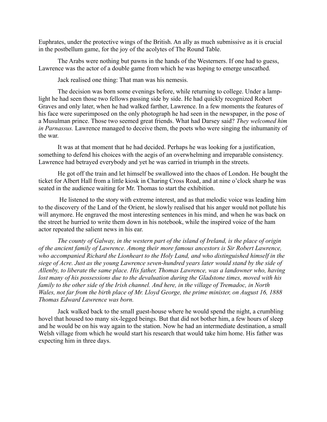Euphrates, under the protective wings of the British. An ally as much submissive as it is crucial in the postbellum game, for the joy of the acolytes of The Round Table.

The Arabs were nothing but pawns in the hands of the Westerners. If one had to guess, Lawrence was the actor of a double game from which he was hoping to emerge unscathed.

Jack realised one thing: That man was his nemesis.

The decision was born some evenings before, while returning to college. Under a lamplight he had seen those two fellows passing side by side. He had quickly recognized Robert Graves and only later, when he had walked farther, Lawrence. In a few moments the features of his face were superimposed on the only photograph he had seen in the newspaper, in the pose of a Musulman prince. Those two seemed great friends. What had Darsey said? *They welcomed him in Parnassus.* Lawrence managed to deceive them, the poets who were singing the inhumanity of the war.

It was at that moment that he had decided. Perhaps he was looking for a justification, something to defend his choices with the aegis of an overwhelming and irreparable consistency. Lawrence had betrayed everybody and yet he was carried in triumph in the streets.

He got off the train and let himself be swallowed into the chaos of London. He bought the ticket for Albert Hall from a little kiosk in Charing Cross Road, and at nine o'clock sharp he was seated in the audience waiting for Mr. Thomas to start the exhibition.

 He listened to the story with extreme interest, and as that melodic voice was leading him to the discovery of the Land of the Orient, he slowly realised that his anger would not pollute his will anymore. He engraved the most interesting sentences in his mind, and when he was back on the street he hurried to write them down in his notebook, while the inspired voice of the ham actor repeated the salient news in his ear.

*The county of Galway, in the western part of the island of Ireland, is the place of origin of the ancient family of Lawrence. Among their more famous ancestors is Sir Robert Lawrence, who accompanied Richard the Lionheart to the Holy Land, and who distinguished himself in the siege of Acre. Just as the young Lawrence seven-hundred years later would stand by the side of Allenby, to liberate the same place. His father, Thomas Lawrence, was a landowner who, having lost many of his possessions due to the devaluation during the Gladstone times, moved with his family to the other side of the Irish channel. And here, in the village of Tremadoc, in North Wales, not far from the birth place of Mr. Lloyd George, the prime minister, on August 16, 1888 Thomas Edward Lawrence was born.*

Jack walked back to the small guest-house where he would spend the night, a crumbling hovel that housed too many six-legged beings. But that did not bother him, a few hours of sleep and he would be on his way again to the station. Now he had an intermediate destination, a small Welsh village from which he would start his research that would take him home. His father was expecting him in three days.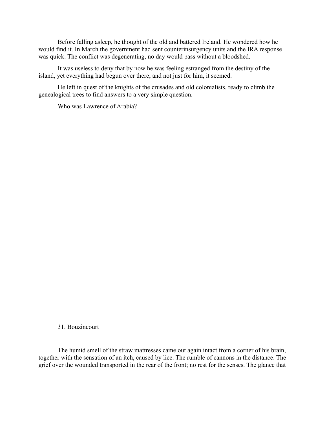Before falling asleep, he thought of the old and battered Ireland. He wondered how he would find it. In March the government had sent counterinsurgency units and the IRA response was quick. The conflict was degenerating, no day would pass without a bloodshed.

It was useless to deny that by now he was feeling estranged from the destiny of the island, yet everything had begun over there, and not just for him, it seemed.

He left in quest of the knights of the crusades and old colonialists, ready to climb the genealogical trees to find answers to a very simple question.

Who was Lawrence of Arabia?

# 31. Bouzincourt

The humid smell of the straw mattresses came out again intact from a corner of his brain, together with the sensation of an itch, caused by lice. The rumble of cannons in the distance. The grief over the wounded transported in the rear of the front; no rest for the senses. The glance that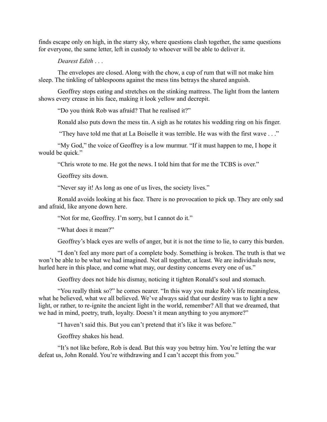finds escape only on high, in the starry sky, where questions clash together, the same questions for everyone, the same letter, left in custody to whoever will be able to deliver it.

*Dearest Edith* . . .

The envelopes are closed. Along with the chow, a cup of rum that will not make him sleep. The tinkling of tablespoons against the mess tins betrays the shared anguish.

Geoffrey stops eating and stretches on the stinking mattress. The light from the lantern shows every crease in his face, making it look yellow and decrepit.

"Do you think Rob was afraid? That he realised it?"

Ronald also puts down the mess tin. A sigh as he rotates his wedding ring on his finger.

"They have told me that at La Boiselle it was terrible. He was with the first wave . . ."

"My God," the voice of Geoffrey is a low murmur. "If it must happen to me, I hope it would be quick."

"Chris wrote to me. He got the news. I told him that for me the TCBS is over."

Geoffrey sits down.

"Never say it! As long as one of us lives, the society lives."

Ronald avoids looking at his face. There is no provocation to pick up. They are only sad and afraid, like anyone down here.

"Not for me, Geoffrey. I'm sorry, but I cannot do it."

"What does it mean?"

Geoffrey's black eyes are wells of anger, but it is not the time to lie, to carry this burden.

"I don't feel any more part of a complete body. Something is broken. The truth is that we won't be able to be what we had imagined. Not all together, at least. We are individuals now, hurled here in this place, and come what may, our destiny concerns every one of us."

Geoffrey does not hide his dismay, noticing it tighten Ronald's soul and stomach.

"You really think so?" he comes nearer. "In this way you make Rob's life meaningless, what he believed, what we all believed. We've always said that our destiny was to light a new light, or rather, to re-ignite the ancient light in the world, remember? All that we dreamed, that we had in mind, poetry, truth, loyalty. Doesn't it mean anything to you anymore?"

"I haven't said this. But you can't pretend that it's like it was before."

Geoffrey shakes his head.

"It's not like before, Rob is dead. But this way you betray him. You're letting the war defeat us, John Ronald. You're withdrawing and I can't accept this from you."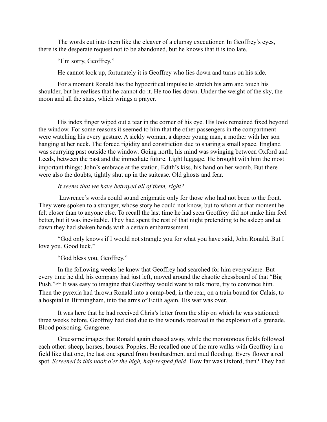The words cut into them like the cleaver of a clumsy executioner. In Geoffrey's eyes, there is the desperate request not to be abandoned, but he knows that it is too late.

"I'm sorry, Geoffrey."

He cannot look up, fortunately it is Geoffrey who lies down and turns on his side.

For a moment Ronald has the hypocritical impulse to stretch his arm and touch his shoulder, but he realises that he cannot do it. He too lies down. Under the weight of the sky, the moon and all the stars, which wrings a prayer.

His index finger wiped out a tear in the corner of his eye. His look remained fixed beyond the window. For some reasons it seemed to him that the other passengers in the compartment were watching his every gesture. A sickly woman, a dapper young man, a mother with her son hanging at her neck. The forced rigidity and constriction due to sharing a small space. England was scurrying past outside the window. Going north, his mind was swinging between Oxford and Leeds, between the past and the immediate future. Light luggage. He brought with him the most important things: John's embrace at the station, Edith's kiss, his hand on her womb. But there were also the doubts, tightly shut up in the suitcase. Old ghosts and fear.

## *It seems that we have betrayed all of them, right?*

 Lawrence's words could sound enigmatic only for those who had not been to the front. They were spoken to a stranger, whose story he could not know, but to whom at that moment he felt closer than to anyone else. To recall the last time he had seen Geoffrey did not make him feel better, but it was inevitable. They had spent the rest of that night pretending to be asleep and at dawn they had shaken hands with a certain embarrassment.

"God only knows if I would not strangle you for what you have said, John Ronald. But I love you. Good luck."

# "God bless you, Geoffrey."

In the following weeks he knew that Geoffrey had searched for him everywhere. But every time he did, his company had just left, moved around the chaotic chessboard of that "Big Push."xxiv It was easy to imagine that Geoffrey would want to talk more, try to convince him. Then the pyrexia had thrown Ronald into a camp-bed, in the rear, on a train bound for Calais, to a hospital in Birmingham, into the arms of Edith again. His war was over.

It was here that he had received Chris's letter from the ship on which he was stationed: three weeks before, Geoffrey had died due to the wounds received in the explosion of a grenade. Blood poisoning. Gangrene.

Gruesome images that Ronald again chased away, while the monotonous fields followed each other: sheep, horses, houses. Poppies. He recalled one of the rare walks with Geoffrey in a field like that one, the last one spared from bombardment and mud flooding. Every flower a red spot. *Screened is this nook o'er the high, half-reaped field*. How far was Oxford, then? They had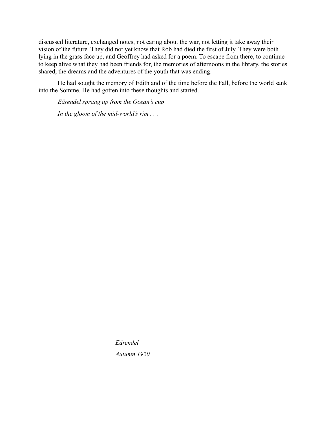discussed literature, exchanged notes, not caring about the war, not letting it take away their vision of the future. They did not yet know that Rob had died the first of July. They were both lying in the grass face up, and Geoffrey had asked for a poem. To escape from there, to continue to keep alive what they had been friends for, the memories of afternoons in the library, the stories shared, the dreams and the adventures of the youth that was ending.

He had sought the memory of Edith and of the time before the Fall, before the world sank into the Somme. He had gotten into these thoughts and started.

*Eӓrendel sprang up from the Ocean's cup In the gloom of the mid-world's rim . . .*

*Eӓrendel*

*Autumn 1920*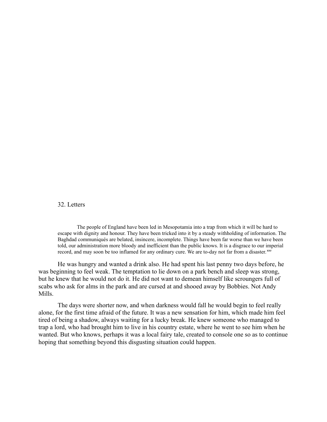#### 32. Letters

The people of England have been led in Mesopotamia into a trap from which it will be hard to escape with dignity and honour. They have been tricked into it by a steady withholding of information. The Baghdad communiqués are belated, insincere, incomplete. Things have been far worse than we have been told, our administration more bloody and inefficient than the public knows. It is a disgrace to our imperial record, and may soon be too inflamed for any ordinary cure. We are to-day not far from a disaster. xxv

He was hungry and wanted a drink also. He had spent his last penny two days before, he was beginning to feel weak. The temptation to lie down on a park bench and sleep was strong, but he knew that he would not do it. He did not want to demean himself like scroungers full of scabs who ask for alms in the park and are cursed at and shooed away by Bobbies. Not Andy Mills.

The days were shorter now, and when darkness would fall he would begin to feel really alone, for the first time afraid of the future. It was a new sensation for him, which made him feel tired of being a shadow, always waiting for a lucky break. He knew someone who managed to trap a lord, who had brought him to live in his country estate, where he went to see him when he wanted. But who knows, perhaps it was a local fairy tale, created to console one so as to continue hoping that something beyond this disgusting situation could happen.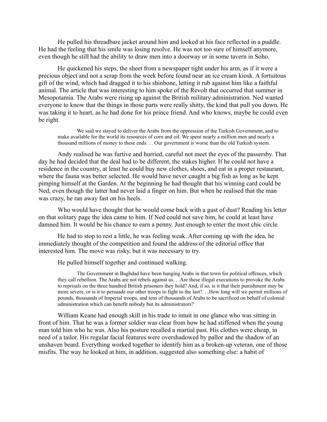He pulled his threadbare jacket around him and looked at his face reflected in a puddle. He had the feeling that his smile was losing resolve. He was not too sure of himself anymore, even though he still had the ability to draw men into a doorway or in some tavern in Soho.

He quickened his steps, the sheet from a newspaper tight under his arm, as if it were a precious object and not a scrap from the week before found near an ice cream kiosk. A fortuitous gift of the wind, which had dragged it to his shinbone, letting it rub against him like a faithful animal. The article that was interesting to him spoke of the Revolt that occurred that summer in Mesopotamia. The Arabs were rising up against the British military administration. Ned wanted everyone to know that the things in those parts were really shitty, the kind that pull you down. He was taking it to heart, as he had done for his prince friend. And who knows, maybe he could even be right.

We said we stayed to deliver the Arabs from the oppression of the Turkish Government, and to make available for the world its resources of corn and oil. We spent nearly a million men and nearly a thousand millions of money to these ends. . . Our government is worse than the old Turkish system.

Andy realised he was furtive and hurried, careful not meet the eyes of the passersby. That day he had decided that the deal had to be different, the stakes higher. If he could not have a residence in the country, at least he could buy new clothes, shoes, and eat in a proper restaurant, where the fauna was better selected. He would have never caught a big fish as long as he kept pimping himself at the Garden. At the beginning he had thought that his winning card could be Ned, even though the latter had never laid a finger on him. But when he realised that the man was crazy, he ran away fast on his heels.

Who would have thought that he would come back with a gust of dust? Reading his letter on that solitary page the idea came to him. If Ned could not save him, he could at least have damned him. It would be his chance to earn a penny. Just enough to enter the most chic circle.

He had to stop to rest a little, he was feeling weak. After coming up with the idea, he immediately thought of the competition and found the address of the editorial office that interested him. The move was risky, but it was necessary to try.

He pulled himself together and continued walking.

The Government in Baghdad have been hanging Arabs in that town for political offences, which they call rebellion. The Arabs are not rebels against us. . .Are these illegal executions to provoke the Arabs to reprisals on the three hundred British prisoners they hold? And, if so, is it that their punishment may be more severe, or is it to persuade our other troops to fight to the last?. . .How long will we permit millions of pounds, thousands of Imperial troops, and tens of thousands of Arabs to be sacrificed on behalf of colonial administration which can benefit nobody but its administrators?

William Keane had enough skill in his trade to intuit in one glance who was sitting in front of him. That he was a former soldier was clear from how he had stiffened when the young man told him who he was. Also his posture recalled a martial past. His clothes were cheap, in need of a tailor. His regular facial features were overshadowed by pallor and the shadow of an unshaven beard. Everything worked together to identify him as a broken-up veteran, one of those misfits. The way he looked at him, in addition, suggested also something else: a habit of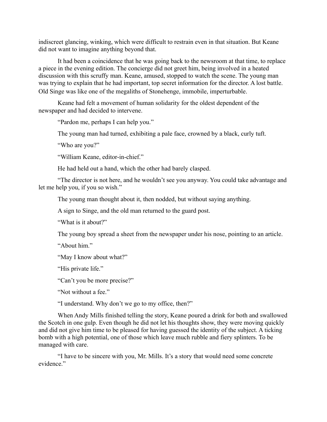indiscreet glancing, winking, which were difficult to restrain even in that situation. But Keane did not want to imagine anything beyond that.

It had been a coincidence that he was going back to the newsroom at that time, to replace a piece in the evening edition. The concierge did not greet him, being involved in a heated discussion with this scruffy man. Keane, amused, stopped to watch the scene. The young man was trying to explain that he had important, top secret information for the director. A lost battle. Old Singe was like one of the megaliths of Stonehenge, immobile, imperturbable.

Keane had felt a movement of human solidarity for the oldest dependent of the newspaper and had decided to intervene.

"Pardon me, perhaps I can help you."

The young man had turned, exhibiting a pale face, crowned by a black, curly tuft.

"Who are you?"

"William Keane, editor-in-chief."

He had held out a hand, which the other had barely clasped.

"The director is not here, and he wouldn't see you anyway. You could take advantage and let me help you, if you so wish."

The young man thought about it, then nodded, but without saying anything.

A sign to Singe, and the old man returned to the guard post.

"What is it about?"

The young boy spread a sheet from the newspaper under his nose, pointing to an article.

"About him."

"May I know about what?"

"His private life."

"Can't you be more precise?"

"Not without a fee."

"I understand. Why don't we go to my office, then?"

When Andy Mills finished telling the story, Keane poured a drink for both and swallowed the Scotch in one gulp. Even though he did not let his thoughts show, they were moving quickly and did not give him time to be pleased for having guessed the identity of the subject. A ticking bomb with a high potential, one of those which leave much rubble and fiery splinters. To be managed with care.

"I have to be sincere with you, Mr. Mills. It's a story that would need some concrete evidence"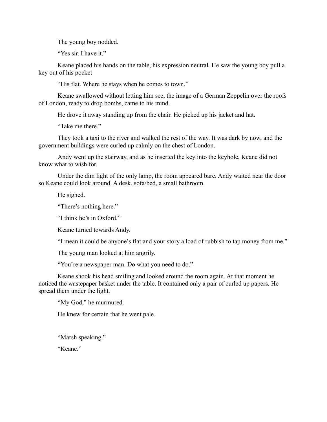The young boy nodded.

"Yes sir. I have it."

Keane placed his hands on the table, his expression neutral. He saw the young boy pull a key out of his pocket

"His flat. Where he stays when he comes to town."

Keane swallowed without letting him see, the image of a German Zeppelin over the roofs of London, ready to drop bombs, came to his mind.

He drove it away standing up from the chair. He picked up his jacket and hat.

"Take me there."

They took a taxi to the river and walked the rest of the way. It was dark by now, and the government buildings were curled up calmly on the chest of London.

Andy went up the stairway, and as he inserted the key into the keyhole, Keane did not know what to wish for.

Under the dim light of the only lamp, the room appeared bare. Andy waited near the door so Keane could look around. A desk, sofa/bed, a small bathroom.

He sighed.

"There's nothing here."

"I think he's in Oxford."

Keane turned towards Andy.

"I mean it could be anyone's flat and your story a load of rubbish to tap money from me."

The young man looked at him angrily.

"You're a newspaper man. Do what you need to do."

Keane shook his head smiling and looked around the room again. At that moment he noticed the wastepaper basket under the table. It contained only a pair of curled up papers. He spread them under the light.

"My God," he murmured.

He knew for certain that he went pale.

"Marsh speaking."

"Keane."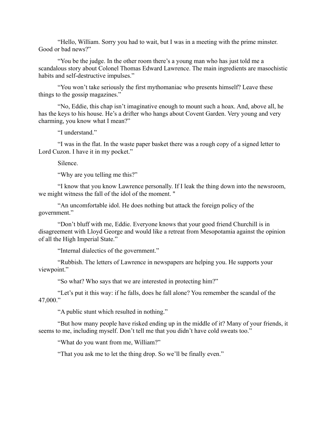"Hello, William. Sorry you had to wait, but I was in a meeting with the prime minster. Good or bad news?"

"You be the judge. In the other room there's a young man who has just told me a scandalous story about Colonel Thomas Edward Lawrence. The main ingredients are masochistic habits and self-destructive impulses."

"You won't take seriously the first mythomaniac who presents himself? Leave these things to the gossip magazines."

"No, Eddie, this chap isn't imaginative enough to mount such a hoax. And, above all, he has the keys to his house. He's a drifter who hangs about Covent Garden. Very young and very charming, you know what I mean?"

"I understand."

"I was in the flat. In the waste paper basket there was a rough copy of a signed letter to Lord Cuzon. I have it in my pocket."

Silence.

"Why are you telling me this?"

"I know that you know Lawrence personally. If I leak the thing down into the newsroom, we might witness the fall of the idol of the moment. "

"An uncomfortable idol. He does nothing but attack the foreign policy of the government."

"Don't bluff with me, Eddie. Everyone knows that your good friend Churchill is in disagreement with Lloyd George and would like a retreat from Mesopotamia against the opinion of all the High Imperial State."

"Internal dialectics of the government."

"Rubbish. The letters of Lawrence in newspapers are helping you. He supports your viewpoint."

"So what? Who says that we are interested in protecting him?"

"Let's put it this way: if he falls, does he fall alone? You remember the scandal of the 47,000."

"A public stunt which resulted in nothing."

"But how many people have risked ending up in the middle of it? Many of your friends, it seems to me, including myself. Don't tell me that you didn't have cold sweats too."

"What do you want from me, William?"

"That you ask me to let the thing drop. So we'll be finally even."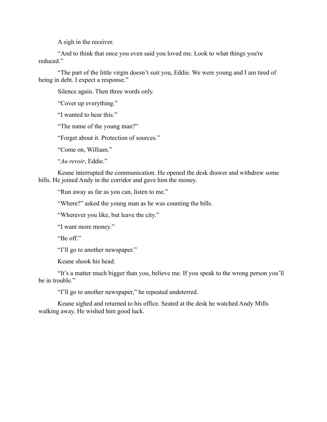A sigh in the receiver.

"And to think that once you even said you loved me. Look to what things you're reduced."

"The part of the little virgin doesn't suit you, Eddie. We were young and I am tired of being in debt. I expect a response."

Silence again. Then three words only.

"Cover up everything."

"I wanted to hear this."

"The name of the young man?"

"Forget about it. Protection of sources."

"Come on, William."

"*Au revoir*, Eddie."

Keane interrupted the communication. He opened the desk drawer and withdrew some bills. He joined Andy in the corridor and gave him the money.

"Run away as far as you can, listen to me."

"Where?" asked the young man as he was counting the bills.

"Wherever you like, but leave the city."

"I want more money."

"Be off"

"I'll go to another newspaper."

Keane shook his head.

"It's a matter much bigger than you, believe me. If you speak to the wrong person you'll be in trouble."

"I'll go to another newspaper," he repeated undeterred.

Keane sighed and returned to his office. Seated at the desk he watched Andy Mills walking away. He wished him good luck.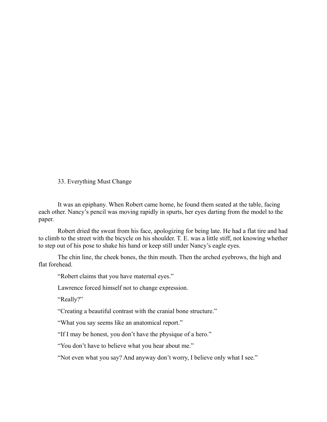# 33. Everything Must Change

It was an epiphany. When Robert came home, he found them seated at the table, facing each other. Nancy's pencil was moving rapidly in spurts, her eyes darting from the model to the paper.

Robert dried the sweat from his face, apologizing for being late. He had a flat tire and had to climb to the street with the bicycle on his shoulder. T. E. was a little stiff, not knowing whether to step out of his pose to shake his hand or keep still under Nancy's eagle eyes.

The chin line, the cheek bones, the thin mouth. Then the arched eyebrows, the high and flat forehead.

"Robert claims that you have maternal eyes."

Lawrence forced himself not to change expression.

"Really?"

"Creating a beautiful contrast with the cranial bone structure."

"What you say seems like an anatomical report."

"If I may be honest, you don't have the physique of a hero."

"You don't have to believe what you hear about me."

"Not even what you say? And anyway don't worry, I believe only what I see."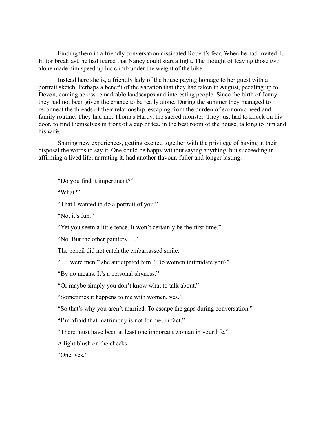Finding them in a friendly conversation dissipated Robert's fear. When he had invited T. E. for breakfast, he had feared that Nancy could start a fight. The thought of leaving those two alone made him speed up his climb under the weight of the bike.

Instead here she is, a friendly lady of the house paying homage to her guest with a portrait sketch. Perhaps a benefit of the vacation that they had taken in August, pedaling up to Devon, coming across remarkable landscapes and interesting people. Since the birth of Jenny they had not been given the chance to be really alone. During the summer they managed to reconnect the threads of their relationship, escaping from the burden of economic need and family routine. They had met Thomas Hardy, the sacred monster. They just had to knock on his door, to find themselves in front of a cup of tea, in the best room of the house, talking to him and his wife.

Sharing new experiences, getting excited together with the privilege of having at their disposal the words to say it. One could be happy without saying anything, but succeeding in affirming a lived life, narrating it, had another flavour, fuller and longer lasting.

"Do you find it impertinent?"

"What?"

"That I wanted to do a portrait of you."

"No, it's fun."

"Yet you seem a little tense. It won't certainly be the first time."

"No. But the other painters . . ."

The pencil did not catch the embarrassed smile.

". . . were men," she anticipated him. "Do women intimidate you?"

"By no means. It's a personal shyness."

"Or maybe simply you don't know what to talk about."

"Sometimes it happens to me with women, yes."

"So that's why you aren't married. To escape the gaps during conversation."

"I'm afraid that matrimony is not for me, in fact."

"There must have been at least one important woman in your life."

A light blush on the cheeks.

"One, yes."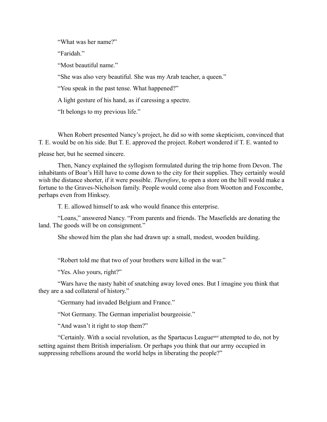"What was her name?"

"Faridah."

"Most beautiful name."

"She was also very beautiful. She was my Arab teacher, a queen."

"You speak in the past tense. What happened?"

A light gesture of his hand, as if caressing a spectre.

"It belongs to my previous life."

When Robert presented Nancy's project, he did so with some skepticism, convinced that T. E. would be on his side. But T. E. approved the project. Robert wondered if T. E. wanted to

please her, but he seemed sincere.

Then, Nancy explained the syllogism formulated during the trip home from Devon. The inhabitants of Boar's Hill have to come down to the city for their supplies. They certainly would wish the distance shorter, if it were possible. *Therefore*, to open a store on the hill would make a fortune to the Graves-Nicholson family. People would come also from Wootton and Foxcombe, perhaps even from Hinksey.

T. E. allowed himself to ask who would finance this enterprise.

"Loans," answered Nancy. "From parents and friends. The Masefields are donating the land. The goods will be on consignment."

She showed him the plan she had drawn up: a small, modest, wooden building.

"Robert told me that two of your brothers were killed in the war."

"Yes. Also yours, right?"

"Wars have the nasty habit of snatching away loved ones. But I imagine you think that they are a sad collateral of history."

"Germany had invaded Belgium and France."

"Not Germany. The German imperialist bourgeoisie."

"And wasn't it right to stop them?"

"Certainly. With a social revolution, as the Spartacus Leaguexxvi attempted to do, not by setting against them British imperialism. Or perhaps you think that our army occupied in suppressing rebellions around the world helps in liberating the people?"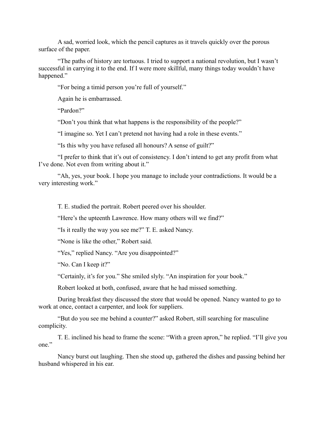A sad, worried look, which the pencil captures as it travels quickly over the porous surface of the paper.

"The paths of history are tortuous. I tried to support a national revolution, but I wasn't successful in carrying it to the end. If I were more skillful, many things today wouldn't have happened."

"For being a timid person you're full of yourself."

Again he is embarrassed.

"Pardon?"

"Don't you think that what happens is the responsibility of the people?"

"I imagine so. Yet I can't pretend not having had a role in these events."

"Is this why you have refused all honours? A sense of guilt?"

"I prefer to think that it's out of consistency. I don't intend to get any profit from what I've done. Not even from writing about it."

"Ah, yes, your book. I hope you manage to include your contradictions. It would be a very interesting work."

T. E. studied the portrait. Robert peered over his shoulder.

"Here's the upteenth Lawrence. How many others will we find?"

"Is it really the way you see me?" T. E. asked Nancy.

"None is like the other," Robert said.

"Yes," replied Nancy. "Are you disappointed?"

"No. Can I keep it?"

"Certainly, it's for you." She smiled slyly. "An inspiration for your book."

Robert looked at both, confused, aware that he had missed something.

During breakfast they discussed the store that would be opened. Nancy wanted to go to work at once, contact a carpenter, and look for suppliers.

"But do you see me behind a counter?" asked Robert, still searching for masculine complicity.

T. E. inclined his head to frame the scene: "With a green apron," he replied. "I'll give you one."

Nancy burst out laughing. Then she stood up, gathered the dishes and passing behind her husband whispered in his ear.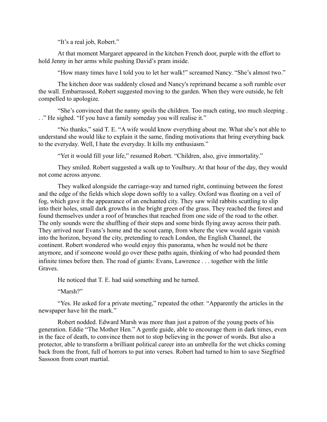"It's a real job, Robert."

At that moment Margaret appeared in the kitchen French door, purple with the effort to hold Jenny in her arms while pushing David's pram inside.

"How many times have I told you to let her walk!" screamed Nancy. "She's almost two."

The kitchen door was suddenly closed and Nancy's reprimand became a soft rumble over the wall. Embarrassed, Robert suggested moving to the garden. When they were outside, he felt compelled to apologize.

"She's convinced that the nanny spoils the children. Too much eating, too much sleeping . . ." He sighed. "If you have a family someday you will realise it."

"No thanks," said T. E. "A wife would know everything about me. What she's not able to understand she would like to explain it the same, finding motivations that bring everything back to the everyday. Well, I hate the everyday. It kills my enthusiasm."

"Yet it would fill your life," resumed Robert. "Children, also, give immortality."

They smiled. Robert suggested a walk up to Youlbury. At that hour of the day, they would not come across anyone.

They walked alongside the carriage-way and turned right, continuing between the forest and the edge of the fields which slope down softly to a valley. Oxford was floating on a veil of fog, which gave it the appearance of an enchanted city. They saw wild rabbits scuttling to slip into their holes, small dark growths in the bright green of the grass. They reached the forest and found themselves under a roof of branches that reached from one side of the road to the other. The only sounds were the shuffling of their steps and some birds flying away across their path. They arrived near Evans's home and the scout camp, from where the view would again vanish into the horizon, beyond the city, pretending to reach London, the English Channel, the continent. Robert wondered who would enjoy this panorama, when he would not be there anymore, and if someone would go over these paths again, thinking of who had pounded them infinite times before then. The road of giants: Evans, Lawrence . . . together with the little Graves.

He noticed that T. E. had said something and he turned.

"Marsh?"

"Yes. He asked for a private meeting," repeated the other. "Apparently the articles in the newspaper have hit the mark."

Robert nodded. Edward Marsh was more than just a patron of the young poets of his generation. Eddie "The Mother Hen." A gentle guide, able to encourage them in dark times, even in the face of death, to convince them not to stop believing in the power of words. But also a protector, able to transform a brilliant political career into an umbrella for the wet chicks coming back from the front, full of horrors to put into verses. Robert had turned to him to save Siegfried Sassoon from court martial.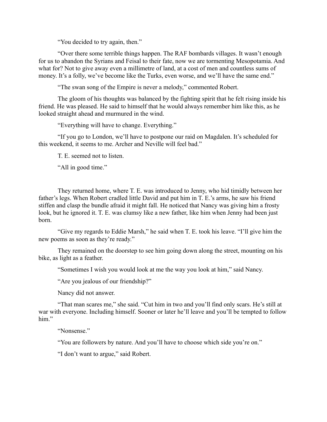"You decided to try again, then."

"Over there some terrible things happen. The RAF bombards villages. It wasn't enough for us to abandon the Syrians and Feisal to their fate, now we are tormenting Mesopotamia. And what for? Not to give away even a millimetre of land, at a cost of men and countless sums of money. It's a folly, we've become like the Turks, even worse, and we'll have the same end."

"The swan song of the Empire is never a melody," commented Robert.

The gloom of his thoughts was balanced by the fighting spirit that he felt rising inside his friend. He was pleased. He said to himself that he would always remember him like this, as he looked straight ahead and murmured in the wind.

"Everything will have to change. Everything."

"If you go to London, we'll have to postpone our raid on Magdalen. It's scheduled for this weekend, it seems to me. Archer and Neville will feel bad."

T. E. seemed not to listen.

"All in good time."

They returned home, where T. E. was introduced to Jenny, who hid timidly between her father's legs. When Robert cradled little David and put him in T. E.'s arms, he saw his friend stiffen and clasp the bundle afraid it might fall. He noticed that Nancy was giving him a frosty look, but he ignored it. T. E. was clumsy like a new father, like him when Jenny had been just born.

"Give my regards to Eddie Marsh," he said when T. E. took his leave. "I'll give him the new poems as soon as they're ready."

They remained on the doorstep to see him going down along the street, mounting on his bike, as light as a feather.

"Sometimes I wish you would look at me the way you look at him," said Nancy.

"Are you jealous of our friendship?"

Nancy did not answer.

"That man scares me," she said. "Cut him in two and you'll find only scars. He's still at war with everyone. Including himself. Sooner or later he'll leave and you'll be tempted to follow him"

"Nonsense."

"You are followers by nature. And you'll have to choose which side you're on."

"I don't want to argue," said Robert.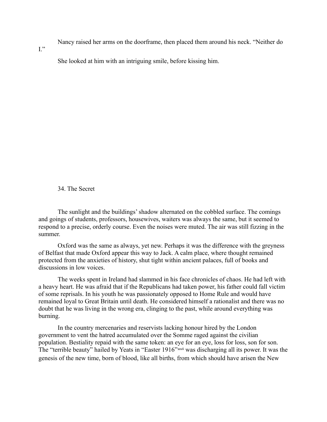Nancy raised her arms on the doorframe, then placed them around his neck. "Neither do

 $\mathbf{I}$ ."

She looked at him with an intriguing smile, before kissing him.

34. The Secret

The sunlight and the buildings' shadow alternated on the cobbled surface. The comings and goings of students, professors, housewives, waiters was always the same, but it seemed to respond to a precise, orderly course. Even the noises were muted. The air was still fizzing in the summer.

Oxford was the same as always, yet new. Perhaps it was the difference with the greyness of Belfast that made Oxford appear this way to Jack. A calm place, where thought remained protected from the anxieties of history, shut tight within ancient palaces, full of books and discussions in low voices.

The weeks spent in Ireland had slammed in his face chronicles of chaos. He had left with a heavy heart. He was afraid that if the Republicans had taken power, his father could fall victim of some reprisals. In his youth he was passionately opposed to Home Rule and would have remained loyal to Great Britain until death. He considered himself a rationalist and there was no doubt that he was living in the wrong era, clinging to the past, while around everything was burning.

In the country mercenaries and reservists lacking honour hired by the London government to vent the hatred accumulated over the Somme raged against the civilian population. Bestiality repaid with the same token: an eye for an eye, loss for loss, son for son. The "terrible beauty" hailed by Yeats in "Easter 1916"xxvii was discharging all its power. It was the genesis of the new time, born of blood, like all births, from which should have arisen the New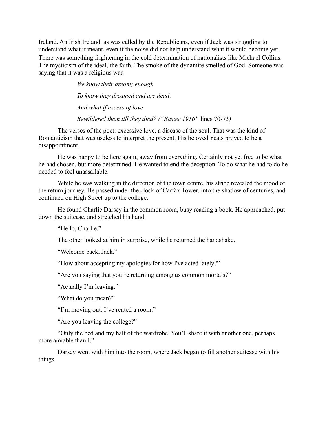Ireland. An Irish Ireland, as was called by the Republicans, even if Jack was struggling to understand what it meant, even if the noise did not help understand what it would become yet. There was something frightening in the cold determination of nationalists like Michael Collins. The mysticism of the ideal, the faith. The smoke of the dynamite smelled of God. Someone was saying that it was a religious war.

> *We know their dream; enough To know they dreamed and are dead; And what if excess of love Bewildered them till they died? ("Easter 1916"* lines 70-73*)*

The verses of the poet: excessive love, a disease of the soul. That was the kind of Romanticism that was useless to interpret the present. His beloved Yeats proved to be a disappointment.

He was happy to be here again, away from everything. Certainly not yet free to be what he had chosen, but more determined. He wanted to end the deception. To do what he had to do he needed to feel unassailable.

While he was walking in the direction of the town centre, his stride revealed the mood of the return journey. He passed under the clock of Carfax Tower, into the shadow of centuries, and continued on High Street up to the college.

He found Charlie Darsey in the common room, busy reading a book. He approached, put down the suitcase, and stretched his hand.

"Hello, Charlie."

The other looked at him in surprise, while he returned the handshake.

"Welcome back, Jack."

"How about accepting my apologies for how I've acted lately?"

"Are you saying that you're returning among us common mortals?"

"Actually I'm leaving."

"What do you mean?"

"I'm moving out. I've rented a room."

"Are you leaving the college?"

"Only the bed and my half of the wardrobe. You'll share it with another one, perhaps more amiable than I."

Darsey went with him into the room, where Jack began to fill another suitcase with his things.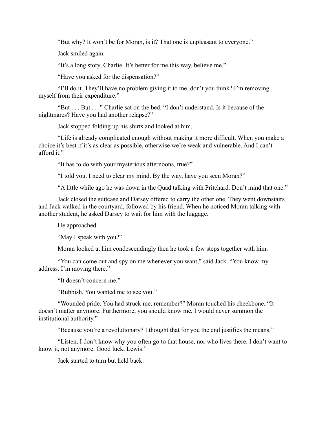"But why? It won't be for Moran, is it? That one is unpleasant to everyone."

Jack smiled again.

"It's a long story, Charlie. It's better for me this way, believe me."

"Have you asked for the dispensation?"

"I'll do it. They'll have no problem giving it to me, don't you think? I'm removing myself from their expenditure."

"But . . . But . . ." Charlie sat on the bed. "I don't understand. Is it because of the nightmares? Have you had another relapse?"

Jack stopped folding up his shirts and looked at him.

"Life is already complicated enough without making it more difficult. When you make a choice it's best if it's as clear as possible, otherwise we're weak and vulnerable. And I can't afford it."

"It has to do with your mysterious afternoons, true?"

"I told you. I need to clear my mind. By the way, have you seen Moran?"

"A little while ago he was down in the Quad talking with Pritchard. Don't mind that one."

Jack closed the suitcase and Darsey offered to carry the other one. They went downstairs and Jack walked in the courtyard, followed by his friend. When he noticed Moran talking with another student, he asked Darsey to wait for him with the luggage.

He approached.

"May I speak with you?"

Moran looked at him condescendingly then he took a few steps together with him.

"You can come out and spy on me whenever you want," said Jack. "You know my address. I'm moving there."

"It doesn't concern me."

"Rubbish. You wanted me to see you."

"Wounded pride. You had struck me, remember?" Moran touched his cheekbone. "It doesn't matter anymore. Furthermore, you should know me, I would never summon the institutional authority."

"Because you're a revolutionary? I thought that for you the end justifies the means."

"Listen, I don't know why you often go to that house, nor who lives there. I don't want to know it, not anymore. Good luck, Lewis."

Jack started to turn but held back.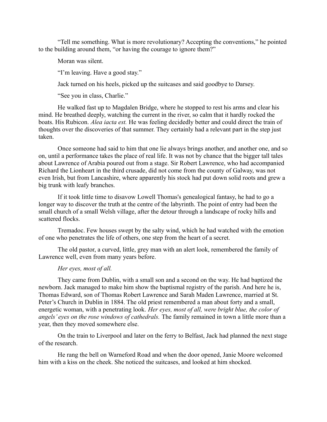"Tell me something. What is more revolutionary? Accepting the conventions," he pointed to the building around them, "or having the courage to ignore them?"

Moran was silent.

"I'm leaving. Have a good stay."

Jack turned on his heels, picked up the suitcases and said goodbye to Darsey.

"See you in class, Charlie."

He walked fast up to Magdalen Bridge, where he stopped to rest his arms and clear his mind. He breathed deeply, watching the current in the river, so calm that it hardly rocked the boats. His Rubicon. *Alea iacta est.* He was feeling decidedly better and could direct the train of thoughts over the discoveries of that summer. They certainly had a relevant part in the step just taken.

Once someone had said to him that one lie always brings another, and another one, and so on, until a performance takes the place of real life. It was not by chance that the bigger tall tales about Lawrence of Arabia poured out from a stage. Sir Robert Lawrence, who had accompanied Richard the Lionheart in the third crusade, did not come from the county of Galway, was not even Irish, but from Lancashire, where apparently his stock had put down solid roots and grew a big trunk with leafy branches.

If it took little time to disavow Lowell Thomas's genealogical fantasy, he had to go a longer way to discover the truth at the centre of the labyrinth. The point of entry had been the small church of a small Welsh village, after the detour through a landscape of rocky hills and scattered flocks.

Tremadoc. Few houses swept by the salty wind, which he had watched with the emotion of one who penetrates the life of others, one step from the heart of a secret.

The old pastor, a curved, little, grey man with an alert look, remembered the family of Lawrence well, even from many years before.

# *Her eyes, most of all.*

They came from Dublin, with a small son and a second on the way. He had baptized the newborn. Jack managed to make him show the baptismal registry of the parish. And here he is, Thomas Edward, son of Thomas Robert Lawrence and Sarah Maden Lawrence, married at St. Peter's Church in Dublin in 1884. The old priest remembered a man about forty and a small, energetic woman, with a penetrating look. *Her eyes, most of all, were bright blue, the color of angels' eyes on the rose windows of cathedrals.* The family remained in town a little more than a year, then they moved somewhere else.

On the train to Liverpool and later on the ferry to Belfast, Jack had planned the next stage of the research.

He rang the bell on Warneford Road and when the door opened, Janie Moore welcomed him with a kiss on the cheek. She noticed the suitcases, and looked at him shocked.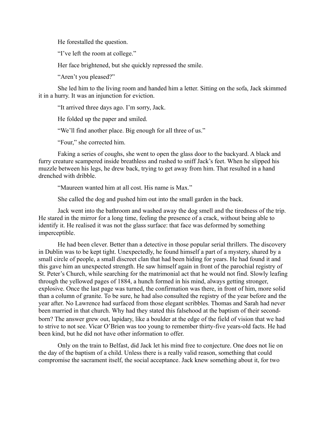He forestalled the question.

"I've left the room at college."

Her face brightened, but she quickly repressed the smile.

"Aren't you pleased?"

She led him to the living room and handed him a letter. Sitting on the sofa, Jack skimmed it in a hurry. It was an injunction for eviction.

"It arrived three days ago. I'm sorry, Jack.

He folded up the paper and smiled.

"We'll find another place. Big enough for all three of us."

"Four," she corrected him.

Faking a series of coughs, she went to open the glass door to the backyard. A black and furry creature scampered inside breathless and rushed to sniff Jack's feet. When he slipped his muzzle between his legs, he drew back, trying to get away from him. That resulted in a hand drenched with dribble.

"Maureen wanted him at all cost. His name is Max."

She called the dog and pushed him out into the small garden in the back.

Jack went into the bathroom and washed away the dog smell and the tiredness of the trip. He stared in the mirror for a long time, feeling the presence of a crack, without being able to identify it. He realised it was not the glass surface: that face was deformed by something imperceptible.

He had been clever. Better than a detective in those popular serial thrillers. The discovery in Dublin was to be kept tight. Unexpectedly, he found himself a part of a mystery, shared by a small circle of people, a small discreet clan that had been hiding for years. He had found it and this gave him an unexpected strength. He saw himself again in front of the parochial registry of St. Peter's Church, while searching for the matrimonial act that he would not find. Slowly leafing through the yellowed pages of 1884, a hunch formed in his mind, always getting stronger, explosive. Once the last page was turned, the confirmation was there, in front of him, more solid than a column of granite. To be sure, he had also consulted the registry of the year before and the year after. No Lawrence had surfaced from those elegant scribbles. Thomas and Sarah had never been married in that church. Why had they stated this falsehood at the baptism of their secondborn? The answer grew out, lapidary, like a boulder at the edge of the field of vision that we had to strive to not see. Vicar O'Brien was too young to remember thirty-five years-old facts. He had been kind, but he did not have other information to offer.

Only on the train to Belfast, did Jack let his mind free to conjecture. One does not lie on the day of the baptism of a child. Unless there is a really valid reason, something that could compromise the sacrament itself, the social acceptance. Jack knew something about it, for two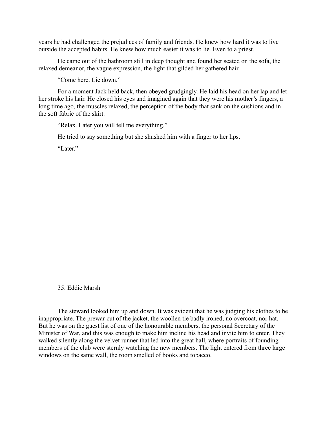years he had challenged the prejudices of family and friends. He knew how hard it was to live outside the accepted habits. He knew how much easier it was to lie. Even to a priest.

He came out of the bathroom still in deep thought and found her seated on the sofa, the relaxed demeanor, the vague expression, the light that gilded her gathered hair.

"Come here. Lie down."

For a moment Jack held back, then obeyed grudgingly. He laid his head on her lap and let her stroke his hair. He closed his eyes and imagined again that they were his mother's fingers, a long time ago, the muscles relaxed, the perception of the body that sank on the cushions and in the soft fabric of the skirt.

"Relax. Later you will tell me everything."

He tried to say something but she shushed him with a finger to her lips.

"Later."

# 35. Eddie Marsh

The steward looked him up and down. It was evident that he was judging his clothes to be inappropriate. The prewar cut of the jacket, the woollen tie badly ironed, no overcoat, nor hat. But he was on the guest list of one of the honourable members, the personal Secretary of the Minister of War, and this was enough to make him incline his head and invite him to enter. They walked silently along the velvet runner that led into the great hall, where portraits of founding members of the club were sternly watching the new members. The light entered from three large windows on the same wall, the room smelled of books and tobacco.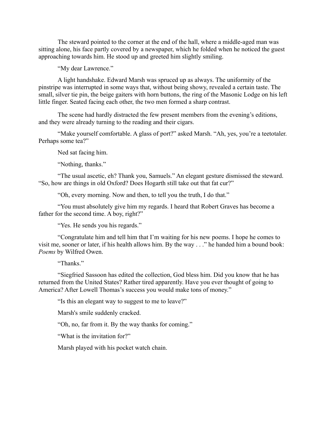The steward pointed to the corner at the end of the hall, where a middle-aged man was sitting alone, his face partly covered by a newspaper, which he folded when he noticed the guest approaching towards him. He stood up and greeted him slightly smiling.

"My dear Lawrence."

A light handshake. Edward Marsh was spruced up as always. The uniformity of the pinstripe was interrupted in some ways that, without being showy, revealed a certain taste. The small, silver tie pin, the beige gaiters with horn buttons, the ring of the Masonic Lodge on his left little finger. Seated facing each other, the two men formed a sharp contrast.

The scene had hardly distracted the few present members from the evening's editions, and they were already turning to the reading and their cigars.

"Make yourself comfortable. A glass of port?" asked Marsh. "Ah, yes, you're a teetotaler. Perhaps some tea?"

Ned sat facing him.

"Nothing, thanks."

"The usual ascetic, eh? Thank you, Samuels." An elegant gesture dismissed the steward. "So, how are things in old Oxford? Does Hogarth still take out that fat cur?"

"Oh, every morning. Now and then, to tell you the truth, I do that."

"You must absolutely give him my regards. I heard that Robert Graves has become a father for the second time. A boy, right?"

"Yes. He sends you his regards."

"Congratulate him and tell him that I'm waiting for his new poems. I hope he comes to visit me, sooner or later, if his health allows him. By the way . . ." he handed him a bound book: *Poems* by Wilfred Owen.

"Thanks."

"Siegfried Sassoon has edited the collection, God bless him. Did you know that he has returned from the United States? Rather tired apparently. Have you ever thought of going to America? After Lowell Thomas's success you would make tons of money."

"Is this an elegant way to suggest to me to leave?"

Marsh's smile suddenly cracked.

"Oh, no, far from it. By the way thanks for coming."

"What is the invitation for?"

Marsh played with his pocket watch chain.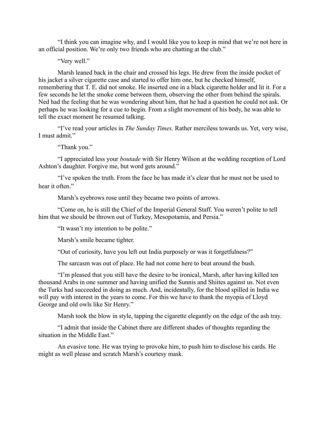"I think you can imagine why, and I would like you to keep in mind that we're not here in an official position. We're only two friends who are chatting at the club."

"Very well."

Marsh leaned back in the chair and crossed his legs. He drew from the inside pocket of his jacket a silver cigarette case and started to offer him one, but he checked himself, remembering that T. E. did not smoke. He inserted one in a black cigarette holder and lit it. For a few seconds he let the smoke come between them, observing the other from behind the spirals. Ned had the feeling that he was wondering about him, that he had a question he could not ask. Or perhaps he was looking for a cue to begin. From a slight movement of his body, he was able to tell the exact moment he resumed talking.

"I've read your articles in *The Sunday Times.* Rather merciless towards us. Yet, very wise, I must admit."

"Thank you."

"I appreciated less your *boutade* with Sir Henry Wilson at the wedding reception of Lord Ashton's daughter. Forgive me, but word gets around."

"I've spoken the truth. From the face he has made it's clear that he must not be used to hear it often"

Marsh's eyebrows rose until they became two points of arrows.

"Come on, he is still the Chief of the Imperial General Staff. You weren't polite to tell him that we should be thrown out of Turkey, Mesopotamia, and Persia."

"It wasn't my intention to be polite."

Marsh's smile became tighter.

"Out of curiosity, have you left out India purposely or was it forgetfulness?"

The sarcasm was out of place. He had not come here to beat around the bush.

"I'm pleased that you still have the desire to be ironical, Marsh, after having killed ten thousand Arabs in one summer and having unified the Sunnis and Shiites against us. Not even the Turks had succeeded in doing as much. And, incidentally, for the blood spilled in India we will pay with interest in the years to come. For this we have to thank the myopia of Lloyd George and old owls like Sir Henry."

Marsh took the blow in style, tapping the cigarette elegantly on the edge of the ash tray.

"I admit that inside the Cabinet there are different shades of thoughts regarding the situation in the Middle East."

An evasive tone. He was trying to provoke him, to push him to disclose his cards. He might as well please and scratch Marsh's courtesy mask.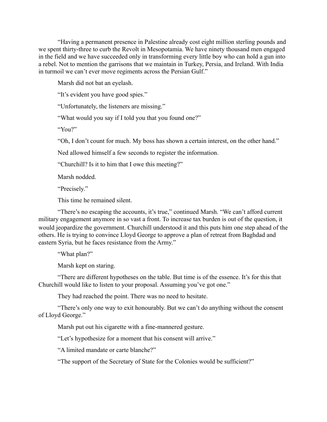"Having a permanent presence in Palestine already cost eight million sterling pounds and we spent thirty-three to curb the Revolt in Mesopotamia. We have ninety thousand men engaged in the field and we have succeeded only in transforming every little boy who can hold a gun into a rebel. Not to mention the garrisons that we maintain in Turkey, Persia, and Ireland. With India in turmoil we can't ever move regiments across the Persian Gulf."

Marsh did not bat an eyelash.

"It's evident you have good spies."

"Unfortunately, the listeners are missing."

"What would you say if I told you that you found one?"

"You?"

"Oh, I don't count for much. My boss has shown a certain interest, on the other hand."

Ned allowed himself a few seconds to register the information.

"Churchill? Is it to him that I owe this meeting?"

Marsh nodded.

"Precisely."

This time he remained silent.

"There's no escaping the accounts, it's true," continued Marsh. "We can't afford current military engagement anymore in so vast a front. To increase tax burden is out of the question, it would jeopardize the government. Churchill understood it and this puts him one step ahead of the others. He is trying to convince Lloyd George to approve a plan of retreat from Baghdad and eastern Syria, but he faces resistance from the Army."

"What plan?"

Marsh kept on staring.

"There are different hypotheses on the table. But time is of the essence. It's for this that Churchill would like to listen to your proposal. Assuming you've got one."

They had reached the point. There was no need to hesitate.

"There's only one way to exit honourably. But we can't do anything without the consent of Lloyd George."

Marsh put out his cigarette with a fine-mannered gesture.

"Let's hypothesize for a moment that his consent will arrive."

"A limited mandate or carte blanche?"

"The support of the Secretary of State for the Colonies would be sufficient?"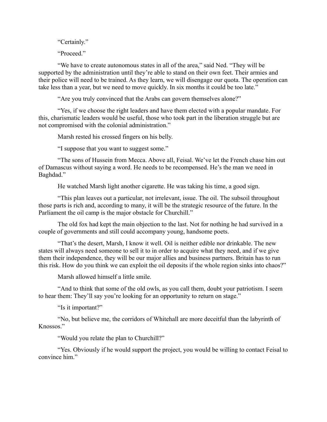"Certainly."

"Proceed."

"We have to create autonomous states in all of the area," said Ned. "They will be supported by the administration until they're able to stand on their own feet. Their armies and their police will need to be trained. As they learn, we will disengage our quota. The operation can take less than a year, but we need to move quickly. In six months it could be too late."

"Are you truly convinced that the Arabs can govern themselves alone?"

"Yes, if we choose the right leaders and have them elected with a popular mandate. For this, charismatic leaders would be useful, those who took part in the liberation struggle but are not compromised with the colonial administration."

Marsh rested his crossed fingers on his belly.

"I suppose that you want to suggest some."

"The sons of Hussein from Mecca. Above all, Feisal. We've let the French chase him out of Damascus without saying a word. He needs to be recompensed. He's the man we need in Baghdad."

He watched Marsh light another cigarette. He was taking his time, a good sign.

"This plan leaves out a particular, not irrelevant, issue. The oil. The subsoil throughout those parts is rich and, according to many, it will be the strategic resource of the future. In the Parliament the oil camp is the major obstacle for Churchill."

The old fox had kept the main objection to the last. Not for nothing he had survived in a couple of governments and still could accompany young, handsome poets.

"That's the desert, Marsh, I know it well. Oil is neither edible nor drinkable. The new states will always need someone to sell it to in order to acquire what they need, and if we give them their independence, they will be our major allies and business partners. Britain has to run this risk. How do you think we can exploit the oil deposits if the whole region sinks into chaos?"

Marsh allowed himself a little smile.

"And to think that some of the old owls, as you call them, doubt your patriotism. I seem to hear them: They'll say you're looking for an opportunity to return on stage."

"Is it important?"

"No, but believe me, the corridors of Whitehall are more deceitful than the labyrinth of Knossos."

"Would you relate the plan to Churchill?"

"Yes. Obviously if he would support the project, you would be willing to contact Feisal to convince him."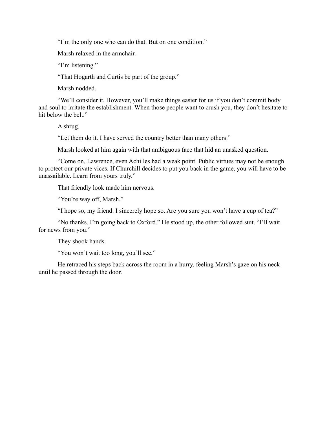"I'm the only one who can do that. But on one condition."

Marsh relaxed in the armchair.

"I'm listening."

"That Hogarth and Curtis be part of the group."

Marsh nodded.

"We'll consider it. However, you'll make things easier for us if you don't commit body and soul to irritate the establishment. When those people want to crush you, they don't hesitate to hit below the belt."

A shrug.

"Let them do it. I have served the country better than many others."

Marsh looked at him again with that ambiguous face that hid an unasked question.

"Come on, Lawrence, even Achilles had a weak point. Public virtues may not be enough to protect our private vices. If Churchill decides to put you back in the game, you will have to be unassailable. Learn from yours truly."

That friendly look made him nervous.

"You're way off, Marsh."

"I hope so, my friend. I sincerely hope so. Are you sure you won't have a cup of tea?"

"No thanks. I'm going back to Oxford." He stood up, the other followed suit. "I'll wait for news from you."

They shook hands.

"You won't wait too long, you'll see."

He retraced his steps back across the room in a hurry, feeling Marsh's gaze on his neck until he passed through the door.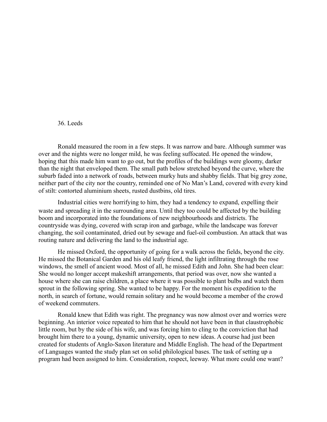#### 36. Leeds

Ronald measured the room in a few steps. It was narrow and bare. Although summer was over and the nights were no longer mild, he was feeling suffocated. He opened the window, hoping that this made him want to go out, but the profiles of the buildings were gloomy, darker than the night that enveloped them. The small path below stretched beyond the curve, where the suburb faded into a network of roads, between murky huts and shabby fields. That big grey zone, neither part of the city nor the country, reminded one of No Man's Land, covered with every kind of stilt: contorted aluminium sheets, rusted dustbins, old tires.

Industrial cities were horrifying to him, they had a tendency to expand, expelling their waste and spreading it in the surrounding area. Until they too could be affected by the building boom and incorporated into the foundations of new neighbourhoods and districts. The countryside was dying, covered with scrap iron and garbage, while the landscape was forever changing, the soil contaminated, dried out by sewage and fuel-oil combustion. An attack that was routing nature and delivering the land to the industrial age.

He missed Oxford, the opportunity of going for a walk across the fields, beyond the city. He missed the Botanical Garden and his old leafy friend, the light infiltrating through the rose windows, the smell of ancient wood. Most of all, he missed Edith and John. She had been clear: She would no longer accept makeshift arrangements, that period was over, now she wanted a house where she can raise children, a place where it was possible to plant bulbs and watch them sprout in the following spring. She wanted to be happy. For the moment his expedition to the north, in search of fortune, would remain solitary and he would become a member of the crowd of weekend commuters.

Ronald knew that Edith was right. The pregnancy was now almost over and worries were beginning. An interior voice repeated to him that he should not have been in that claustrophobic little room, but by the side of his wife, and was forcing him to cling to the conviction that had brought him there to a young, dynamic university, open to new ideas. A course had just been created for students of Anglo-Saxon literature and Middle English. The head of the Department of Languages wanted the study plan set on solid philological bases. The task of setting up a program had been assigned to him. Consideration, respect, leeway. What more could one want?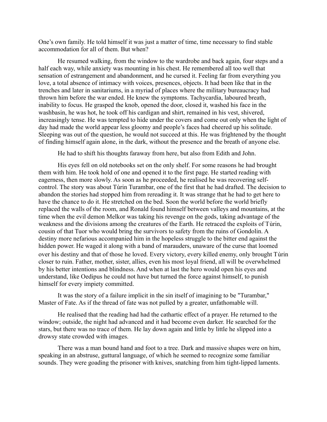One's own family. He told himself it was just a matter of time, time necessary to find stable accommodation for all of them. But when?

He resumed walking, from the window to the wardrobe and back again, four steps and a half each way, while anxiety was mounting in his chest. He remembered all too well that sensation of estrangement and abandonment, and he cursed it. Feeling far from everything you love, a total absence of intimacy with voices, presences, objects. It had been like that in the trenches and later in sanitariums, in a myriad of places where the military bureaucracy had thrown him before the war ended. He knew the symptoms. Tachycardia, laboured breath, inability to focus. He grasped the knob, opened the door, closed it, washed his face in the washbasin, he was hot, he took off his cardigan and shirt, remained in his vest, shivered, increasingly tense. He was tempted to hide under the covers and come out only when the light of day had made the world appear less gloomy and people's faces had cheered up his solitude. Sleeping was out of the question, he would not succeed at this. He was frightened by the thought of finding himself again alone, in the dark, without the presence and the breath of anyone else.

He had to shift his thoughts faraway from here, but also from Edith and John.

His eyes fell on old notebooks set on the only shelf. For some reasons he had brought them with him. He took hold of one and opened it to the first page. He started reading with eagerness, then more slowly. As soon as he proceeded, he realised he was recovering selfcontrol. The story was about Tùrin Turambar, one of the first that he had drafted. The decision to abandon the stories had stopped him from rereading it. It was strange that he had to get here to have the chance to do it. He stretched on the bed. Soon the world before the world briefly replaced the walls of the room, and Ronald found himself between valleys and mountains, at the time when the evil demon Melkor was taking his revenge on the gods, taking advantage of the weakness and the divisions among the creatures of the Earth. He retraced the exploits of Tùrin, cousin of that Tuor who would bring the survivors to safety from the ruins of Gondolin. A destiny more nefarious accompanied him in the hopeless struggle to the bitter end against the hidden power. He waged it along with a band of marauders, unaware of the curse that loomed over his destiny and that of those he loved. Every victory, every killed enemy, only brought Tùrin closer to ruin. Father, mother, sister, allies, even his most loyal friend, all will be overwhelmed by his better intentions and blindness. And when at last the hero would open his eyes and understand, like Oedipus he could not have but turned the force against himself, to punish himself for every impiety committed.

It was the story of a failure implicit in the sin itself of imagining to be "Turambar," Master of Fate. As if the thread of fate was not pulled by a greater, unfathomable will.

He realised that the reading had had the cathartic effect of a prayer. He returned to the window; outside, the night had advanced and it had become even darker. He searched for the stars, but there was no trace of them. He lay down again and little by little he slipped into a drowsy state crowded with images.

There was a man bound hand and foot to a tree. Dark and massive shapes were on him, speaking in an abstruse, guttural language, of which he seemed to recognize some familiar sounds. They were goading the prisoner with knives, snatching from him tight-lipped laments.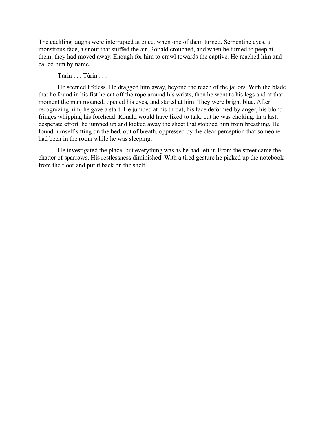The cackling laughs were interrupted at once, when one of them turned. Serpentine eyes, a monstrous face, a snout that sniffed the air. Ronald crouched, and when he turned to peep at them, they had moved away. Enough for him to crawl towards the captive. He reached him and called him by name.

Tùrin . . . Tùrin . . .

He seemed lifeless. He dragged him away, beyond the reach of the jailors. With the blade that he found in his fist he cut off the rope around his wrists, then he went to his legs and at that moment the man moaned, opened his eyes, and stared at him. They were bright blue. After recognizing him, he gave a start. He jumped at his throat, his face deformed by anger, his blond fringes whipping his forehead. Ronald would have liked to talk, but he was choking. In a last, desperate effort, he jumped up and kicked away the sheet that stopped him from breathing. He found himself sitting on the bed, out of breath, oppressed by the clear perception that someone had been in the room while he was sleeping.

He investigated the place, but everything was as he had left it. From the street came the chatter of sparrows. His restlessness diminished. With a tired gesture he picked up the notebook from the floor and put it back on the shelf.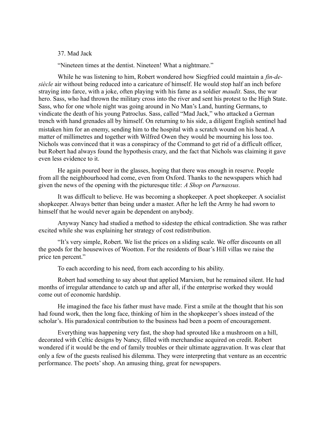37. Mad Jack

"Nineteen times at the dentist. Nineteen! What a nightmare."

While he was listening to him, Robert wondered how Siegfried could maintain a *fin-desiècle* air without being reduced into a caricature of himself. He would stop half an inch before straying into farce, with a joke, often playing with his fame as a soldier *maudit*. Sass, the war hero. Sass, who had thrown the military cross into the river and sent his protest to the High State. Sass, who for one whole night was going around in No Man's Land, hunting Germans, to vindicate the death of his young Patroclus. Sass, called "Mad Jack," who attacked a German trench with hand grenades all by himself. On returning to his side, a diligent English sentinel had mistaken him for an enemy, sending him to the hospital with a scratch wound on his head. A matter of millimetres and together with Wilfred Owen they would be mourning his loss too. Nichols was convinced that it was a conspiracy of the Command to get rid of a difficult officer, but Robert had always found the hypothesis crazy, and the fact that Nichols was claiming it gave even less evidence to it.

He again poured beer in the glasses, hoping that there was enough in reserve. People from all the neighbourhood had come, even from Oxford. Thanks to the newspapers which had given the news of the opening with the picturesque title: *A Shop on Parnassus.*

It was difficult to believe. He was becoming a shopkeeper. A poet shopkeeper. A socialist shopkeeper. Always better than being under a master. After he left the Army he had sworn to himself that he would never again be dependent on anybody.

Anyway Nancy had studied a method to sidestep the ethical contradiction. She was rather excited while she was explaining her strategy of cost redistribution.

"It's very simple, Robert. We list the prices on a sliding scale. We offer discounts on all the goods for the housewives of Wootton. For the residents of Boar's Hill villas we raise the price ten percent."

To each according to his need, from each according to his ability.

Robert had something to say about that applied Marxism, but he remained silent. He had months of irregular attendance to catch up and after all, if the enterprise worked they would come out of economic hardship.

He imagined the face his father must have made. First a smile at the thought that his son had found work, then the long face, thinking of him in the shopkeeper's shoes instead of the scholar's. His paradoxical contribution to the business had been a poem of encouragement.

Everything was happening very fast, the shop had sprouted like a mushroom on a hill, decorated with Celtic designs by Nancy, filled with merchandise acquired on credit. Robert wondered if it would be the end of family troubles or their ultimate aggravation. It was clear that only a few of the guests realised his dilemma. They were interpreting that venture as an eccentric performance. The poets' shop. An amusing thing, great for newspapers.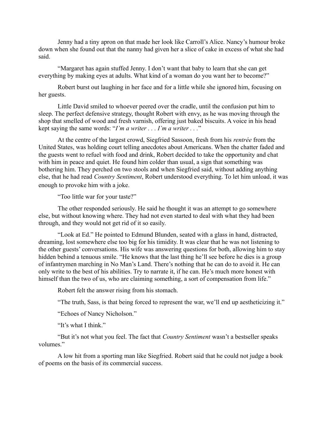Jenny had a tiny apron on that made her look like Carroll's Alice. Nancy's humour broke down when she found out that the nanny had given her a slice of cake in excess of what she had said.

"Margaret has again stuffed Jenny. I don't want that baby to learn that she can get everything by making eyes at adults. What kind of a woman do you want her to become?"

Robert burst out laughing in her face and for a little while she ignored him, focusing on her guests.

Little David smiled to whoever peered over the cradle, until the confusion put him to sleep. The perfect defensive strategy, thought Robert with envy, as he was moving through the shop that smelled of wood and fresh varnish, offering just baked biscuits. A voice in his head kept saying the same words: "*I'm a writer . . . I'm a writer . . .*"

At the centre of the largest crowd, Siegfried Sassoon, fresh from his *rentrée* from the United States, was holding court telling anecdotes about Americans. When the chatter faded and the guests went to refuel with food and drink, Robert decided to take the opportunity and chat with him in peace and quiet. He found him colder than usual, a sign that something was bothering him. They perched on two stools and when Siegfried said, without adding anything else, that he had read *Country Sentiment*, Robert understood everything. To let him unload, it was enough to provoke him with a joke.

"Too little war for your taste?"

The other responded seriously. He said he thought it was an attempt to go somewhere else, but without knowing where. They had not even started to deal with what they had been through, and they would not get rid of it so easily.

"Look at Ed." He pointed to Edmund Blunden, seated with a glass in hand, distracted, dreaming, lost somewhere else too big for his timidity. It was clear that he was not listening to the other guests' conversations. His wife was answering questions for both, allowing him to stay hidden behind a tenuous smile. "He knows that the last thing he'll see before he dies is a group of infantrymen marching in No Man's Land. There's nothing that he can do to avoid it. He can only write to the best of his abilities. Try to narrate it, if he can. He's much more honest with himself than the two of us, who are claiming something, a sort of compensation from life."

Robert felt the answer rising from his stomach.

"The truth, Sass, is that being forced to represent the war, we'll end up aestheticizing it."

"Echoes of Nancy Nicholson."

"It's what I think"

"But it's not what you feel. The fact that *Country Sentiment* wasn't a bestseller speaks volumes."

A low hit from a sporting man like Siegfried. Robert said that he could not judge a book of poems on the basis of its commercial success.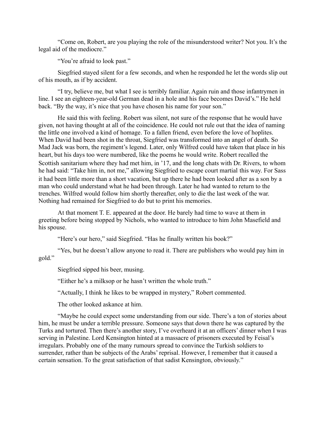"Come on, Robert, are you playing the role of the misunderstood writer? Not you. It's the legal aid of the mediocre."

"You're afraid to look past."

Siegfried stayed silent for a few seconds, and when he responded he let the words slip out of his mouth, as if by accident.

"I try, believe me, but what I see is terribly familiar. Again ruin and those infantrymen in line. I see an eighteen-year-old German dead in a hole and his face becomes David's." He held back. "By the way, it's nice that you have chosen his name for your son."

He said this with feeling. Robert was silent, not sure of the response that he would have given, not having thought at all of the coincidence. He could not rule out that the idea of naming the little one involved a kind of homage. To a fallen friend, even before the love of hoplites. When David had been shot in the throat, Siegfried was transformed into an angel of death. So Mad Jack was born, the regiment's legend. Later, only Wilfred could have taken that place in his heart, but his days too were numbered, like the poems he would write. Robert recalled the Scottish sanitarium where they had met him, in '17, and the long chats with Dr. Rivers, to whom he had said: "Take him in, not me," allowing Siegfried to escape court martial this way. For Sass it had been little more than a short vacation, but up there he had been looked after as a son by a man who could understand what he had been through. Later he had wanted to return to the trenches. Wilfred would follow him shortly thereafter, only to die the last week of the war. Nothing had remained for Siegfried to do but to print his memories.

At that moment T. E. appeared at the door. He barely had time to wave at them in greeting before being stopped by Nichols, who wanted to introduce to him John Masefield and his spouse.

"Here's our hero," said Siegfried. "Has he finally written his book?"

"Yes, but he doesn't allow anyone to read it. There are publishers who would pay him in gold."

Siegfried sipped his beer, musing.

"Either he's a milksop or he hasn't written the whole truth."

"Actually, I think he likes to be wrapped in mystery," Robert commented.

The other looked askance at him.

"Maybe he could expect some understanding from our side. There's a ton of stories about him, he must be under a terrible pressure. Someone says that down there he was captured by the Turks and tortured. Then there's another story, I've overheard it at an officers' dinner when I was serving in Palestine. Lord Kensington hinted at a massacre of prisoners executed by Feisal's irregulars. Probably one of the many rumours spread to convince the Turkish soldiers to surrender, rather than be subjects of the Arabs' reprisal. However, I remember that it caused a certain sensation. To the great satisfaction of that sadist Kensington, obviously."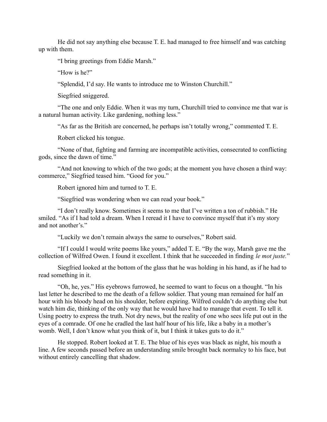He did not say anything else because T. E. had managed to free himself and was catching up with them.

"I bring greetings from Eddie Marsh."

"How is he?"

"Splendid, I'd say. He wants to introduce me to Winston Churchill."

Siegfried sniggered.

"The one and only Eddie. When it was my turn, Churchill tried to convince me that war is a natural human activity. Like gardening, nothing less."

"As far as the British are concerned, he perhaps isn't totally wrong," commented T. E.

Robert clicked his tongue.

"None of that, fighting and farming are incompatible activities, consecrated to conflicting gods, since the dawn of time."

"And not knowing to which of the two gods; at the moment you have chosen a third way: commerce," Siegfried teased him. "Good for you."

Robert ignored him and turned to T. E.

"Siegfried was wondering when we can read your book."

"I don't really know. Sometimes it seems to me that I've written a ton of rubbish." He smiled. "As if I had told a dream. When I reread it I have to convince myself that it's my story and not another's."

"Luckily we don't remain always the same to ourselves," Robert said.

"If I could I would write poems like yours," added T. E. "By the way, Marsh gave me the collection of Wilfred Owen. I found it excellent. I think that he succeeded in finding *le mot juste.*"

Siegfried looked at the bottom of the glass that he was holding in his hand, as if he had to read something in it.

"Oh, he, yes." His eyebrows furrowed, he seemed to want to focus on a thought. "In his last letter he described to me the death of a fellow soldier. That young man remained for half an hour with his bloody head on his shoulder, before expiring. Wilfred couldn't do anything else but watch him die, thinking of the only way that he would have had to manage that event. To tell it. Using poetry to express the truth. Not dry news, but the reality of one who sees life put out in the eyes of a comrade. Of one he cradled the last half hour of his life, like a baby in a mother's womb. Well, I don't know what you think of it, but I think it takes guts to do it."

He stopped. Robert looked at T. E. The blue of his eyes was black as night, his mouth a line. A few seconds passed before an understanding smile brought back normalcy to his face, but without entirely cancelling that shadow.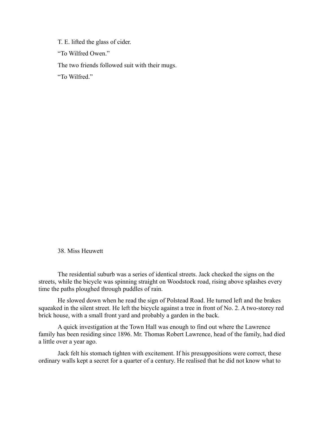T. E. lifted the glass of cider.

"To Wilfred Owen."

The two friends followed suit with their mugs.

"To Wilfred."

#### 38. Miss Heuwett

The residential suburb was a series of identical streets. Jack checked the signs on the streets, while the bicycle was spinning straight on Woodstock road, rising above splashes every time the paths ploughed through puddles of rain.

He slowed down when he read the sign of Polstead Road. He turned left and the brakes squeaked in the silent street. He left the bicycle against a tree in front of No. 2. A two-storey red brick house, with a small front yard and probably a garden in the back.

A quick investigation at the Town Hall was enough to find out where the Lawrence family has been residing since 1896. Mr. Thomas Robert Lawrence, head of the family, had died a little over a year ago.

Jack felt his stomach tighten with excitement. If his presuppositions were correct, these ordinary walls kept a secret for a quarter of a century. He realised that he did not know what to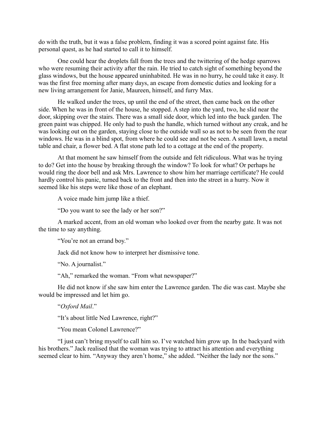do with the truth, but it was a false problem, finding it was a scored point against fate. His personal quest, as he had started to call it to himself.

One could hear the droplets fall from the trees and the twittering of the hedge sparrows who were resuming their activity after the rain. He tried to catch sight of something beyond the glass windows, but the house appeared uninhabited. He was in no hurry, he could take it easy. It was the first free morning after many days, an escape from domestic duties and looking for a new living arrangement for Janie, Maureen, himself, and furry Max.

He walked under the trees, up until the end of the street, then came back on the other side. When he was in front of the house, he stopped. A step into the yard, two, he slid near the door, skipping over the stairs. There was a small side door, which led into the back garden. The green paint was chipped. He only had to push the handle, which turned without any creak, and he was looking out on the garden, staying close to the outside wall so as not to be seen from the rear windows. He was in a blind spot, from where he could see and not be seen. A small lawn, a metal table and chair, a flower bed. A flat stone path led to a cottage at the end of the property.

At that moment he saw himself from the outside and felt ridiculous. What was he trying to do? Get into the house by breaking through the window? To look for what? Or perhaps he would ring the door bell and ask Mrs. Lawrence to show him her marriage certificate? He could hardly control his panic, turned back to the front and then into the street in a hurry. Now it seemed like his steps were like those of an elephant.

A voice made him jump like a thief.

"Do you want to see the lady or her son?"

A marked accent, from an old woman who looked over from the nearby gate. It was not the time to say anything.

"You're not an errand boy."

Jack did not know how to interpret her dismissive tone.

"No. A journalist."

"Ah," remarked the woman. "From what newspaper?"

He did not know if she saw him enter the Lawrence garden. The die was cast. Maybe she would be impressed and let him go.

"*Oxford Mail*."

"It's about little Ned Lawrence, right?"

"You mean Colonel Lawrence?"

"I just can't bring myself to call him so. I've watched him grow up. In the backyard with his brothers." Jack realised that the woman was trying to attract his attention and everything seemed clear to him. "Anyway they aren't home," she added. "Neither the lady nor the sons."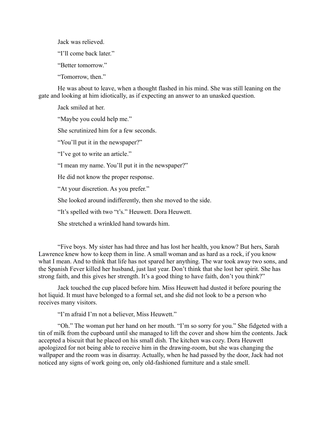Jack was relieved.

"I'll come back later."

"Better tomorrow."

"Tomorrow, then."

He was about to leave, when a thought flashed in his mind. She was still leaning on the gate and looking at him idiotically, as if expecting an answer to an unasked question.

Jack smiled at her.

"Maybe you could help me."

She scrutinized him for a few seconds.

"You'll put it in the newspaper?"

"I've got to write an article."

"I mean my name. You'll put it in the newspaper?"

He did not know the proper response.

"At your discretion. As you prefer."

She looked around indifferently, then she moved to the side.

"It's spelled with two "t's." Heuwett. Dora Heuwett.

She stretched a wrinkled hand towards him.

"Five boys. My sister has had three and has lost her health, you know? But hers, Sarah Lawrence knew how to keep them in line. A small woman and as hard as a rock, if you know what I mean. And to think that life has not spared her anything. The war took away two sons, and the Spanish Fever killed her husband, just last year. Don't think that she lost her spirit. She has strong faith, and this gives her strength. It's a good thing to have faith, don't you think?"

Jack touched the cup placed before him. Miss Heuwett had dusted it before pouring the hot liquid. It must have belonged to a formal set, and she did not look to be a person who receives many visitors.

"I'm afraid I'm not a believer, Miss Heuwett."

"Oh." The woman put her hand on her mouth. "I'm so sorry for you." She fidgeted with a tin of milk from the cupboard until she managed to lift the cover and show him the contents. Jack accepted a biscuit that he placed on his small dish. The kitchen was cozy. Dora Heuwett apologized for not being able to receive him in the drawing-room, but she was changing the wallpaper and the room was in disarray. Actually, when he had passed by the door, Jack had not noticed any signs of work going on, only old-fashioned furniture and a stale smell.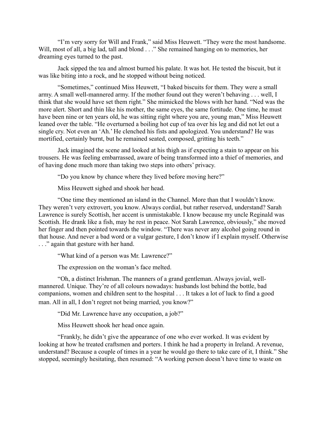"I'm very sorry for Will and Frank," said Miss Heuwett. "They were the most handsome. Will, most of all, a big lad, tall and blond . . ." She remained hanging on to memories, her dreaming eyes turned to the past.

Jack sipped the tea and almost burned his palate. It was hot. He tested the biscuit, but it was like biting into a rock, and he stopped without being noticed.

"Sometimes," continued Miss Heuwett, "I baked biscuits for them. They were a small army. A small well-mannered army. If the mother found out they weren't behaving . . . well, I think that she would have set them right." She mimicked the blows with her hand. "Ned was the more alert. Short and thin like his mother, the same eyes, the same fortitude. One time, he must have been nine or ten years old, he was sitting right where you are, young man," Miss Heuwett leaned over the table. "He overturned a boiling hot cup of tea over his leg and did not let out a single cry. Not even an 'Ah.' He clenched his fists and apologized. You understand? He was mortified, certainly burnt, but he remained seated, composed, gritting his teeth."

Jack imagined the scene and looked at his thigh as if expecting a stain to appear on his trousers. He was feeling embarrassed, aware of being transformed into a thief of memories, and of having done much more than taking two steps into others' privacy.

"Do you know by chance where they lived before moving here?"

Miss Heuwett sighed and shook her head.

"One time they mentioned an island in the Channel. More than that I wouldn't know. They weren't very extrovert, you know. Always cordial, but rather reserved, understand? Sarah Lawrence is surely Scottish, her accent is unmistakable. I know because my uncle Reginald was Scottish. He drank like a fish, may he rest in peace. Not Sarah Lawrence, obviously," she moved her finger and then pointed towards the window. "There was never any alcohol going round in that house. And never a bad word or a vulgar gesture, I don't know if I explain myself. Otherwise . . ." again that gesture with her hand.

"What kind of a person was Mr. Lawrence?"

The expression on the woman's face melted.

"Oh, a distinct Irishman. The manners of a grand gentleman. Always jovial, wellmannered. Unique. They're of all colours nowadays: husbands lost behind the bottle, bad companions, women and children sent to the hospital . . . It takes a lot of luck to find a good man. All in all, I don't regret not being married, you know?"

"Did Mr. Lawrence have any occupation, a job?"

Miss Heuwett shook her head once again.

"Frankly, he didn't give the appearance of one who ever worked. It was evident by looking at how he treated craftsmen and porters. I think he had a property in Ireland. A revenue, understand? Because a couple of times in a year he would go there to take care of it, I think." She stopped, seemingly hesitating, then resumed: "A working person doesn't have time to waste on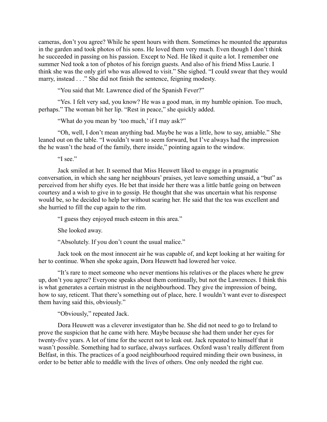cameras, don't you agree? While he spent hours with them. Sometimes he mounted the apparatus in the garden and took photos of his sons. He loved them very much. Even though I don't think he succeeded in passing on his passion. Except to Ned. He liked it quite a lot. I remember one summer Ned took a ton of photos of his foreign guests. And also of his friend Miss Laurie. I think she was the only girl who was allowed to visit." She sighed. "I could swear that they would marry, instead . . ." She did not finish the sentence, feigning modesty.

"You said that Mr. Lawrence died of the Spanish Fever?"

"Yes. I felt very sad, you know? He was a good man, in my humble opinion. Too much, perhaps." The woman bit her lip. "Rest in peace," she quickly added.

"What do you mean by 'too much,' if I may ask?"

"Oh, well, I don't mean anything bad. Maybe he was a little, how to say, amiable." She leaned out on the table. "I wouldn't want to seem forward, but I've always had the impression the he wasn't the head of the family, there inside," pointing again to the window.

"I see."

Jack smiled at her. It seemed that Miss Heuwett liked to engage in a pragmatic conversation, in which she sang her neighbours' praises, yet leave something unsaid, a "but" as perceived from her shifty eyes. He bet that inside her there was a little battle going on between courtesy and a wish to give in to gossip. He thought that she was uncertain what his response would be, so he decided to help her without scaring her. He said that the tea was excellent and she hurried to fill the cup again to the rim.

"I guess they enjoyed much esteem in this area."

She looked away.

"Absolutely. If you don't count the usual malice."

Jack took on the most innocent air he was capable of, and kept looking at her waiting for her to continue. When she spoke again, Dora Heuwett had lowered her voice.

"It's rare to meet someone who never mentions his relatives or the places where he grew up, don't you agree? Everyone speaks about them continually, but not the Lawrences. I think this is what generates a certain mistrust in the neighbourhood. They give the impression of being, how to say, reticent. That there's something out of place, here. I wouldn't want ever to disrespect them having said this, obviously."

"Obviously," repeated Jack.

Dora Heuwett was a cleverer investigator than he. She did not need to go to Ireland to prove the suspicion that he came with here. Maybe because she had them under her eyes for twenty-five years. A lot of time for the secret not to leak out. Jack repeated to himself that it wasn't possible. Something had to surface, always surfaces. Oxford wasn't really different from Belfast, in this. The practices of a good neighbourhood required minding their own business, in order to be better able to meddle with the lives of others. One only needed the right cue.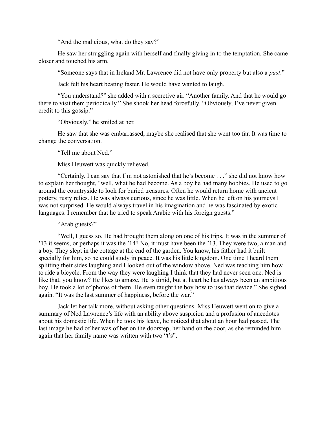"And the malicious, what do they say?"

He saw her struggling again with herself and finally giving in to the temptation. She came closer and touched his arm.

"Someone says that in Ireland Mr. Lawrence did not have only property but also a *past*."

Jack felt his heart beating faster. He would have wanted to laugh.

"You understand?" she added with a secretive air. "Another family. And that he would go there to visit them periodically." She shook her head forcefully. "Obviously, I've never given credit to this gossip."

"Obviously," he smiled at her.

He saw that she was embarrassed, maybe she realised that she went too far. It was time to change the conversation.

"Tell me about Ned."

Miss Heuwett was quickly relieved.

"Certainly. I can say that I'm not astonished that he's become . . ." she did not know how to explain her thought, "well, what he had become. As a boy he had many hobbies. He used to go around the countryside to look for buried treasures. Often he would return home with ancient pottery, rusty relics. He was always curious, since he was little. When he left on his journeys I was not surprised. He would always travel in his imagination and he was fascinated by exotic languages. I remember that he tried to speak Arabic with his foreign guests."

"Arab guests?"

"Well, I guess so. He had brought them along on one of his trips. It was in the summer of '13 it seems, or perhaps it was the '14? No, it must have been the '13. They were two, a man and a boy. They slept in the cottage at the end of the garden. You know, his father had it built specially for him, so he could study in peace. It was his little kingdom. One time I heard them splitting their sides laughing and I looked out of the window above. Ned was teaching him how to ride a bicycle. From the way they were laughing I think that they had never seen one. Ned is like that, you know? He likes to amaze. He is timid, but at heart he has always been an ambitious boy. He took a lot of photos of them. He even taught the boy how to use that device." She sighed again. "It was the last summer of happiness, before the war."

Jack let her talk more, without asking other questions. Miss Heuwett went on to give a summary of Ned Lawrence's life with an ability above suspicion and a profusion of anecdotes about his domestic life. When he took his leave, he noticed that about an hour had passed. The last image he had of her was of her on the doorstep, her hand on the door, as she reminded him again that her family name was written with two "t's".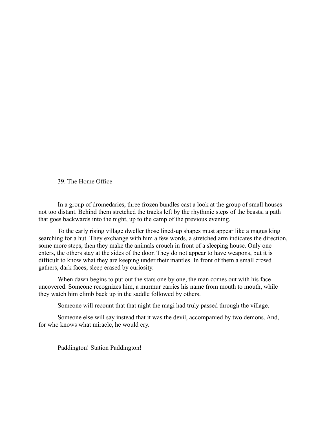## 39. The Home Office

In a group of dromedaries, three frozen bundles cast a look at the group of small houses not too distant. Behind them stretched the tracks left by the rhythmic steps of the beasts, a path that goes backwards into the night, up to the camp of the previous evening.

To the early rising village dweller those lined-up shapes must appear like a magus king searching for a hut. They exchange with him a few words, a stretched arm indicates the direction, some more steps, then they make the animals crouch in front of a sleeping house. Only one enters, the others stay at the sides of the door. They do not appear to have weapons, but it is difficult to know what they are keeping under their mantles. In front of them a small crowd gathers, dark faces, sleep erased by curiosity.

When dawn begins to put out the stars one by one, the man comes out with his face uncovered. Someone recognizes him, a murmur carries his name from mouth to mouth, while they watch him climb back up in the saddle followed by others.

Someone will recount that that night the magi had truly passed through the village.

Someone else will say instead that it was the devil, accompanied by two demons. And, for who knows what miracle, he would cry.

Paddington! Station Paddington!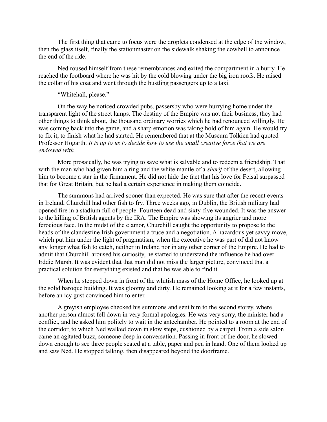The first thing that came to focus were the droplets condensed at the edge of the window, then the glass itself, finally the stationmaster on the sidewalk shaking the cowbell to announce the end of the ride.

Ned roused himself from these remembrances and exited the compartment in a hurry. He reached the footboard where he was hit by the cold blowing under the big iron roofs. He raised the collar of his coat and went through the bustling passengers up to a taxi.

# "Whitehall, please."

On the way he noticed crowded pubs, passersby who were hurrying home under the transparent light of the street lamps. The destiny of the Empire was not their business, they had other things to think about, the thousand ordinary worries which he had renounced willingly. He was coming back into the game, and a sharp emotion was taking hold of him again. He would try to fix it, to finish what he had started. He remembered that at the Museum Tolkien had quoted Professor Hogarth. *It is up to us to decide how to use the small creative force that we are endowed with.* 

More prosaically, he was trying to save what is salvable and to redeem a friendship. That with the man who had given him a ring and the white mantle of a *sherif* of the desert, allowing him to become a star in the firmament. He did not hide the fact that his love for Feisal surpassed that for Great Britain, but he had a certain experience in making them coincide.

The summons had arrived sooner than expected. He was sure that after the recent events in Ireland, Churchill had other fish to fry. Three weeks ago, in Dublin, the British military had opened fire in a stadium full of people. Fourteen dead and sixty-five wounded. It was the answer to the killing of British agents by the IRA. The Empire was showing its angrier and more ferocious face. In the midst of the clamor, Churchill caught the opportunity to propose to the heads of the clandestine Irish government a truce and a negotiation. A hazardous yet savvy move, which put him under the light of pragmatism, when the executive he was part of did not know any longer what fish to catch, neither in Ireland nor in any other corner of the Empire. He had to admit that Churchill aroused his curiosity, he started to understand the influence he had over Eddie Marsh. It was evident that that man did not miss the larger picture, convinced that a practical solution for everything existed and that he was able to find it.

When he stepped down in front of the whitish mass of the Home Office, he looked up at the solid baroque building. It was gloomy and dirty. He remained looking at it for a few instants, before an icy gust convinced him to enter.

A greyish employee checked his summons and sent him to the second storey, where another person almost fell down in very formal apologies. He was very sorry, the minister had a conflict, and he asked him politely to wait in the antechamber. He pointed to a room at the end of the corridor, to which Ned walked down in slow steps, cushioned by a carpet. From a side salon came an agitated buzz, someone deep in conversation. Passing in front of the door, he slowed down enough to see three people seated at a table, paper and pen in hand. One of them looked up and saw Ned. He stopped talking, then disappeared beyond the doorframe.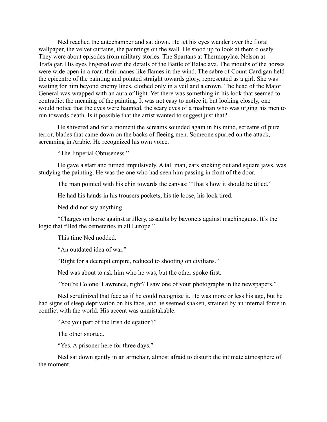Ned reached the antechamber and sat down. He let his eyes wander over the floral wallpaper, the velvet curtains, the paintings on the wall. He stood up to look at them closely. They were about episodes from military stories. The Spartans at Thermopylae. Nelson at Trafalgar. His eyes lingered over the details of the Battle of Balaclava. The mouths of the horses were wide open in a roar, their manes like flames in the wind. The sabre of Count Cardigan held the epicentre of the painting and pointed straight towards glory, represented as a girl. She was waiting for him beyond enemy lines, clothed only in a veil and a crown. The head of the Major General was wrapped with an aura of light. Yet there was something in his look that seemed to contradict the meaning of the painting. It was not easy to notice it, but looking closely, one would notice that the eyes were haunted, the scary eyes of a madman who was urging his men to run towards death. Is it possible that the artist wanted to suggest just that?

He shivered and for a moment the screams sounded again in his mind, screams of pure terror, blades that came down on the backs of fleeing men. Someone spurred on the attack, screaming in Arabic. He recognized his own voice.

"The Imperial Obtuseness."

He gave a start and turned impulsively. A tall man, ears sticking out and square jaws, was studying the painting. He was the one who had seen him passing in front of the door.

The man pointed with his chin towards the canvas: "That's how it should be titled."

He had his hands in his trousers pockets, his tie loose, his look tired.

Ned did not say anything.

"Charges on horse against artillery, assaults by bayonets against machineguns. It's the logic that filled the cemeteries in all Europe."

This time Ned nodded.

"An outdated idea of war."

"Right for a decrepit empire, reduced to shooting on civilians."

Ned was about to ask him who he was, but the other spoke first.

"You're Colonel Lawrence, right? I saw one of your photographs in the newspapers."

Ned scrutinized that face as if he could recognize it. He was more or less his age, but he had signs of sleep deprivation on his face, and he seemed shaken, strained by an internal force in conflict with the world. His accent was unmistakable.

"Are you part of the Irish delegation?"

The other snorted.

"Yes. A prisoner here for three days."

Ned sat down gently in an armchair, almost afraid to disturb the intimate atmosphere of the moment.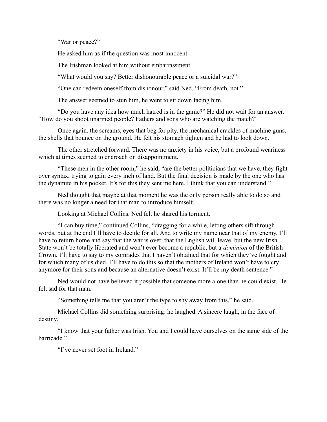"War or peace?"

He asked him as if the question was most innocent.

The Irishman looked at him without embarrassment.

"What would you say? Better dishonourable peace or a suicidal war?"

"One can redeem oneself from dishonour," said Ned, "From death, not."

The answer seemed to stun him, he went to sit down facing him.

"Do you have any idea how much hatred is in the game?" He did not wait for an answer. "How do you shoot unarmed people? Fathers and sons who are watching the match?"

Once again, the screams, eyes that beg for pity, the mechanical crackles of machine guns, the shells that bounce on the ground. He felt his stomach tighten and he had to look down.

The other stretched forward. There was no anxiety in his voice, but a profound weariness which at times seemed to encroach on disappointment.

"These men in the other room," he said, "are the better politicians that we have, they fight over syntax, trying to gain every inch of land. But the final decision is made by the one who has the dynamite in his pocket. It's for this they sent me here. I think that you can understand."

Ned thought that maybe at that moment he was the only person really able to do so and there was no longer a need for that man to introduce himself.

Looking at Michael Collins, Ned felt he shared his torment.

"I can buy time," continued Collins, "dragging for a while, letting others sift through words, but at the end I'll have to decide for all. And to write my name near that of my enemy. I'll have to return home and say that the war is over, that the English will leave, but the new Irish State won't be totally liberated and won't ever become a republic, but a *dominion* of the British Crown. I'll have to say to my comrades that I haven't obtained that for which they've fought and for which many of us died. I'll have to do this so that the mothers of Ireland won't have to cry anymore for their sons and because an alternative doesn't exist. It'll be my death sentence."

Ned would not have believed it possible that someone more alone than he could exist. He felt sad for that man.

"Something tells me that you aren't the type to shy away from this," he said.

Michael Collins did something surprising: he laughed. A sincere laugh, in the face of destiny.

"I know that your father was Irish. You and I could have ourselves on the same side of the barricade<sup>"</sup>

"I've never set foot in Ireland."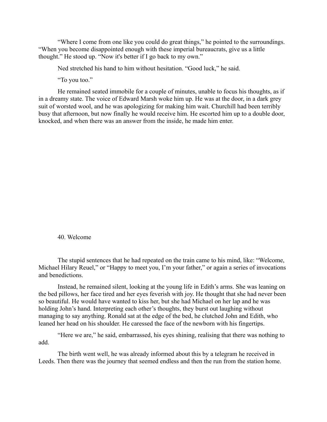"Where I come from one like you could do great things," he pointed to the surroundings. "When you become disappointed enough with these imperial bureaucrats, give us a little thought." He stood up. "Now it's better if I go back to my own."

Ned stretched his hand to him without hesitation. "Good luck," he said.

"To you too."

He remained seated immobile for a couple of minutes, unable to focus his thoughts, as if in a dreamy state. The voice of Edward Marsh woke him up. He was at the door, in a dark grey suit of worsted wool, and he was apologizing for making him wait. Churchill had been terribly busy that afternoon, but now finally he would receive him. He escorted him up to a double door, knocked, and when there was an answer from the inside, he made him enter.

40. Welcome

The stupid sentences that he had repeated on the train came to his mind, like: "Welcome, Michael Hilary Reuel," or "Happy to meet you, I'm your father," or again a series of invocations and benedictions.

Instead, he remained silent, looking at the young life in Edith's arms. She was leaning on the bed pillows, her face tired and her eyes feverish with joy. He thought that she had never been so beautiful. He would have wanted to kiss her, but she had Michael on her lap and he was holding John's hand. Interpreting each other's thoughts, they burst out laughing without managing to say anything. Ronald sat at the edge of the bed, he clutched John and Edith, who leaned her head on his shoulder. He caressed the face of the newborn with his fingertips.

"Here we are," he said, embarrassed, his eyes shining, realising that there was nothing to add.

The birth went well, he was already informed about this by a telegram he received in Leeds. Then there was the journey that seemed endless and then the run from the station home.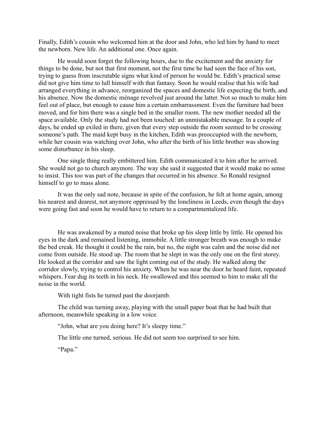Finally, Edith's cousin who welcomed him at the door and John, who led him by hand to meet the newborn. New life. An additional one. Once again.

He would soon forget the following hours, due to the excitement and the anxiety for things to be done, but not that first moment, not the first time he had seen the face of his son, trying to guess from inscrutable signs what kind of person he would be. Edith's practical sense did not give him time to lull himself with that fantasy. Soon he would realise that his wife had arranged everything in advance, reorganized the spaces and domestic life expecting the birth, and his absence. Now the domestic ménage revolved just around the latter. Not so much to make him feel out of place, but enough to cause him a certain embarrassment. Even the furniture had been moved, and for him there was a single bed in the smaller room. The new mother needed all the space available. Only the study had not been touched: an unmistakable message. In a couple of days, he ended up exiled in there, given that every step outside the room seemed to be crossing someone's path. The maid kept busy in the kitchen, Edith was preoccupied with the newborn, while her cousin was watching over John, who after the birth of his little brother was showing some disturbance in his sleep.

One single thing really embittered him. Edith communicated it to him after he arrived. She would not go to church anymore. The way she said it suggested that it would make no sense to insist. This too was part of the changes that occurred in his absence. So Ronald resigned himself to go to mass alone.

It was the only sad note, because in spite of the confusion, he felt at home again, among his nearest and dearest, not anymore oppressed by the loneliness in Leeds, even though the days were going fast and soon he would have to return to a compartmentalized life.

He was awakened by a muted noise that broke up his sleep little by little. He opened his eyes in the dark and remained listening, immobile. A little stronger breath was enough to make the bed creak. He thought it could be the rain, but no, the night was calm and the noise did not come from outside. He stood up. The room that he slept in was the only one on the first storey. He looked at the corridor and saw the light coming out of the study. He walked along the corridor slowly, trying to control his anxiety. When he was near the door he heard faint, repeated whispers. Fear dug its teeth in his neck. He swallowed and this seemed to him to make all the noise in the world.

With tight fists he turned past the doorjamb.

The child was turning away, playing with the small paper boat that he had built that afternoon, meanwhile speaking in a low voice.

"John, what are you doing here? It's sleepy time."

The little one turned, serious. He did not seem too surprised to see him.

"Papa."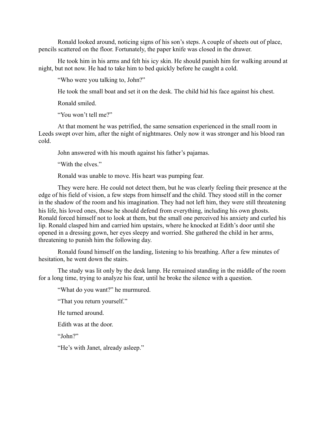Ronald looked around, noticing signs of his son's steps. A couple of sheets out of place, pencils scattered on the floor. Fortunately, the paper knife was closed in the drawer.

He took him in his arms and felt his icy skin. He should punish him for walking around at night, but not now. He had to take him to bed quickly before he caught a cold.

"Who were you talking to, John?"

He took the small boat and set it on the desk. The child hid his face against his chest.

Ronald smiled.

"You won't tell me?"

At that moment he was petrified, the same sensation experienced in the small room in Leeds swept over him, after the night of nightmares. Only now it was stronger and his blood ran cold.

John answered with his mouth against his father's pajamas.

"With the elves."

Ronald was unable to move. His heart was pumping fear.

They were here. He could not detect them, but he was clearly feeling their presence at the edge of his field of vision, a few steps from himself and the child. They stood still in the corner in the shadow of the room and his imagination. They had not left him, they were still threatening his life, his loved ones, those he should defend from everything, including his own ghosts. Ronald forced himself not to look at them, but the small one perceived his anxiety and curled his lip. Ronald clasped him and carried him upstairs, where he knocked at Edith's door until she opened in a dressing gown, her eyes sleepy and worried. She gathered the child in her arms, threatening to punish him the following day.

Ronald found himself on the landing, listening to his breathing. After a few minutes of hesitation, he went down the stairs.

The study was lit only by the desk lamp. He remained standing in the middle of the room for a long time, trying to analyze his fear, until he broke the silence with a question.

"What do you want?" he murmured.

"That you return yourself."

He turned around.

Edith was at the door.

"John?"

"He's with Janet, already asleep."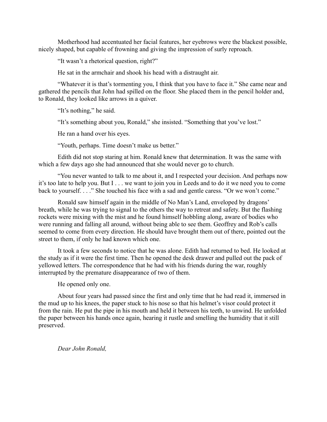Motherhood had accentuated her facial features, her eyebrows were the blackest possible, nicely shaped, but capable of frowning and giving the impression of surly reproach.

"It wasn't a rhetorical question, right?"

He sat in the armchair and shook his head with a distraught air.

"Whatever it is that's tormenting you, I think that you have to face it." She came near and gathered the pencils that John had spilled on the floor. She placed them in the pencil holder and, to Ronald, they looked like arrows in a quiver.

"It's nothing," he said.

"It's something about you, Ronald," she insisted. "Something that you've lost."

He ran a hand over his eyes.

"Youth, perhaps. Time doesn't make us better."

Edith did not stop staring at him. Ronald knew that determination. It was the same with which a few days ago she had announced that she would never go to church.

"You never wanted to talk to me about it, and I respected your decision. And perhaps now it's too late to help you. But I . . . we want to join you in Leeds and to do it we need you to come back to yourself. . . ." She touched his face with a sad and gentle caress. "Or we won't come."

Ronald saw himself again in the middle of No Man's Land, enveloped by dragons' breath, while he was trying to signal to the others the way to retreat and safety. But the flashing rockets were mixing with the mist and he found himself hobbling along, aware of bodies who were running and falling all around, without being able to see them. Geoffrey and Rob's calls seemed to come from every direction. He should have brought them out of there, pointed out the street to them, if only he had known which one.

It took a few seconds to notice that he was alone. Edith had returned to bed. He looked at the study as if it were the first time. Then he opened the desk drawer and pulled out the pack of yellowed letters. The correspondence that he had with his friends during the war, roughly interrupted by the premature disappearance of two of them.

He opened only one.

About four years had passed since the first and only time that he had read it, immersed in the mud up to his knees, the paper stuck to his nose so that his helmet's visor could protect it from the rain. He put the pipe in his mouth and held it between his teeth, to unwind. He unfolded the paper between his hands once again, hearing it rustle and smelling the humidity that it still preserved.

*Dear John Ronald,*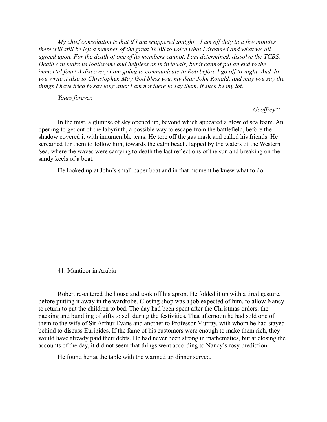*My chief consolation is that if I am scuppered tonight—I am off duty in a few minutes there will still be left a member of the great TCBS to voice what I dreamed and what we all agreed upon. For the death of one of its members cannot, I am determined, dissolve the TCBS. Death can make us loathsome and helpless as individuals, but it cannot put an end to the immortal four! A discovery I am going to communicate to Rob before I go off to-night. And do you write it also to Christopher. May God bless you, my dear John Ronald, and may you say the things I have tried to say long after I am not there to say them, if such be my lot.*

*Yours forever,* 

 *Geoffrey*xxviii

In the mist, a glimpse of sky opened up, beyond which appeared a glow of sea foam. An opening to get out of the labyrinth, a possible way to escape from the battlefield, before the shadow covered it with innumerable tears. He tore off the gas mask and called his friends. He screamed for them to follow him, towards the calm beach, lapped by the waters of the Western Sea, where the waves were carrying to death the last reflections of the sun and breaking on the sandy keels of a boat.

He looked up at John's small paper boat and in that moment he knew what to do.

41. Manticor in Arabia

Robert re-entered the house and took off his apron. He folded it up with a tired gesture, before putting it away in the wardrobe. Closing shop was a job expected of him, to allow Nancy to return to put the children to bed. The day had been spent after the Christmas orders, the packing and bundling of gifts to sell during the festivities. That afternoon he had sold one of them to the wife of Sir Arthur Evans and another to Professor Murray, with whom he had stayed behind to discuss Euripides. If the fame of his customers were enough to make them rich, they would have already paid their debts. He had never been strong in mathematics, but at closing the accounts of the day, it did not seem that things went according to Nancy's rosy prediction.

He found her at the table with the warmed up dinner served.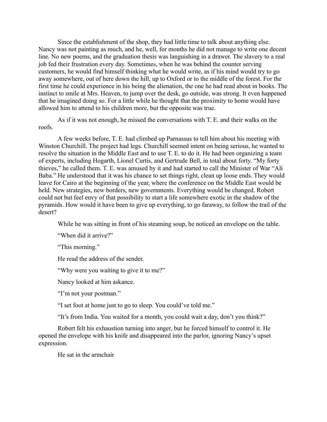Since the establishment of the shop, they had little time to talk about anything else. Nancy was not painting as much, and he, well, for months he did not manage to write one decent line. No new poems, and the graduation thesis was languishing in a drawer. The slavery to a real job fed their frustration every day. Sometimes, when he was behind the counter serving customers, he would find himself thinking what he would write, as if his mind would try to go away somewhere, out of here down the hill, up to Oxford or to the middle of the forest. For the first time he could experience in his being the alienation, the one he had read about in books. The instinct to smile at Mrs. Heaven, to jump over the desk, go outside, was strong. It even happened that he imagined doing so. For a little while he thought that the proximity to home would have allowed him to attend to his children more, but the opposite was true.

As if it was not enough, he missed the conversations with T. E. and their walks on the roofs.

A few weeks before, T. E. had climbed up Parnassus to tell him about his meeting with Winston Churchill. The project had legs. Churchill seemed intent on being serious, he wanted to resolve the situation in the Middle East and to use T. E. to do it. He had been organizing a team of experts, including Hogarth, Lionel Curtis, and Gertrude Bell, in total about forty. "My forty thieves," he called them. T. E. was amused by it and had started to call the Minister of War "Ali Baba." He understood that it was his chance to set things right, clean up loose ends. They would leave for Cairo at the beginning of the year, where the conference on the Middle East would be held. New strategies, new borders, new governments. Everything would be changed. Robert could not but feel envy of that possibility to start a life somewhere exotic in the shadow of the pyramids. How would it have been to give up everything, to go faraway, to follow the trail of the desert?

While he was sitting in front of his steaming soup, he noticed an envelope on the table.

"When did it arrive?"

"This morning."

He read the address of the sender.

"Why were you waiting to give it to me?"

Nancy looked at him askance.

"I'm not your postman."

"I set foot at home just to go to sleep. You could've told me."

"It's from India. You waited for a month, you could wait a day, don't you think?"

Robert felt his exhaustion turning into anger, but he forced himself to control it. He opened the envelope with his knife and disappeared into the parlor, ignoring Nancy's upset expression.

He sat in the armchair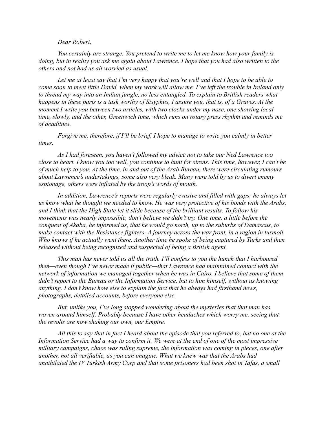## *Dear Robert,*

*You certainly are strange. You pretend to write me to let me know how your family is doing, but in reality you ask me again about Lawrence. I hope that you had also written to the others and not had us all worried as usual.* 

*Let me at least say that I'm very happy that you're well and that I hope to be able to come soon to meet little David, when my work will allow me. I've left the trouble in Ireland only to thread my way into an Indian jungle, no less entangled. To explain to Britlish readers what happens in these parts is a task worthy of Sisyphus, I assure you, that is, of a Graves. At the moment I write you between two articles, with two clocks under my nose, one showing local time, slowly, and the other, Greenwich time, which runs on rotary press rhythm and reminds me of deadlines.*

*Forgive me, therefore, if I'll be brief, I hope to manage to write you calmly in better times.*

*As I had foreseen, you haven't followed my advice not to take our Ned Lawrence too close to heart. I know you too well, you continue to hunt for sirens. This time, however, I can't be of much help to you. At the time, in and out of the Arab Bureau, there were circulating rumours about Lawrence's undertakings, some also very bleak. Many were told by us to divert enemy espionage, others were inflated by the troop's words of mouth.* 

*In addition, Lawrence's reports were regularly evasive and filled with gaps; he always let us know what he thought we needed to know. He was very protective of his bonds with the Arabs, and I think that the High State let it slide because of the brilliant results. To follow his movements was nearly impossible, don't believe we didn't try. One time, a little before the conquest of Akaba, he informed us, that he would go north, up to the suburbs of Damascus, to make contact with the Resistance fighters. A journey across the war front, in a region in turmoil. Who knows if he actually went there. Another time he spoke of being captured by Turks and then released without being recognized and suspected of being a British agent.*

*This man has never told us all the truth. I'll confess to you the hunch that I harboured then—even though I've never made it public—that Lawrence had maintained contact with the network of information we managed together when he was in Cairo. I believe that some of them didn't report to the Bureau or the Information Service, but to him himself, without us knowing anything. I don't know how else to explain the fact that he always had firsthand news, photographs, detailed accounts, before everyone else.*

*But, unlike you, I've long stopped wondering about the mysteries that that man has woven around himself. Probably because I have other headaches which worry me, seeing that the revolts are now shaking our own, our Empire.*

*All this to say that in fact I heard about the episode that you referred to, but no one at the Information Service had a way to confirm it. We were at the end of one of the most impressive military campaigns, chaos was ruling supreme, the information was coming in pieces, one after another, not all verifiable, as you can imagine. What we knew was that the Arabs had annihilated the IV Turkish Army Corp and that some prisoners had been shot in Tafas, a small*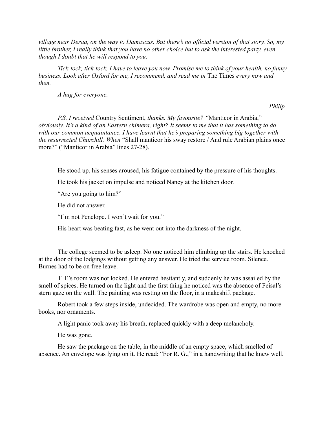*village near Deraa, on the way to Damascus. But there's no official version of that story. So, my little brother, I really think that you have no other choice but to ask the interested party, even though I doubt that he will respond to you.*

*Tick-tock, tick-tock, I have to leave you now. Promise me to think of your health, no funny business. Look after Oxford for me, I recommend, and read me in* The Times *every now and then.*

*A hug for everyone.*

 *Philip*

*P.S. I received* Country Sentiment, *thanks. My favourite? "*Manticor in Arabia," *obviously. It's a kind of an Eastern chimera, right? It seems to me that it has something to do with our common acquaintance. I have learnt that he's preparing something big together with the resurrected Churchill. When* "Shall manticor his sway restore / And rule Arabian plains once more?" ("Manticor in Arabia" lines 27-28).

He stood up, his senses aroused, his fatigue contained by the pressure of his thoughts.

He took his jacket on impulse and noticed Nancy at the kitchen door.

"Are you going to him?"

He did not answer.

"I'm not Penelope. I won't wait for you."

His heart was beating fast, as he went out into the darkness of the night.

The college seemed to be asleep. No one noticed him climbing up the stairs. He knocked at the door of the lodgings without getting any answer. He tried the service room. Silence. Burnes had to be on free leave.

T. E's room was not locked. He entered hesitantly, and suddenly he was assailed by the smell of spices. He turned on the light and the first thing he noticed was the absence of Feisal's stern gaze on the wall. The painting was resting on the floor, in a makeshift package.

Robert took a few steps inside, undecided. The wardrobe was open and empty, no more books, nor ornaments.

A light panic took away his breath, replaced quickly with a deep melancholy.

He was gone.

He saw the package on the table, in the middle of an empty space, which smelled of absence. An envelope was lying on it. He read: "For R. G.," in a handwriting that he knew well.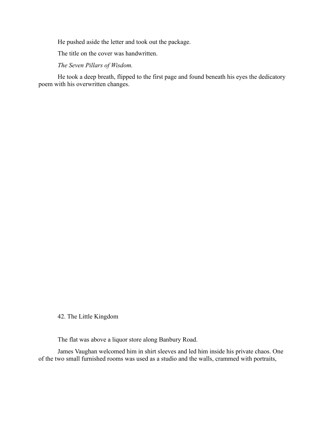He pushed aside the letter and took out the package.

The title on the cover was handwritten.

*The Seven Pillars of Wisdom.*

He took a deep breath, flipped to the first page and found beneath his eyes the dedicatory poem with his overwritten changes.

42. The Little Kingdom

The flat was above a liquor store along Banbury Road.

James Vaughan welcomed him in shirt sleeves and led him inside his private chaos. One of the two small furnished rooms was used as a studio and the walls, crammed with portraits,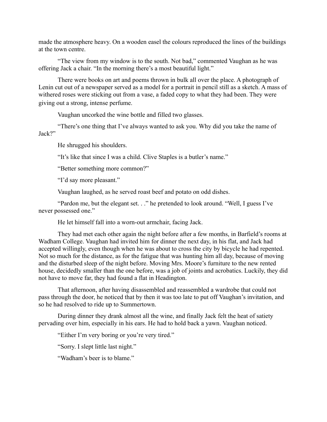made the atmosphere heavy. On a wooden easel the colours reproduced the lines of the buildings at the town centre.

"The view from my window is to the south. Not bad," commented Vaughan as he was offering Jack a chair. "In the morning there's a most beautiful light."

There were books on art and poems thrown in bulk all over the place. A photograph of Lenin cut out of a newspaper served as a model for a portrait in pencil still as a sketch. A mass of withered roses were sticking out from a vase, a faded copy to what they had been. They were giving out a strong, intense perfume.

Vaughan uncorked the wine bottle and filled two glasses.

"There's one thing that I've always wanted to ask you. Why did you take the name of Jack?"

He shrugged his shoulders.

"It's like that since I was a child. Clive Staples is a butler's name."

"Better something more common?"

"I'd say more pleasant."

Vaughan laughed, as he served roast beef and potato on odd dishes.

"Pardon me, but the elegant set. . ." he pretended to look around. "Well, I guess I've never possessed one."

He let himself fall into a worn-out armchair, facing Jack.

They had met each other again the night before after a few months, in Barfield's rooms at Wadham College. Vaughan had invited him for dinner the next day, in his flat, and Jack had accepted willingly, even though when he was about to cross the city by bicycle he had repented. Not so much for the distance, as for the fatigue that was hunting him all day, because of moving and the disturbed sleep of the night before. Moving Mrs. Moore's furniture to the new rented house, decidedly smaller than the one before, was a job of joints and acrobatics. Luckily, they did not have to move far, they had found a flat in Headington.

That afternoon, after having disassembled and reassembled a wardrobe that could not pass through the door, he noticed that by then it was too late to put off Vaughan's invitation, and so he had resolved to ride up to Summertown.

During dinner they drank almost all the wine, and finally Jack felt the heat of satiety pervading over him, especially in his ears. He had to hold back a yawn. Vaughan noticed.

"Either I'm very boring or you're very tired."

"Sorry. I slept little last night."

"Wadham's beer is to blame."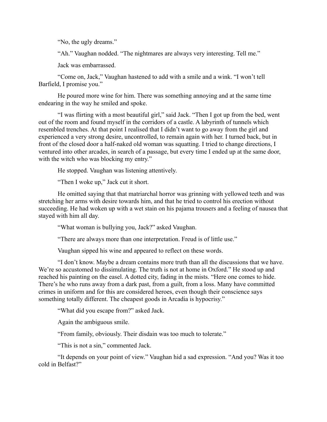"No, the ugly dreams."

"Ah." Vaughan nodded. "The nightmares are always very interesting. Tell me."

Jack was embarrassed.

"Come on, Jack," Vaughan hastened to add with a smile and a wink. "I won't tell Barfield, I promise you."

He poured more wine for him. There was something annoying and at the same time endearing in the way he smiled and spoke.

"I was flirting with a most beautiful girl," said Jack. "Then I got up from the bed, went out of the room and found myself in the corridors of a castle. A labyrinth of tunnels which resembled trenches. At that point I realised that I didn't want to go away from the girl and experienced a very strong desire, uncontrolled, to remain again with her. I turned back, but in front of the closed door a half-naked old woman was squatting. I tried to change directions, I ventured into other arcades, in search of a passage, but every time I ended up at the same door, with the witch who was blocking my entry."

He stopped. Vaughan was listening attentively.

"Then I woke up," Jack cut it short.

He omitted saying that that matriarchal horror was grinning with yellowed teeth and was stretching her arms with desire towards him, and that he tried to control his erection without succeeding. He had woken up with a wet stain on his pajama trousers and a feeling of nausea that stayed with him all day.

"What woman is bullying you, Jack?" asked Vaughan.

"There are always more than one interpretation. Freud is of little use."

Vaughan sipped his wine and appeared to reflect on these words.

"I don't know. Maybe a dream contains more truth than all the discussions that we have. We're so accustomed to dissimulating. The truth is not at home in Oxford." He stood up and reached his painting on the easel. A dotted city, fading in the mists. "Here one comes to hide. There's he who runs away from a dark past, from a guilt, from a loss. Many have committed crimes in uniform and for this are considered heroes, even though their conscience says something totally different. The cheapest goods in Arcadia is hypocrisy."

"What did you escape from?" asked Jack.

Again the ambiguous smile.

"From family, obviously. Their disdain was too much to tolerate."

"This is not a sin," commented Jack.

"It depends on your point of view." Vaughan hid a sad expression. "And you? Was it too cold in Belfast?"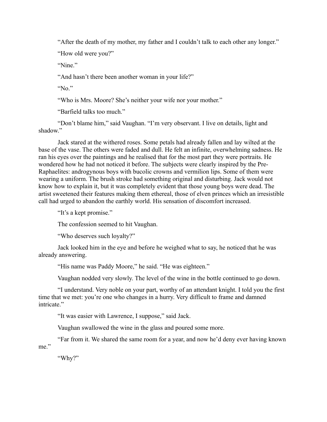"After the death of my mother, my father and I couldn't talk to each other any longer."

"How old were you?"

"Nine"

"And hasn't there been another woman in your life?"

"No."

"Who is Mrs. Moore? She's neither your wife nor your mother."

"Barfield talks too much."

"Don't blame him," said Vaughan. "I'm very observant. I live on details, light and shadow."

Jack stared at the withered roses. Some petals had already fallen and lay wilted at the base of the vase. The others were faded and dull. He felt an infinite, overwhelming sadness. He ran his eyes over the paintings and he realised that for the most part they were portraits. He wondered how he had not noticed it before. The subjects were clearly inspired by the Pre-Raphaelites: androgynous boys with bucolic crowns and vermilion lips. Some of them were wearing a uniform. The brush stroke had something original and disturbing. Jack would not know how to explain it, but it was completely evident that those young boys were dead. The artist sweetened their features making them ethereal, those of elven princes which an irresistible call had urged to abandon the earthly world. His sensation of discomfort increased.

"It's a kept promise."

The confession seemed to hit Vaughan.

"Who deserves such loyalty?"

Jack looked him in the eye and before he weighed what to say, he noticed that he was already answering.

"His name was Paddy Moore," he said. "He was eighteen."

Vaughan nodded very slowly. The level of the wine in the bottle continued to go down.

"I understand. Very noble on your part, worthy of an attendant knight. I told you the first time that we met: you're one who changes in a hurry. Very difficult to frame and damned intricate."

"It was easier with Lawrence, I suppose," said Jack.

Vaughan swallowed the wine in the glass and poured some more.

"Far from it. We shared the same room for a year, and now he'd deny ever having known me."

"Why?"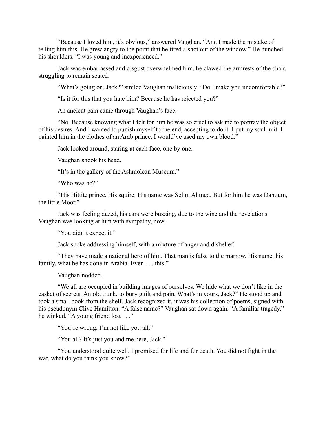"Because I loved him, it's obvious," answered Vaughan. "And I made the mistake of telling him this. He grew angry to the point that he fired a shot out of the window." He hunched his shoulders. "I was young and inexperienced."

Jack was embarrassed and disgust overwhelmed him, he clawed the armrests of the chair, struggling to remain seated.

"What's going on, Jack?" smiled Vaughan maliciously. "Do I make you uncomfortable?"

"Is it for this that you hate him? Because he has rejected you?"

An ancient pain came through Vaughan's face.

"No. Because knowing what I felt for him he was so cruel to ask me to portray the object of his desires. And I wanted to punish myself to the end, accepting to do it. I put my soul in it. I painted him in the clothes of an Arab prince. I would've used my own blood."

Jack looked around, staring at each face, one by one.

Vaughan shook his head.

"It's in the gallery of the Ashmolean Museum."

"Who was he?"

"His Hittite prince. His squire. His name was Selim Ahmed. But for him he was Dahoum, the little Moor."

Jack was feeling dazed, his ears were buzzing, due to the wine and the revelations. Vaughan was looking at him with sympathy, now.

"You didn't expect it."

Jack spoke addressing himself, with a mixture of anger and disbelief.

"They have made a national hero of him. That man is false to the marrow. His name, his family, what he has done in Arabia. Even . . . this."

Vaughan nodded.

"We all are occupied in building images of ourselves. We hide what we don't like in the casket of secrets. An old trunk, to bury guilt and pain. What's in yours, Jack?" He stood up and took a small book from the shelf. Jack recognized it, it was his collection of poems, signed with his pseudonym Clive Hamilton. "A false name?" Vaughan sat down again. "A familiar tragedy," he winked. "A young friend lost . . ."

"You're wrong. I'm not like you all."

"You all? It's just you and me here, Jack."

"You understood quite well. I promised for life and for death. You did not fight in the war, what do you think you know?"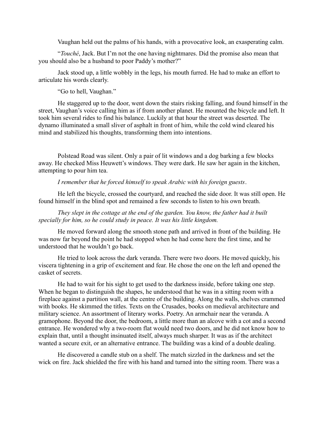Vaughan held out the palms of his hands, with a provocative look, an exasperating calm.

"*Touché*, Jack. But I'm not the one having nightmares. Did the promise also mean that you should also be a husband to poor Paddy's mother?"

Jack stood up, a little wobbly in the legs, his mouth furred. He had to make an effort to articulate his words clearly.

"Go to hell, Vaughan."

He staggered up to the door, went down the stairs risking falling, and found himself in the street, Vaughan's voice calling him as if from another planet. He mounted the bicycle and left. It took him several rides to find his balance. Luckily at that hour the street was deserted. The dynamo illuminated a small sliver of asphalt in front of him, while the cold wind cleared his mind and stabilized his thoughts, transforming them into intentions.

Polstead Road was silent. Only a pair of lit windows and a dog barking a few blocks away. He checked Miss Heuwett's windows. They were dark. He saw her again in the kitchen, attempting to pour him tea.

*I remember that he forced himself to speak Arabic with his foreign guests*.

He left the bicycle, crossed the courtyard, and reached the side door. It was still open. He found himself in the blind spot and remained a few seconds to listen to his own breath.

*They slept in the cottage at the end of the garden. You know, the father had it built specially for him, so he could study in peace. It was his little kingdom.*

He moved forward along the smooth stone path and arrived in front of the building. He was now far beyond the point he had stopped when he had come here the first time, and he understood that he wouldn't go back.

He tried to look across the dark veranda. There were two doors. He moved quickly, his viscera tightening in a grip of excitement and fear. He chose the one on the left and opened the casket of secrets.

He had to wait for his sight to get used to the darkness inside, before taking one step. When he began to distinguish the shapes, he understood that he was in a sitting room with a fireplace against a partition wall, at the centre of the building. Along the walls, shelves crammed with books. He skimmed the titles. Texts on the Crusades, books on medieval architecture and military science. An assortment of literary works. Poetry. An armchair near the veranda. A gramophone. Beyond the door, the bedroom, a little more than an alcove with a cot and a second entrance. He wondered why a two-room flat would need two doors, and he did not know how to explain that, until a thought insinuated itself, always much sharper. It was as if the architect wanted a secure exit, or an alternative entrance. The building was a kind of a double dealing.

He discovered a candle stub on a shelf. The match sizzled in the darkness and set the wick on fire. Jack shielded the fire with his hand and turned into the sitting room. There was a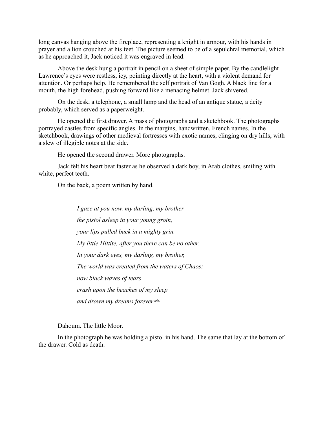long canvas hanging above the fireplace, representing a knight in armour, with his hands in prayer and a lion crouched at his feet. The picture seemed to be of a sepulchral memorial, which as he approached it, Jack noticed it was engraved in lead.

Above the desk hung a portrait in pencil on a sheet of simple paper. By the candlelight Lawrence's eyes were restless, icy, pointing directly at the heart, with a violent demand for attention. Or perhaps help. He remembered the self portrait of Van Gogh. A black line for a mouth, the high forehead, pushing forward like a menacing helmet. Jack shivered.

On the desk, a telephone, a small lamp and the head of an antique statue, a deity probably, which served as a paperweight.

He opened the first drawer. A mass of photographs and a sketchbook. The photographs portrayed castles from specific angles. In the margins, handwritten, French names. In the sketchbook, drawings of other medieval fortresses with exotic names, clinging on dry hills, with a slew of illegible notes at the side.

He opened the second drawer. More photographs.

Jack felt his heart beat faster as he observed a dark boy, in Arab clothes, smiling with white, perfect teeth.

On the back, a poem written by hand.

*I gaze at you now, my darling, my brother the pistol asleep in your young groin, your lips pulled back in a mighty grin. My little Hittite, after you there can be no other. In your dark eyes, my darling, my brother, The world was created from the waters of Chaos; now black waves of tears crash upon the beaches of my sleep* and drown my dreams forever.xxix

Dahoum. The little Moor.

In the photograph he was holding a pistol in his hand. The same that lay at the bottom of the drawer. Cold as death.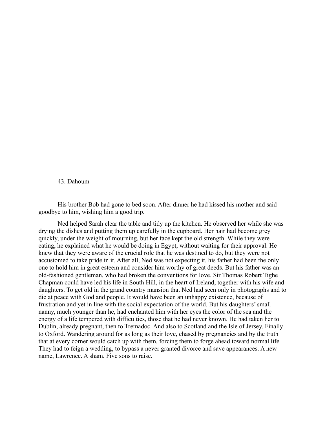### 43. Dahoum

His brother Bob had gone to bed soon. After dinner he had kissed his mother and said goodbye to him, wishing him a good trip.

Ned helped Sarah clear the table and tidy up the kitchen. He observed her while she was drying the dishes and putting them up carefully in the cupboard. Her hair had become grey quickly, under the weight of mourning, but her face kept the old strength. While they were eating, he explained what he would be doing in Egypt, without waiting for their approval. He knew that they were aware of the crucial role that he was destined to do, but they were not accustomed to take pride in it. After all, Ned was not expecting it, his father had been the only one to hold him in great esteem and consider him worthy of great deeds. But his father was an old-fashioned gentleman, who had broken the conventions for love. Sir Thomas Robert Tighe Chapman could have led his life in South Hill, in the heart of Ireland, together with his wife and daughters. To get old in the grand country mansion that Ned had seen only in photographs and to die at peace with God and people. It would have been an unhappy existence, because of frustration and yet in line with the social expectation of the world. But his daughters' small nanny, much younger than he, had enchanted him with her eyes the color of the sea and the energy of a life tempered with difficulties, those that he had never known. He had taken her to Dublin, already pregnant, then to Tremadoc. And also to Scotland and the Isle of Jersey. Finally to Oxford. Wandering around for as long as their love, chased by pregnancies and by the truth that at every corner would catch up with them, forcing them to forge ahead toward normal life. They had to feign a wedding, to bypass a never granted divorce and save appearances. A new name, Lawrence. A sham. Five sons to raise.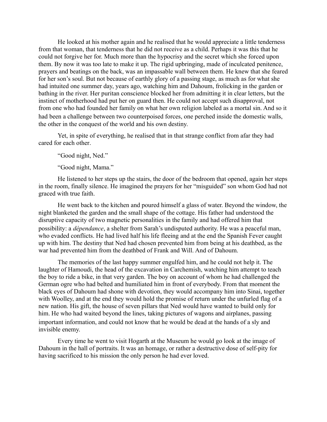He looked at his mother again and he realised that he would appreciate a little tenderness from that woman, that tenderness that he did not receive as a child. Perhaps it was this that he could not forgive her for. Much more than the hypocrisy and the secret which she forced upon them. By now it was too late to make it up. The rigid upbringing, made of inculcated penitence, prayers and beatings on the back, was an impassable wall between them. He knew that she feared for her son's soul. But not because of earthly glory of a passing stage, as much as for what she had intuited one summer day, years ago, watching him and Dahoum, frolicking in the garden or bathing in the river. Her puritan conscience blocked her from admitting it in clear letters, but the instinct of motherhood had put her on guard then. He could not accept such disapproval, not from one who had founded her family on what her own religion labeled as a mortal sin. And so it had been a challenge between two counterpoised forces, one perched inside the domestic walls, the other in the conquest of the world and his own destiny.

Yet, in spite of everything, he realised that in that strange conflict from afar they had cared for each other.

"Good night, Ned."

"Good night, Mama."

He listened to her steps up the stairs, the door of the bedroom that opened, again her steps in the room, finally silence. He imagined the prayers for her "misguided" son whom God had not graced with true faith.

He went back to the kitchen and poured himself a glass of water. Beyond the window, the night blanketed the garden and the small shape of the cottage. His father had understood the disruptive capacity of two magnetic personalities in the family and had offered him that possibility: a *dépendance*, a shelter from Sarah's undisputed authority. He was a peaceful man, who evaded conflicts. He had lived half his life fleeing and at the end the Spanish Fever caught up with him. The destiny that Ned had chosen prevented him from being at his deathbed, as the war had prevented him from the deathbed of Frank and Will. And of Dahoum.

The memories of the last happy summer engulfed him, and he could not help it. The laughter of Hamoudi, the head of the excavation in Carchemish, watching him attempt to teach the boy to ride a bike, in that very garden. The boy on account of whom he had challenged the German ogre who had belted and humiliated him in front of everybody. From that moment the black eyes of Dahoum had shone with devotion, they would accompany him into Sinai, together with Woolley, and at the end they would hold the promise of return under the unfurled flag of a new nation. His gift, the house of seven pillars that Ned would have wanted to build only for him. He who had waited beyond the lines, taking pictures of wagons and airplanes, passing important information, and could not know that he would be dead at the hands of a sly and invisible enemy.

Every time he went to visit Hogarth at the Museum he would go look at the image of Dahoum in the hall of portraits. It was an homage, or rather a destructive dose of self-pity for having sacrificed to his mission the only person he had ever loved.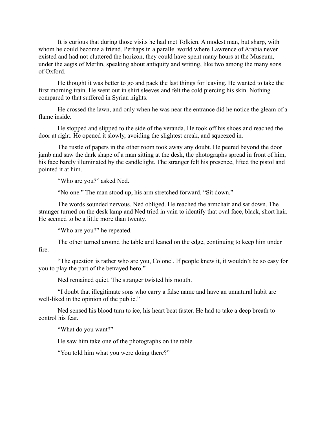It is curious that during those visits he had met Tolkien. A modest man, but sharp, with whom he could become a friend. Perhaps in a parallel world where Lawrence of Arabia never existed and had not cluttered the horizon, they could have spent many hours at the Museum, under the aegis of Merlin, speaking about antiquity and writing, like two among the many sons of Oxford.

He thought it was better to go and pack the last things for leaving. He wanted to take the first morning train. He went out in shirt sleeves and felt the cold piercing his skin. Nothing compared to that suffered in Syrian nights.

He crossed the lawn, and only when he was near the entrance did he notice the gleam of a flame inside.

He stopped and slipped to the side of the veranda. He took off his shoes and reached the door at right. He opened it slowly, avoiding the slightest creak, and squeezed in.

The rustle of papers in the other room took away any doubt. He peered beyond the door jamb and saw the dark shape of a man sitting at the desk, the photographs spread in front of him, his face barely illuminated by the candlelight. The stranger felt his presence, lifted the pistol and pointed it at him.

"Who are you?" asked Ned.

"No one." The man stood up, his arm stretched forward. "Sit down."

The words sounded nervous. Ned obliged. He reached the armchair and sat down. The stranger turned on the desk lamp and Ned tried in vain to identify that oval face, black, short hair. He seemed to be a little more than twenty.

"Who are you?" he repeated.

The other turned around the table and leaned on the edge, continuing to keep him under fire.

"The question is rather who are you, Colonel. If people knew it, it wouldn't be so easy for you to play the part of the betrayed hero."

Ned remained quiet. The stranger twisted his mouth.

"I doubt that illegitimate sons who carry a false name and have an unnatural habit are well-liked in the opinion of the public."

Ned sensed his blood turn to ice, his heart beat faster. He had to take a deep breath to control his fear.

"What do you want?"

He saw him take one of the photographs on the table.

"You told him what you were doing there?"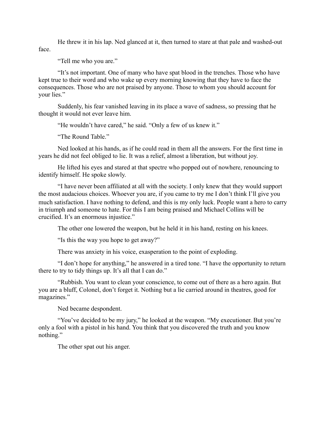He threw it in his lap. Ned glanced at it, then turned to stare at that pale and washed-out face.

"Tell me who you are."

"It's not important. One of many who have spat blood in the trenches. Those who have kept true to their word and who wake up every morning knowing that they have to face the consequences. Those who are not praised by anyone. Those to whom you should account for your lies."

Suddenly, his fear vanished leaving in its place a wave of sadness, so pressing that he thought it would not ever leave him.

"He wouldn't have cared," he said. "Only a few of us knew it."

"The Round Table."

Ned looked at his hands, as if he could read in them all the answers. For the first time in years he did not feel obliged to lie. It was a relief, almost a liberation, but without joy.

He lifted his eyes and stared at that spectre who popped out of nowhere, renouncing to identify himself. He spoke slowly.

"I have never been affiliated at all with the society. I only knew that they would support the most audacious choices. Whoever you are, if you came to try me I don't think I'll give you much satisfaction. I have nothing to defend, and this is my only luck. People want a hero to carry in triumph and someone to hate. For this I am being praised and Michael Collins will be crucified. It's an enormous injustice."

The other one lowered the weapon, but he held it in his hand, resting on his knees.

"Is this the way you hope to get away?"

There was anxiety in his voice, exasperation to the point of exploding.

"I don't hope for anything," he answered in a tired tone. "I have the opportunity to return there to try to tidy things up. It's all that I can do."

"Rubbish. You want to clean your conscience, to come out of there as a hero again. But you are a bluff, Colonel, don't forget it. Nothing but a lie carried around in theatres, good for magazines."

Ned became despondent.

"You've decided to be my jury," he looked at the weapon. "My executioner. But you're only a fool with a pistol in his hand. You think that you discovered the truth and you know nothing."

The other spat out his anger.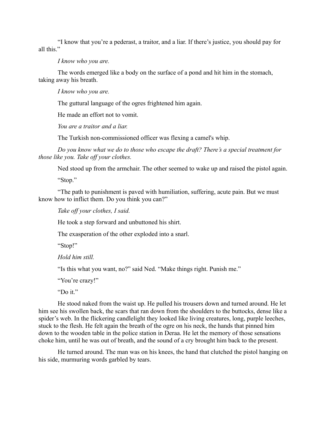"I know that you're a pederast, a traitor, and a liar. If there's justice, you should pay for all this."

## *I know who you are.*

The words emerged like a body on the surface of a pond and hit him in the stomach, taking away his breath.

## *I know who you are.*

The guttural language of the ogres frightened him again.

He made an effort not to vomit.

*You are a traitor and a liar.*

The Turkish non-commissioned officer was flexing a camel's whip.

*Do you know what we do to those who escape the draft? There's a special treatment for those like you. Take off your clothes.*

Ned stood up from the armchair. The other seemed to wake up and raised the pistol again.

"Stop."

"The path to punishment is paved with humiliation, suffering, acute pain. But we must know how to inflict them. Do you think you can?"

*Take off your clothes, I said.*

He took a step forward and unbuttoned his shirt.

The exasperation of the other exploded into a snarl.

"Stop!"

*Hold him still.*

"Is this what you want, no?" said Ned. "Make things right. Punish me."

"You're crazy!"

"Do it."

He stood naked from the waist up. He pulled his trousers down and turned around. He let him see his swollen back, the scars that ran down from the shoulders to the buttocks, dense like a spider's web. In the flickering candlelight they looked like living creatures, long, purple leeches, stuck to the flesh. He felt again the breath of the ogre on his neck, the hands that pinned him down to the wooden table in the police station in Deraa. He let the memory of those sensations choke him, until he was out of breath, and the sound of a cry brought him back to the present.

He turned around. The man was on his knees, the hand that clutched the pistol hanging on his side, murmuring words garbled by tears.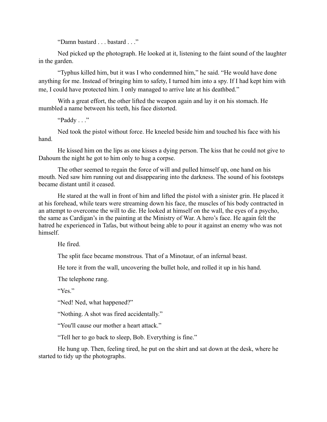"Damn bastard . . . bastard . . ."

Ned picked up the photograph. He looked at it, listening to the faint sound of the laughter in the garden.

"Typhus killed him, but it was I who condemned him," he said. "He would have done anything for me. Instead of bringing him to safety, I turned him into a spy. If I had kept him with me, I could have protected him. I only managed to arrive late at his deathbed."

With a great effort, the other lifted the weapon again and lay it on his stomach. He mumbled a name between his teeth, his face distorted.

"Paddy . . ."

Ned took the pistol without force. He kneeled beside him and touched his face with his hand.

He kissed him on the lips as one kisses a dying person. The kiss that he could not give to Dahoum the night he got to him only to hug a corpse.

The other seemed to regain the force of will and pulled himself up, one hand on his mouth. Ned saw him running out and disappearing into the darkness. The sound of his footsteps became distant until it ceased.

He stared at the wall in front of him and lifted the pistol with a sinister grin. He placed it at his forehead, while tears were streaming down his face, the muscles of his body contracted in an attempt to overcome the will to die. He looked at himself on the wall, the eyes of a psycho, the same as Cardigan's in the painting at the Ministry of War. A hero's face. He again felt the hatred he experienced in Tafas, but without being able to pour it against an enemy who was not himself.

He fired.

The split face became monstrous. That of a Minotaur, of an infernal beast.

He tore it from the wall, uncovering the bullet hole, and rolled it up in his hand.

The telephone rang.

"Yes"

"Ned! Ned, what happened?"

"Nothing. A shot was fired accidentally."

"You'll cause our mother a heart attack."

"Tell her to go back to sleep, Bob. Everything is fine."

He hung up. Then, feeling tired, he put on the shirt and sat down at the desk, where he started to tidy up the photographs.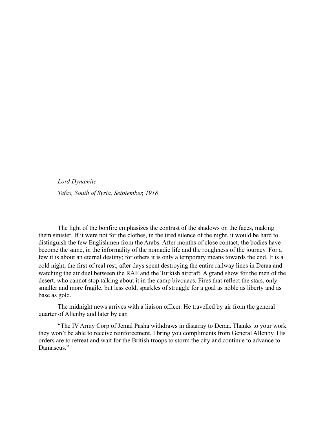*Lord Dynamite*

*Tafas, South of Syria, Setptember, 1918*

The light of the bonfire emphasizes the contrast of the shadows on the faces, making them sinister. If it were not for the clothes, in the tired silence of the night, it would be hard to distinguish the few Englishmen from the Arabs. After months of close contact, the bodies have become the same, in the informality of the nomadic life and the roughness of the journey. For a few it is about an eternal destiny; for others it is only a temporary means towards the end. It is a cold night, the first of real rest, after days spent destroying the entire railway lines in Deraa and watching the air duel between the RAF and the Turkish aircraft. A grand show for the men of the desert, who cannot stop talking about it in the camp bivouacs. Fires that reflect the stars, only smaller and more fragile, but less cold, sparkles of struggle for a goal as noble as liberty and as base as gold.

The midnight news arrives with a liaison officer. He travelled by air from the general quarter of Allenby and later by car.

"The IV Army Corp of Jemal Pasha withdraws in disarray to Deraa. Thanks to your work they won't be able to receive reinforcement. I bring you compliments from General Allenby. His orders are to retreat and wait for the British troops to storm the city and continue to advance to Damascus<sup>"</sup>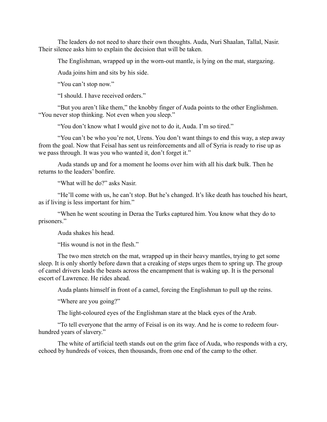The leaders do not need to share their own thoughts. Auda, Nuri Shaalan, Tallal, Nasir. Their silence asks him to explain the decision that will be taken.

The Englishman, wrapped up in the worn-out mantle, is lying on the mat, stargazing.

Auda joins him and sits by his side.

"You can't stop now."

"I should. I have received orders."

"But you aren't like them," the knobby finger of Auda points to the other Englishmen. "You never stop thinking. Not even when you sleep."

"You don't know what I would give not to do it, Auda. I'm so tired."

"You can't be who you're not, Urens. You don't want things to end this way, a step away from the goal. Now that Feisal has sent us reinforcements and all of Syria is ready to rise up as we pass through. It was you who wanted it, don't forget it."

Auda stands up and for a moment he looms over him with all his dark bulk. Then he returns to the leaders' bonfire.

"What will he do?" asks Nasir.

"He'll come with us, he can't stop. But he's changed. It's like death has touched his heart, as if living is less important for him."

"When he went scouting in Deraa the Turks captured him. You know what they do to prisoners."

Auda shakes his head.

"His wound is not in the flesh."

The two men stretch on the mat, wrapped up in their heavy mantles, trying to get some sleep. It is only shortly before dawn that a creaking of steps urges them to spring up. The group of camel drivers leads the beasts across the encampment that is waking up. It is the personal escort of Lawrence. He rides ahead.

Auda plants himself in front of a camel, forcing the Englishman to pull up the reins.

"Where are you going?"

The light-coloured eyes of the Englishman stare at the black eyes of the Arab.

"To tell everyone that the army of Feisal is on its way. And he is come to redeem fourhundred years of slavery."

The white of artificial teeth stands out on the grim face of Auda, who responds with a cry, echoed by hundreds of voices, then thousands, from one end of the camp to the other.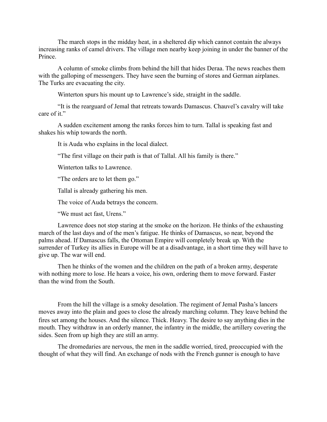The march stops in the midday heat, in a sheltered dip which cannot contain the always increasing ranks of camel drivers. The village men nearby keep joining in under the banner of the Prince.

A column of smoke climbs from behind the hill that hides Deraa. The news reaches them with the galloping of messengers. They have seen the burning of stores and German airplanes. The Turks are evacuating the city.

Winterton spurs his mount up to Lawrence's side, straight in the saddle.

"It is the rearguard of Jemal that retreats towards Damascus. Chauvel's cavalry will take care of it."

A sudden excitement among the ranks forces him to turn. Tallal is speaking fast and shakes his whip towards the north.

It is Auda who explains in the local dialect.

"The first village on their path is that of Tallal. All his family is there."

Winterton talks to Lawrence.

"The orders are to let them go."

Tallal is already gathering his men.

The voice of Auda betrays the concern.

"We must act fast, Urens."

Lawrence does not stop staring at the smoke on the horizon. He thinks of the exhausting march of the last days and of the men's fatigue. He thinks of Damascus, so near, beyond the palms ahead. If Damascus falls, the Ottoman Empire will completely break up. With the surrender of Turkey its allies in Europe will be at a disadvantage, in a short time they will have to give up. The war will end.

Then he thinks of the women and the children on the path of a broken army, desperate with nothing more to lose. He hears a voice, his own, ordering them to move forward. Faster than the wind from the South.

From the hill the village is a smoky desolation. The regiment of Jemal Pasha's lancers moves away into the plain and goes to close the already marching column. They leave behind the fires set among the houses. And the silence. Thick. Heavy. The desire to say anything dies in the mouth. They withdraw in an orderly manner, the infantry in the middle, the artillery covering the sides. Seen from up high they are still an army.

The dromedaries are nervous, the men in the saddle worried, tired, preoccupied with the thought of what they will find. An exchange of nods with the French gunner is enough to have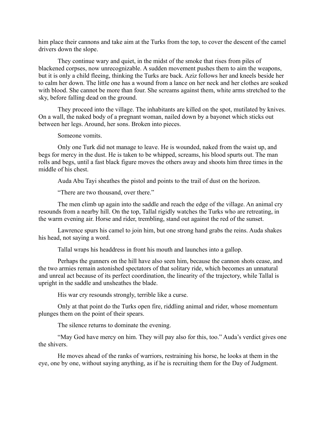him place their cannons and take aim at the Turks from the top, to cover the descent of the camel drivers down the slope.

They continue wary and quiet, in the midst of the smoke that rises from piles of blackened corpses, now unrecognizable. A sudden movement pushes them to aim the weapons, but it is only a child fleeing, thinking the Turks are back. Aziz follows her and kneels beside her to calm her down. The little one has a wound from a lance on her neck and her clothes are soaked with blood. She cannot be more than four. She screams against them, white arms stretched to the sky, before falling dead on the ground.

They proceed into the village. The inhabitants are killed on the spot, mutilated by knives. On a wall, the naked body of a pregnant woman, nailed down by a bayonet which sticks out between her legs. Around, her sons. Broken into pieces.

Someone vomits.

Only one Turk did not manage to leave. He is wounded, naked from the waist up, and begs for mercy in the dust. He is taken to be whipped, screams, his blood spurts out. The man rolls and begs, until a fast black figure moves the others away and shoots him three times in the middle of his chest.

Auda Abu Tayi sheathes the pistol and points to the trail of dust on the horizon.

"There are two thousand, over there."

The men climb up again into the saddle and reach the edge of the village. An animal cry resounds from a nearby hill. On the top, Tallal rigidly watches the Turks who are retreating, in the warm evening air. Horse and rider, trembling, stand out against the red of the sunset.

Lawrence spurs his camel to join him, but one strong hand grabs the reins. Auda shakes his head, not saying a word.

Tallal wraps his headdress in front his mouth and launches into a gallop.

Perhaps the gunners on the hill have also seen him, because the cannon shots cease, and the two armies remain astonished spectators of that solitary ride, which becomes an unnatural and unreal act because of its perfect coordination, the linearity of the trajectory, while Tallal is upright in the saddle and unsheathes the blade.

His war cry resounds strongly, terrible like a curse.

Only at that point do the Turks open fire, riddling animal and rider, whose momentum plunges them on the point of their spears.

The silence returns to dominate the evening.

"May God have mercy on him. They will pay also for this, too." Auda's verdict gives one the shivers.

He moves ahead of the ranks of warriors, restraining his horse, he looks at them in the eye, one by one, without saying anything, as if he is recruiting them for the Day of Judgment.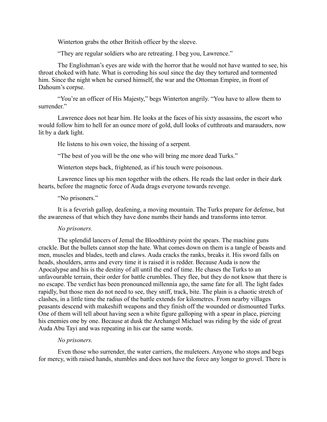Winterton grabs the other British officer by the sleeve.

"They are regular soldiers who are retreating. I beg you, Lawrence."

The Englishman's eyes are wide with the horror that he would not have wanted to see, his throat choked with hate. What is corroding his soul since the day they tortured and tormented him. Since the night when he cursed himself, the war and the Ottoman Empire, in front of Dahoum's corpse.

"You're an officer of His Majesty," begs Winterton angrily. "You have to allow them to surrender."

Lawrence does not hear him. He looks at the faces of his sixty assassins, the escort who would follow him to hell for an ounce more of gold, dull looks of cutthroats and marauders, now lit by a dark light.

He listens to his own voice, the hissing of a serpent.

"The best of you will be the one who will bring me more dead Turks."

Winterton steps back, frightened, as if his touch were poisonous.

Lawrence lines up his men together with the others. He reads the last order in their dark hearts, before the magnetic force of Auda drags everyone towards revenge.

#### "No prisoners."

It is a feverish gallop, deafening, a moving mountain. The Turks prepare for defense, but the awareness of that which they have done numbs their hands and transforms into terror.

## *No prisoners.*

The splendid lancers of Jemal the Bloodthirsty point the spears. The machine guns crackle. But the bullets cannot stop the hate. What comes down on them is a tangle of beasts and men, muscles and blades, teeth and claws. Auda cracks the ranks, breaks it. His sword falls on heads, shoulders, arms and every time it is raised it is redder. Because Auda is now the Apocalypse and his is the destiny of all until the end of time. He chases the Turks to an unfavourable terrain, their order for battle crumbles. They flee, but they do not know that there is no escape. The verdict has been pronounced millennia ago, the same fate for all. The light fades rapidly, but those men do not need to see, they sniff, track, bite. The plain is a chaotic stretch of clashes, in a little time the radius of the battle extends for kilometres. From nearby villages peasants descend with makeshift weapons and they finish off the wounded or dismounted Turks. One of them will tell about having seen a white figure galloping with a spear in place, piercing his enemies one by one. Because at dusk the Archangel Michael was riding by the side of great Auda Abu Tayi and was repeating in his ear the same words.

## *No prisoners.*

Even those who surrender, the water carriers, the muleteers. Anyone who stops and begs for mercy, with raised hands, stumbles and does not have the force any longer to grovel. There is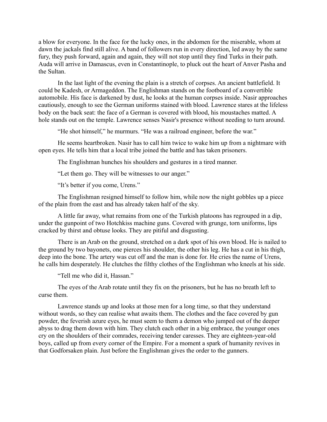a blow for everyone. In the face for the lucky ones, in the abdomen for the miserable, whom at dawn the jackals find still alive. A band of followers run in every direction, led away by the same fury, they push forward, again and again, they will not stop until they find Turks in their path. Auda will arrive in Damascus, even in Constantinople, to pluck out the heart of Anver Pasha and the Sultan.

In the last light of the evening the plain is a stretch of corpses. An ancient battlefield. It could be Kadesh, or Armageddon. The Englishman stands on the footboard of a convertible automobile. His face is darkened by dust, he looks at the human corpses inside. Nasir approaches cautiously, enough to see the German uniforms stained with blood. Lawrence stares at the lifeless body on the back seat: the face of a German is covered with blood, his moustaches matted. A hole stands out on the temple. Lawrence senses Nasir's presence without needing to turn around.

"He shot himself," he murmurs. "He was a railroad engineer, before the war."

He seems heartbroken. Nasir has to call him twice to wake him up from a nightmare with open eyes. He tells him that a local tribe joined the battle and has taken prisoners.

The Englishman hunches his shoulders and gestures in a tired manner.

"Let them go. They will be witnesses to our anger."

"It's better if you come, Urens."

The Englishman resigned himself to follow him, while now the night gobbles up a piece of the plain from the east and has already taken half of the sky.

A little far away, what remains from one of the Turkish platoons has regrouped in a dip, under the gunpoint of two Hotchkiss machine guns. Covered with grunge, torn uniforms, lips cracked by thirst and obtuse looks. They are pitiful and disgusting.

There is an Arab on the ground, stretched on a dark spot of his own blood. He is nailed to the ground by two bayonets, one pierces his shoulder, the other his leg. He has a cut in his thigh, deep into the bone. The artery was cut off and the man is done for. He cries the name of Urens, he calls him desperately. He clutches the filthy clothes of the Englishman who kneels at his side.

"Tell me who did it, Hassan."

The eyes of the Arab rotate until they fix on the prisoners, but he has no breath left to curse them.

Lawrence stands up and looks at those men for a long time, so that they understand without words, so they can realise what awaits them. The clothes and the face covered by gun powder, the feverish azure eyes, he must seem to them a demon who jumped out of the deeper abyss to drag them down with him. They clutch each other in a big embrace, the younger ones cry on the shoulders of their comrades, receiving tender caresses. They are eighteen-year-old boys, called up from every corner of the Empire. For a moment a spark of humanity revives in that Godforsaken plain. Just before the Englishman gives the order to the gunners.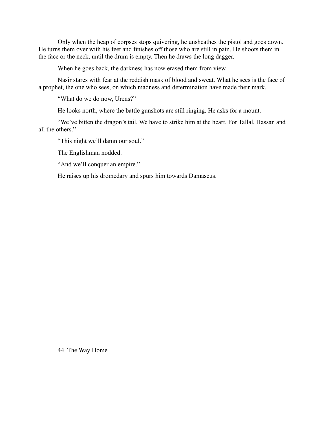Only when the heap of corpses stops quivering, he unsheathes the pistol and goes down. He turns them over with his feet and finishes off those who are still in pain. He shoots them in the face or the neck, until the drum is empty. Then he draws the long dagger.

When he goes back, the darkness has now erased them from view.

Nasir stares with fear at the reddish mask of blood and sweat. What he sees is the face of a prophet, the one who sees, on which madness and determination have made their mark.

"What do we do now, Urens?"

He looks north, where the battle gunshots are still ringing. He asks for a mount.

"We've bitten the dragon's tail. We have to strike him at the heart. For Tallal, Hassan and all the others."

"This night we'll damn our soul."

The Englishman nodded.

"And we'll conquer an empire."

He raises up his dromedary and spurs him towards Damascus.

44. The Way Home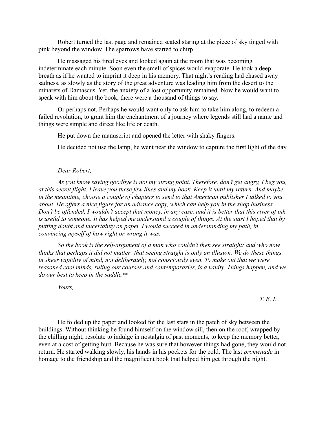Robert turned the last page and remained seated staring at the piece of sky tinged with pink beyond the window. The sparrows have started to chirp.

He massaged his tired eyes and looked again at the room that was becoming indeterminate each minute. Soon even the smell of spices would evaporate. He took a deep breath as if he wanted to imprint it deep in his memory. That night's reading had chased away sadness, as slowly as the story of the great adventure was leading him from the desert to the minarets of Damascus. Yet, the anxiety of a lost opportunity remained. Now he would want to speak with him about the book, there were a thousand of things to say.

Or perhaps not. Perhaps he would want only to ask him to take him along, to redeem a failed revolution, to grant him the enchantment of a journey where legends still had a name and things were simple and direct like life or death.

He put down the manuscript and opened the letter with shaky fingers.

He decided not use the lamp, he went near the window to capture the first light of the day.

## *Dear Robert,*

*As you know saying goodbye is not my strong point. Therefore, don't get angry, I beg you, at this secret flight. I leave you these few lines and my book. Keep it until my return. And maybe in the meantime, choose a couple of chapters to send to that American publisher I talked to you about. He offers a nice figure for an advance copy, which can help you in the shop business. Don't be offended, I wouldn't accept that money, in any case, and it is better that this river of ink is useful to someone. It has helped me understand a couple of things. At the start I hoped that by putting doubt and uncertainty on paper, I would succeed in understanding my path, in convincing myself of how right or wrong it was.* 

*So the book is the self-argument of a man who couldn't then see straight: and who now thinks that perhaps it did not matter: that seeing straight is only an illusion. We do these things in sheer vapidity of mind, not deliberately, not consciously even. To make out that we were reasoned cool minds, ruling our courses and contemporaries, is a vanity. Things happen, and we* do our best to keep in the saddle.<sup>xxx</sup>

*Yours,*

 *T. E. L.*

He folded up the paper and looked for the last stars in the patch of sky between the buildings. Without thinking he found himself on the window sill, then on the roof, wrapped by the chilling night, resolute to indulge in nostalgia of past moments, to keep the memory better, even at a cost of getting hurt. Because he was sure that however things had gone, they would not return. He started walking slowly, his hands in his pockets for the cold. The last *promenade* in homage to the friendship and the magnificent book that helped him get through the night.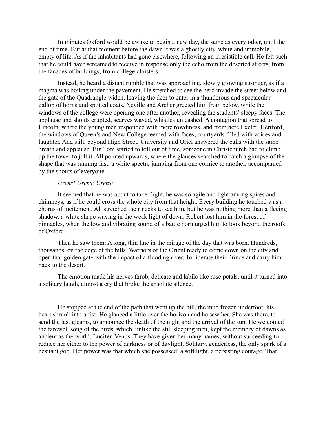In minutes Oxford would be awake to begin a new day, the same as every other, until the end of time. But at that moment before the dawn it was a ghostly city, white and immobile, empty of life. As if the inhabitants had gone elsewhere, following an irresistible call. He felt such that he could have screamed to receive in response only the echo from the deserted streets, from the facades of buildings, from college cloisters.

Instead, he heard a distant rumble that was approaching, slowly growing stronger, as if a magma was boiling under the pavement. He stretched to see the herd invade the street below and the gate of the Quadrangle widen, leaving the deer to enter in a thunderous and spectacular gallop of horns and spotted coats. Neville and Archer greeted him from below, while the windows of the college were opening one after another, revealing the students' sleepy faces. The applause and shouts erupted, scarves waved, whistles unleashed. A contagion that spread to Lincoln, where the young men responded with more rowdiness, and from here Exeter, Hertford, the windows of Queen's and New College teemed with faces, courtyards filled with voices and laughter. And still, beyond High Street, University and Oriel answered the calls with the same breath and applause. Big Tom started to toll out of time, someone in Christchurch had to climb up the tower to jolt it. All pointed upwards, where the glances searched to catch a glimpse of the shape that was running fast, a white spectre jumping from one cornice to another, accompanied by the shouts of everyone.

## *Urens! Urens! Urens!*

It seemed that he was about to take flight, he was so agile and light among spires and chimneys, as if he could cross the whole city from that height. Every building he touched was a chorus of incitement. All stretched their necks to see him, but he was nothing more than a fleeing shadow, a white shape waving in the weak light of dawn. Robert lost him in the forest of pinnacles, when the low and vibrating sound of a battle horn urged him to look beyond the roofs of Oxford.

Then he saw them: A long, thin line in the mirage of the day that was born. Hundreds, thousands, on the edge of the hills. Warriors of the Orient ready to come down on the city and open that golden gate with the impact of a flooding river. To liberate their Prince and carry him back to the desert.

The emotion made his nerves throb, delicate and labile like rose petals, until it turned into a solitary laugh, almost a cry that broke the absolute silence.

He stopped at the end of the path that went up the hill, the mud frozen underfoot, his heart shrunk into a fist. He glanced a little over the horizon and he saw her. She was there, to send the last gleams, to announce the death of the night and the arrival of the sun. He welcomed the farewell song of the birds, which, unlike the still sleeping men, kept the memory of dawns as ancient as the world. Lucifer. Venus. They have given her many names, without succeeding to reduce her either to the power of darkness or of daylight. Solitary, genderless, the only spark of a hesitant god. Her power was that which she possessed: a soft light, a persisting courage. That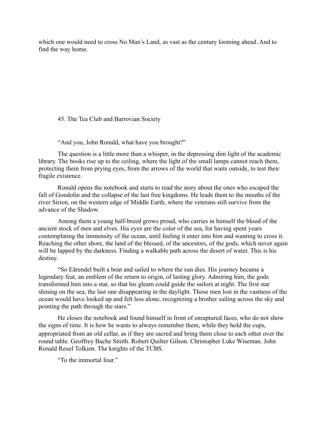which one would need to cross No Man's Land, as vast as the century looming ahead. And to find the way home.

45. The Tea Club and Barrovian Society

"And you, John Ronald, what have you brought?"

The question is a little more than a whisper, in the depressing dim light of the academic library. The books rise up to the ceiling, where the light of the small lamps cannot reach them, protecting them from prying eyes, from the arrows of the world that waits outside, to test their fragile existence.

Ronald opens the notebook and starts to read the story about the ones who escaped the fall of Gondolin and the collapse of the last free kingdoms. He leads them to the mouths of the river Sirion, on the western edge of Middle Earth, where the veterans still survive from the advance of the Shadow.

Among them a young half-breed grows proud, who carries in himself the blood of the ancient stock of men and elves. His eyes are the color of the sea, for having spent years contemplating the immensity of the ocean, until feeling it enter into him and wanting to cross it. Reaching the other shore, the land of the blessed, of the ancestors, of the gods, which never again will be lapped by the darkness. Finding a walkable path across the desert of water. This is his destiny.

"So Eārendel built a boat and sailed to where the sun dies. His journey became a legendary feat, an emblem of the return to origin, of lasting glory. Admiring him, the gods transformed him into a star, so that his gleam could guide the sailors at night. The first star shining on the sea, the last one disappearing in the daylight. Those men lost in the vastness of the ocean would have looked up and felt less alone, recognizing a brother sailing across the sky and pointing the path through the stars."

He closes the notebook and found himself in front of enraptured faces, who do not show the signs of time. It is how he wants to always remember them, while they hold the cups, appropriated from an old cellar, as if they are sacred and bring them close to each other over the round table. Geoffrey Bache Smith. Robert Quilter Gilson. Christopher Luke Wiseman. John Ronald Reuel Tolkien. The knights of the TCBS.

"To the immortal four."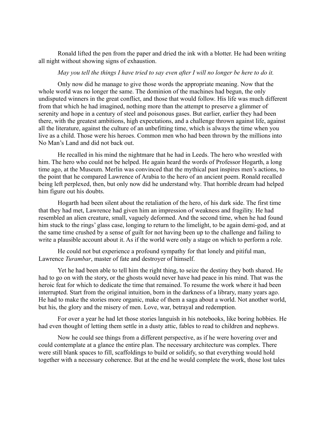Ronald lifted the pen from the paper and dried the ink with a blotter. He had been writing all night without showing signs of exhaustion.

## *May you tell the things I have tried to say even after I will no longer be here to do it.*

Only now did he manage to give those words the appropriate meaning. Now that the whole world was no longer the same. The dominion of the machines had begun, the only undisputed winners in the great conflict, and those that would follow. His life was much different from that which he had imagined, nothing more than the attempt to preserve a glimmer of serenity and hope in a century of steel and poisonous gases. But earlier, earlier they had been there, with the greatest ambitions, high expectations, and a challenge thrown against life, against all the literature, against the culture of an unbefitting time, which is always the time when you live as a child. Those were his heroes. Common men who had been thrown by the millions into No Man's Land and did not back out.

He recalled in his mind the nightmare that he had in Leeds. The hero who wrestled with him. The hero who could not be helped. He again heard the words of Professor Hogarth, a long time ago, at the Museum. Merlin was convinced that the mythical past inspires men's actions, to the point that he compared Lawrence of Arabia to the hero of an ancient poem. Ronald recalled being left perplexed, then, but only now did he understand why. That horrible dream had helped him figure out his doubts.

Hogarth had been silent about the retaliation of the hero, of his dark side. The first time that they had met, Lawrence had given him an impression of weakness and fragility. He had resembled an alien creature, small, vaguely deformed. And the second time, when he had found him stuck to the rings' glass case, longing to return to the limelight, to be again demi-god, and at the same time crushed by a sense of guilt for not having been up to the challenge and failing to write a plausible account about it. As if the world were only a stage on which to perform a role.

He could not but experience a profound sympathy for that lonely and pitiful man, Lawrence *Turambar*, master of fate and destroyer of himself.

Yet he had been able to tell him the right thing, to seize the destiny they both shared. He had to go on with the story, or the ghosts would never have had peace in his mind. That was the heroic feat for which to dedicate the time that remained. To resume the work where it had been interrupted. Start from the original intuition, born in the darkness of a library, many years ago. He had to make the stories more organic, make of them a saga about a world. Not another world, but his, the glory and the misery of men. Love, war, betrayal and redemption.

For over a year he had let those stories languish in his notebooks, like boring hobbies. He had even thought of letting them settle in a dusty attic, fables to read to children and nephews.

Now he could see things from a different perspective, as if he were hovering over and could contemplate at a glance the entire plan. The necessary architecture was complex. There were still blank spaces to fill, scaffoldings to build or solidify, so that everything would hold together with a necessary coherence. But at the end he would complete the work, those lost tales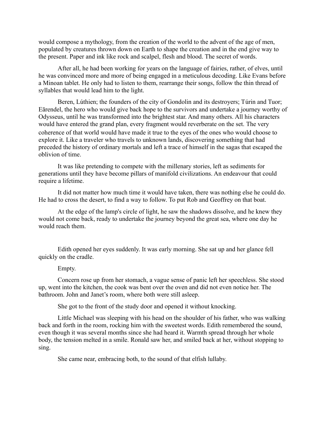would compose a mythology, from the creation of the world to the advent of the age of men, populated by creatures thrown down on Earth to shape the creation and in the end give way to the present. Paper and ink like rock and scalpel, flesh and blood. The secret of words.

After all, he had been working for years on the language of fairies, rather, of elves, until he was convinced more and more of being engaged in a meticulous decoding. Like Evans before a Minoan tablet. He only had to listen to them, rearrange their songs, follow the thin thread of syllables that would lead him to the light.

Beren, Lúthien; the founders of the city of Gondolin and its destroyers; Túrin and Tuor; Eārendel, the hero who would give back hope to the survivors and undertake a journey worthy of Odysseus, until he was transformed into the brightest star. And many others. All his characters would have entered the grand plan, every fragment would reverberate on the set. The very coherence of that world would have made it true to the eyes of the ones who would choose to explore it. Like a traveler who travels to unknown lands, discovering something that had preceded the history of ordinary mortals and left a trace of himself in the sagas that escaped the oblivion of time.

It was like pretending to compete with the millenary stories, left as sediments for generations until they have become pillars of manifold civilizations. An endeavour that could require a lifetime.

It did not matter how much time it would have taken, there was nothing else he could do. He had to cross the desert, to find a way to follow. To put Rob and Geoffrey on that boat.

At the edge of the lamp's circle of light, he saw the shadows dissolve, and he knew they would not come back, ready to undertake the journey beyond the great sea, where one day he would reach them.

Edith opened her eyes suddenly. It was early morning. She sat up and her glance fell quickly on the cradle.

#### Empty.

Concern rose up from her stomach, a vague sense of panic left her speechless. She stood up, went into the kitchen, the cook was bent over the oven and did not even notice her. The bathroom. John and Janet's room, where both were still asleep.

She got to the front of the study door and opened it without knocking.

Little Michael was sleeping with his head on the shoulder of his father, who was walking back and forth in the room, rocking him with the sweetest words. Edith remembered the sound, even though it was several months since she had heard it. Warmth spread through her whole body, the tension melted in a smile. Ronald saw her, and smiled back at her, without stopping to sing.

She came near, embracing both, to the sound of that elfish lullaby.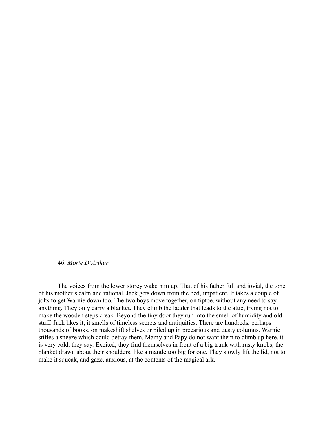### 46. *Morte D'Arthur*

The voices from the lower storey wake him up. That of his father full and jovial, the tone of his mother's calm and rational. Jack gets down from the bed, impatient. It takes a couple of jolts to get Warnie down too. The two boys move together, on tiptoe, without any need to say anything. They only carry a blanket. They climb the ladder that leads to the attic, trying not to make the wooden steps creak. Beyond the tiny door they run into the smell of humidity and old stuff. Jack likes it, it smells of timeless secrets and antiquities. There are hundreds, perhaps thousands of books, on makeshift shelves or piled up in precarious and dusty columns. Warnie stifles a sneeze which could betray them. Mamy and Papy do not want them to climb up here, it is very cold, they say. Excited, they find themselves in front of a big trunk with rusty knobs, the blanket drawn about their shoulders, like a mantle too big for one. They slowly lift the lid, not to make it squeak, and gaze, anxious, at the contents of the magical ark.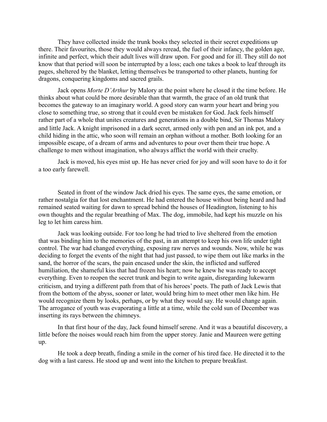They have collected inside the trunk books they selected in their secret expeditions up there. Their favourites, those they would always reread, the fuel of their infancy, the golden age, infinite and perfect, which their adult lives will draw upon. For good and for ill. They still do not know that that period will soon be interrupted by a loss; each one takes a book to leaf through its pages, sheltered by the blanket, letting themselves be transported to other planets, hunting for dragons, conquering kingdoms and sacred grails.

Jack opens *Morte D'Arthur* by Malory at the point where he closed it the time before. He thinks about what could be more desirable than that warmth, the grace of an old trunk that becomes the gateway to an imaginary world. A good story can warm your heart and bring you close to something true, so strong that it could even be mistaken for God. Jack feels himself rather part of a whole that unites creatures and generations in a double bind, Sir Thomas Malory and little Jack. A knight imprisoned in a dark secret, armed only with pen and an ink pot, and a child hiding in the attic, who soon will remain an orphan without a mother. Both looking for an impossible escape, of a dream of arms and adventures to pour over them their true hope. A challenge to men without imagination, who always afflict the world with their cruelty.

Jack is moved, his eyes mist up. He has never cried for joy and will soon have to do it for a too early farewell.

Seated in front of the window Jack dried his eyes. The same eyes, the same emotion, or rather nostalgia for that lost enchantment. He had entered the house without being heard and had remained seated waiting for dawn to spread behind the houses of Headington, listening to his own thoughts and the regular breathing of Max. The dog, immobile, had kept his muzzle on his leg to let him caress him.

Jack was looking outside. For too long he had tried to live sheltered from the emotion that was binding him to the memories of the past, in an attempt to keep his own life under tight control. The war had changed everything, exposing raw nerves and wounds. Now, while he was deciding to forget the events of the night that had just passed, to wipe them out like marks in the sand, the horror of the scars, the pain encased under the skin, the inflicted and suffered humiliation, the shameful kiss that had frozen his heart; now he knew he was ready to accept everything. Even to reopen the secret trunk and begin to write again, disregarding lukewarm criticism, and trying a different path from that of his heroes' poets. The path of Jack Lewis that from the bottom of the abyss, sooner or later, would bring him to meet other men like him. He would recognize them by looks, perhaps, or by what they would say. He would change again. The arrogance of youth was evaporating a little at a time, while the cold sun of December was inserting its rays between the chimneys.

In that first hour of the day, Jack found himself serene. And it was a beautiful discovery, a little before the noises would reach him from the upper storey. Janie and Maureen were getting up.

He took a deep breath, finding a smile in the corner of his tired face. He directed it to the dog with a last caress. He stood up and went into the kitchen to prepare breakfast.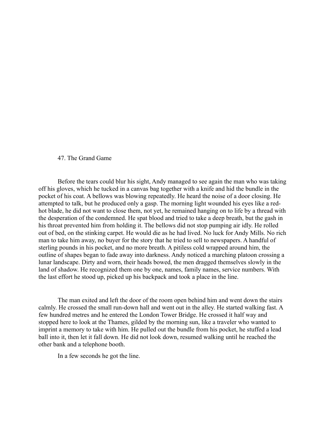# 47. The Grand Game

Before the tears could blur his sight, Andy managed to see again the man who was taking off his gloves, which he tucked in a canvas bag together with a knife and hid the bundle in the pocket of his coat. A bellows was blowing repeatedly. He heard the noise of a door closing. He attempted to talk, but he produced only a gasp. The morning light wounded his eyes like a redhot blade, he did not want to close them, not yet, he remained hanging on to life by a thread with the desperation of the condemned. He spat blood and tried to take a deep breath, but the gash in his throat prevented him from holding it. The bellows did not stop pumping air idly. He rolled out of bed, on the stinking carpet. He would die as he had lived. No luck for Andy Mills. No rich man to take him away, no buyer for the story that he tried to sell to newspapers. A handful of sterling pounds in his pocket, and no more breath. A pitiless cold wrapped around him, the outline of shapes began to fade away into darkness. Andy noticed a marching platoon crossing a lunar landscape. Dirty and worn, their heads bowed, the men dragged themselves slowly in the land of shadow. He recognized them one by one, names, family names, service numbers. With the last effort he stood up, picked up his backpack and took a place in the line.

The man exited and left the door of the room open behind him and went down the stairs calmly. He crossed the small run-down hall and went out in the alley. He started walking fast. A few hundred metres and he entered the London Tower Bridge. He crossed it half way and stopped here to look at the Thames, gilded by the morning sun, like a traveler who wanted to imprint a memory to take with him. He pulled out the bundle from his pocket, he stuffed a lead ball into it, then let it fall down. He did not look down, resumed walking until he reached the other bank and a telephone booth.

In a few seconds he got the line.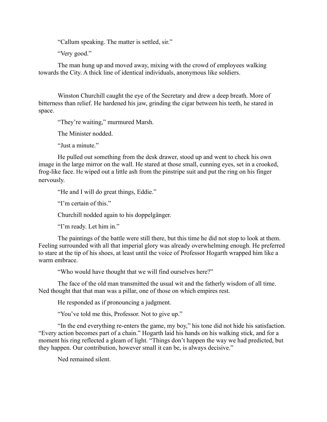"Callum speaking. The matter is settled, sir."

"Very good."

The man hung up and moved away, mixing with the crowd of employees walking towards the City. A thick line of identical individuals, anonymous like soldiers.

Winston Churchill caught the eye of the Secretary and drew a deep breath. More of bitterness than relief. He hardened his jaw, grinding the cigar between his teeth, he stared in space.

"They're waiting," murmured Marsh.

The Minister nodded.

"Just a minute"

He pulled out something from the desk drawer, stood up and went to check his own image in the large mirror on the wall. He stared at those small, cunning eyes, set in a crooked, frog-like face. He wiped out a little ash from the pinstripe suit and put the ring on his finger nervously.

"He and I will do great things, Eddie."

"I'm certain of this."

Churchill nodded again to his doppelgänger.

"I'm ready. Let him in."

The paintings of the battle were still there, but this time he did not stop to look at them. Feeling surrounded with all that imperial glory was already overwhelming enough. He preferred to stare at the tip of his shoes, at least until the voice of Professor Hogarth wrapped him like a warm embrace.

"Who would have thought that we will find ourselves here?"

The face of the old man transmitted the usual wit and the fatherly wisdom of all time. Ned thought that that man was a pillar, one of those on which empires rest.

He responded as if pronouncing a judgment.

"You've told me this, Professor. Not to give up."

"In the end everything re-enters the game, my boy," his tone did not hide his satisfaction. "Every action becomes part of a chain." Hogarth laid his hands on his walking stick, and for a moment his ring reflected a gleam of light. "Things don't happen the way we had predicted, but they happen. Our contribution, however small it can be, is always decisive."

Ned remained silent.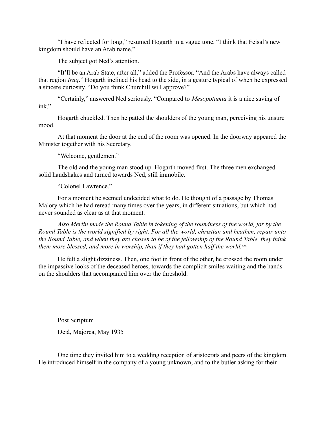"I have reflected for long," resumed Hogarth in a vague tone. "I think that Feisal's new kingdom should have an Arab name."

The subject got Ned's attention.

"It'll be an Arab State, after all," added the Professor. "And the Arabs have always called that region *Iraq*." Hogarth inclined his head to the side, in a gesture typical of when he expressed a sincere curiosity. "Do you think Churchill will approve?"

"Certainly," answered Ned seriously. "Compared to *Mesopotamia* it is a nice saving of ink"

Hogarth chuckled. Then he patted the shoulders of the young man, perceiving his unsure mood.

At that moment the door at the end of the room was opened. In the doorway appeared the Minister together with his Secretary.

"Welcome, gentlemen."

The old and the young man stood up. Hogarth moved first. The three men exchanged solid handshakes and turned towards Ned, still immobile.

"Colonel Lawrence."

For a moment he seemed undecided what to do. He thought of a passage by Thomas Malory which he had reread many times over the years, in different situations, but which had never sounded as clear as at that moment.

*Also Merlin made the Round Table in tokening of the roundness of the world, for by the Round Table is the world signified by right. For all the world, christian and heathen, repair unto the Round Table, and when they are chosen to be of the fellowship of the Round Table, they think* them more blessed, and more in worship, than if they had gotten half the world.<sup>xxxi</sup>

He felt a slight dizziness. Then, one foot in front of the other, he crossed the room under the impassive looks of the deceased heroes, towards the complicit smiles waiting and the hands on the shoulders that accompanied him over the threshold.

Post Scriptum Deià, Majorca, May 1935

One time they invited him to a wedding reception of aristocrats and peers of the kingdom. He introduced himself in the company of a young unknown, and to the butler asking for their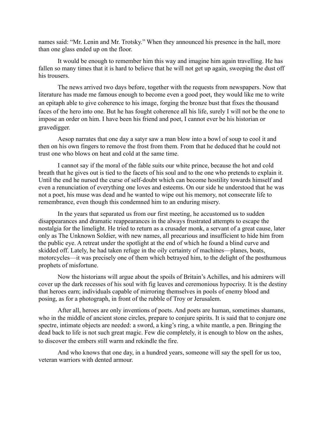names said: "Mr. Lenin and Mr. Trotsky." When they announced his presence in the hall, more than one glass ended up on the floor.

It would be enough to remember him this way and imagine him again travelling. He has fallen so many times that it is hard to believe that he will not get up again, sweeping the dust off his trousers.

The news arrived two days before, together with the requests from newspapers. Now that literature has made me famous enough to become even a good poet, they would like me to write an epitaph able to give coherence to his image, forging the bronze bust that fixes the thousand faces of the hero into one. But he has fought coherence all his life, surely I will not be the one to impose an order on him. I have been his friend and poet, I cannot ever be his historian or gravedigger.

Aesop narrates that one day a satyr saw a man blow into a bowl of soup to cool it and then on his own fingers to remove the frost from them. From that he deduced that he could not trust one who blows on heat and cold at the same time.

I cannot say if the moral of the fable suits our white prince, because the hot and cold breath that he gives out is tied to the facets of his soul and to the one who pretends to explain it. Until the end he nursed the curse of self-doubt which can become hostility towards himself and even a renunciation of everything one loves and esteems. On our side he understood that he was not a poet, his muse was dead and he wanted to wipe out his memory, not consecrate life to remembrance, even though this condemned him to an enduring misery.

In the years that separated us from our first meeting, he accustomed us to sudden disappearances and dramatic reappearances in the always frustrated attempts to escape the nostalgia for the limelight. He tried to return as a crusader monk, a servant of a great cause, later only as The Unknown Soldier, with new names, all precarious and insufficient to hide him from the public eye. A retreat under the spotlight at the end of which he found a blind curve and skidded off. Lately, he had taken refuge in the oily certainty of machines—planes, boats, motorcycles—it was precisely one of them which betrayed him, to the delight of the posthumous prophets of misfortune.

Now the historians will argue about the spoils of Britain's Achilles, and his admirers will cover up the dark recesses of his soul with fig leaves and ceremonious hypocrisy. It is the destiny that heroes earn; individuals capable of mirroring themselves in pools of enemy blood and posing, as for a photograph, in front of the rubble of Troy or Jerusalem.

After all, heroes are only inventions of poets. And poets are human, sometimes shamans, who in the middle of ancient stone circles, prepare to conjure spirits. It is said that to conjure one spectre, intimate objects are needed: a sword, a king's ring, a white mantle, a pen. Bringing the dead back to life is not such great magic. Few die completely, it is enough to blow on the ashes, to discover the embers still warm and rekindle the fire.

And who knows that one day, in a hundred years, someone will say the spell for us too, veteran warriors with dented armour.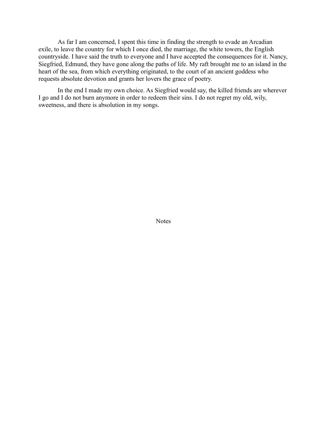As far I am concerned, I spent this time in finding the strength to evade an Arcadian exile, to leave the country for which I once died, the marriage, the white towers, the English countryside. I have said the truth to everyone and I have accepted the consequences for it. Nancy, Siegfried, Edmund, they have gone along the paths of life. My raft brought me to an island in the heart of the sea, from which everything originated, to the court of an ancient goddess who requests absolute devotion and grants her lovers the grace of poetry.

In the end I made my own choice. As Siegfried would say, the killed friends are wherever I go and I do not burn anymore in order to redeem their sins. I do not regret my old, wily, sweetness, and there is absolution in my songs.

Notes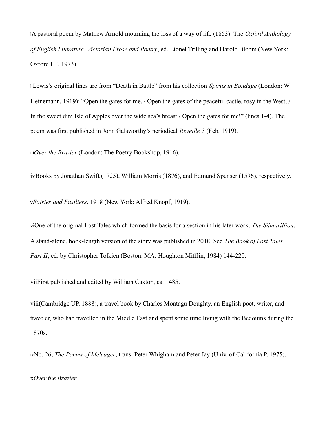iA pastoral poem by Mathew Arnold mourning the loss of a way of life (1853). The *Oxford Anthology of English Literature: Victorian Prose and Poetry*, ed. Lionel Trilling and Harold Bloom (New York: Oxford UP, 1973).

iiLewis's original lines are from "Death in Battle" from his collection *Spirits in Bondage* (London: W. Heinemann, 1919): "Open the gates for me, / Open the gates of the peaceful castle, rosy in the West, / In the sweet dim Isle of Apples over the wide sea's breast / Open the gates for me!" (lines 1-4). The poem was first published in John Galsworthy's periodical *Reveille* 3 (Feb. 1919).

iii*Over the Brazier* (London: The Poetry Bookshop, 1916).

ivBooks by Jonathan Swift (1725), William Morris (1876), and Edmund Spenser (1596), respectively.

v*Fairies and Fusiliers*, 1918 (New York: Alfred Knopf, 1919).

viOne of the original Lost Tales which formed the basis for a section in his later work, *The Silmarillion*. A stand-alone, book-length version of the story was published in 2018. See *The Book of Lost Tales: Part II*, ed. by Christopher Tolkien (Boston, MA: Houghton Mifflin, 1984) 144-220.

viiFirst published and edited by William Caxton, ca. 1485.

viii(Cambridge UP, 1888), a travel book by Charles Montagu Doughty, an English poet, writer, and traveler, who had travelled in the Middle East and spent some time living with the Bedouins during the 1870s.

ixNo. 26, *The Poems of Meleager*, trans. Peter Whigham and Peter Jay (Univ. of California P. 1975).

x*Over the Brazier.*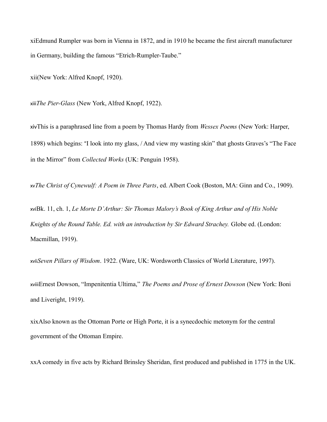xiEdmund Rumpler was born in Vienna in 1872, and in 1910 he became the first aircraft manufacturer in Germany, building the famous "Etrich-Rumpler-Taube."

xii(New York: Alfred Knopf, 1920).

xiii*The Pier-Glass* (New York, Alfred Knopf, 1922).

xivThis is a paraphrased line from a poem by Thomas Hardy from *Wessex Poems* (New York: Harper, 1898) which begins: "I look into my glass, / And view my wasting skin" that ghosts Graves's "The Face in the Mirror" from *Collected Works* (UK: Penguin 1958).

xv*The Christ of Cynewulf: A Poem in Three Parts*, ed. Albert Cook (Boston, MA: Ginn and Co., 1909).

xviBk. 11, ch. 1, *Le Morte D'Arthur: Sir Thomas Malory's Book of King Arthur and of His Noble Knights of the Round Table. Ed. with an introduction by Sir Edward Strachey.* Globe ed. (London: Macmillan, 1919).

xvii*Seven Pillars of Wisdom*. 1922. (Ware, UK: Wordsworth Classics of World Literature, 1997).

xviiiErnest Dowson, "Impenitentia Ultima," *The Poems and Prose of Ernest Dowson* (New York: Boni and Liveright, 1919).

xixAlso known as the Ottoman Porte or High Porte, it is a synecdochic metonym for the central government of the Ottoman Empire.

xxA comedy in five acts by Richard Brinsley Sheridan, first produced and published in 1775 in the UK.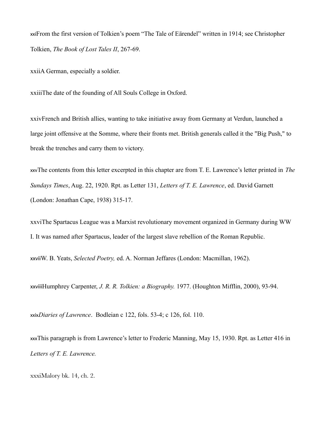xxiFrom the first version of Tolkien's poem "The Tale of Eӓrendel" written in 1914; see Christopher Tolkien, *The Book of Lost Tales II*, 267-69.

xxiiA German, especially a soldier.

xxiiiThe date of the founding of All Souls College in Oxford.

xxivFrench and British allies, wanting to take initiative away from Germany at Verdun, launched a large joint offensive at the Somme, where their fronts met. British generals called it the "Big Push," to break the trenches and carry them to victory.

xxvThe contents from this letter excerpted in this chapter are from T. E. Lawrence's letter printed in *The Sundays Times*, Aug. 22, 1920. Rpt. as Letter 131, *Letters of T. E. Lawrence*, ed. David Garnett (London: Jonathan Cape, 1938) 315-17.

xxviThe Spartacus League was a Marxist revolutionary movement organized in Germany during WW I. It was named after Spartacus, leader of the largest slave rebellion of the Roman Republic.

xxviiW. B. Yeats, *Selected Poetry,* ed. A. Norman Jeffares (London: Macmillan, 1962).

xxviiiHumphrey Carpenter, *J. R. R. Tolkien: a Biography.* 1977. (Houghton Mifflin, 2000), 93-94.

xxix*Diaries of Lawrence*. Bodleian c 122, fols. 53-4; c 126, fol. 110.

xxxThis paragraph is from Lawrence's letter to Frederic Manning, May 15, 1930. Rpt. as Letter 416 in *Letters of T. E. Lawrence.*

xxxiMalory bk. 14, ch. 2.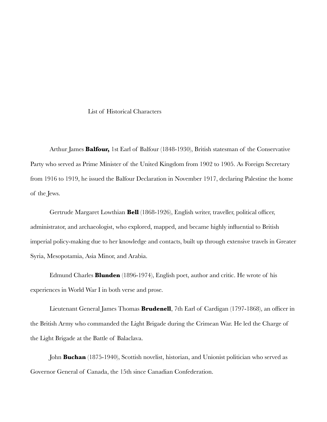### List of Historical Characters

Arthur James **Balfour,** 1st Earl of Balfour (1848-1930), British statesman of the Conservative Party who served as Prime Minister of the United Kingdom from 1902 to 1905. As Foreign Secretary from 1916 to 1919, he issued the Balfour Declaration in November 1917, declaring Palestine the home of the Jews.

Gertrude Margaret Lowthian **Bell** (1868-1926), English writer, traveller, political officer, administrator, and archaeologist, who explored, mapped, and became highly influential to British imperial policy-making due to her knowledge and contacts, built up through extensive travels in Greater Syria, Mesopotamia, Asia Minor, and Arabia.

Edmund Charles **Blunden** (1896-1974), English poet, author and critic. He wrote of his experiences in World War I in both verse and prose.

Lieutenant General James Thomas **Brudenell**, 7th Earl of Cardigan (1797-1868), an officer in the British Army who commanded the Light Brigade during the Crimean War. He led the Charge of the Light Brigade at the Battle of Balaclava.

John **Buchan** (1875-1940), Scottish novelist, historian, and Unionist politician who served as Governor General of Canada, the 15th since Canadian Confederation.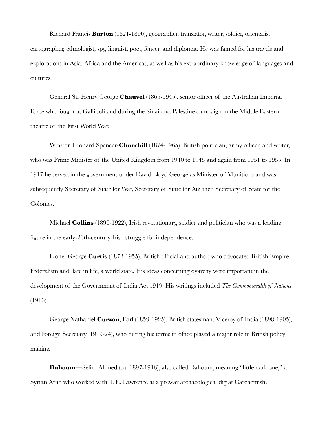Richard Francis **Burton** (1821-1890), geographer, translator, writer, soldier, orientalist, cartographer, ethnologist, spy, linguist, poet, fencer, and diplomat. He was famed for his travels and explorations in Asia, Africa and the Americas, as well as his extraordinary knowledge of languages and cultures.

General Sir Henry George **Chauvel** (1865-1945), senior officer of the Australian Imperial Force who fought at Gallipoli and during the Sinai and Palestine campaign in the Middle Eastern theatre of the First World War.

Winston Leonard Spencer-**Churchill** (1874-1965), British politician, army officer, and writer, who was Prime Minister of the United Kingdom from 1940 to 1945 and again from 1951 to 1955. In 1917 he served in the government under David Lloyd George as Minister of Munitions and was subsequently Secretary of State for War, Secretary of State for Air, then Secretary of State for the Colonies.

Michael **Collins** (1890-1922), Irish revolutionary, soldier and politician who was a leading figure in the early-20th-century Irish struggle for independence.

Lionel George **Curtis** (1872-1955), British official and author, who advocated British Empire Federalism and, late in life, a world state. His ideas concerning dyarchy were important in the development of the Government of India Act 1919. His writings included *The Commonwealth of Nations*  (1916).

George Nathaniel **Curzon**, Earl (1859-1925), British statesman, Viceroy of India (1898-1905), and Foreign Secretary (1919-24), who during his terms in office played a major role in British policy making.

**Dahoum**—Selim Ahmed (ca. 1897-1916), also called Dahoum, meaning "little dark one," a Syrian Arab who worked with T. E. Lawrence at a prewar archaeological dig at Carchemish.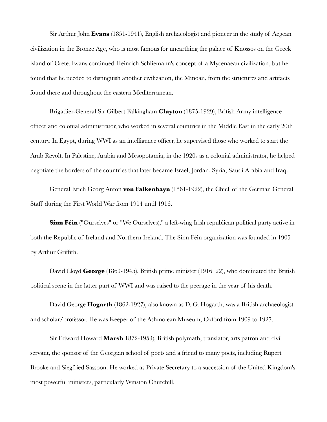Sir Arthur John **Evans** (1851-1941), English archaeologist and pioneer in the study of Aegean civilization in the Bronze Age, who is most famous for unearthing the palace of Knossos on the Greek island of Crete. Evans continued Heinrich Schliemann's concept of a Mycenaean civilization, but he found that he needed to distinguish another civilization, the Minoan, from the structures and artifacts found there and throughout the eastern Mediterranean.

Brigadier-General Sir Gilbert Falkingham **Clayton** (1875-1929), British Army intelligence officer and colonial administrator, who worked in several countries in the Middle East in the early 20th century. In Egypt, during WWI as an intelligence officer, he supervised those who worked to start the Arab Revolt. In Palestine, Arabia and Mesopotamia, in the 1920s as a colonial administrator, he helped negotiate the borders of the countries that later became Israel, Jordan, Syria, Saudi Arabia and Iraq.

General Erich Georg Anton **von Falkenhayn** (1861-1922), the Chief of the German General Staff during the First World War from 1914 until 1916.

**Sinn Féin** ("Ourselves" or "We Ourselves)," a left-wing Irish republican political party active in both the Republic of Ireland and Northern Ireland. The Sinn Féin organization was founded in 1905 by Arthur Griffith.

David Lloyd **George** (1863-1945), British prime minister (1916–22), who dominated the British political scene in the latter part of WWI and was raised to the peerage in the year of his death.

David George **Hogarth** (1862-1927), also known as D. G. Hogarth, was a British archaeologist and scholar/professor. He was Keeper of the Ashmolean Museum, Oxford from 1909 to 1927.

Sir Edward Howard **Marsh** 1872-1953), British polymath, translator, arts patron and civil servant, the sponsor of the Georgian school of poets and a friend to many poets, including Rupert Brooke and Siegfried Sassoon. He worked as Private Secretary to a succession of the United Kingdom's most powerful ministers, particularly Winston Churchill.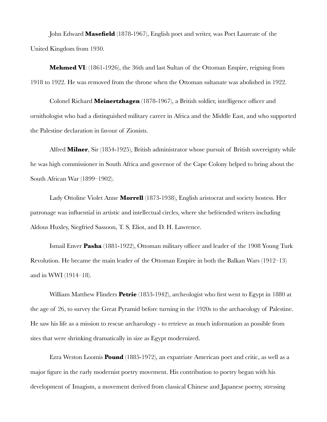John Edward **Masefield** (1878-1967), English poet and writer, was Poet Laureate of the United Kingdom from 1930.

**Mehmed VI**: (1861-1926), the 36th and last Sultan of the Ottoman Empire, reigning from 1918 to 1922. He was removed from the throne when the Ottoman sultanate was abolished in 1922.

Colonel Richard **Meinertzhagen** (1878-1967), a British soldier, intelligence officer and ornithologist who had a distinguished military career in Africa and the Middle East, and who supported the Palestine declaration in favour of Zionists.

Alfred **Milner**, Sir (1854-1925), British administrator whose pursuit of British sovereignty while he was high commissioner in South Africa and governor of the Cape Colony helped to bring about the South African War (1899–1902).

Lady Ottoline Violet Anne **Morrell** (1873-1938), English aristocrat and society hostess. Her patronage was influential in artistic and intellectual circles, where she befriended writers including Aldous Huxley, Siegfried Sassoon, T. S. Eliot, and D. H. Lawrence.

Ismail Enver **Pasha** (1881-1922), Ottoman military officer and leader of the 1908 Young Turk Revolution. He became the main leader of the Ottoman Empire in both the Balkan Wars (1912–13) and in WWI (1914–18).

William Matthew Flinders **Petrie** (1853-1942), archeologist who first went to Egypt in 1880 at the age of 26, to survey the Great Pyramid before turning in the 1920s to the archaeology of Palestine. He saw his life as a mission to rescue archaeology - to retrieve as much information as possible from sites that were shrinking dramatically in size as Egypt modernized.

Ezra Weston Loomis **Pound** (1885-1972), an expatriate American poet and critic, as well as a major figure in the early modernist poetry movement. His contribution to poetry began with his development of Imagism, a movement derived from classical Chinese and Japanese poetry, stressing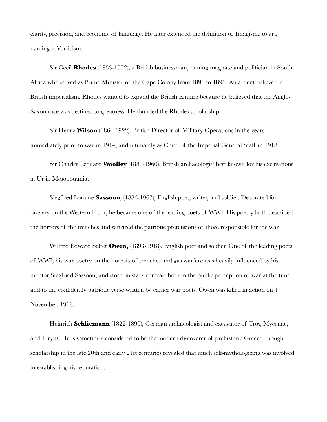clarity, precision, and economy of language. He later extended the definition of Imagisme to art, naming it Vorticism.

Sir Cecil **Rhodes** (1853-1902), a British businessman, mining magnate and politician in South Africa who served as Prime Minister of the Cape Colony from 1890 to 1896. An ardent believer in British imperialism, Rhodes wanted to expand the British Empire because he believed that the Anglo-Saxon race was destined to greatness. He founded the Rhodes scholarship.

Sir Henry **Wilson** (1864-1922), British Director of Military Operations in the years immediately prior to war in 1914, and ultimately as Chief of the Imperial General Staff in 1918.

Sir Charles Leonard **Woolley** (1880-1960), British archaeologist best known for his excavations at Ur in Mesopotamia.

Siegfried Loraine **Sassoon**, (1886-1967), English poet, writer, and soldier. Decorated for bravery on the Western Front, he became one of the leading poets of WWI. His poetry both described the horrors of the trenches and satirized the patriotic pretensions of those responsible for the war.

Wilfred Edward Salter **Owen,** (1893-1918), English poet and soldier. One of the leading poets of WWI, his war poetry on the horrors of trenches and gas warfare was heavily influenced by his mentor Siegfried Sassoon, and stood in stark contrast both to the public perception of war at the time and to the confidently patriotic verse written by earlier war poets. Owen was killed in action on 4 November, 1918.

Heinrich **Schliemann** (1822-1890), German archaeologist and excavator of Troy, Mycenae, and Tiryns. He is sometimes considered to be the modern discoverer of prehistoric Greece, though scholarship in the late 20th and early 21st centuries revealed that much self-mythologizing was involved in establishing his reputation.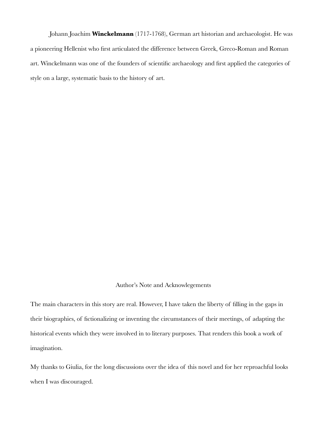Johann Joachim **Winckelmann** (1717-1768), German art historian and archaeologist. He was a pioneering Hellenist who first articulated the difference between Greek, Greco-Roman and Roman art. Winckelmann was one of the founders of scientific archaeology and first applied the categories of style on a large, systematic basis to the history of art.

# Author's Note and Acknowlegements

The main characters in this story are real. However, I have taken the liberty of filling in the gaps in their biographies, of fictionalizing or inventing the circumstances of their meetings, of adapting the historical events which they were involved in to literary purposes. That renders this book a work of imagination.

My thanks to Giulia, for the long discussions over the idea of this novel and for her reproachful looks when I was discouraged.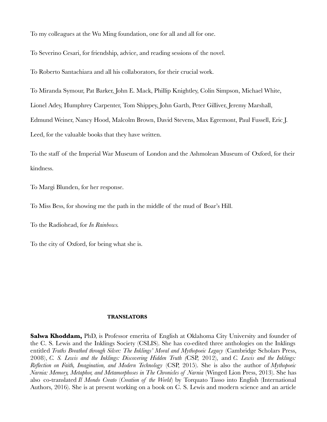To my colleagues at the Wu Ming foundation, one for all and all for one.

To Severino Cesari, for friendship, advice, and reading sessions of the novel.

To Roberto Santachiara and all his collaborators, for their crucial work.

To Miranda Symour, Pat Barker, John E. Mack, Phillip Knightley, Colin Simpson, Michael White, Lionel Adey, Humphrey Carpenter, Tom Shippey, John Garth, Peter Gilliver, Jeremy Marshall, Edmund Weiner, Nancy Hood, Malcolm Brown, David Stevens, Max Egremont, Paul Fussell, Eric J. Leed, for the valuable books that they have written.

To the staff of the Imperial War Museum of London and the Ashmolean Museum of Oxford, for their kindness.

To Margi Blunden, for her response.

To Miss Bess, for showing me the path in the middle of the mud of Boar's Hill.

To the Radiohead, for *In Rainbows.*

To the city of Oxford, for being what she is.

### **TRANSLATORS**

**Salwa Khoddam,** PhD, is Professor emerita of English at Oklahoma City University and founder of the C. S. Lewis and the Inklings Society (CSLIS). She has co-edited three anthologies on the Inklings entitled *Truths Breathed through Silver: The Inklings' Moral and Mythopoeic Legacy* (Cambridge Scholars Press, 2008), *C. S. Lewis and the Inklings: Discovering Hidden Truth (*CSP, 2012), and *C. Lewis and the Inklings: Reflection on Faith, Imagination, and Modern Technology* (CSP, 2015). She is also the author of *Mythopoeic Narnia: Memory, Metaphor, and Metamorphoses in The Chronicles of Narnia* (Winged Lion Press, 2013). She has also co-translated *Il Mondo Creato* (*Creation of the World*) by Torquato Tasso into English (International Authors, 2016). She is at present working on a book on C. S. Lewis and modern science and an article